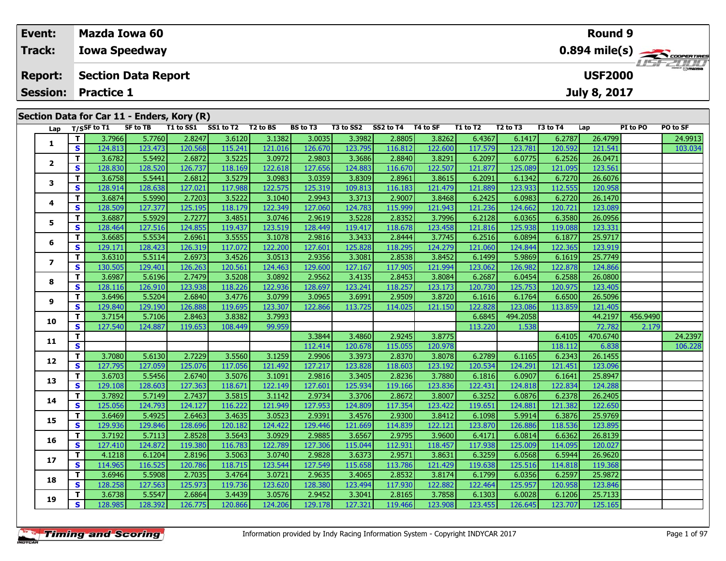| Event:          |                    | <b>Mazda Iowa 60</b>                       |           |           |          |                 |           |           |          |          |          |          | Round 9             |          |                  |
|-----------------|--------------------|--------------------------------------------|-----------|-----------|----------|-----------------|-----------|-----------|----------|----------|----------|----------|---------------------|----------|------------------|
| <b>Track:</b>   |                    | <b>Iowa Speedway</b>                       |           |           |          |                 |           |           |          |          |          |          |                     |          |                  |
| <b>Report:</b>  |                    | <b>Section Data Report</b>                 |           |           |          |                 |           |           |          |          |          |          | <b>USF2000</b>      |          | <b>LISF 2000</b> |
| <b>Session:</b> | <b>Practice 1</b>  |                                            |           |           |          |                 |           |           |          |          |          |          | <b>July 8, 2017</b> |          |                  |
|                 |                    | Section Data for Car 11 - Enders, Kory (R) |           |           |          |                 |           |           |          |          |          |          |                     |          |                  |
|                 | Lap $T/S$ SF to T1 | <b>SF to TB</b>                            | T1 to SS1 | SS1 to T2 | T2 to BS | <b>BS</b> to T3 | T3 to SS2 | SS2 to T4 | T4 to SF | T1 to T2 | T2 to T3 | T3 to T4 | Lap                 | PI to PO | PO to SF         |
|                 | 3.7966             | 5.7760                                     | 2.8247    | 3.6120    | 3.1382   | 3.0035          | 3.3982    | 2.8805    | 3.8262   | 6.4367   | 6.1417   | 6.2787   | 26.4799             |          | 24.9913<br>.     |

|                          | T.           |                   | 5.7760  | 2.8247  | 3.6120  | 3.1382  | 3.0035  |                   |                   | 3.8262  |                   | 6.1417   | 6.2787  | 26.4799  |          |                    |
|--------------------------|--------------|-------------------|---------|---------|---------|---------|---------|-------------------|-------------------|---------|-------------------|----------|---------|----------|----------|--------------------|
| 1                        | $\mathbf{s}$ | 3.7966<br>124.813 | 123.473 | 120.568 | 115.241 | 121.016 | 126.670 | 3.3982<br>123.795 | 2.8805<br>116.812 | 122.600 | 6.4367<br>117.579 | 123.781  | 120.592 | 121.541  |          | 24.9913<br>103.034 |
|                          | T            | 3.6782            | 5.5492  | 2.6872  | 3.5225  | 3.0972  | 2.9803  | 3.3686            | 2.8840            | 3.8291  | 6.2097            | 6.0775   | 6.2526  | 26.0471  |          |                    |
| $\overline{\mathbf{2}}$  | S            | 128.830           | 128.520 | 126.737 | 118.169 | 122.618 | 127.656 | 124.883           | 116.670           | 122.507 | 121.877           | 125.089  | 121.095 | 123.561  |          |                    |
|                          | Т            | 3.6758            | 5.5441  | 2.6812  | 3.5279  | 3.0983  | 3.0359  | 3.8309            | 2.8961            | 3.8615  | 6.2091            | 6.1342   | 6.7270  | 26.6076  |          |                    |
| 3                        | S            | 128.914           | 128.638 | 127.021 | 117.988 | 122.575 | 125.319 | 109.813           | 116.183           | 121.479 | 121.889           | 123.933  | 112.555 | 120.958  |          |                    |
|                          | Т            | 3.6874            | 5.5990  | 2.7203  | 3.5222  | 3.1040  | 2.9943  | 3.3713            | 2.9007            | 3.8468  | 6.2425            | 6.0983   | 6.2720  | 26.1470  |          |                    |
| 4                        | S            | 128.509           | 127.377 | 125.195 | 118.179 | 122.349 | 127.060 | 124.783           | 115.999           | 121.943 | 121.236           | 124.662  | 120.721 | 123.089  |          |                    |
| 5                        | Т            | 3.6887            | 5.5929  | 2.7277  | 3.4851  | 3.0746  | 2.9619  | 3.5228            | 2.8352            | 3.7996  | 6.2128            | 6.0365   | 6.3580  | 26.0956  |          |                    |
|                          | $\mathbf{s}$ | 128.464           | 127.516 | 124.855 | 119.437 | 123.519 | 128.449 | 119.417           | 118.678           | 123.458 | 121.816           | 125.938  | 119.088 | 123.331  |          |                    |
| 6                        | т            | 3.6685            | 5.5534  | 2.6961  | 3.5555  | 3.1078  | 2.9816  | 3.3433            | 2.8444            | 3.7745  | 6.2516            | 6.0894   | 6.1877  | 25.9717  |          |                    |
|                          | S            | 129.171           | 128.423 | 126.319 | 117.072 | 122.200 | 127.601 | 125.828           | 118.295           | 124.279 | 121.060           | 124.844  | 122.365 | 123.919  |          |                    |
| $\overline{\phantom{a}}$ | T            | 3.6310            | 5.5114  | 2.6973  | 3.4526  | 3.0513  | 2.9356  | 3.3081            | 2.8538            | 3.8452  | 6.1499            | 5.9869   | 6.1619  | 25.7749  |          |                    |
|                          | $\mathbf{s}$ | 130.505           | 129.401 | 126.263 | 120.561 | 124.463 | 129.600 | 127.167           | 117.905           | 121.994 | 123.062           | 126.982  | 122.878 | 124.866  |          |                    |
| 8                        | T            | 3.6987            | 5.6196  | 2.7479  | 3.5208  | 3.0892  | 2.9562  | 3.4135            | 2.8453            | 3.8084  | 6.2687            | 6.0454   | 6.2588  | 26.0800  |          |                    |
|                          | $\mathbf{s}$ | 128.116           | 126.910 | 123.938 | 118.226 | 122.936 | 128.697 | 123.241           | 118.257           | 123.173 | 120.730           | 125.753  | 120.975 | 123.405  |          |                    |
| 9                        | Т            | 3.6496            | 5.5204  | 2.6840  | 3.4776  | 3.0799  | 3.0965  | 3.6991            | 2.9509            | 3.8720  | 6.1616            | 6.1764   | 6.6500  | 26.5096  |          |                    |
|                          | $\mathbf{s}$ | 129.840           | 129.190 | 126.888 | 119.695 | 123.307 | 122.866 | 113.725           | 114.025           | 121.150 | 122.828           | 123.086  | 113.859 | 121.405  |          |                    |
| 10                       | т            | 3.7154            | 5.7106  | 2.8463  | 3.8382  | 3.7993  |         |                   |                   |         | 6.6845            | 494.2058 |         | 44.2197  | 456.9490 |                    |
|                          | S            | 127.540           | 124.887 | 119.653 | 108.449 | 99.959  |         |                   |                   |         | 113.220           | 1.538    |         | 72.782   | 2.179    |                    |
| 11                       | $\mathbf{T}$ |                   |         |         |         |         | 3.3844  | 3.4860            | 2.9245            | 3.8775  |                   |          | 6.4105  | 470.6740 |          | 24.2397            |
|                          | $\mathbf{s}$ |                   |         |         |         |         | 112.414 | 120.678           | 115.055           | 120.978 |                   |          | 118.112 | 6.838    |          | 106.228            |
| 12                       | т            | 3.7080            | 5.6130  | 2.7229  | 3.5560  | 3.1259  | 2.9906  | 3.3973            | 2.8370            | 3.8078  | 6.2789            | 6.1165   | 6.2343  | 26.1455  |          |                    |
|                          | $\mathbf{s}$ | 127.795           | 127.059 | 125.076 | 117.056 | 121.492 | 127.217 | 123.828           | 118.603           | 123.192 | 120.534           | 124.291  | 121.451 | 123.096  |          |                    |
| 13                       | T            | 3.6703            | 5.5456  | 2.6740  | 3.5076  | 3.1091  | 2.9816  | 3.3405            | 2.8236            | 3.7880  | 6.1816            | 6.0907   | 6.1641  | 25.8947  |          |                    |
|                          | S            | 129.108           | 128.603 | 127.363 | 118.671 | 122.149 | 127.601 | 125.934           | 119.166           | 123.836 | 122.431           | 124.818  | 122.834 | 124.288  |          |                    |
| 14                       | $\mathbf{T}$ | 3.7892            | 5.7149  | 2.7437  | 3.5815  | 3.1142  | 2.9734  | 3.3706            | 2.8672            | 3.8007  | 6.3252            | 6.0876   | 6.2378  | 26.2405  |          |                    |
|                          | S            | 125.056           | 124.793 | 124.127 | 116.222 | 121.949 | 127.953 | 124.809           | 117.354           | 123.422 | 119.651           | 124.881  | 121.382 | 122.650  |          |                    |
| 15                       | Т            | 3.6469            | 5.4925  | 2.6463  | 3.4635  | 3.0523  | 2.9391  | 3.4576            | 2.9300            | 3.8412  | 6.1098            | 5.9914   | 6.3876  | 25.9769  |          |                    |
|                          | $\mathbf{s}$ | 129.936           | 129.846 | 128.696 | 120.182 | 124.422 | 129.446 | 121.669           | 114.839           | 122.121 | 123.870           | 126.886  | 118.536 | 123.895  |          |                    |
| 16                       | Т            | 3.7192            | 5.7113  | 2.8528  | 3.5643  | 3.0929  | 2.9885  | 3.6567            | 2.9795            | 3.9600  | 6.4171            | 6.0814   | 6.6362  | 26.8139  |          |                    |
|                          | S            | 127.410           | 124.872 | 119.380 | 116.783 | 122.789 | 127.306 | 115.044           | 112.931           | 118.457 | 117.938           | 125.009  | 114.095 | 120.027  |          |                    |
| 17                       | Т            | 4.1218            | 6.1204  | 2.8196  | 3.5063  | 3.0740  | 2.9828  | 3.6373            | 2.9571            | 3.8631  | 6.3259            | 6.0568   | 6.5944  | 26.9620  |          |                    |
|                          | S            | 114.965           | 116.525 | 120.786 | 118.715 | 123.544 | 127.549 | 115.658           | 113.786           | 121.429 | 119.638           | 125.516  | 114.818 | 119.368  |          |                    |
| 18                       | т            | 3.6946            | 5.5908  | 2.7035  | 3.4764  | 3.0721  | 2.9635  | 3.4065            | 2.8532            | 3.8174  | 6.1799            | 6.0356   | 6.2597  | 25.9872  |          |                    |
|                          | S            | 128.258           | 127.563 | 125.973 | 119.736 | 123.620 | 128.380 | 123.494           | 117.930           | 122.882 | 122.464           | 125.957  | 120.958 | 123.846  |          |                    |
| 19                       | т            | 3.6738            | 5.5547  | 2.6864  | 3.4439  | 3.0576  | 2.9452  | 3.3041            | 2.8165            | 3.7858  | 6.1303            | 6.0028   | 6.1206  | 25.7133  |          |                    |
|                          | $\mathbf{s}$ | 128.985           | 128.392 | 126.775 | 120.866 | 124.206 | 129.178 | 127.321           | 119.466           | 123.908 | 123.455           | 126.645  | 123.707 | 125.165  |          |                    |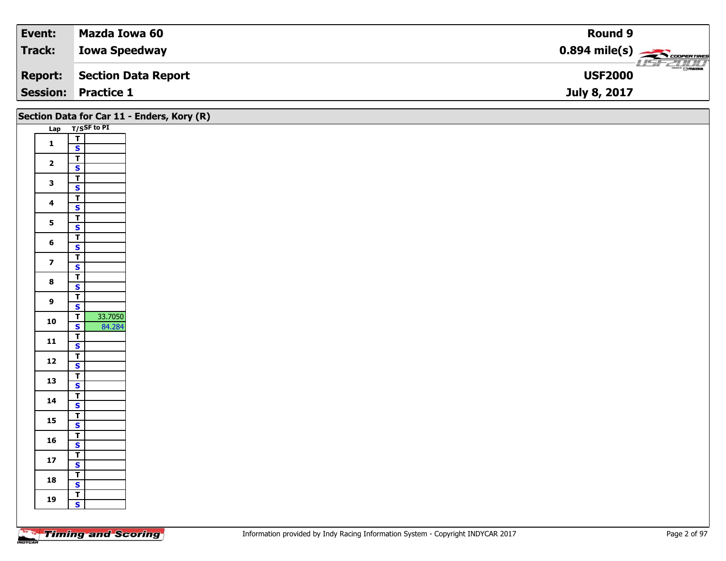| Event:          | Mazda Iowa 60        | Round 9                                             |
|-----------------|----------------------|-----------------------------------------------------|
| <b>Track:</b>   | <b>Iowa Speedway</b> | $0.894$ mile(s) $\overbrace{\hspace{2cm}}$ covening |
| <b>Report:</b>  | Section Data Report  | $\frac{1}{\odot}$ mazoa<br><b>USF2000</b>           |
| <b>Session:</b> | <b>Practice 1</b>    | July 8, 2017                                        |

|                         |                                    | Section Data for Car 11 - Enders, Kory (R) |
|-------------------------|------------------------------------|--------------------------------------------|
|                         | Lap T/SSF to PI                    |                                            |
|                         | $\frac{1}{s}$                      |                                            |
| $\mathbf{1}$            |                                    |                                            |
|                         | $\overline{t}$                     |                                            |
| $\overline{\mathbf{2}}$ | $\mathbf{s}$                       |                                            |
|                         | $\overline{T}$                     |                                            |
| $\mathbf{3}$            | $\mathbf{s}$                       |                                            |
|                         | $\overline{t}$                     |                                            |
| $\overline{\mathbf{4}}$ | $\mathsf{s}$                       |                                            |
|                         | $\overline{\mathsf{r}}$            |                                            |
| 5 <sub>5</sub>          | $\overline{\mathbf{s}}$            |                                            |
|                         | $\overline{\mathbf{T}}$            |                                            |
| $6\phantom{1}$          | $\mathbf{s}$                       |                                            |
|                         | $\overline{1}$                     |                                            |
| $\overline{\mathbf{z}}$ | $\overline{\mathbf{s}}$            |                                            |
| $\bf{8}$                | $\overline{I}$                     |                                            |
|                         | $\overline{\mathbf{s}}$            |                                            |
| $\overline{9}$          | $\overline{r}$                     |                                            |
|                         | $\mathbf{s}$                       |                                            |
| 10                      | 33.7050<br>$\overline{\mathsf{T}}$ |                                            |
|                         | $\overline{\mathbf{s}}$<br>84.284  |                                            |
| 11                      | $\overline{I}$                     |                                            |
|                         | $\mathbf{s}$                       |                                            |
| $12$                    | $\overline{1}$                     |                                            |
|                         | $\overline{\mathbf{s}}$            |                                            |
| 13                      | $\overline{r}$                     |                                            |
|                         | $\mathbf{s}$                       |                                            |
| 14                      | $\overline{1}$                     |                                            |
|                         | $\overline{\mathbf{s}}$            |                                            |
| 15                      | $\top$                             |                                            |
|                         | $\overline{\mathbf{s}}$            |                                            |
| 16                      | $\overline{I}$<br>$\mathbf{s}$     |                                            |
|                         | $\overline{1}$                     |                                            |
| $17$                    | $\mathbf{s}$                       |                                            |
|                         | $\overline{\mathbf{r}}$            |                                            |
| 18                      | $\mathbf{s}$                       |                                            |
|                         | $\overline{r}$                     |                                            |
| 19                      | $\mathbf{s}$                       |                                            |
|                         |                                    |                                            |
|                         |                                    |                                            |

Ξ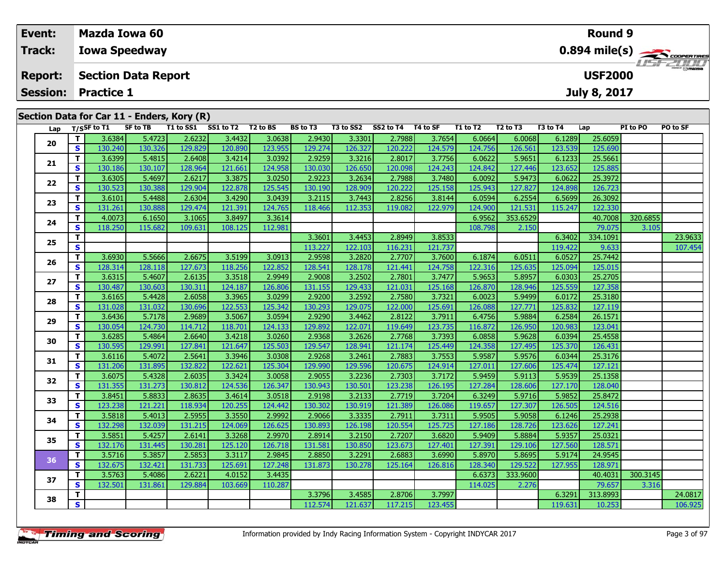| Event:<br>Track: |                |        |                            | Mazda Iowa 60                              |           |           |          |                 |           |           |          |          |                                  |                                     | Round 9             |          |          |  |  |
|------------------|----------------|--------|----------------------------|--------------------------------------------|-----------|-----------|----------|-----------------|-----------|-----------|----------|----------|----------------------------------|-------------------------------------|---------------------|----------|----------|--|--|
|                  |                |        | <b>Iowa Speedway</b>       |                                            |           |           |          |                 |           |           |          |          |                                  | $0.894$ mile(s) $\sum$ COOPER TIRES |                     |          |          |  |  |
|                  | <b>Report:</b> |        |                            | <b>Section Data Report</b>                 |           |           |          |                 |           |           |          |          |                                  |                                     | <b>USF2000</b>      |          |          |  |  |
|                  |                |        | <b>Session: Practice 1</b> |                                            |           |           |          |                 |           |           |          |          |                                  |                                     | <b>July 8, 2017</b> |          |          |  |  |
|                  |                |        |                            | Section Data for Car 11 - Enders, Kory (R) |           |           |          |                 |           |           |          |          |                                  |                                     |                     |          |          |  |  |
|                  | Lap            |        | $T/S$ SF to T1             | SF to TB                                   | T1 to SS1 | SS1 to T2 | T2 to BS | <b>BS</b> to T3 | T3 to SS2 | SS2 to T4 | T4 to SF | T1 to T2 | T <sub>2</sub> to T <sub>3</sub> | T3 to T4                            | Lap                 | PI to PO | PO to SF |  |  |
|                  |                | 3.6384 | 5.4723                     | 2.6232                                     | 3.4432    | 3.0638    | 2.9430   | 3.3301          | 2.7988    | 3.7654    | 6.0664   | 6.0068   | 6.1289                           | 25.6059                             |                     |          |          |  |  |
|                  | 20             | S.     | 130.240                    | 130.326                                    | 129.829   | 120.890   | 123.9551 | 129.274         | 126.327   | 120.222   | 124.579  | 124.756  | 126.561                          | 123.539                             | 125.690             |          |          |  |  |

| Lap |              | $T/S$ SF to T1 | <b>SF to TB</b> | T1 to SS1 SS1 to T2 T2 to BS |         |         | <b>BS</b> to T3 | T3 to SS2 | SS2 to T4 | T4 to SF | T1 to T2 | T <sub>2</sub> to T <sub>3</sub> | T3 to T4 | Lap      | PI to PO | PO to SF |
|-----|--------------|----------------|-----------------|------------------------------|---------|---------|-----------------|-----------|-----------|----------|----------|----------------------------------|----------|----------|----------|----------|
| 20  | T            | 3.6384         | 5.4723          | 2.6232                       | 3.4432  | 3.0638  | 2.9430          | 3.3301    | 2.7988    | 3.7654   | 6.0664   | 6.0068                           | 6.1289   | 25.6059  |          |          |
|     | S            | 130.240        | 130.326         | 129.829                      | 120.890 | 123.955 | 129.274         | 126.327   | 120.222   | 124.579  | 124.756  | 126.561                          | 123.539  | 125.690  |          |          |
| 21  | T            | 3.6399         | 5.4815          | 2.6408                       | 3.4214  | 3.0392  | 2.9259          | 3.3216    | 2.8017    | 3.7756   | 6.0622   | 5.9651                           | 6.1233   | 25.5661  |          |          |
|     | S            | 130.186        | 130.107         | 128.964                      | 121.661 | 124.958 | 130.030         | 126.650   | 120.098   | 124.243  | 124.842  | 127.446                          | 123.652  | 125.885  |          |          |
| 22  | Т            | 3.6305         | 5.4697          | 2.6217                       | 3.3875  | 3.0250  | 2.9223          | 3.2634    | 2.7988    | 3.7480   | 6.0092   | 5.9473                           | 6.0622   | 25.3972  |          |          |
|     | S            | 130.523        | 130.388         | 129.904                      | 122.878 | 125.545 | 130.190         | 128.909   | 120.222   | 125.158  | 125.943  | 127.827                          | 124.898  | 126.723  |          |          |
| 23  | T            | 3.6101         | 5.4488          | 2.6304                       | 3.4290  | 3.0439  | 3.2115          | 3.7443    | 2.8256    | 3.8144   | 6.0594   | 6.2554                           | 6.5699   | 26.3092  |          |          |
|     | $\mathbf{s}$ | 131.261        | 130.888         | 129.474                      | 121.391 | 124.765 | 118.466         | 112.353   | 119.082   | 122.979  | 124.900  | 121.531                          | 115.247  | 122.330  |          |          |
| 24  | T            | 4.0073         | 6.1650          | 3.1065                       | 3.8497  | 3.3614  |                 |           |           |          | 6.9562   | 353.6529                         |          | 40.7008  | 320.6855 |          |
|     | S            | 118.250        | 115.682         | 109.631                      | 108.125 | 112.981 |                 |           |           |          | 108.798  | 2.150                            |          | 79.075   | 3.105    |          |
| 25  | Т            |                |                 |                              |         |         | 3.3601          | 3.4453    | 2.8949    | 3.8533   |          |                                  | 6.3402   | 334.1091 |          | 23.9633  |
|     | $\mathbf s$  |                |                 |                              |         |         | 113.227         | 122.103   | 116.231   | 121.737  |          |                                  | 119.422  | 9.633    |          | 107.454  |
| 26  | T            | 3.6930         | 5.5666          | 2.6675                       | 3.5199  | 3.0913  | 2.9598          | 3.2820    | 2.7707    | 3.7600   | 6.1874   | 6.0511                           | 6.0527   | 25.7442  |          |          |
|     | S            | 128.314        | 128.118         | 127.673                      | 118.256 | 122.852 | 128.541         | 128.178   | 121.441   | 124.758  | 122.316  | 125.635                          | 125.094  | 125.015  |          |          |
| 27  | T            | 3.6315         | 5.4607          | 2.6135                       | 3.3518  | 2.9949  | 2.9008          | 3.2502    | 2.7801    | 3.7477   | 5.9653   | 5.8957                           | 6.0303   | 25.2705  |          |          |
|     | S            | 130.487        | 130.603         | 130.311                      | 124.187 | 126.806 | 131.155         | 129.433   | 121.031   | 125.168  | 126.870  | 128.946                          | 125.559  | 127.358  |          |          |
| 28  | Т            | 3.6165         | 5.4428          | 2.6058                       | 3.3965  | 3.0299  | 2.9200          | 3.2592    | 2.7580    | 3.7321   | 6.0023   | 5.9499                           | 6.0172   | 25.3180  |          |          |
|     | S            | 131.028        | 131.032         | 130.696                      | 122.553 | 125.342 | 130.293         | 129.075   | 122.000   | 125.691  | 126.088  | 127.771                          | 125.832  | 127.119  |          |          |
| 29  | Т            | 3.6436         | 5.7178          | 2.9689                       | 3.5067  | 3.0594  | 2.9290          | 3.4462    | 2.8122    | 3.7911   | 6.4756   | 5.9884                           | 6.2584   | 26.1571  |          |          |
|     | S            | 130.054        | 124.730         | 114.712                      | 118.701 | 124.133 | 129.892         | 122.071   | 119.649   | 123.735  | 116.872  | 126.950                          | 120.983  | 123.041  |          |          |
| 30  | T            | 3.6285         | 5.4864          | 2.6640                       | 3.4218  | 3.0260  | 2.9368          | 3.2626    | 2.7768    | 3.7393   | 6.0858   | 5.9628                           | 6.0394   | 25.4558  |          |          |
|     | S            | 130.595        | 129.991         | 127.841                      | 121.647 | 125.503 | 129.547         | 128.941   | 121.174   | 125.449  | 124.358  | 127.495                          | 125.370  | 126.431  |          |          |
| 31  | T            | 3.6116         | 5.4072          | 2.5641                       | 3.3946  | 3.0308  | 2.9268          | 3.2461    | 2.7883    | 3.7553   | 5.9587   | 5.9576                           | 6.0344   | 25.3176  |          |          |
|     | S            | 131.206        | 131.895         | 132.822                      | 122.621 | 125.304 | 129.990         | 129.596   | 120.675   | 124.914  | 127.011  | 127.606                          | 125.474  | 127.121  |          |          |
| 32  | T            | 3.6075         | 5.4328          | 2.6035                       | 3.3424  | 3.0058  | 2.9055          | 3.2236    | 2.7303    | 3.7172   | 5.9459   | 5.9113                           | 5.9539   | 25.1358  |          |          |
|     | S            | 131.355        | 131.273         | 130.812                      | 124.536 | 126.347 | 130.943         | 130.501   | 123.238   | 126.195  | 127.284  | 128.606                          | 127.170  | 128.040  |          |          |
| 33  | Т            | 3.8451         | 5.8833          | 2.8635                       | 3.4614  | 3.0518  | 2.9198          | 3.2133    | 2.7719    | 3.7204   | 6.3249   | 5.9716                           | 5.9852   | 25.8472  |          |          |
|     | S            | 123.238        | 121.221         | 118.934                      | 120.255 | 124.442 | 130.302         | 130.919   | 121.389   | 126.086  | 119.657  | 127.307                          | 126.505  | 124.516  |          |          |
| 34  | Т            | 3.5818         | 5.4013          | 2.5955                       | 3.3550  | 2.9992  | 2.9066          | 3.3335    | 2.7911    | 3.7311   | 5.9505   | 5.9058                           | 6.1246   | 25.2938  |          |          |
|     | S            | 132.298        | 132.039         | 131.215                      | 124.069 | 126.625 | 130.893         | 126.198   | 120.554   | 125.725  | 127.186  | 128.726                          | 123.626  | 127.241  |          |          |
| 35  | Т            | 3.5851         | 5.4257          | 2.6141                       | 3.3268  | 2.9970  | 2.8914          | 3.2150    | 2.7207    | 3.6820   | 5.9409   | 5.8884                           | 5.9357   | 25.0321  |          |          |
|     | $\mathbf{s}$ | 132.176        | 131.445         | 130.281                      | 125.120 | 126.718 | 131.581         | 130.850   | 123.673   | 127.401  | 127.391  | 129.106                          | 127.560  | 128.571  |          |          |
| 36  | T            | 3.5716         | 5.3857          | 2.5853                       | 3.3117  | 2.9845  | 2.8850          | 3.2291    | 2.6883    | 3.6990   | 5.8970   | 5.8695                           | 5.9174   | 24.9545  |          |          |
|     | S            | 132.675        | 132.421         | 131.733                      | 125.691 | 127.248 | 131.873         | 130.278   | 125.164   | 126.816  | 128.340  | 129,522                          | 127.955  | 128.971  |          |          |
| 37  | T            | 3.5763         | 5.4086          | 2.6221                       | 4.0152  | 3.4435  |                 |           |           |          | 6.6373   | 333.9600                         |          | 40.4031  | 300.3145 |          |
|     | $\mathbf{s}$ | 132.501        | 131.861         | 129.884                      | 103.669 | 110.287 |                 |           |           |          | 114.025  | 2.276                            |          | 79.657   | 3.316    |          |
| 38  | Т            |                |                 |                              |         |         | 3.3796          | 3.4585    | 2.8706    | 3.7997   |          |                                  | 6.3291   | 313.8993 |          | 24.0817  |
|     | $\mathbf{s}$ |                |                 |                              |         |         | 112.574         | 121.637   | 117.215   | 123.455  |          |                                  | 119.631  | 10.253   |          | 106.925  |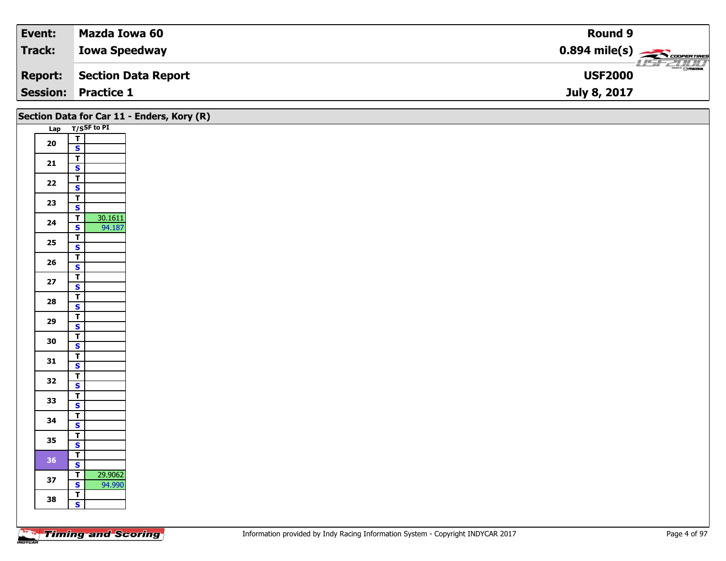| Event:  | Mazda Iowa 60              | Round 9                                             |
|---------|----------------------------|-----------------------------------------------------|
| Track:  | <b>Iowa Speedway</b>       | $0.894$ mile(s) $\overbrace{\hspace{2cm}}$ covening |
| Report: | Section Data Report        | $\frac{1}{\odot}$ mazoa<br><b>USF2000</b>           |
|         | <b>Session: Practice 1</b> | July 8, 2017                                        |

|            |                                                    | Section Data for Car 11 - Enders, Kory (R) |
|------------|----------------------------------------------------|--------------------------------------------|
|            | Lap T/SSF to PI                                    |                                            |
| ${\bf 20}$ | $\frac{1}{s}$                                      |                                            |
|            |                                                    |                                            |
| 21         | $\overline{\mathsf{r}}$<br>$\overline{\mathbf{s}}$ |                                            |
|            | $\overline{1}$                                     |                                            |
| 22         | $\overline{\mathbf{s}}$                            |                                            |
|            | $\overline{\mathbf{T}}$                            |                                            |
| 23         | $\mathbf{s}$                                       |                                            |
| 24         | 30.1611<br>$\overline{\mathsf{r}}$                 |                                            |
|            | 94.187<br>$\overline{\mathbf{s}}$                  |                                            |
| 25         | $rac{1}{s}$                                        |                                            |
|            | $\overline{\mathsf{r}}$                            |                                            |
| ${\bf 26}$ | $\mathbf{s}$                                       |                                            |
| $27$       | $\overline{\mathsf{T}}$                            |                                            |
|            | $\mathbf{s}$                                       |                                            |
| 28         | $\overline{\mathbf{T}}$<br>$\mathbf{s}$            |                                            |
|            | $\overline{t}$                                     |                                            |
| 29         | $\overline{\mathbf{s}}$                            |                                            |
| 30         | $\overline{\mathbf{T}}$                            |                                            |
|            | $\mathbf{s}$                                       |                                            |
| 31         | $\overline{\mathsf{T}}$<br>$\overline{\mathbf{s}}$ |                                            |
|            | $\overline{\mathbf{T}}$                            |                                            |
| 32         | $\overline{\mathbf{s}}$                            |                                            |
| 33         | $\overline{\mathsf{r}}$                            |                                            |
|            | $\mathbf{s}$                                       |                                            |
| 34         | $\mathbf{T}$<br>$\overline{\mathbf{s}}$            |                                            |
|            | $\overline{t}$                                     |                                            |
| 35         | $\mathbf{s}$                                       |                                            |
| 36         | $\overline{\mathsf{T}}$                            |                                            |
|            | $\overline{\mathbf{s}}$                            |                                            |
| 37         | 29.9062<br>$\mathbf T$<br>$\overline{\mathbf{s}}$  |                                            |
|            | 94.990<br>$\overline{\mathbf{T}}$                  |                                            |
| 38         | $\mathbf{s}$                                       |                                            |
|            |                                                    |                                            |
|            |                                                    |                                            |

┑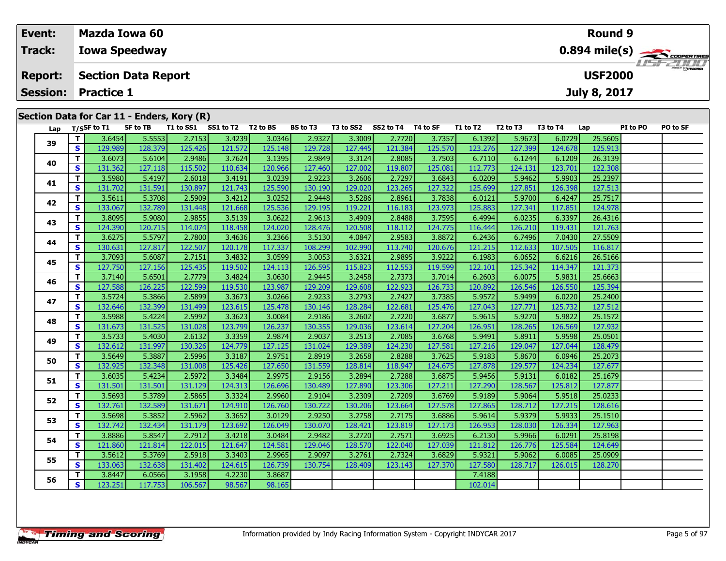|        | Event:                            |         |                          | Mazda Iowa 60                                                 |           |           |          |                 |           |           |          |          |                                                         |          | <b>Round 9</b>                        |          |                |  |  |  |
|--------|-----------------------------------|---------|--------------------------|---------------------------------------------------------------|-----------|-----------|----------|-----------------|-----------|-----------|----------|----------|---------------------------------------------------------|----------|---------------------------------------|----------|----------------|--|--|--|
| Track: |                                   |         | <b>Iowa Speedway</b>     |                                                               |           |           |          |                 |           |           |          |          | $0.894$ mile(s) $\overbrace{\hspace{2cm}}$ coorer Times |          |                                       |          |                |  |  |  |
|        | <b>Report:</b><br><b>Session:</b> |         | <b>Practice 1</b>        | <b>Section Data Report</b>                                    |           |           |          |                 |           |           |          |          |                                                         |          | <b>USF2000</b><br><b>July 8, 2017</b> |          | <b>HSFZDDD</b> |  |  |  |
|        |                                   |         |                          | Section Data for Car 11 - Enders, Kory (R)<br><b>SF to TB</b> | T1 to SS1 | SS1 to T2 | T2 to BS | <b>BS to T3</b> | T3 to SS2 | SS2 to T4 | T4 to SF | T1 to T2 | T <sub>2</sub> to T <sub>3</sub>                        | T3 to T4 |                                       | PI to PO | PO to SF       |  |  |  |
|        | Lap                               |         | $T/S$ SF to T1<br>3.6454 | 5.5553                                                        | 2.7153    | 3.4239    | 3.0346   | 2.9327          | 3.3009    | 2.7720    | 3.7357   | 6.1392   | 5.9673                                                  | 6.0729   | Lap<br>25.5605                        |          |                |  |  |  |
| 39     | s                                 | 129.989 | 128.379                  | 125.426                                                       | 121.572   | 125.148   | 129.728  | 127.445         | 121.384   | 125.570   | 123.276  | 127.399  | 124.678                                                 | 125.913  |                                       |          |                |  |  |  |

| 39 |    | דטדט.ט  | <u>J.JJJJ</u> | 2.7100  | しいエムコン  | <b>ULCO'</b> | 2.5321  | <b>JIJUUJ</b> | 2.7720  | <u>J./JJ/</u> | <b>U.LJJZ</b> | <u>J.JUIJ</u> | 0.0727  | בטטטונג |  |
|----|----|---------|---------------|---------|---------|--------------|---------|---------------|---------|---------------|---------------|---------------|---------|---------|--|
|    | S  | 129.989 | 128.379       | 125.426 | 121.572 | 125.148      | 129.728 | 127.445       | 121.384 | 125.570       | 123.276       | 127.399       | 124.678 | 125.913 |  |
| 40 | т  | 3.6073  | 5.6104        | 2.9486  | 3.7624  | 3.1395       | 2.9849  | 3.3124        | 2.8085  | 3.7503        | 6.7110        | 6.1244        | 6.1209  | 26.3139 |  |
|    | s  | 131.362 | 127.118       | 115.502 | 110.634 | 120.966      | 127.460 | 127.002       | 119.807 | 125.081       | 112.773       | 124.131       | 123.701 | 122.308 |  |
| 41 | т  | 3.5980  | 5.4197        | 2.6018  | 3.4191  | 3.0239       | 2.9223  | 3.2606        | 2.7297  | 3.6843        | 6.0209        | 5.9462        | 5.9903  | 25.2397 |  |
|    | s  | 131.702 | 131.591       | 130.897 | 121.743 | 125.590      | 130.190 | 129.020       | 123.265 | 127.322       | 125.699       | 127.851       | 126.398 | 127.513 |  |
| 42 | т  | 3.5611  | 5.3708        | 2.5909  | 3.4212  | 3.0252       | 2.9448  | 3.5286        | 2.8961  | 3.7838        | 6.0121        | 5.9700        | 6.4247  | 25.7517 |  |
|    | S  | 133.067 | 132.789       | 131.448 | 121.668 | 125.536      | 129.195 | 119.221       | 116.183 | 123.973       | 125.883       | 127.341       | 117.851 | 124.978 |  |
| 43 | т  | 3.8095  | 5.9080        | 2.9855  | 3.5139  | 3.0622       | 2.9613  | 3.4909        | 2.8488  | 3.7595        | 6.4994        | 6.0235        | 6.3397  | 26.4316 |  |
|    | S. | 124.390 | 120.715       | 114.074 | 118.458 | 124.020      | 128.476 | 120.508       | 118.112 | 124.775       | 116.444       | 126.210       | 119.431 | 121.763 |  |
| 44 | т  | 3.6275  | 5.5797        | 2.7800  | 3.4636  | 3.2366       | 3.5130  | 4.0847        | 2.9583  | 3.8872        | 6.2436        | 6.7496        | 7.0430  | 27.5509 |  |
|    | s  | 130.631 | 127.817       | 122.507 | 120.178 | 117.337      | 108.299 | 102.990       | 113.740 | 120.676       | 121.215       | 112.633       | 107.505 | 116.817 |  |
| 45 | т  | 3.7093  | 5.6087        | 2.7151  | 3.4832  | 3.0599       | 3.0053  | 3.6321        | 2.9895  | 3.9222        | 6.1983        | 6.0652        | 6.6216  | 26.5166 |  |
|    | s  | 127.750 | 127.156       | 125.435 | 119.502 | 124.113      | 126.595 | 115.823       | 112.553 | 119.599       | 122.101       | 125.342       | 114.347 | 121.373 |  |
| 46 | т  | 3.7140  | 5.6501        | 2.7779  | 3.4824  | 3.0630       | 2.9445  | 3.2458        | 2.7373  | 3.7014        | 6.2603        | 6.0075        | 5.9831  | 25.6663 |  |
|    | S  | 127.588 | 126.225       | 122.599 | 119.530 | 123.987      | 129.209 | 129.608       | 122.923 | 126.733       | 120.892       | 126.546       | 126.550 | 125.394 |  |
| 47 | т  | 3.5724  | 5.3866        | 2.5899  | 3.3673  | 3.0266       | 2.9233  | 3.2793        | 2.7427  | 3.7385        | 5.9572        | 5.9499        | 6.0220  | 25.2400 |  |
|    | s  | 132.646 | 132.399       | 131.499 | 123.615 | 125.478      | 130.146 | 128.284       | 122.681 | 125.476       | 127.043       | 127.771       | 125.732 | 127.512 |  |
| 48 | т  | 3.5988  | 5.4224        | 2.5992  | 3.3623  | 3.0084       | 2.9186  | 3.2602        | 2.7220  | 3.6877        | 5.9615        | 5.9270        | 5.9822  | 25.1572 |  |
|    | S  | 131.673 | 131.525       | 131.028 | 123.799 | 126.237      | 130.355 | 129.036       | 123.614 | 127.204       | 126.951       | 128.265       | 126.569 | 127.932 |  |
| 49 | т  | 3.5733  | 5.4030        | 2.6132  | 3.3359  | 2.9874       | 2.9037  | 3.2513        | 2.7085  | 3.6768        | 5.9491        | 5.8911        | 5.9598  | 25.0501 |  |
|    | S  | 132.612 | 131.997       | 130.326 | 124.779 | 127.125      | 131.024 | 129.389       | 124.230 | 127.581       | 127.216       | 129.047       | 127.044 | 128.479 |  |
| 50 | т  | 3.5649  | 5.3887        | 2.5996  | 3.3187  | 2.9751       | 2.8919  | 3.2658        | 2.8288  | 3.7625        | 5.9183        | 5.8670        | 6.0946  | 25.2073 |  |
|    | S  | 132.925 | 132.348       | 131.008 | 125.426 | 127.650      | 131.559 | 128.814       | 118.947 | 124.675       | 127.878       | 129.577       | 124.234 | 127.677 |  |
| 51 | т  | 3.6035  | 5.4234        | 2.5972  | 3.3484  | 2.9975       | 2.9156  | 3.2894        | 2.7288  | 3.6875        | 5.9456        | 5.9131        | 6.0182  | 25.1679 |  |
|    | s  | 131.501 | 131.501       | 131.129 | 124.313 | 126.696      | 130.489 | 127.890       | 123.306 | 127.211       | 127.290       | 128.567       | 125.812 | 127.877 |  |
| 52 | т  | 3.5693  | 5.3789        | 2.5865  | 3.3324  | 2.9960       | 2.9104  | 3.2309        | 2.7209  | 3.6769        | 5.9189        | 5.9064        | 5.9518  | 25.0233 |  |
|    | S  | 132.761 | 132.589       | 131.671 | 124.910 | 126.760      | 130.722 | 130.206       | 123.664 | 127.578       | 127.865       | 128.712       | 127.215 | 128.616 |  |
| 53 | т  | 3.5698  | 5.3852        | 2.5962  | 3.3652  | 3.0129       | 2.9250  | 3.2758        | 2.7175  | 3.6886        | 5.9614        | 5.9379        | 5.9933  | 25.1510 |  |
|    | S. | 132.742 | 132.434       | 131.179 | 123.692 | 126.049      | 130.070 | 128.421       | 123.819 | 127.173       | 126.953       | 128.030       | 126.334 | 127.963 |  |
| 54 | т  | 3.8886  | 5.8547        | 2.7912  | 3.4218  | 3.0484       | 2.9482  | 3.2720        | 2.7571  | 3.6925        | 6.2130        | 5.9966        | 6.0291  | 25.8198 |  |
|    | s  | 121.860 | 121.814       | 122.015 | 121.647 | 124.581      | 129.046 | 128.570       | 122.040 | 127.039       | 121.812       | 126.776       | 125.584 | 124.649 |  |
|    | т  | 3.5612  | 5.3769        | 2.5918  | 3.3403  | 2.9965       | 2.9097  | 3.2761        | 2.7324  | 3.6829        | 5.9321        | 5.9062        | 6.0085  | 25.0909 |  |
| 55 | S  | 133.063 | 132.638       | 131.402 | 124.615 | 126.739      | 130.754 | 128.409       | 123.143 | 127.370       | 127.580       | 128.717       | 126.015 | 128.270 |  |
|    | т  | 3.8447  | 6.0566        | 3.1958  | 4.2230  | 3.8687       |         |               |         |               | 7.4188        |               |         |         |  |
| 56 | S. | 123.251 | 117.753       | 106.567 | 98.567  | 98.165       |         |               |         |               | 102.014       |               |         |         |  |
|    |    |         |               |         |         |              |         |               |         |               |               |               |         |         |  |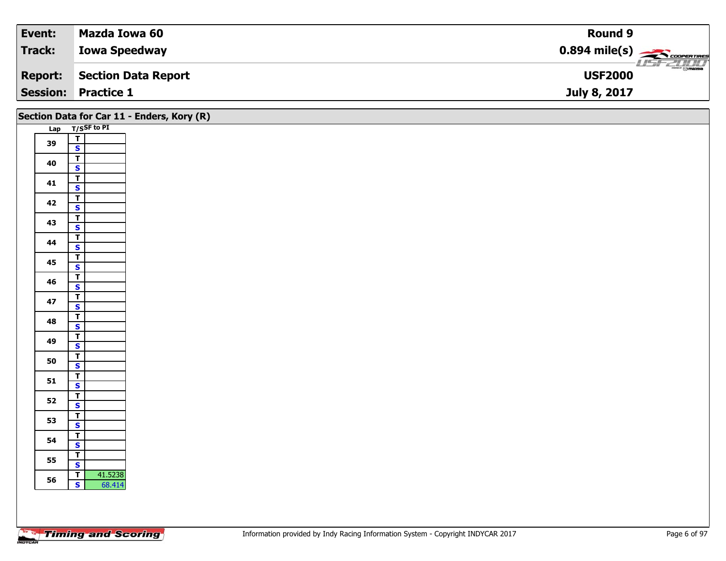| Event:  | Mazda Iowa 60              | Round 9                                             |
|---------|----------------------------|-----------------------------------------------------|
| Track:  | <b>Iowa Speedway</b>       | $0.894$ mile(s) $\overbrace{\hspace{2cm}}$ covening |
| Report: | Section Data Report        | $\frac{1}{\odot}$ mazoa<br><b>USF2000</b>           |
|         | <b>Session: Practice 1</b> | July 8, 2017                                        |

|    | Section Data for Car 11 - Enders, Kory (R) |
|----|--------------------------------------------|
|    | Lap T/SSF to PI                            |
| 39 | $\frac{1}{s}$                              |
|    |                                            |
| 40 | $\overline{\mathsf{T}}$                    |
|    | $\mathbf{s}$                               |
| 41 | $\vert$ T                                  |
|    | $\mathbf{s}$<br>$\overline{\mathsf{r}}$    |
| 42 | $\mathbf{s}$                               |
|    | $\overline{\mathsf{r}}$                    |
| 43 | $\overline{\mathbf{s}}$                    |
|    | $\overline{\mathsf{T}}$                    |
| 44 | $\mathsf{s}$                               |
| 45 | $\overline{\mathbf{r}}$                    |
|    | $\mathbf{s}$                               |
| 46 | $\overline{\mathsf{r}}$                    |
|    | $\overline{\mathbf{s}}$                    |
| 47 | $\overline{\mathsf{T}}$<br>$\mathbf{s}$    |
|    | $\vert$                                    |
| 48 | $\overline{\mathbf{s}}$                    |
|    | $\overline{\mathbf{T}}$                    |
| 49 | $\mathbf{s}$                               |
|    | $\overline{\mathsf{T}}$                    |
| 50 | $\overline{\mathbf{s}}$                    |
| 51 | $\overline{\mathsf{T}}$                    |
|    | $\mathbf{s}$                               |
| 52 | $rac{1}{s}$                                |
|    |                                            |
| 53 | $\mathbf{T}$<br>$\overline{\mathbf{s}}$    |
|    | $\overline{\mathbf{r}}$                    |
| 54 | $\mathbf{s}$                               |
|    | $\overline{\mathsf{r}}$                    |
| 55 | $\mathbf{s}$                               |
| 56 | 41.5238<br>$\vert$ T                       |
|    | $\mathbf{s}$<br>68.414                     |
|    |                                            |
|    |                                            |
|    |                                            |

Τ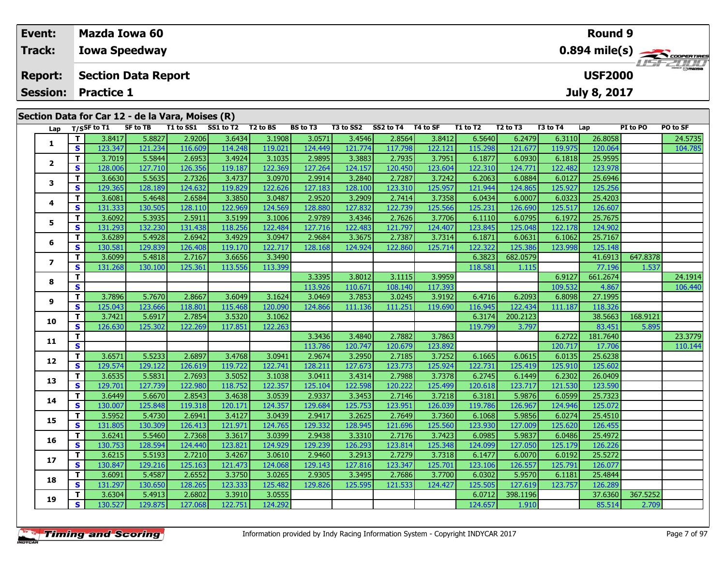| Event:                                           | Mazda Iowa 60              |          |                     |          |                 |                     |          |          |                                  |          | Round 9                 |                      |  |
|--------------------------------------------------|----------------------------|----------|---------------------|----------|-----------------|---------------------|----------|----------|----------------------------------|----------|-------------------------|----------------------|--|
| Track:                                           | <b>Iowa Speedway</b>       |          |                     |          |                 |                     |          |          |                                  |          | $0.894 \text{ mile(s)}$ |                      |  |
| <b>Report:</b>                                   | <b>Section Data Report</b> |          |                     |          |                 |                     |          |          |                                  |          | <b>USF2000</b>          |                      |  |
| <b>Session: Practice 1</b>                       |                            |          |                     |          |                 |                     |          |          |                                  |          | <b>July 8, 2017</b>     |                      |  |
| Section Data for Car 12 - de la Vara, Moises (R) |                            |          |                     |          |                 |                     |          |          |                                  |          |                         |                      |  |
|                                                  | Lap T/SSF to T1            | SF to TB | T1 to SS1 SS1 to T2 | T2 to BS | <b>BS to T3</b> | T3 to SS2 SS2 to T4 | T4 to SF | T1 to T2 | T <sub>2</sub> to T <sub>3</sub> | T3 to T4 | Lap                     | PO to SF<br>PI to PO |  |

| 5.8827<br>2.9206<br>3.6434<br>3.1908<br>3.4546<br>2.8564<br>3.8412<br>6.2479<br>6.3110<br>26.8058<br>24.5735<br>T<br>3.8417<br>3.0571<br>6.5640<br>1<br>S.<br>123.347<br>121.234<br>116.609<br>114.248<br>119.021<br>124.449<br>121.774<br>117.798<br>122.121<br>115.298<br>121.677<br>119.975<br>120.064<br>104.785<br>2.7935<br>T.<br>3.7019<br>5.5844<br>2.6953<br>3.4924<br>3.1035<br>2.9895<br>3.3883<br>3.7951<br>6.1877<br>6.0930<br>6.1818<br>25.9595<br>$\mathbf{2}$<br>S<br>128.006<br>127.710<br>122.369<br>124.157<br>120.450<br>123.604<br>124.771<br>122.482<br>123.978<br>126.356<br>119.187<br>127.264<br>122.310<br>T.<br>3.6630<br>5.5635<br>3.4737<br>3.0970<br>2.9914<br>3.2840<br>2.7287<br>3.7242<br>6.2063<br>6.0884<br>6.0127<br>25.6946<br>2.7326<br>3<br>S<br>128.189<br>119.829<br>122.626<br>127.183<br>123.310<br>125.957<br>121.944<br>124.865<br>125.927<br>125.256<br>129.365<br>124.632<br>128.100<br>3.6081<br>3.3850<br>3.0487<br>2.9520<br>3.2909<br>2.7414<br>3.7358<br>6.0007<br>6.0323<br>25.4203<br>Τ.<br>5.4648<br>2.6584<br>6.0434<br>4<br>S<br>131.333<br>122.969<br>124.569<br>128.880<br>127.832<br>122.739<br>125.566<br>126.690<br>125.517<br>126.607<br>130.505<br>128.110<br>125.231<br>T.<br>6.0795<br>3.6092<br>5.3935<br>2.5911<br>3.5199<br>3.1006<br>3.4346<br>2.7626<br>3.7706<br>6.1972<br>25.7675<br>2.9789<br>6.1110<br>5<br>S<br>131.293<br>118.256<br>122.484<br>122.483<br>121.797<br>122.178<br>132.230<br>131.438<br>127.716<br>124.407<br>123.845<br>125.048<br>124.902<br>T.<br>3.6289<br>2.6942<br>3.4929<br>3.0947<br>3.3675<br>2.7387<br>3.7314<br>6.0631<br>6.1062<br>25.7167<br>5.4928<br>2.9684<br>6.1871<br>6<br>122.717<br>S.<br>125.386<br>130.581<br>129.839<br>126.408<br>119.170<br>124.924<br>122.860<br>125.714<br>122.322<br>123.998<br>125.148<br>128.168<br>3.6099<br>3.6656<br>3.3490<br>682.0579<br>647.8378<br>T.<br>5.4818<br>2.7167<br>6.3823<br>41.6913<br>$\overline{ }$<br>113.399<br>77.196<br>S<br>131.268<br>130.100<br>125.361<br>113.556<br>118.581<br>1.115<br>1.537<br>T.<br>3.3395<br>3.8012<br>3.1115<br>3.9959<br>6.9127<br>661.2674<br>24.1914<br>8<br>$\overline{\mathbf{s}}$<br>113.926<br>117.393<br>109.532<br>4.867<br>110.671<br>108.140<br>106.440<br>3.7896<br>5.7670<br>2.8667<br>3.6049<br>3.1624<br>3.0469<br>3.7853<br>3.0245<br>6.2093<br>27.1995<br>Τ.<br>3.9192<br>6.4716<br>6.8098<br>9<br>S<br>125.043<br>123.666<br>115.468<br>120.090<br>111.251<br>116.945<br>122.434<br>111.187<br>118.326<br>118.801<br>124.866<br>111.136<br>119.690<br>168.9121<br>T.<br>3.7421<br>5.6917<br>2.7854<br>3.5320<br>3.1062<br>200.2123<br>38.5663<br>6.3174<br>10<br>S.<br>122.263<br>126.630<br>125.302<br>122.269<br>117.851<br>119.799<br>3.797<br>83.451<br>5.895<br>2.7882<br>T.<br>3.3436<br>3.4840<br>3.7863<br>6.2722<br>181.7640<br>23.3779<br>11<br>S.<br>123.892<br>113.786<br>120.747<br>120.679<br>120.717<br>17.706<br>110.144<br>3.6571<br>5.5233<br>2.6897<br>3.4768<br>3.0941<br>2.9674<br>3.2950<br>3.7252<br>6.1665<br>6.0615<br>6.0135<br>25.6238<br>T.<br>2.7185<br>12<br>S.<br>129.574<br>122.741<br>127.673<br>125.924<br>125.602<br>129.122<br>126.619<br>119.722<br>128.211<br>123.773<br>122.731<br>125.419<br>125.910<br>2.7988<br>3.6535<br>5.5831<br>3.5052<br>3.1038<br>3.0411<br>3.4314<br>3.7378<br>6.2745<br>6.1449<br>6.2302<br>26.0409<br>T.<br>2.7693<br>13<br>S.<br>122.357<br>120.222<br>129.701<br>127.739<br>122.980<br>125.104<br>122.598<br>125.499<br>123.717<br>121.530<br>123.590<br>118.752<br>120.618<br>3.6449<br>5.6670<br>3.4638<br>2.9337<br>3.3453<br>3.7218<br>5.9876<br>25.7323<br>Τ.<br>2.8543<br>3.0539<br>2.7146<br>6.3181<br>6.0599<br>14<br>S<br>123.951<br>125.072<br>130.007<br>125.848<br>119.318<br>120.171<br>124.357<br>129.684<br>125.753<br>126.039<br>119.786<br>126.967<br>124.946<br>T.<br>3.5952<br>3.4127<br>2.7649<br>5.9856<br>25.4510<br>5.4730<br>2.6941<br>3.0439<br>2.9417<br>3.2625<br>3.7360<br>6.1068<br>6.0274<br>15<br>S<br>124.765<br>129.332<br>128.945<br>125.560<br>131.805<br>130.309<br>126.413<br>121.971<br>121.696<br>123.930<br>127.009<br>125.620<br>126.455<br>T.<br>3.6241<br>3.3617<br>2.7176<br>5.9837<br>6.0486<br>25.4972<br>5.5460<br>2.7368<br>3.0399<br>2.9438<br>3.3310<br>3.7423<br>6.0985<br>16<br>S.<br>130.753<br>128.594<br>123.821<br>124.929<br>129.239<br>126.293<br>123.814<br>125.348<br>124.099<br>127.050<br>125.179<br>126.226<br>124.440<br>3.6215<br>2.7210<br>3.4267<br>3.0610<br>3.2913<br>2.7279<br>3.7318<br>6.0070<br>25.5272<br>T.<br>5.5193<br>2.9460<br>6.1477<br>6.0192<br>17<br>126.557<br>S.<br>130.847<br>125.163<br>121.473<br>124.068<br>127.816<br>123.347<br>125.791<br>126.077<br>129.216<br>129.143<br>125.701<br>123.106<br>3.3750<br>5.9570<br>3.6091<br>5.4587<br>2.6552<br>3.0265<br>2.9305<br>3.3495<br>2.7686<br>3.7700<br>6.1181<br>25.4844<br>Τ.<br>6.0302<br>18<br>123.333<br>125.482<br>S<br>131.297<br>130.650<br>129.826<br>125.595<br>121.533<br>124.427<br>127.619<br>123.757<br>126.289<br>128.265<br>125.505<br>3.3910<br>398.1196<br>367.5252<br>3.6304<br>5.4913<br>2.6802<br>3.0555<br>37.6360<br>Τ.<br>6.0712<br>19<br>S.<br>130.527<br>122.751<br>124.292<br>124.657<br>1.910<br>2.709<br>129.875<br>127.068<br>85.514 | Lap | T/SSF to T1 | SF to TB | <b>T1 to SS1</b> | SS1 to T2 | T2 to BS | BS to T3 | <b>T3 to SS2</b> | SS2 to T4 | T4 to SF | T1 to T2 | <b>12 to 13</b> | <b>T3 to T4</b> | Lap | PI to PO | PO to SF |
|------------------------------------------------------------------------------------------------------------------------------------------------------------------------------------------------------------------------------------------------------------------------------------------------------------------------------------------------------------------------------------------------------------------------------------------------------------------------------------------------------------------------------------------------------------------------------------------------------------------------------------------------------------------------------------------------------------------------------------------------------------------------------------------------------------------------------------------------------------------------------------------------------------------------------------------------------------------------------------------------------------------------------------------------------------------------------------------------------------------------------------------------------------------------------------------------------------------------------------------------------------------------------------------------------------------------------------------------------------------------------------------------------------------------------------------------------------------------------------------------------------------------------------------------------------------------------------------------------------------------------------------------------------------------------------------------------------------------------------------------------------------------------------------------------------------------------------------------------------------------------------------------------------------------------------------------------------------------------------------------------------------------------------------------------------------------------------------------------------------------------------------------------------------------------------------------------------------------------------------------------------------------------------------------------------------------------------------------------------------------------------------------------------------------------------------------------------------------------------------------------------------------------------------------------------------------------------------------------------------------------------------------------------------------------------------------------------------------------------------------------------------------------------------------------------------------------------------------------------------------------------------------------------------------------------------------------------------------------------------------------------------------------------------------------------------------------------------------------------------------------------------------------------------------------------------------------------------------------------------------------------------------------------------------------------------------------------------------------------------------------------------------------------------------------------------------------------------------------------------------------------------------------------------------------------------------------------------------------------------------------------------------------------------------------------------------------------------------------------------------------------------------------------------------------------------------------------------------------------------------------------------------------------------------------------------------------------------------------------------------------------------------------------------------------------------------------------------------------------------------------------------------------------------------------------------------------------------------------------------------------------------------------------------------------------------------------------------------------------------------------------------------------------------------------------------------------------------------------------------------------------------------------------------------------------------------------------------------------------------------------------------------------------------------------------------------------------------------------------------------------------------------------------------------------------------------------------------------------------------------------------------------------------------------------------------------------------------------------------------------------------------------------------------------------------------------------------------------------------------------------------------------------------------------------------------------------------------------------------------------------------------------------------------------|-----|-------------|----------|------------------|-----------|----------|----------|------------------|-----------|----------|----------|-----------------|-----------------|-----|----------|----------|
|                                                                                                                                                                                                                                                                                                                                                                                                                                                                                                                                                                                                                                                                                                                                                                                                                                                                                                                                                                                                                                                                                                                                                                                                                                                                                                                                                                                                                                                                                                                                                                                                                                                                                                                                                                                                                                                                                                                                                                                                                                                                                                                                                                                                                                                                                                                                                                                                                                                                                                                                                                                                                                                                                                                                                                                                                                                                                                                                                                                                                                                                                                                                                                                                                                                                                                                                                                                                                                                                                                                                                                                                                                                                                                                                                                                                                                                                                                                                                                                                                                                                                                                                                                                                                                                                                                                                                                                                                                                                                                                                                                                                                                                                                                                                                                                                                                                                                                                                                                                                                                                                                                                                                                                                                                                                                                |     |             |          |                  |           |          |          |                  |           |          |          |                 |                 |     |          |          |
|                                                                                                                                                                                                                                                                                                                                                                                                                                                                                                                                                                                                                                                                                                                                                                                                                                                                                                                                                                                                                                                                                                                                                                                                                                                                                                                                                                                                                                                                                                                                                                                                                                                                                                                                                                                                                                                                                                                                                                                                                                                                                                                                                                                                                                                                                                                                                                                                                                                                                                                                                                                                                                                                                                                                                                                                                                                                                                                                                                                                                                                                                                                                                                                                                                                                                                                                                                                                                                                                                                                                                                                                                                                                                                                                                                                                                                                                                                                                                                                                                                                                                                                                                                                                                                                                                                                                                                                                                                                                                                                                                                                                                                                                                                                                                                                                                                                                                                                                                                                                                                                                                                                                                                                                                                                                                                |     |             |          |                  |           |          |          |                  |           |          |          |                 |                 |     |          |          |
|                                                                                                                                                                                                                                                                                                                                                                                                                                                                                                                                                                                                                                                                                                                                                                                                                                                                                                                                                                                                                                                                                                                                                                                                                                                                                                                                                                                                                                                                                                                                                                                                                                                                                                                                                                                                                                                                                                                                                                                                                                                                                                                                                                                                                                                                                                                                                                                                                                                                                                                                                                                                                                                                                                                                                                                                                                                                                                                                                                                                                                                                                                                                                                                                                                                                                                                                                                                                                                                                                                                                                                                                                                                                                                                                                                                                                                                                                                                                                                                                                                                                                                                                                                                                                                                                                                                                                                                                                                                                                                                                                                                                                                                                                                                                                                                                                                                                                                                                                                                                                                                                                                                                                                                                                                                                                                |     |             |          |                  |           |          |          |                  |           |          |          |                 |                 |     |          |          |
|                                                                                                                                                                                                                                                                                                                                                                                                                                                                                                                                                                                                                                                                                                                                                                                                                                                                                                                                                                                                                                                                                                                                                                                                                                                                                                                                                                                                                                                                                                                                                                                                                                                                                                                                                                                                                                                                                                                                                                                                                                                                                                                                                                                                                                                                                                                                                                                                                                                                                                                                                                                                                                                                                                                                                                                                                                                                                                                                                                                                                                                                                                                                                                                                                                                                                                                                                                                                                                                                                                                                                                                                                                                                                                                                                                                                                                                                                                                                                                                                                                                                                                                                                                                                                                                                                                                                                                                                                                                                                                                                                                                                                                                                                                                                                                                                                                                                                                                                                                                                                                                                                                                                                                                                                                                                                                |     |             |          |                  |           |          |          |                  |           |          |          |                 |                 |     |          |          |
|                                                                                                                                                                                                                                                                                                                                                                                                                                                                                                                                                                                                                                                                                                                                                                                                                                                                                                                                                                                                                                                                                                                                                                                                                                                                                                                                                                                                                                                                                                                                                                                                                                                                                                                                                                                                                                                                                                                                                                                                                                                                                                                                                                                                                                                                                                                                                                                                                                                                                                                                                                                                                                                                                                                                                                                                                                                                                                                                                                                                                                                                                                                                                                                                                                                                                                                                                                                                                                                                                                                                                                                                                                                                                                                                                                                                                                                                                                                                                                                                                                                                                                                                                                                                                                                                                                                                                                                                                                                                                                                                                                                                                                                                                                                                                                                                                                                                                                                                                                                                                                                                                                                                                                                                                                                                                                |     |             |          |                  |           |          |          |                  |           |          |          |                 |                 |     |          |          |
|                                                                                                                                                                                                                                                                                                                                                                                                                                                                                                                                                                                                                                                                                                                                                                                                                                                                                                                                                                                                                                                                                                                                                                                                                                                                                                                                                                                                                                                                                                                                                                                                                                                                                                                                                                                                                                                                                                                                                                                                                                                                                                                                                                                                                                                                                                                                                                                                                                                                                                                                                                                                                                                                                                                                                                                                                                                                                                                                                                                                                                                                                                                                                                                                                                                                                                                                                                                                                                                                                                                                                                                                                                                                                                                                                                                                                                                                                                                                                                                                                                                                                                                                                                                                                                                                                                                                                                                                                                                                                                                                                                                                                                                                                                                                                                                                                                                                                                                                                                                                                                                                                                                                                                                                                                                                                                |     |             |          |                  |           |          |          |                  |           |          |          |                 |                 |     |          |          |
|                                                                                                                                                                                                                                                                                                                                                                                                                                                                                                                                                                                                                                                                                                                                                                                                                                                                                                                                                                                                                                                                                                                                                                                                                                                                                                                                                                                                                                                                                                                                                                                                                                                                                                                                                                                                                                                                                                                                                                                                                                                                                                                                                                                                                                                                                                                                                                                                                                                                                                                                                                                                                                                                                                                                                                                                                                                                                                                                                                                                                                                                                                                                                                                                                                                                                                                                                                                                                                                                                                                                                                                                                                                                                                                                                                                                                                                                                                                                                                                                                                                                                                                                                                                                                                                                                                                                                                                                                                                                                                                                                                                                                                                                                                                                                                                                                                                                                                                                                                                                                                                                                                                                                                                                                                                                                                |     |             |          |                  |           |          |          |                  |           |          |          |                 |                 |     |          |          |
|                                                                                                                                                                                                                                                                                                                                                                                                                                                                                                                                                                                                                                                                                                                                                                                                                                                                                                                                                                                                                                                                                                                                                                                                                                                                                                                                                                                                                                                                                                                                                                                                                                                                                                                                                                                                                                                                                                                                                                                                                                                                                                                                                                                                                                                                                                                                                                                                                                                                                                                                                                                                                                                                                                                                                                                                                                                                                                                                                                                                                                                                                                                                                                                                                                                                                                                                                                                                                                                                                                                                                                                                                                                                                                                                                                                                                                                                                                                                                                                                                                                                                                                                                                                                                                                                                                                                                                                                                                                                                                                                                                                                                                                                                                                                                                                                                                                                                                                                                                                                                                                                                                                                                                                                                                                                                                |     |             |          |                  |           |          |          |                  |           |          |          |                 |                 |     |          |          |
|                                                                                                                                                                                                                                                                                                                                                                                                                                                                                                                                                                                                                                                                                                                                                                                                                                                                                                                                                                                                                                                                                                                                                                                                                                                                                                                                                                                                                                                                                                                                                                                                                                                                                                                                                                                                                                                                                                                                                                                                                                                                                                                                                                                                                                                                                                                                                                                                                                                                                                                                                                                                                                                                                                                                                                                                                                                                                                                                                                                                                                                                                                                                                                                                                                                                                                                                                                                                                                                                                                                                                                                                                                                                                                                                                                                                                                                                                                                                                                                                                                                                                                                                                                                                                                                                                                                                                                                                                                                                                                                                                                                                                                                                                                                                                                                                                                                                                                                                                                                                                                                                                                                                                                                                                                                                                                |     |             |          |                  |           |          |          |                  |           |          |          |                 |                 |     |          |          |
|                                                                                                                                                                                                                                                                                                                                                                                                                                                                                                                                                                                                                                                                                                                                                                                                                                                                                                                                                                                                                                                                                                                                                                                                                                                                                                                                                                                                                                                                                                                                                                                                                                                                                                                                                                                                                                                                                                                                                                                                                                                                                                                                                                                                                                                                                                                                                                                                                                                                                                                                                                                                                                                                                                                                                                                                                                                                                                                                                                                                                                                                                                                                                                                                                                                                                                                                                                                                                                                                                                                                                                                                                                                                                                                                                                                                                                                                                                                                                                                                                                                                                                                                                                                                                                                                                                                                                                                                                                                                                                                                                                                                                                                                                                                                                                                                                                                                                                                                                                                                                                                                                                                                                                                                                                                                                                |     |             |          |                  |           |          |          |                  |           |          |          |                 |                 |     |          |          |
|                                                                                                                                                                                                                                                                                                                                                                                                                                                                                                                                                                                                                                                                                                                                                                                                                                                                                                                                                                                                                                                                                                                                                                                                                                                                                                                                                                                                                                                                                                                                                                                                                                                                                                                                                                                                                                                                                                                                                                                                                                                                                                                                                                                                                                                                                                                                                                                                                                                                                                                                                                                                                                                                                                                                                                                                                                                                                                                                                                                                                                                                                                                                                                                                                                                                                                                                                                                                                                                                                                                                                                                                                                                                                                                                                                                                                                                                                                                                                                                                                                                                                                                                                                                                                                                                                                                                                                                                                                                                                                                                                                                                                                                                                                                                                                                                                                                                                                                                                                                                                                                                                                                                                                                                                                                                                                |     |             |          |                  |           |          |          |                  |           |          |          |                 |                 |     |          |          |
|                                                                                                                                                                                                                                                                                                                                                                                                                                                                                                                                                                                                                                                                                                                                                                                                                                                                                                                                                                                                                                                                                                                                                                                                                                                                                                                                                                                                                                                                                                                                                                                                                                                                                                                                                                                                                                                                                                                                                                                                                                                                                                                                                                                                                                                                                                                                                                                                                                                                                                                                                                                                                                                                                                                                                                                                                                                                                                                                                                                                                                                                                                                                                                                                                                                                                                                                                                                                                                                                                                                                                                                                                                                                                                                                                                                                                                                                                                                                                                                                                                                                                                                                                                                                                                                                                                                                                                                                                                                                                                                                                                                                                                                                                                                                                                                                                                                                                                                                                                                                                                                                                                                                                                                                                                                                                                |     |             |          |                  |           |          |          |                  |           |          |          |                 |                 |     |          |          |
|                                                                                                                                                                                                                                                                                                                                                                                                                                                                                                                                                                                                                                                                                                                                                                                                                                                                                                                                                                                                                                                                                                                                                                                                                                                                                                                                                                                                                                                                                                                                                                                                                                                                                                                                                                                                                                                                                                                                                                                                                                                                                                                                                                                                                                                                                                                                                                                                                                                                                                                                                                                                                                                                                                                                                                                                                                                                                                                                                                                                                                                                                                                                                                                                                                                                                                                                                                                                                                                                                                                                                                                                                                                                                                                                                                                                                                                                                                                                                                                                                                                                                                                                                                                                                                                                                                                                                                                                                                                                                                                                                                                                                                                                                                                                                                                                                                                                                                                                                                                                                                                                                                                                                                                                                                                                                                |     |             |          |                  |           |          |          |                  |           |          |          |                 |                 |     |          |          |
|                                                                                                                                                                                                                                                                                                                                                                                                                                                                                                                                                                                                                                                                                                                                                                                                                                                                                                                                                                                                                                                                                                                                                                                                                                                                                                                                                                                                                                                                                                                                                                                                                                                                                                                                                                                                                                                                                                                                                                                                                                                                                                                                                                                                                                                                                                                                                                                                                                                                                                                                                                                                                                                                                                                                                                                                                                                                                                                                                                                                                                                                                                                                                                                                                                                                                                                                                                                                                                                                                                                                                                                                                                                                                                                                                                                                                                                                                                                                                                                                                                                                                                                                                                                                                                                                                                                                                                                                                                                                                                                                                                                                                                                                                                                                                                                                                                                                                                                                                                                                                                                                                                                                                                                                                                                                                                |     |             |          |                  |           |          |          |                  |           |          |          |                 |                 |     |          |          |
|                                                                                                                                                                                                                                                                                                                                                                                                                                                                                                                                                                                                                                                                                                                                                                                                                                                                                                                                                                                                                                                                                                                                                                                                                                                                                                                                                                                                                                                                                                                                                                                                                                                                                                                                                                                                                                                                                                                                                                                                                                                                                                                                                                                                                                                                                                                                                                                                                                                                                                                                                                                                                                                                                                                                                                                                                                                                                                                                                                                                                                                                                                                                                                                                                                                                                                                                                                                                                                                                                                                                                                                                                                                                                                                                                                                                                                                                                                                                                                                                                                                                                                                                                                                                                                                                                                                                                                                                                                                                                                                                                                                                                                                                                                                                                                                                                                                                                                                                                                                                                                                                                                                                                                                                                                                                                                |     |             |          |                  |           |          |          |                  |           |          |          |                 |                 |     |          |          |
|                                                                                                                                                                                                                                                                                                                                                                                                                                                                                                                                                                                                                                                                                                                                                                                                                                                                                                                                                                                                                                                                                                                                                                                                                                                                                                                                                                                                                                                                                                                                                                                                                                                                                                                                                                                                                                                                                                                                                                                                                                                                                                                                                                                                                                                                                                                                                                                                                                                                                                                                                                                                                                                                                                                                                                                                                                                                                                                                                                                                                                                                                                                                                                                                                                                                                                                                                                                                                                                                                                                                                                                                                                                                                                                                                                                                                                                                                                                                                                                                                                                                                                                                                                                                                                                                                                                                                                                                                                                                                                                                                                                                                                                                                                                                                                                                                                                                                                                                                                                                                                                                                                                                                                                                                                                                                                |     |             |          |                  |           |          |          |                  |           |          |          |                 |                 |     |          |          |
|                                                                                                                                                                                                                                                                                                                                                                                                                                                                                                                                                                                                                                                                                                                                                                                                                                                                                                                                                                                                                                                                                                                                                                                                                                                                                                                                                                                                                                                                                                                                                                                                                                                                                                                                                                                                                                                                                                                                                                                                                                                                                                                                                                                                                                                                                                                                                                                                                                                                                                                                                                                                                                                                                                                                                                                                                                                                                                                                                                                                                                                                                                                                                                                                                                                                                                                                                                                                                                                                                                                                                                                                                                                                                                                                                                                                                                                                                                                                                                                                                                                                                                                                                                                                                                                                                                                                                                                                                                                                                                                                                                                                                                                                                                                                                                                                                                                                                                                                                                                                                                                                                                                                                                                                                                                                                                |     |             |          |                  |           |          |          |                  |           |          |          |                 |                 |     |          |          |
|                                                                                                                                                                                                                                                                                                                                                                                                                                                                                                                                                                                                                                                                                                                                                                                                                                                                                                                                                                                                                                                                                                                                                                                                                                                                                                                                                                                                                                                                                                                                                                                                                                                                                                                                                                                                                                                                                                                                                                                                                                                                                                                                                                                                                                                                                                                                                                                                                                                                                                                                                                                                                                                                                                                                                                                                                                                                                                                                                                                                                                                                                                                                                                                                                                                                                                                                                                                                                                                                                                                                                                                                                                                                                                                                                                                                                                                                                                                                                                                                                                                                                                                                                                                                                                                                                                                                                                                                                                                                                                                                                                                                                                                                                                                                                                                                                                                                                                                                                                                                                                                                                                                                                                                                                                                                                                |     |             |          |                  |           |          |          |                  |           |          |          |                 |                 |     |          |          |
|                                                                                                                                                                                                                                                                                                                                                                                                                                                                                                                                                                                                                                                                                                                                                                                                                                                                                                                                                                                                                                                                                                                                                                                                                                                                                                                                                                                                                                                                                                                                                                                                                                                                                                                                                                                                                                                                                                                                                                                                                                                                                                                                                                                                                                                                                                                                                                                                                                                                                                                                                                                                                                                                                                                                                                                                                                                                                                                                                                                                                                                                                                                                                                                                                                                                                                                                                                                                                                                                                                                                                                                                                                                                                                                                                                                                                                                                                                                                                                                                                                                                                                                                                                                                                                                                                                                                                                                                                                                                                                                                                                                                                                                                                                                                                                                                                                                                                                                                                                                                                                                                                                                                                                                                                                                                                                |     |             |          |                  |           |          |          |                  |           |          |          |                 |                 |     |          |          |
|                                                                                                                                                                                                                                                                                                                                                                                                                                                                                                                                                                                                                                                                                                                                                                                                                                                                                                                                                                                                                                                                                                                                                                                                                                                                                                                                                                                                                                                                                                                                                                                                                                                                                                                                                                                                                                                                                                                                                                                                                                                                                                                                                                                                                                                                                                                                                                                                                                                                                                                                                                                                                                                                                                                                                                                                                                                                                                                                                                                                                                                                                                                                                                                                                                                                                                                                                                                                                                                                                                                                                                                                                                                                                                                                                                                                                                                                                                                                                                                                                                                                                                                                                                                                                                                                                                                                                                                                                                                                                                                                                                                                                                                                                                                                                                                                                                                                                                                                                                                                                                                                                                                                                                                                                                                                                                |     |             |          |                  |           |          |          |                  |           |          |          |                 |                 |     |          |          |
|                                                                                                                                                                                                                                                                                                                                                                                                                                                                                                                                                                                                                                                                                                                                                                                                                                                                                                                                                                                                                                                                                                                                                                                                                                                                                                                                                                                                                                                                                                                                                                                                                                                                                                                                                                                                                                                                                                                                                                                                                                                                                                                                                                                                                                                                                                                                                                                                                                                                                                                                                                                                                                                                                                                                                                                                                                                                                                                                                                                                                                                                                                                                                                                                                                                                                                                                                                                                                                                                                                                                                                                                                                                                                                                                                                                                                                                                                                                                                                                                                                                                                                                                                                                                                                                                                                                                                                                                                                                                                                                                                                                                                                                                                                                                                                                                                                                                                                                                                                                                                                                                                                                                                                                                                                                                                                |     |             |          |                  |           |          |          |                  |           |          |          |                 |                 |     |          |          |
|                                                                                                                                                                                                                                                                                                                                                                                                                                                                                                                                                                                                                                                                                                                                                                                                                                                                                                                                                                                                                                                                                                                                                                                                                                                                                                                                                                                                                                                                                                                                                                                                                                                                                                                                                                                                                                                                                                                                                                                                                                                                                                                                                                                                                                                                                                                                                                                                                                                                                                                                                                                                                                                                                                                                                                                                                                                                                                                                                                                                                                                                                                                                                                                                                                                                                                                                                                                                                                                                                                                                                                                                                                                                                                                                                                                                                                                                                                                                                                                                                                                                                                                                                                                                                                                                                                                                                                                                                                                                                                                                                                                                                                                                                                                                                                                                                                                                                                                                                                                                                                                                                                                                                                                                                                                                                                |     |             |          |                  |           |          |          |                  |           |          |          |                 |                 |     |          |          |
|                                                                                                                                                                                                                                                                                                                                                                                                                                                                                                                                                                                                                                                                                                                                                                                                                                                                                                                                                                                                                                                                                                                                                                                                                                                                                                                                                                                                                                                                                                                                                                                                                                                                                                                                                                                                                                                                                                                                                                                                                                                                                                                                                                                                                                                                                                                                                                                                                                                                                                                                                                                                                                                                                                                                                                                                                                                                                                                                                                                                                                                                                                                                                                                                                                                                                                                                                                                                                                                                                                                                                                                                                                                                                                                                                                                                                                                                                                                                                                                                                                                                                                                                                                                                                                                                                                                                                                                                                                                                                                                                                                                                                                                                                                                                                                                                                                                                                                                                                                                                                                                                                                                                                                                                                                                                                                |     |             |          |                  |           |          |          |                  |           |          |          |                 |                 |     |          |          |
|                                                                                                                                                                                                                                                                                                                                                                                                                                                                                                                                                                                                                                                                                                                                                                                                                                                                                                                                                                                                                                                                                                                                                                                                                                                                                                                                                                                                                                                                                                                                                                                                                                                                                                                                                                                                                                                                                                                                                                                                                                                                                                                                                                                                                                                                                                                                                                                                                                                                                                                                                                                                                                                                                                                                                                                                                                                                                                                                                                                                                                                                                                                                                                                                                                                                                                                                                                                                                                                                                                                                                                                                                                                                                                                                                                                                                                                                                                                                                                                                                                                                                                                                                                                                                                                                                                                                                                                                                                                                                                                                                                                                                                                                                                                                                                                                                                                                                                                                                                                                                                                                                                                                                                                                                                                                                                |     |             |          |                  |           |          |          |                  |           |          |          |                 |                 |     |          |          |
|                                                                                                                                                                                                                                                                                                                                                                                                                                                                                                                                                                                                                                                                                                                                                                                                                                                                                                                                                                                                                                                                                                                                                                                                                                                                                                                                                                                                                                                                                                                                                                                                                                                                                                                                                                                                                                                                                                                                                                                                                                                                                                                                                                                                                                                                                                                                                                                                                                                                                                                                                                                                                                                                                                                                                                                                                                                                                                                                                                                                                                                                                                                                                                                                                                                                                                                                                                                                                                                                                                                                                                                                                                                                                                                                                                                                                                                                                                                                                                                                                                                                                                                                                                                                                                                                                                                                                                                                                                                                                                                                                                                                                                                                                                                                                                                                                                                                                                                                                                                                                                                                                                                                                                                                                                                                                                |     |             |          |                  |           |          |          |                  |           |          |          |                 |                 |     |          |          |
|                                                                                                                                                                                                                                                                                                                                                                                                                                                                                                                                                                                                                                                                                                                                                                                                                                                                                                                                                                                                                                                                                                                                                                                                                                                                                                                                                                                                                                                                                                                                                                                                                                                                                                                                                                                                                                                                                                                                                                                                                                                                                                                                                                                                                                                                                                                                                                                                                                                                                                                                                                                                                                                                                                                                                                                                                                                                                                                                                                                                                                                                                                                                                                                                                                                                                                                                                                                                                                                                                                                                                                                                                                                                                                                                                                                                                                                                                                                                                                                                                                                                                                                                                                                                                                                                                                                                                                                                                                                                                                                                                                                                                                                                                                                                                                                                                                                                                                                                                                                                                                                                                                                                                                                                                                                                                                |     |             |          |                  |           |          |          |                  |           |          |          |                 |                 |     |          |          |
|                                                                                                                                                                                                                                                                                                                                                                                                                                                                                                                                                                                                                                                                                                                                                                                                                                                                                                                                                                                                                                                                                                                                                                                                                                                                                                                                                                                                                                                                                                                                                                                                                                                                                                                                                                                                                                                                                                                                                                                                                                                                                                                                                                                                                                                                                                                                                                                                                                                                                                                                                                                                                                                                                                                                                                                                                                                                                                                                                                                                                                                                                                                                                                                                                                                                                                                                                                                                                                                                                                                                                                                                                                                                                                                                                                                                                                                                                                                                                                                                                                                                                                                                                                                                                                                                                                                                                                                                                                                                                                                                                                                                                                                                                                                                                                                                                                                                                                                                                                                                                                                                                                                                                                                                                                                                                                |     |             |          |                  |           |          |          |                  |           |          |          |                 |                 |     |          |          |
|                                                                                                                                                                                                                                                                                                                                                                                                                                                                                                                                                                                                                                                                                                                                                                                                                                                                                                                                                                                                                                                                                                                                                                                                                                                                                                                                                                                                                                                                                                                                                                                                                                                                                                                                                                                                                                                                                                                                                                                                                                                                                                                                                                                                                                                                                                                                                                                                                                                                                                                                                                                                                                                                                                                                                                                                                                                                                                                                                                                                                                                                                                                                                                                                                                                                                                                                                                                                                                                                                                                                                                                                                                                                                                                                                                                                                                                                                                                                                                                                                                                                                                                                                                                                                                                                                                                                                                                                                                                                                                                                                                                                                                                                                                                                                                                                                                                                                                                                                                                                                                                                                                                                                                                                                                                                                                |     |             |          |                  |           |          |          |                  |           |          |          |                 |                 |     |          |          |
|                                                                                                                                                                                                                                                                                                                                                                                                                                                                                                                                                                                                                                                                                                                                                                                                                                                                                                                                                                                                                                                                                                                                                                                                                                                                                                                                                                                                                                                                                                                                                                                                                                                                                                                                                                                                                                                                                                                                                                                                                                                                                                                                                                                                                                                                                                                                                                                                                                                                                                                                                                                                                                                                                                                                                                                                                                                                                                                                                                                                                                                                                                                                                                                                                                                                                                                                                                                                                                                                                                                                                                                                                                                                                                                                                                                                                                                                                                                                                                                                                                                                                                                                                                                                                                                                                                                                                                                                                                                                                                                                                                                                                                                                                                                                                                                                                                                                                                                                                                                                                                                                                                                                                                                                                                                                                                |     |             |          |                  |           |          |          |                  |           |          |          |                 |                 |     |          |          |
|                                                                                                                                                                                                                                                                                                                                                                                                                                                                                                                                                                                                                                                                                                                                                                                                                                                                                                                                                                                                                                                                                                                                                                                                                                                                                                                                                                                                                                                                                                                                                                                                                                                                                                                                                                                                                                                                                                                                                                                                                                                                                                                                                                                                                                                                                                                                                                                                                                                                                                                                                                                                                                                                                                                                                                                                                                                                                                                                                                                                                                                                                                                                                                                                                                                                                                                                                                                                                                                                                                                                                                                                                                                                                                                                                                                                                                                                                                                                                                                                                                                                                                                                                                                                                                                                                                                                                                                                                                                                                                                                                                                                                                                                                                                                                                                                                                                                                                                                                                                                                                                                                                                                                                                                                                                                                                |     |             |          |                  |           |          |          |                  |           |          |          |                 |                 |     |          |          |
|                                                                                                                                                                                                                                                                                                                                                                                                                                                                                                                                                                                                                                                                                                                                                                                                                                                                                                                                                                                                                                                                                                                                                                                                                                                                                                                                                                                                                                                                                                                                                                                                                                                                                                                                                                                                                                                                                                                                                                                                                                                                                                                                                                                                                                                                                                                                                                                                                                                                                                                                                                                                                                                                                                                                                                                                                                                                                                                                                                                                                                                                                                                                                                                                                                                                                                                                                                                                                                                                                                                                                                                                                                                                                                                                                                                                                                                                                                                                                                                                                                                                                                                                                                                                                                                                                                                                                                                                                                                                                                                                                                                                                                                                                                                                                                                                                                                                                                                                                                                                                                                                                                                                                                                                                                                                                                |     |             |          |                  |           |          |          |                  |           |          |          |                 |                 |     |          |          |
|                                                                                                                                                                                                                                                                                                                                                                                                                                                                                                                                                                                                                                                                                                                                                                                                                                                                                                                                                                                                                                                                                                                                                                                                                                                                                                                                                                                                                                                                                                                                                                                                                                                                                                                                                                                                                                                                                                                                                                                                                                                                                                                                                                                                                                                                                                                                                                                                                                                                                                                                                                                                                                                                                                                                                                                                                                                                                                                                                                                                                                                                                                                                                                                                                                                                                                                                                                                                                                                                                                                                                                                                                                                                                                                                                                                                                                                                                                                                                                                                                                                                                                                                                                                                                                                                                                                                                                                                                                                                                                                                                                                                                                                                                                                                                                                                                                                                                                                                                                                                                                                                                                                                                                                                                                                                                                |     |             |          |                  |           |          |          |                  |           |          |          |                 |                 |     |          |          |
|                                                                                                                                                                                                                                                                                                                                                                                                                                                                                                                                                                                                                                                                                                                                                                                                                                                                                                                                                                                                                                                                                                                                                                                                                                                                                                                                                                                                                                                                                                                                                                                                                                                                                                                                                                                                                                                                                                                                                                                                                                                                                                                                                                                                                                                                                                                                                                                                                                                                                                                                                                                                                                                                                                                                                                                                                                                                                                                                                                                                                                                                                                                                                                                                                                                                                                                                                                                                                                                                                                                                                                                                                                                                                                                                                                                                                                                                                                                                                                                                                                                                                                                                                                                                                                                                                                                                                                                                                                                                                                                                                                                                                                                                                                                                                                                                                                                                                                                                                                                                                                                                                                                                                                                                                                                                                                |     |             |          |                  |           |          |          |                  |           |          |          |                 |                 |     |          |          |
|                                                                                                                                                                                                                                                                                                                                                                                                                                                                                                                                                                                                                                                                                                                                                                                                                                                                                                                                                                                                                                                                                                                                                                                                                                                                                                                                                                                                                                                                                                                                                                                                                                                                                                                                                                                                                                                                                                                                                                                                                                                                                                                                                                                                                                                                                                                                                                                                                                                                                                                                                                                                                                                                                                                                                                                                                                                                                                                                                                                                                                                                                                                                                                                                                                                                                                                                                                                                                                                                                                                                                                                                                                                                                                                                                                                                                                                                                                                                                                                                                                                                                                                                                                                                                                                                                                                                                                                                                                                                                                                                                                                                                                                                                                                                                                                                                                                                                                                                                                                                                                                                                                                                                                                                                                                                                                |     |             |          |                  |           |          |          |                  |           |          |          |                 |                 |     |          |          |
|                                                                                                                                                                                                                                                                                                                                                                                                                                                                                                                                                                                                                                                                                                                                                                                                                                                                                                                                                                                                                                                                                                                                                                                                                                                                                                                                                                                                                                                                                                                                                                                                                                                                                                                                                                                                                                                                                                                                                                                                                                                                                                                                                                                                                                                                                                                                                                                                                                                                                                                                                                                                                                                                                                                                                                                                                                                                                                                                                                                                                                                                                                                                                                                                                                                                                                                                                                                                                                                                                                                                                                                                                                                                                                                                                                                                                                                                                                                                                                                                                                                                                                                                                                                                                                                                                                                                                                                                                                                                                                                                                                                                                                                                                                                                                                                                                                                                                                                                                                                                                                                                                                                                                                                                                                                                                                |     |             |          |                  |           |          |          |                  |           |          |          |                 |                 |     |          |          |
|                                                                                                                                                                                                                                                                                                                                                                                                                                                                                                                                                                                                                                                                                                                                                                                                                                                                                                                                                                                                                                                                                                                                                                                                                                                                                                                                                                                                                                                                                                                                                                                                                                                                                                                                                                                                                                                                                                                                                                                                                                                                                                                                                                                                                                                                                                                                                                                                                                                                                                                                                                                                                                                                                                                                                                                                                                                                                                                                                                                                                                                                                                                                                                                                                                                                                                                                                                                                                                                                                                                                                                                                                                                                                                                                                                                                                                                                                                                                                                                                                                                                                                                                                                                                                                                                                                                                                                                                                                                                                                                                                                                                                                                                                                                                                                                                                                                                                                                                                                                                                                                                                                                                                                                                                                                                                                |     |             |          |                  |           |          |          |                  |           |          |          |                 |                 |     |          |          |
|                                                                                                                                                                                                                                                                                                                                                                                                                                                                                                                                                                                                                                                                                                                                                                                                                                                                                                                                                                                                                                                                                                                                                                                                                                                                                                                                                                                                                                                                                                                                                                                                                                                                                                                                                                                                                                                                                                                                                                                                                                                                                                                                                                                                                                                                                                                                                                                                                                                                                                                                                                                                                                                                                                                                                                                                                                                                                                                                                                                                                                                                                                                                                                                                                                                                                                                                                                                                                                                                                                                                                                                                                                                                                                                                                                                                                                                                                                                                                                                                                                                                                                                                                                                                                                                                                                                                                                                                                                                                                                                                                                                                                                                                                                                                                                                                                                                                                                                                                                                                                                                                                                                                                                                                                                                                                                |     |             |          |                  |           |          |          |                  |           |          |          |                 |                 |     |          |          |
|                                                                                                                                                                                                                                                                                                                                                                                                                                                                                                                                                                                                                                                                                                                                                                                                                                                                                                                                                                                                                                                                                                                                                                                                                                                                                                                                                                                                                                                                                                                                                                                                                                                                                                                                                                                                                                                                                                                                                                                                                                                                                                                                                                                                                                                                                                                                                                                                                                                                                                                                                                                                                                                                                                                                                                                                                                                                                                                                                                                                                                                                                                                                                                                                                                                                                                                                                                                                                                                                                                                                                                                                                                                                                                                                                                                                                                                                                                                                                                                                                                                                                                                                                                                                                                                                                                                                                                                                                                                                                                                                                                                                                                                                                                                                                                                                                                                                                                                                                                                                                                                                                                                                                                                                                                                                                                |     |             |          |                  |           |          |          |                  |           |          |          |                 |                 |     |          |          |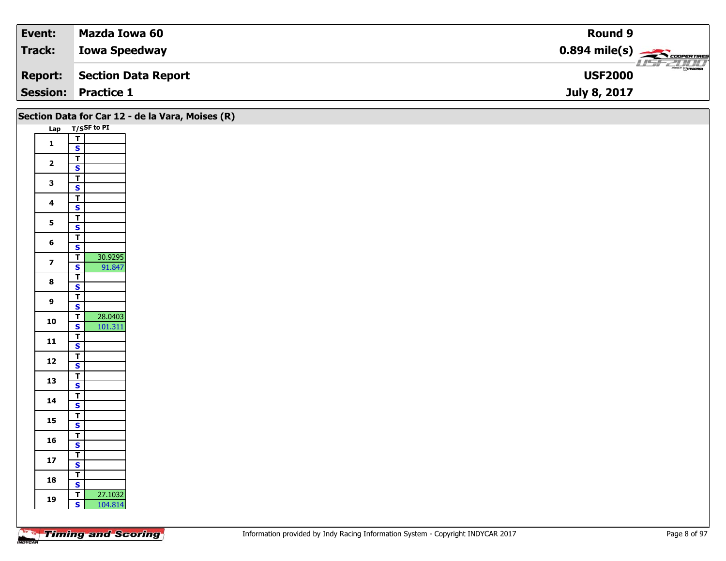| Event:         | Mazda Iowa 60              | Round 9                                                |
|----------------|----------------------------|--------------------------------------------------------|
| <b>Track:</b>  | <b>Iowa Speedway</b>       | $0.894$ mile(s) $\frac{1}{\sqrt{1.566} \cdot 10^{10}}$ |
| <b>Report:</b> | Section Data Report        | $\overline{\Theta}$ mazpa<br><b>USF2000</b>            |
|                | <b>Session: Practice 1</b> | July 8, 2017                                           |

|                         |                                         | Section Data for Car 12 - de la Vara, Moises (R) |
|-------------------------|-----------------------------------------|--------------------------------------------------|
|                         | Lap T/SSF to PI                         |                                                  |
|                         |                                         |                                                  |
| $\mathbf{1}$            | $\frac{1}{s}$                           |                                                  |
|                         | $\overline{\mathbf{r}}$                 |                                                  |
| $\mathbf{2}$            | $\mathbf{s}$                            |                                                  |
|                         | $\overline{\mathsf{r}}$                 |                                                  |
| $\mathbf{3}$            | $\overline{\mathbf{s}}$                 |                                                  |
|                         | $\overline{\mathsf{T}}$                 |                                                  |
| $\overline{\mathbf{4}}$ | $\mathbf{s}$                            |                                                  |
|                         | $\overline{\mathbf{r}}$                 |                                                  |
| 5 <sup>1</sup>          | $\overline{\mathbf{s}}$                 |                                                  |
|                         | $\overline{\mathbf{r}}$                 |                                                  |
| 6                       | $\mathbf{s}$                            |                                                  |
|                         | 30.9295<br>$\mathbf{T}$                 |                                                  |
| $\overline{7}$          | $\mathbf{s}$<br>91.847                  |                                                  |
| $\bf{8}$                | $\overline{I}$                          |                                                  |
|                         | $\overline{\mathbf{s}}$                 |                                                  |
| 9                       | $\overline{\mathsf{T}}$                 |                                                  |
|                         | $\mathbf{s}$                            |                                                  |
| 10                      | 28.0403<br>$\overline{1}$               |                                                  |
|                         | $\overline{\mathbf{s}}$<br>101.311      |                                                  |
| 11                      | $\frac{1}{5}$                           |                                                  |
|                         |                                         |                                                  |
| $12$                    | $\overline{\mathbf{r}}$                 |                                                  |
|                         | $\mathbf{s}$                            |                                                  |
| 13                      | $\overline{\mathsf{r}}$                 |                                                  |
|                         | $\mathbf{s}$                            |                                                  |
| 14                      | $\overline{\mathsf{T}}$<br>$\mathbf{s}$ |                                                  |
|                         |                                         |                                                  |
| 15                      | $rac{1}{s}$                             |                                                  |
|                         | $\overline{\mathbf{r}}$                 |                                                  |
| 16                      | $\mathbf{s}$                            |                                                  |
|                         | $\overline{\mathsf{T}}$                 |                                                  |
| $17$                    | $\overline{\mathbf{s}}$                 |                                                  |
|                         | $\overline{\mathsf{r}}$                 |                                                  |
| 18                      | $\mathbf{s}$                            |                                                  |
|                         | 27.1032<br>$\overline{1}$               |                                                  |
| 19                      | $\mathbf{s}$<br>104.814                 |                                                  |
|                         |                                         |                                                  |
|                         |                                         |                                                  |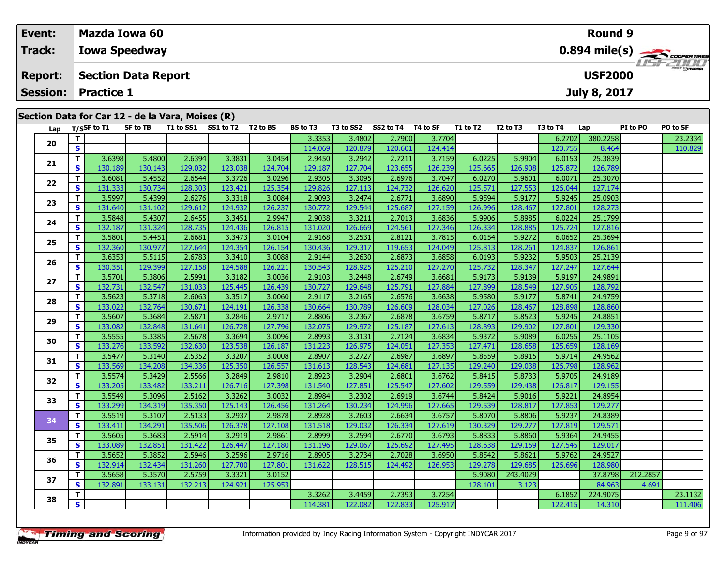| Event:                                           |                   | Mazda Iowa 60              |           |           |                      |                 |           |           |          |          |                                  |          | Round 9        |          |                                                      |
|--------------------------------------------------|-------------------|----------------------------|-----------|-----------|----------------------|-----------------|-----------|-----------|----------|----------|----------------------------------|----------|----------------|----------|------------------------------------------------------|
| Track:                                           |                   | <b>Iowa Speedway</b>       |           |           |                      |                 |           |           |          |          |                                  |          |                |          | $0.894$ mile(s) $\leftarrow$ $\leftarrow$ coorenance |
| <b>Report:</b>                                   |                   | <b>Section Data Report</b> |           |           |                      |                 |           |           |          |          |                                  |          | <b>USF2000</b> |          | <b>LISFZOOD</b>                                      |
| <b>Session:</b>                                  | <b>Practice 1</b> |                            |           |           |                      |                 |           |           |          |          |                                  |          | July 8, 2017   |          |                                                      |
| Section Data for Car 12 - de la Vara, Moises (R) |                   |                            |           |           |                      |                 |           |           |          |          |                                  |          |                |          |                                                      |
| Lap                                              | T/SSF to T1       | SF to TB                   | T1 to SS1 | SS1 to T2 | T <sub>2</sub> to BS | <b>BS to T3</b> | T3 to SS2 | SS2 to T4 | T4 to SF | T1 to T2 | T <sub>2</sub> to T <sub>3</sub> | T3 to T4 | Lap            | PI to PO | PO to SF                                             |

| Lap |              | T/SSF to 11 | SF TO IB | 11 TO 551 | <b>SSI TO 12</b> | 1 Z TO BS | BS TO 13 | 13 TO 552 | $552 \text{ to } 14$ 14 to SF |         | 11 TO 12 | 12 TO 13 | <b>13 το 14</b> | Lap      | PI TO PU | PU TO SF |
|-----|--------------|-------------|----------|-----------|------------------|-----------|----------|-----------|-------------------------------|---------|----------|----------|-----------------|----------|----------|----------|
| 20  | T.           |             |          |           |                  |           | 3.3353   | 3.4802    | 2.7900                        | 3.7704  |          |          | 6.2702          | 380.2258 |          | 23.2334  |
|     | $\mathbf{s}$ |             |          |           |                  |           | 114.069  | 120.879   | 120.601                       | 124.414 |          |          | 120.755         | 8.464    |          | 110.829  |
| 21  | T.           | 3.6398      | 5.4800   | 2.6394    | 3.3831           | 3.0454    | 2.9450   | 3.2942    | 2.7211                        | 3.7159  | 6.0225   | 5.9904   | 6.0153          | 25.3839  |          |          |
|     | <b>S</b>     | 130.189     | 130.143  | 129.032   | 123.038          | 124.704   | 129.187  | 127.704   | 123.655                       | 126.239 | 125.665  | 126.908  | 125.872         | 126.789  |          |          |
| 22  | T.           | 3.6081      | 5.4552   | 2.6544    | 3.3726           | 3.0296    | 2.9305   | 3.3095    | 2.6976                        | 3.7047  | 6.0270   | 5.9601   | 6.0071          | 25.3070  |          |          |
|     | S            | 131.333     | 130.734  | 128.303   | 123.421          | 125.354   | 129.826  | 127.113   | 124.732                       | 126.620 | 125.571  | 127.553  | 126.044         | 127.174  |          |          |
| 23  | T.           | 3.5997      | 5.4399   | 2.6276    | 3.3318           | 3.0084    | 2.9093   | 3.2474    | 2.6771                        | 3.6890  | 5.9594   | 5.9177   | 5.9245          | 25.0903  |          |          |
|     | S.           | 131.640     | 131.102  | 129.612   | 124.932          | 126.237   | 130.772  | 129.544   | 125.687                       | 127.159 | 126.996  | 128.467  | 127.801         | 128.273  |          |          |
| 24  | T.           | 3.5848      | 5.4307   | 2.6455    | 3.3451           | 2.9947    | 2.9038   | 3.3211    | 2.7013                        | 3.6836  | 5.9906   | 5.8985   | 6.0224          | 25.1799  |          |          |
|     | S            | 132.187     | 131.324  | 128.735   | 124.436          | 126.815   | 131.020  | 126.669   | 124.561                       | 127.346 | 126.334  | 128.885  | 125.724         | 127.816  |          |          |
| 25  | T.           | 3.5801      | 5.4451   | 2.6681    | 3.3473           | 3.0104    | 2.9168   | 3.2531    | 2.8121                        | 3.7815  | 6.0154   | 5.9272   | 6.0652          | 25.3694  |          |          |
|     | S            | 132.360     | 130.977  | 127.644   | 124.354          | 126.154   | 130.436  | 129.317   | 119.653                       | 124.049 | 125.813  | 128.261  | 124.837         | 126.861  |          |          |
| 26  | T.           | 3.6353      | 5.5115   | 2.6783    | 3.3410           | 3.0088    | 2.9144   | 3.2630    | 2.6873                        | 3.6858  | 6.0193   | 5.9232   | 5.9503          | 25.2139  |          |          |
|     | $\mathbf{s}$ | 130.351     | 129.399  | 127.158   | 124.588          | 126.221   | 130.543  | 128.925   | 125.210                       | 127.270 | 125.732  | 128.347  | 127.247         | 127.644  |          |          |
| 27  | T.           | 3.5701      | 5.3806   | 2.5991    | 3.3182           | 3.0036    | 2.9103   | 3.2448    | 2.6749                        | 3.6681  | 5.9173   | 5.9139   | 5.9197          | 24.9891  |          |          |
|     | <b>S</b>     | 132.731     | 132.547  | 131.033   | 125.445          | 126.439   | 130.727  | 129.648   | 125.791                       | 127.884 | 127.899  | 128.549  | 127.905         | 128.792  |          |          |
| 28  | T.           | 3.5623      | 5.3718   | 2.6063    | 3.3517           | 3.0060    | 2.9117   | 3.2165    | 2.6576                        | 3.6638  | 5.9580   | 5.9177   | 5.8741          | 24.9759  |          |          |
|     | $\mathbf{s}$ | 133.022     | 132.764  | 130.671   | 124.191          | 126.338   | 130.664  | 130.789   | 126.609                       | 128.034 | 127.026  | 128.467  | 128.898         | 128.860  |          |          |
| 29  | T.           | 3.5607      | 5.3684   | 2.5871    | 3.2846           | 2.9717    | 2.8806   | 3.2367    | 2.6878                        | 3.6759  | 5.8717   | 5.8523   | 5.9245          | 24.8851  |          |          |
|     | S            | 133.082     | 132.848  | 131.641   | 126.728          | 127.796   | 132.075  | 129.972   | 125.187                       | 127.613 | 128.893  | 129.902  | 127.801         | 129.330  |          |          |
| 30  | T.           | 3.5555      | 5.3385   | 2.5678    | 3.3694           | 3.0096    | 2.8993   | 3.3131    | 2.7124                        | 3.6834  | 5.9372   | 5.9089   | 6.0255          | 25.1105  |          |          |
|     | S            | 133.276     | 133.592  | 132.630   | 123.538          | 126.187   | 131.223  | 126.975   | 124.051                       | 127.353 | 127.471  | 128.658  | 125.659         | 128.169  |          |          |
| 31  | T.           | 3.5477      | 5.3140   | 2.5352    | 3.3207           | 3.0008    | 2.8907   | 3.2727    | 2.6987                        | 3.6897  | 5.8559   | 5.8915   | 5.9714          | 24.9562  |          |          |
|     | S            | 133.569     | 134.208  | 134.336   | 125.350          | 126.557   | 131.613  | 128.543   | 124.681                       | 127.135 | 129.240  | 129.038  | 126.798         | 128.962  |          |          |
| 32  | T.           | 3.5574      | 5.3429   | 2.5566    | 3.2849           | 2.9810    | 2.8923   | 3.2904    | 2.6801                        | 3.6762  | 5.8415   | 5.8733   | 5.9705          | 24.9189  |          |          |
|     | S            | 133.205     | 133.482  | 133.211   | 126.716          | 127.398   | 131.540  | 127.851   | 125.547                       | 127.602 | 129.559  | 129.438  | 126.817         | 129.155  |          |          |
| 33  | T            | 3.5549      | 5.3096   | 2.5162    | 3.3262           | 3.0032    | 2.8984   | 3.2302    | 2.6919                        | 3.6744  | 5.8424   | 5.9016   | 5.9221          | 24.8954  |          |          |
|     | <b>S</b>     | 133.299     | 134.319  | 135.350   | 125.143          | 126.456   | 131.264  | 130.234   | 124.996                       | 127.665 | 129.539  | 128.817  | 127.853         | 129.277  |          |          |
| 34  | $\mathbf{T}$ | 3.5519      | 5.3107   | 2.5133    | 3.2937           | 2.9878    | 2.8928   | 3.2603    | 2.6634                        | 3.6757  | 5.8070   | 5.8806   | 5.9237          | 24.8389  |          |          |
|     | S            | 133.411     | 134.291  | 135.506   | 126.378          | 127.108   | 131.518  | 129.032   | 126.334                       | 127.619 | 130.329  | 129.277  | 127.819         | 129.571  |          |          |
| 35  | T.           | 3.5605      | 5.3683   | 2.5914    | 3.2919           | 2.9861    | 2.8999   | 3.2594    | 2.6770                        | 3.6793  | 5.8833   | 5.8860   | 5.9364          | 24.9455  |          |          |
|     | S            | 133.089     | 132.851  | 131.422   | 126.447          | 127.180   | 131.196  | 129.067   | 125.692                       | 127.495 | 128.638  | 129.159  | 127.545         | 129.017  |          |          |
| 36  | T.           | 3.5652      | 5.3852   | 2.5946    | 3.2596           | 2.9716    | 2.8905   | 3.2734    | 2.7028                        | 3.6950  | 5.8542   | 5.8621   | 5.9762          | 24.9527  |          |          |
|     | S            | 132.914     | 132.434  | 131.260   | 127.700          | 127.801   | 131.622  | 128.515   | 124.492                       | 126.953 | 129.278  | 129.685  | 126,696         | 128.980  |          |          |
| 37  | T            | 3.5658      | 5.3570   | 2.5759    | 3.3321           | 3.0152    |          |           |                               |         | 5.9080   | 243.4029 |                 | 37.8798  | 212.2857 |          |
|     | <b>S</b>     | 132.891     | 133.131  | 132.213   | 124.921          | 125.953   |          |           |                               |         | 128.101  | 3.123    |                 | 84.963   | 4.691    |          |
| 38  | T.           |             |          |           |                  |           | 3.3262   | 3.4459    | 2.7393                        | 3.7254  |          |          | 6.1852          | 224.9075 |          | 23.1132  |
|     | S            |             |          |           |                  |           | 114.381  | 122.082   | 122.833                       | 125.917 |          |          | 122.415         | 14.310   |          | 111.406  |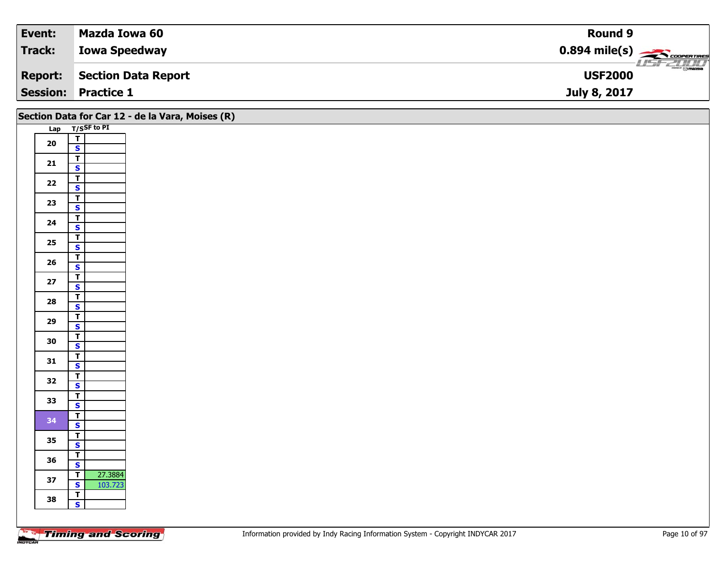| Event:         | Mazda Iowa 60              | <b>Round 9</b>                                         |
|----------------|----------------------------|--------------------------------------------------------|
| Track:         | <b>Iowa Speedway</b>       | $0.894$ mile(s) $\overbrace{\hspace{2cm}}$ coorerrings |
| <b>Report:</b> | Section Data Report        | $\overline{\odot}$ mazpa<br><b>USF2000</b>             |
|                | <b>Session: Practice 1</b> | July 8, 2017                                           |

|            |                                                    | Section Data for Car 12 - de la Vara, Moises (R) |
|------------|----------------------------------------------------|--------------------------------------------------|
|            | Lap T/SSF to PI                                    |                                                  |
| ${\bf 20}$ | $\overline{\mathbf{T}}$                            |                                                  |
|            | $\mathbf{s}$                                       |                                                  |
| $21$       | $\overline{\mathsf{r}}$                            |                                                  |
|            | $\mathbf{s}$                                       |                                                  |
| $\bf 22$   | $\overline{\mathbf{T}}$                            |                                                  |
|            | $\overline{\mathbf{s}}$                            |                                                  |
| 23         | $\overline{\mathbf{T}}$                            |                                                  |
|            | $\mathbf{s}$                                       |                                                  |
| 24         | $\overline{1}$                                     |                                                  |
|            | $\overline{\mathbf{s}}$                            |                                                  |
| $25\,$     | $\overline{1}$                                     |                                                  |
|            | $\mathbf{s}$                                       |                                                  |
| ${\bf 26}$ | $\overline{\mathbf{r}}$<br>$\overline{\mathbf{s}}$ |                                                  |
|            | $\overline{\mathsf{r}}$                            |                                                  |
| 27         | $\overline{\mathbf{s}}$                            |                                                  |
|            | $\overline{\mathsf{r}}$                            |                                                  |
| 28         | $\mathbf{s}$                                       |                                                  |
|            | $\overline{1}$                                     |                                                  |
| 29         | $\overline{\mathbf{s}}$                            |                                                  |
|            | $\overline{\mathbf{r}}$                            |                                                  |
| 30         | $\mathsf{s}$                                       |                                                  |
|            | $\overline{\mathbf{r}}$                            |                                                  |
| 31         | $\mathbf{s}$                                       |                                                  |
| 32         | $\overline{\mathbf{r}}$                            |                                                  |
|            | $\overline{\mathbf{s}}$                            |                                                  |
| 33         | $\overline{\mathsf{T}}$                            |                                                  |
|            | $\mathbf{s}$                                       |                                                  |
| 34         | $\overline{r}$                                     |                                                  |
|            | $\overline{\mathbf{s}}$                            |                                                  |
| 35         | $\overline{I}$<br>$\mathbf{s}$                     |                                                  |
|            | $\overline{\mathsf{r}}$                            |                                                  |
| 36         | $\overline{\mathbf{s}}$                            |                                                  |
|            | 27.3884<br>$\overline{\mathsf{r}}$                 |                                                  |
| 37         | 103.723<br>$\overline{\mathbf{s}}$                 |                                                  |
|            | $\overline{r}$                                     |                                                  |
| 38         | $\mathbf{s}$                                       |                                                  |
|            |                                                    |                                                  |
|            |                                                    |                                                  |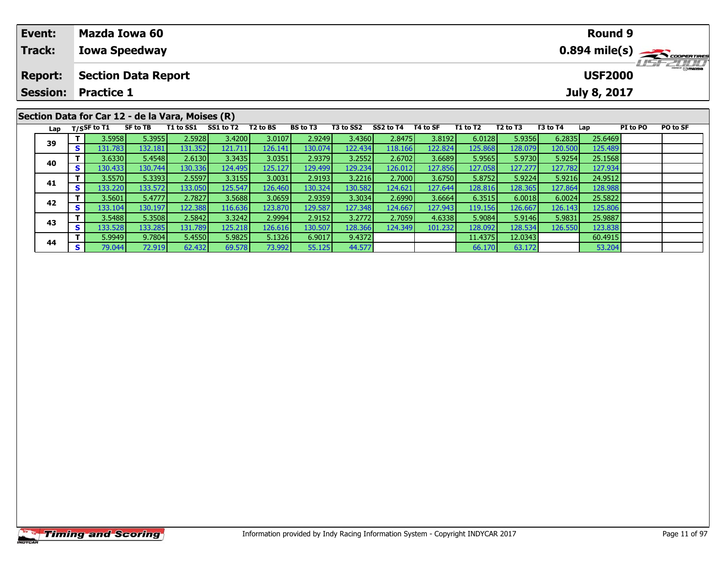| Event:                                           | Mazda Iowa 60              |          |           |           |                      |                 |           |           |          |          |                                  |          | Round 9             |                 |                                         |
|--------------------------------------------------|----------------------------|----------|-----------|-----------|----------------------|-----------------|-----------|-----------|----------|----------|----------------------------------|----------|---------------------|-----------------|-----------------------------------------|
| Track:                                           | <b>Iowa Speedway</b>       |          |           |           |                      |                 |           |           |          |          |                                  |          |                     |                 | $0.894$ mile(s) $\leftarrow$ coorgannes |
| <b>Report:</b>                                   | <b>Section Data Report</b> |          |           |           |                      |                 |           |           |          |          |                                  |          | <b>USF2000</b>      |                 | LISFZULLI                               |
|                                                  | <b>Session: Practice 1</b> |          |           |           |                      |                 |           |           |          |          |                                  |          | <b>July 8, 2017</b> |                 |                                         |
| Section Data for Car 12 - de la Vara, Moises (R) |                            |          |           |           |                      |                 |           |           |          |          |                                  |          |                     |                 |                                         |
|                                                  |                            |          |           |           |                      |                 |           |           |          |          |                                  |          |                     |                 |                                         |
| Lap                                              | T/SSF to T1                | SF to TB | T1 to SS1 | SS1 to T2 | T <sub>2</sub> to BS | <b>BS</b> to T3 | T3 to SS2 | SS2 to T4 | T4 to SF | T1 to T2 | T <sub>2</sub> to T <sub>3</sub> | T3 to T4 | Lap                 | <b>PI</b> to PO | <b>PO to SF</b>                         |

| 39 |                 | 3.5958   | 5.3955  | 2.5928  | 3.4200    | 3.0107  | 2.9249  | 3.4360  | 2.8475  | 3.8192  | 6.0128  | 5.9356  | 6.2835  | 25.6469 |  |
|----|-----------------|----------|---------|---------|-----------|---------|---------|---------|---------|---------|---------|---------|---------|---------|--|
|    | c<br>Э          | 131.783  | 132.181 | 131.352 | 121.711 l | 126.141 | 130.074 | 122.434 | 118.166 | 122.824 | 125.868 | 128.079 | 120.500 | 125.489 |  |
|    |                 | 3.6330   | 5.4548  | 2.6130  | 3.3435    | 3.0351  | 2.9379  | 3.2552  | 2.6702  | 3.6689  | 5.9565  | 5.9730  | 5.9254  | 25.1568 |  |
| 40 | S               | 130.4331 | 130.744 | 130.336 | 124.495   | 125.127 | 129.499 | 129.234 | 126.012 | 127.856 | 127.058 | 127.277 | 127.782 | 127.934 |  |
| 41 |                 | 3.5570   | 5.3393  | 2.5597  | 3.3155    | 3.0031  | 2.9193  | 3.2216  | 2.7000  | 3.6750  | 5.8752  | 5.9224  | 5.9216  | 24.9512 |  |
|    | $\epsilon$<br>э | 133.220  | 133.572 | 133.050 | 125.547   | 126.460 | 130.324 | 130.582 | 124.621 | 127.644 | 128.816 | 128.365 | 127.864 | 128.988 |  |
| 42 |                 | 3.5601   | 5.4777  | 2.7827  | 3.5688    | 3.0659  | 2.9359  | 3.3034  | 2.6990  | 3.6664  | 6.3515  | 6.0018  | 6.0024  | 25.5822 |  |
|    | S               | 133.104  | 130.197 | 122.388 | 116.636   | 123.870 | 129.587 | 127.348 | 124.667 | 127.943 | 119.156 | 126.667 | 126.143 | 125.806 |  |
| 43 |                 | 3.5488   | 5.3508  | 2.5842  | 3.3242    | 2.9994  | 2.9152  | 3.2772  | 2.7059  | 4.6338  | 5.9084  | 5.9146  | 5.9831  | 25.9887 |  |
|    | S               | 133.528  | 133.285 | 131.789 | 125.218   | 126.616 | 130.507 | 128.366 | 124.349 | 101.232 | 128.092 | 128.534 | 126.550 | 123.838 |  |
| 44 |                 | 5.9949   | 9.7804  | 5.4550  | 5.9825    | 5.1326  | 6.9017  | 9.4372  |         |         | 11.4375 | 12.0343 |         | 60.4915 |  |
|    | c<br>э          | 79.044   | 72.919  | 62.432  | 69.578    | 73.992  | 55.125  | 44.577  |         |         | 66.170  | 63.172  |         | 53.204  |  |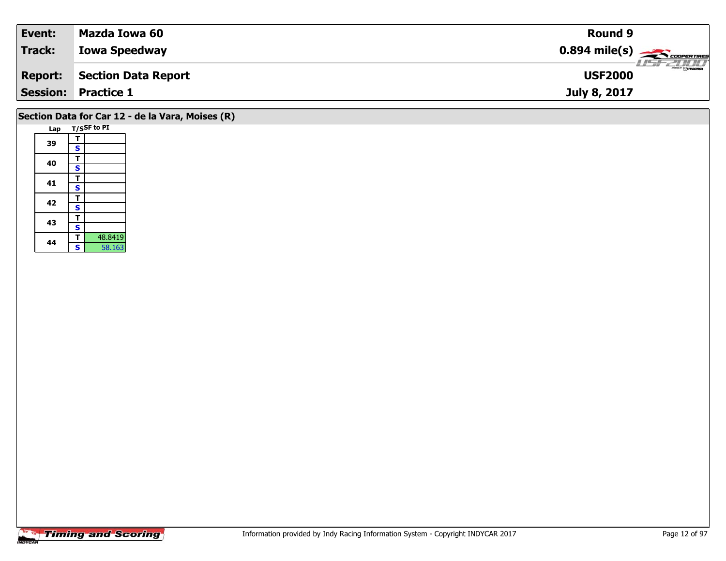| Event:                     | Mazda Iowa 60        | <b>Round 9</b>                                 |
|----------------------------|----------------------|------------------------------------------------|
| Track:                     | <b>Iowa Speedway</b> |                                                |
| <b>Report:</b>             | Section Data Report  | $\frac{2\pi}{\omega}$ omazoa<br><b>USF2000</b> |
| <b>Session: Practice 1</b> |                      | July 8, 2017                                   |

# **Section Data for Car 12 - de la Vara, Moises (R)**

| Lap |   | T/SSF to PI |
|-----|---|-------------|
|     | т |             |
| 39  | S |             |
| 40  | т |             |
|     | S |             |
| 41  | т |             |
|     | S |             |
|     | т |             |
| 42  | S |             |
| 43  | т |             |
|     | S |             |
| 44  | т | 48.8419     |
|     | Ś | 58.163      |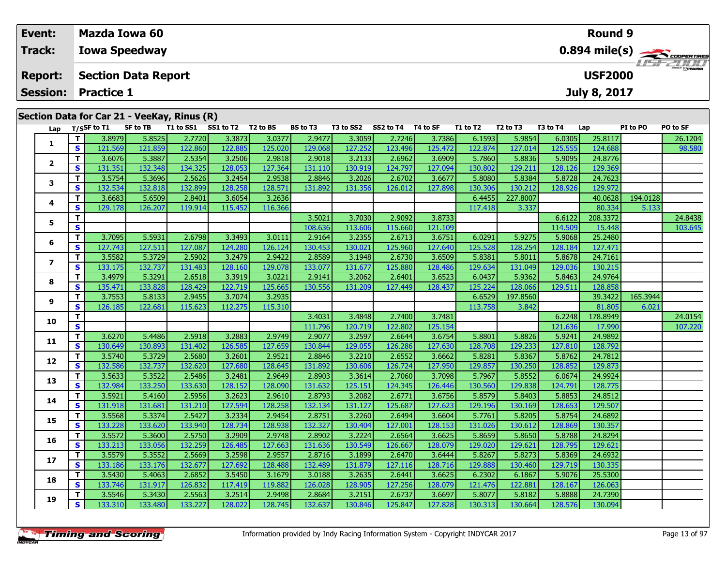| Event:                                                                                                                                                                                                                            | <b>Mazda Iowa 60</b> |                                              |  |  |  |                  |  |  |  |  |  | <b>Round 9</b> |  |  |
|-----------------------------------------------------------------------------------------------------------------------------------------------------------------------------------------------------------------------------------|----------------------|----------------------------------------------|--|--|--|------------------|--|--|--|--|--|----------------|--|--|
| <b>Track:</b>                                                                                                                                                                                                                     | <b>Iowa Speedway</b> |                                              |  |  |  | <b>LISTELLIT</b> |  |  |  |  |  |                |  |  |
| <b>Report:</b>                                                                                                                                                                                                                    |                      | <b>USF2000</b><br><b>Section Data Report</b> |  |  |  |                  |  |  |  |  |  |                |  |  |
| <b>Session:</b>                                                                                                                                                                                                                   | <b>Practice 1</b>    |                                              |  |  |  |                  |  |  |  |  |  | July 8, 2017   |  |  |
| Section Data for Car 21 - VeeKay, Rinus (R)<br>PO to SF<br>SS1 to T2<br><b>BS</b> to T3<br>SS2 to T4<br>T1 to SS1<br>T2 to BS<br>T3 to SS2<br>T4 to SF<br>T3 to T4<br>SF to TB<br>T1 to T2<br>T2 to T3<br>PI to PO<br>T/SSF to T1 |                      |                                              |  |  |  |                  |  |  |  |  |  |                |  |  |

| Lap          |                    | T/SSF to T1       | SF to TB          |                   | T1 to SS1 SS1 to T2 T2 to BS |                   | BS to T3          |                   | T3 to SS2 SS2 to T4 T4 to SF |                   | T1 to T2          | T <sub>2</sub> to T <sub>3</sub> | T3 to T4          | Lap                | PI to PO | PO to SF |
|--------------|--------------------|-------------------|-------------------|-------------------|------------------------------|-------------------|-------------------|-------------------|------------------------------|-------------------|-------------------|----------------------------------|-------------------|--------------------|----------|----------|
|              | T.                 | 3.8979            | 5.8525            | 2.7720            | 3.3873                       | 3.0377            | 2.9477            | 3.3059            | 2.7246                       | 3.7386            | 6.1593            | 5.9854                           | 6.0305            | 25.8117            |          | 26.1204  |
| 1            | S                  | 121.569           | 121.859           | 122.860           | 122.885                      | 125.020           | 129.068           | 127.252           | 123.496                      | 125.472           | 122.874           | 127.014                          | 125.555           | 124.688            |          | 98.580   |
|              | T.                 | 3.6076            | 5.3887            | 2.5354            | 3.2506                       | 2.9818            | 2.9018            | 3.2133            | 2.6962                       | 3.6909            | 5.7860            | 5.8836                           | 5.9095            | 24.8776            |          |          |
| $\mathbf{2}$ | S                  | 131.351           | 132.348           | 134.325           | 128.053                      | 127.364           | 131.110           | 130.919           | 124.797                      | 127.094           | 130.802           | 129.211                          | 128.126           | 129.369            |          |          |
| 3            | T.                 | 3.5754            | 5.3696            | 2.5626            | 3.2454                       | 2.9538            | 2.8846            | 3.2026            | 2.6702                       | 3.6677            | 5.8080            | 5.8384                           | 5.8728            | 24.7623            |          |          |
|              | <b>S</b>           | 132.534           | 132.818           | 132.899           | 128.258                      | 128.571           | 131.892           | 131.356           | 126.012                      | 127.898           | 130.306           | 130.212                          | 128.926           | 129.972            |          |          |
| 4            | T.                 | 3.6683            | 5.6509            | 2.8401            | 3.6054                       | 3.2636            |                   |                   |                              |                   | 6.4455            | 227.8007                         |                   | 40.0628            | 194.0128 |          |
|              | $\mathbf{s}$       | 129.178           | 126.207           | 119.914           | 115.452                      | 116.366           |                   |                   |                              |                   | 117.418           | 3.337                            |                   | 80.334             | 5.133    |          |
| 5            | T.                 |                   |                   |                   |                              |                   | 3.5021            | 3.7030            | 2.9092                       | 3.8733            |                   |                                  | 6.6122            | 208.3372           |          | 24.8438  |
|              | S                  |                   |                   |                   |                              |                   | 108.636           | 113.606           | 115.660                      | 121.109           |                   |                                  | 114.509           | 15.448             |          | 103.645  |
| 6            | T.                 | 3.7095            | 5.5931            | 2.6798            | 3.3493                       | 3.0111            | 2.9164            | 3.2355            | 2.6713                       | 3.6751            | 6.0291            | 5.9275                           | 5.9068            | 25.2480            |          |          |
|              | <b>S</b>           | 127.743           | 127.511           | 127.087           | 124.280                      | 126.124           | 130.453           | 130.021           | 125.960                      | 127.640           | 125.528           | 128.254                          | 128.184           | 127.471            |          |          |
| 7            | T.                 | 3.5582            | 5.3729            | 2.5902            | 3.2479                       | 2.9422            | 2.8589            | 3.1948            | 2.6730                       | 3.6509            | 5.8381            | 5.8011                           | 5.8678            | 24.7161            |          |          |
|              | $\mathbf{s}$       | 133.175           | 132.737           | 131.483           | 128.160                      | 129.078           | 133.077           | 131.677           | 125.880                      | 128.486           | 129.634           | 131.049                          | 129.036           | 130.215            |          |          |
| 8            | T.                 | 3.4979            | 5.3291            | 2.6518            | 3.3919                       | 3.0221            | 2.9141            | 3.2062            | 2.6401                       | 3.6523            | 6.0437            | 5.9362                           | 5.8463            | 24.9764            |          |          |
|              | <b>S</b>           | 135.471           | 133.828           | 128.429           | 122.719                      | 125.665           | 130.556           | 131.209           | 127.449                      | 128.437           | 125.224           | 128.066                          | 129.511           | 128.858            |          |          |
| 9            | T.                 | 3.7553            | 5.8133            | 2.9455            | 3.7074                       | 3.2935            |                   |                   |                              |                   | 6.6529            | 197.8560                         |                   | 39.3422            | 165.3944 |          |
|              | <b>S</b>           | 126.185           | 122.681           | 115.623           | 112.275                      | 115.310           |                   |                   |                              |                   | 113.758           | 3.842                            |                   | 81.805             | 6.021    |          |
| 10           | T.                 |                   |                   |                   |                              |                   | 3.4031            | 3.4848            | 2.7400                       | 3.7481            |                   |                                  | 6.2248            | 178.8949           |          | 24.0154  |
|              | <b>S</b>           |                   |                   |                   |                              |                   | 111.796           | 120.719           | 122.802                      | 125.154           |                   |                                  | 121.636           | 17.990             |          | 107.220  |
| 11           | T.                 | 3.6270            | 5.4486            | 2.5918            | 3.2883                       | 2.9749            | 2.9077            | 3.2597            | 2.6644                       | 3.6754            | 5.8801            | 5.8826                           | 5.9241            | 24.9892            |          |          |
|              | <b>S</b>           | 130.649           | 130.893           | 131.402           | 126.585                      | 127.659           | 130.844           | 129.055           | 126.286                      | 127.630           | 128.708           | 129.233                          | 127.810           | 128.792            |          |          |
| 12           | T.                 | 3.5740            | 5.3729            | 2.5680            | 3.2601                       | 2.9521            | 2.8846            | 3.2210            | 2.6552                       | 3.6662            | 5.8281            | 5.8367                           | 5.8762            | 24.7812            |          |          |
|              | $\mathbf{s}$       | 132.586           | 132.737           | 132.620           | 127.680                      | 128.645           | 131.892           | 130.606           | 126.724                      | 127.950           | 129.857           | 130.250                          | 128.852           | 129.873            |          |          |
| 13           | T.                 | 3.5633            | 5.3522            | 2.5486            | 3.2481                       | 2.9649            | 2.8903            | 3.3614            | 2.7060                       | 3.7098            | 5.7967            | 5.8552                           | 6.0674            | 24.9924            |          |          |
|              | S                  | 132.984           | 133.250           | 133.630           | 128.152                      | 128.090           | 131.632           | 125.151           | 124.345                      | 126.446           | 130.560           | 129.838                          | 124.791           | 128.775            |          |          |
| 14           | T.                 | 3.5921            | 5.4160            | 2.5956            | 3.2623                       | 2.9610            | 2.8793            | 3.2082            | 2.6771                       | 3.6756            | 5.8579            | 5.8403                           | 5.8853            | 24.8512            |          |          |
|              | <b>S</b>           | 131.918           | 131.681           | 131.210           | 127.594                      | 128.258           | 132.134           | 131.127           | 125.687                      | 127.623           | 129.196           | 130.169                          | 128.653<br>5.8754 | 129.507            |          |          |
| 15           | T.<br>$\mathbf{s}$ | 3.5568<br>133.228 | 5.3374<br>133.620 | 2.5427<br>133.940 | 3.2334<br>128.734            | 2.9454<br>128.938 | 2.8751<br>132.327 | 3.2260<br>130.404 | 2.6494<br>127.001            | 3.6604<br>128.153 | 5.7761<br>131.026 | 5.8205<br>130.612                | 128.869           | 24.6892<br>130.357 |          |          |
|              | T.                 | 3.5572            | 5.3600            | 2.5750            | 3.2909                       | 2.9748            | 2.8902            | 3.2224            | 2.6564                       | 3.6625            | 5.8659            | 5.8650                           | 5.8788            | 24.8294            |          |          |
| 16           | S                  | 133.213           | 133.056           | 132.259           | 126.485                      | 127.663           | 131.636           | 130.549           | 126.667                      | 128.079           | 129.020           | 129.621                          | 128.795           | 129.621            |          |          |
|              | T.                 | 3.5579            | 5.3552            | 2.5669            | 3.2598                       | 2.9557            | 2.8716            | 3.1899            | 2.6470                       | 3.6444            | 5.8267            | 5.8273                           | 5.8369            | 24.6932            |          |          |
| 17           | S                  | 133.186           | 133.176           | 132.677           | 127.692                      | 128.488           | 132.489           | 131.879           | 127.116                      | 128.716           | 129.888           | 130.460                          | 129.719           | 130.335            |          |          |
|              | T.                 | 3.5430            | 5.4063            | 2.6852            | 3.5450                       | 3.1679            | 3.0188            | 3.2635            | 2.6441                       | 3.6625            | 6.2302            | 6.1867                           | 5.9076            | 25.5300            |          |          |
| 18           | S                  | 133.746           | 131.917           | 126.832           | 117.419                      | 119.882           | 126.028           | 128.905           | 127.256                      | 128.079           | 121.476           | 122.881                          | 128.167           | 126.063            |          |          |
|              | T.                 | 3.5546            | 5.3430            | 2.5563            | 3.2514                       | 2.9498            | 2.8684            | 3.2151            | 2.6737                       | 3.6697            | 5.8077            | 5.8182                           | 5.8888            | 24.7390            |          |          |
| 19           | <b>S</b>           | 133.310           | 133.480           | 133.227           | 128.022                      | 128.745           | 132.637           | 130.846           | 125.847                      | 127.828           | 130.313           | 130.664                          | 128.576           | 130.094            |          |          |
|              |                    |                   |                   |                   |                              |                   |                   |                   |                              |                   |                   |                                  |                   |                    |          |          |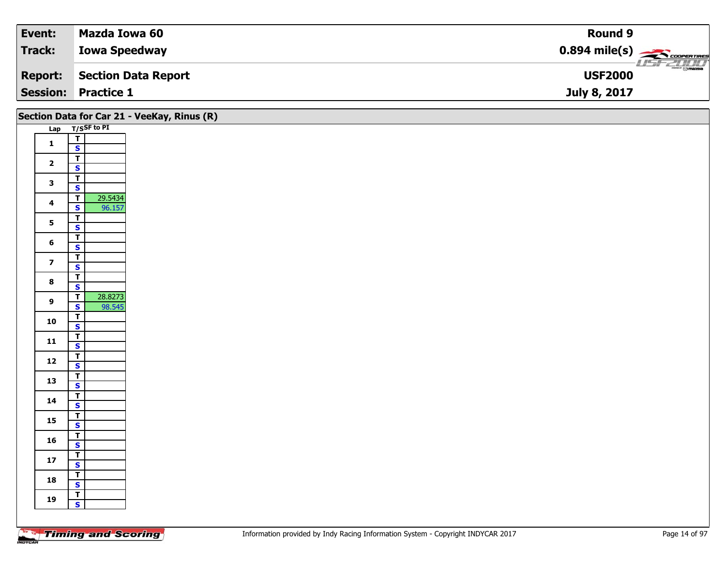| Event:         | Mazda Iowa 60              | <b>Round 9</b>                                          |
|----------------|----------------------------|---------------------------------------------------------|
| Track:         | <b>Iowa Speedway</b>       | $0.894$ mile(s) $\overbrace{\hspace{2cm}}$ coorer Times |
| <b>Report:</b> | Section Data Report        | $\frac{1}{\odot}$ mazpa<br><b>USF2000</b>               |
|                | <b>Session: Practice 1</b> | July 8, 2017                                            |

|                         |                                                    | Section Data for Car 21 - VeeKay, Rinus (R) |
|-------------------------|----------------------------------------------------|---------------------------------------------|
|                         | Lap T/SSF to PI                                    |                                             |
| $\mathbf 1$             | $\overline{\mathbf{r}}$                            |                                             |
|                         | $\overline{\mathbf{s}}$                            |                                             |
| $\overline{\mathbf{2}}$ | $\overline{\mathbf{T}}$                            |                                             |
|                         | $\overline{\mathbf{s}}$<br>$\overline{\mathbf{r}}$ |                                             |
| $\mathbf{3}$            | $\mathbf{s}$                                       |                                             |
|                         | $\overline{\mathbf{T}}$<br>29.5434                 |                                             |
| $\overline{\mathbf{4}}$ | 96.157<br>$\mathbf{s}$                             |                                             |
| $5\phantom{a}$          | $\overline{\mathsf{T}}$                            |                                             |
|                         | $\overline{\mathbf{s}}$                            |                                             |
| $6\phantom{1}$          | $\overline{\mathbf{T}}$                            |                                             |
|                         | $\mathbf{s}$                                       |                                             |
| $\overline{\mathbf{z}}$ | $\mathbf{T}$<br>$\mathbf{s}$                       |                                             |
|                         | $\overline{\mathbf{r}}$                            |                                             |
| $\bf{8}$                | $\overline{\mathbf{s}}$                            |                                             |
| $\boldsymbol{9}$        | 28.8273<br>$\overline{\mathsf{T}}$                 |                                             |
|                         | 98.545<br>$\mathbf{s}$                             |                                             |
| 10                      | $\overline{\mathsf{T}}$                            |                                             |
|                         | $\overline{\mathbf{s}}$                            |                                             |
| 11                      | $\overline{\mathbf{T}}$<br>$\mathbf{s}$            |                                             |
|                         |                                                    |                                             |
| $12$                    | $\frac{1}{s}$                                      |                                             |
| 13                      | $\overline{\mathbf{r}}$                            |                                             |
|                         | $\overline{\mathbf{s}}$                            |                                             |
| 14                      | $\overline{\mathsf{T}}$                            |                                             |
|                         | $\mathbf{s}$<br>$\overline{1}$                     |                                             |
| 15                      | $\overline{\mathbf{s}}$                            |                                             |
|                         | $\overline{\mathbf{r}}$                            |                                             |
| 16                      | $\mathbf{s}$                                       |                                             |
| $17$                    | $\mathbf{T}$                                       |                                             |
|                         | $\overline{\mathbf{s}}$                            |                                             |
| 18                      | $\overline{\mathsf{T}}$<br>$\overline{\mathbf{s}}$ |                                             |
|                         | $\mathbf{T}$                                       |                                             |
| 19                      | $\mathbf{s}$                                       |                                             |
|                         |                                                    |                                             |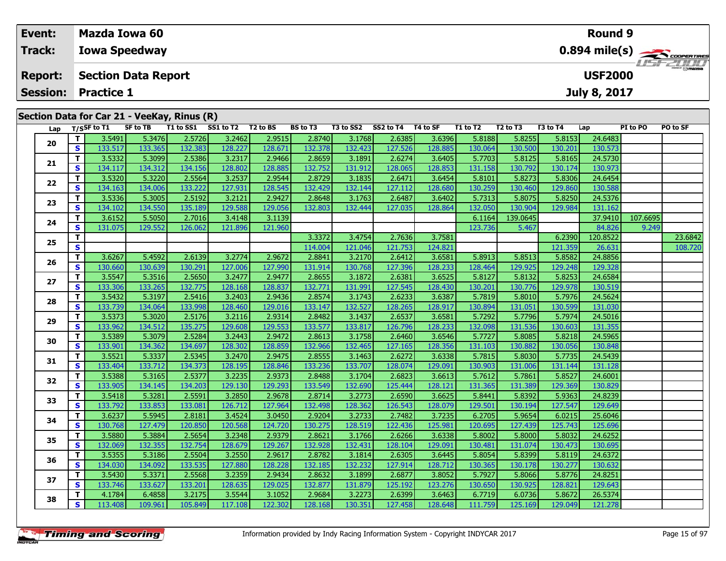| Event:                     | <b>Mazda Iowa 60</b>                        |                                              |                              |  |  |          |           |           |          |          |          |          | Round 9                                                |          |                  |  |  |  |
|----------------------------|---------------------------------------------|----------------------------------------------|------------------------------|--|--|----------|-----------|-----------|----------|----------|----------|----------|--------------------------------------------------------|----------|------------------|--|--|--|
| <b>Track:</b>              |                                             | <b>Iowa Speedway</b>                         |                              |  |  |          |           |           |          |          |          |          | $0.894$ mile(s) $\overbrace{\hspace{2cm}}$ coorentines |          |                  |  |  |  |
| <b>Report:</b>             |                                             | <b>Section Data Report</b><br><b>USF2000</b> |                              |  |  |          |           |           |          |          |          |          |                                                        |          | <b>LISF 2000</b> |  |  |  |
| <b>Session: Practice 1</b> |                                             |                                              |                              |  |  |          |           |           |          |          |          |          | July 8, 2017                                           |          |                  |  |  |  |
|                            | Section Data for Car 21 - VeeKay, Rinus (R) |                                              |                              |  |  |          |           |           |          |          |          |          |                                                        |          |                  |  |  |  |
| Lap                        | T/SSF to T1                                 | SF to TB                                     | T1 to SS1 SS1 to T2 T2 to BS |  |  | BS to T3 | T3 to SS2 | SS2 to T4 | T4 to SF | T1 to T2 | T2 to T3 | T3 to T4 | Lap                                                    | PI to PO | PO to SF         |  |  |  |

| Lap |              | T/SSF to T1 | <b>SF to TB</b> |         | T1 to SS1 SS1 to T2 T2 to BS |         | BS to T3 | T3 to SS2 | SS2 to T4 T4 to SF |         | T1 to T2 | T <sub>2</sub> to T <sub>3</sub> | T3 to T4 | Lap      | PI to PO | PO to SF |
|-----|--------------|-------------|-----------------|---------|------------------------------|---------|----------|-----------|--------------------|---------|----------|----------------------------------|----------|----------|----------|----------|
| 20  | T.           | 3.5491      | 5.3476          | 2.5726  | 3.2462                       | 2.9515  | 2.8740   | 3.1768    | 2.6385             | 3.6396  | 5.8188   | 5.8255                           | 5.8153   | 24.6483  |          |          |
|     | $\mathbf{s}$ | 133.517     | 133.365         | 132.383 | 128.227                      | 128.671 | 132.378  | 132.423   | 127.526            | 128.885 | 130.064  | 130.500                          | 130.201  | 130.573  |          |          |
| 21  | т            | 3.5332      | 5.3099          | 2.5386  | 3.2317                       | 2.9466  | 2.8659   | 3.1891    | 2.6274             | 3.6405  | 5.7703   | 5.8125                           | 5.8165   | 24.5730  |          |          |
|     | S            | 134.117     | 134.312         | 134.156 | 128.802                      | 128.885 | 132.752  | 131.912   | 128.065            | 128.853 | 131.158  | 130.792                          | 130.174  | 130.973  |          |          |
| 22  | T.           | 3.5320      | 5.3220          | 2.5564  | 3.2537                       | 2.9544  | 2.8729   | 3.1835    | 2.6471             | 3.6454  | 5.8101   | 5.8273                           | 5.8306   | 24.6454  |          |          |
|     | S            | 134.163     | 134.006         | 133.222 | 127.931                      | 128.545 | 132.429  | 132.144   | 127.112            | 128.680 | 130.259  | 130.460                          | 129.860  | 130.588  |          |          |
| 23  | т            | 3.5336      | 5.3005          | 2.5192  | 3.2121                       | 2.9427  | 2.8648   | 3.1763    | 2.6487             | 3.6402  | 5.7313   | 5.8075                           | 5.8250   | 24.5376  |          |          |
|     | S            | 134.102     | 134.550         | 135.189 | 129.588                      | 129.056 | 132.803  | 132.444   | 127.035            | 128.864 | 132.050  | 130.904                          | 129.984  | 131.162  |          |          |
| 24  | т            | 3.6152      | 5.5050          | 2.7016  | 3.4148                       | 3.1139  |          |           |                    |         | 6.1164   | 139.0645                         |          | 37.9410  | 107.6695 |          |
|     | S            | 131.075     | 129.552         | 126.062 | 121.896                      | 121.960 |          |           |                    |         | 123.736  | 5.467                            |          | 84.826   | 9.249    |          |
| 25  | T.           |             |                 |         |                              |         | 3.3372   | 3.4754    | 2.7636             | 3.7581  |          |                                  | 6.2390   | 120.8522 |          | 23.6842  |
|     | S            |             |                 |         |                              |         | 114.004  | 121.046   | 121.753            | 124.821 |          |                                  | 121.359  | 26.631   |          | 108.720  |
| 26  | T            | 3.6267      | 5.4592          | 2.6139  | 3.2774                       | 2.9672  | 2.8841   | 3.2170    | 2.6412             | 3.6581  | 5.8913   | 5.8513                           | 5.8582   | 24.8856  |          |          |
|     | S            | 130.660     | 130.639         | 130.291 | 127.006                      | 127.990 | 131.914  | 130.768   | 127.396            | 128.233 | 128.464  | 129.925                          | 129.248  | 129.328  |          |          |
| 27  | т            | 3.5547      | 5.3516          | 2.5650  | 3.2477                       | 2.9477  | 2.8655   | 3.1872    | 2.6381             | 3.6525  | 5.8127   | 5.8132                           | 5.8253   | 24.6584  |          |          |
|     | S            | 133.306     | 133.265         | 132.775 | 128.168                      | 128.837 | 132.771  | 131.991   | 127.545            | 128.430 | 130.201  | 130.776                          | 129.978  | 130.519  |          |          |
| 28  | т            | 3.5432      | 5.3197          | 2.5416  | 3.2403                       | 2.9436  | 2.8574   | 3.1743    | 2.6233             | 3.6387  | 5.7819   | 5.8010                           | 5.7976   | 24.5624  |          |          |
|     | S            | 133.739     | 134.064         | 133.998 | 128.460                      | 129.016 | 133.147  | 132.527   | 128.265            | 128.917 | 130.894  | 131.051                          | 130.599  | 131.030  |          |          |
| 29  | т            | 3.5373      | 5.3020          | 2.5176  | 3.2116                       | 2.9314  | 2.8482   | 3.1437    | 2.6537             | 3.6581  | 5.7292   | 5.7796                           | 5.7974   | 24.5016  |          |          |
|     | s            | 133.962     | 134.512         | 135.275 | 129.608                      | 129.553 | 133.577  | 133.817   | 126.796            | 128.233 | 132.098  | 131.536                          | 130.603  | 131.355  |          |          |
| 30  | т            | 3.5389      | 5.3079          | 2.5284  | 3.2443                       | 2.9472  | 2.8613   | 3.1758    | 2.6460             | 3.6546  | 5.7727   | 5.8085                           | 5.8218   | 24.5965  |          |          |
|     | S            | 133.901     | 134.362         | 134.697 | 128.302                      | 128.859 | 132.966  | 132.465   | 127.165            | 128.356 | 131.103  | 130.882                          | 130.056  | 130.848  |          |          |
| 31  | T.           | 3.5521      | 5.3337          | 2.5345  | 3.2470                       | 2.9475  | 2.8555   | 3.1463    | 2.6272             | 3.6338  | 5.7815   | 5.8030                           | 5.7735   | 24.5439  |          |          |
|     | S            | 133.404     | 133.712         | 134.373 | 128.195                      | 128.846 | 133.236  | 133.707   | 128.074            | 129.091 | 130.903  | 131.006                          | 131.144  | 131.128  |          |          |
| 32  | т            | 3.5388      | 5.3165          | 2.5377  | 3.2235                       | 2.9373  | 2.8488   | 3.1704    | 2.6823             | 3.6613  | 5.7612   | 5.7861                           | 5.8527   | 24.6001  |          |          |
|     | S            | 133.905     | 134.145         | 134.203 | 129.130                      | 129.293 | 133.549  | 132.690   | 125.444            | 128.121 | 131.365  | 131.389                          | 129.369  | 130.829  |          |          |
| 33  | т            | 3.5418      | 5.3281          | 2.5591  | 3.2850                       | 2.9678  | 2.8714   | 3.2773    | 2.6590             | 3.6625  | 5.8441   | 5.8392                           | 5.9363   | 24.8239  |          |          |
|     | S            | 133.792     | 133.853         | 133.081 | 126.712                      | 127.964 | 132.498  | 128.362   | 126.543            | 128.079 | 129.501  | 130.194                          | 127.547  | 129.649  |          |          |
| 34  | T.           | 3.6237      | 5.5945          | 2.8181  | 3.4524                       | 3.0450  | 2.9204   | 3.2733    | 2.7482             | 3.7235  | 6.2705   | 5.9654                           | 6.0215   | 25.6046  |          |          |
|     | S            | 130.768     | 127.479         | 120.850 | 120.568                      | 124.720 | 130.275  | 128.519   | 122.436            | 125.981 | 120.695  | 127.439                          | 125.743  | 125.696  |          |          |
| 35  | т            | 3.5880      | 5.3884          | 2.5654  | 3.2348                       | 2.9379  | 2.8621   | 3.1766    | 2.6266             | 3.6338  | 5.8002   | 5.8000                           | 5.8032   | 24.6252  |          |          |
|     | $\mathbf{s}$ | 132.069     | 132.355         | 132.754 | 128.679                      | 129.267 | 132.928  | 132.431   | 128.104            | 129.091 | 130.481  | 131.074                          | 130.473  | 130.695  |          |          |
| 36  | T.           | 3.5355      | 5.3186          | 2.5504  | 3.2550                       | 2.9617  | 2.8782   | 3.1814    | 2.6305             | 3.6445  | 5.8054   | 5.8399                           | 5.8119   | 24.6372  |          |          |
|     | S            | 134.030     | 134.092         | 133.535 | 127.880                      | 128.228 | 132.185  | 132.232   | 127.914            | 128.712 | 130.365  | 130.178                          | 130.277  | 130.632  |          |          |
| 37  | T.           | 3.5430      | 5.3371          | 2.5568  | 3.2359                       | 2.9434  | 2.8632   | 3.1899    | 2.6877             | 3.8052  | 5.7927   | 5.8066                           | 5.8776   | 24.8251  |          |          |
|     | S            | 133.746     | 133.627         | 133.201 | 128.635                      | 129.025 | 132.877  | 131.879   | 125.192            | 123.276 | 130.650  | 130.925                          | 128.821  | 129.643  |          |          |
| 38  | т            | 4.1784      | 6.4858          | 3.2175  | 3.5544                       | 3.1052  | 2.9684   | 3.2273    | 2.6399             | 3.6463  | 6.7719   | 6.0736                           | 5.8672   | 26.5374  |          |          |
|     | S            | 113.408     | 109.961         | 105.849 | 117.108                      | 122.302 | 128.168  | 130.351   | 127.458            | 128.648 | 111.759  | 125.169                          | 129.049  | 121.278  |          |          |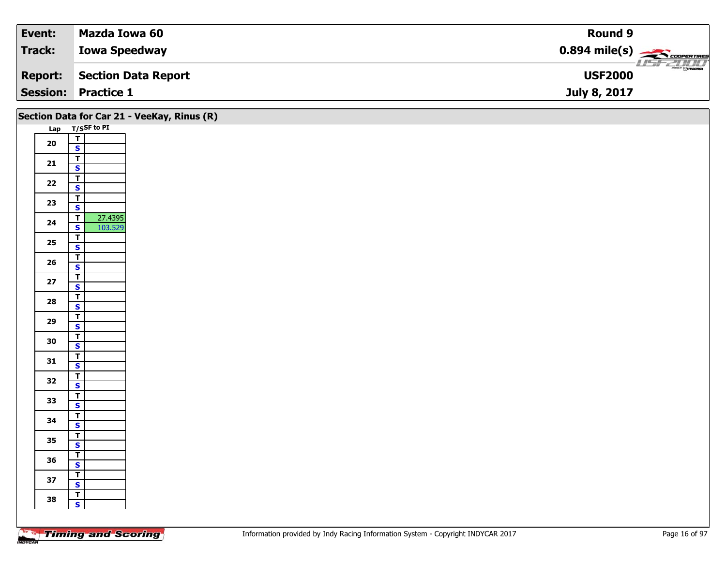| Event:         | Mazda Iowa 60              | <b>Round 9</b>                                          |
|----------------|----------------------------|---------------------------------------------------------|
| Track:         | <b>Iowa Speedway</b>       | $0.894$ mile(s) $\overbrace{\hspace{2cm}}$ coorer Times |
| <b>Report:</b> | Section Data Report        | $\frac{1}{\odot}$ mazpa<br><b>USF2000</b>               |
|                | <b>Session: Practice 1</b> | July 8, 2017                                            |

|            |                                                    | Section Data for Car 21 - VeeKay, Rinus (R) |
|------------|----------------------------------------------------|---------------------------------------------|
|            | Lap T/SSF to PI                                    |                                             |
| ${\bf 20}$ | $\overline{\mathbf{r}}$                            |                                             |
|            | $\mathbf{s}$                                       |                                             |
| $21$       | $\overline{\mathbf{T}}$                            |                                             |
|            | $\mathbf{s}$                                       |                                             |
| $22$       | $\overline{\mathbf{r}}$<br>$\overline{\mathbf{s}}$ |                                             |
|            | $\overline{\mathbf{r}}$                            |                                             |
| 23         | $\mathsf{s}$                                       |                                             |
|            | 27.4395<br>$\overline{t}$                          |                                             |
| 24         | 103.529<br>$\overline{\mathbf{s}}$                 |                                             |
| $25\,$     | $\overline{\mathbf{r}}$                            |                                             |
|            | $\mathbf{s}$                                       |                                             |
| 26         | $\overline{\mathbf{T}}$                            |                                             |
|            | $\mathbf{s}$                                       |                                             |
| $27$       | $\overline{\mathbf{r}}$<br>$\overline{\mathbf{s}}$ |                                             |
|            | $\overline{1}$                                     |                                             |
| 28         | $\mathbf{s}$                                       |                                             |
| 29         | $\overline{\mathsf{T}}$                            |                                             |
|            | $\overline{\mathbf{s}}$                            |                                             |
| 30         | $\overline{\mathbf{T}}$                            |                                             |
|            | $\mathsf{s}$                                       |                                             |
| 31         | $\mathbf{T}$<br>$\mathbf{s}$                       |                                             |
|            | $\overline{1}$                                     |                                             |
| 32         | $\overline{\mathbf{s}}$                            |                                             |
|            | $\overline{1}$                                     |                                             |
| 33         | $\mathbf{s}$                                       |                                             |
| 34         | $\overline{\mathsf{T}}$                            |                                             |
|            | $\overline{\mathbf{s}}$                            |                                             |
| 35         | $\overline{\mathbf{r}}$<br>$\mathsf{s}$            |                                             |
|            |                                                    |                                             |
| 36         | $rac{1}{s}$                                        |                                             |
|            | $\overline{I}$                                     |                                             |
| 37         | $\overline{\mathbf{s}}$                            |                                             |
| 38         | $\overline{1}$                                     |                                             |
|            | $\mathbf{s}$                                       |                                             |
|            |                                                    |                                             |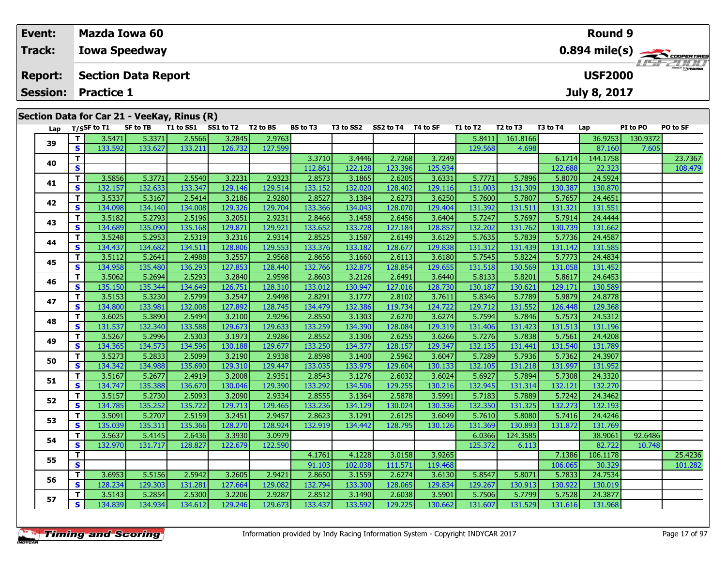#### **Event: Mazda Iowa 60Round 90.894 mile(s) Track:Iowa Speedway** ust-2000 **Report: Section Data Report USF2000July 8, 2017 Session: Practice 1Section Data for Car 21 - VeeKay, Rinus (R)** Lap T/S<sup>SF</sup> to T1 SF to TB T1 to SS1 SS1 to T2 T2 to BS BS to T3 T3 to SS2 SS2 to T4 T4 to SF T1 to T2 T2 to T3 T3 to T4 Lap PI to PO PO to SF

**<sup>T</sup>** 3.5471 5.3371 2.5566 3.2845 2.9763 5.8411 161.8166 36.9253 130.9372 **<sup>S</sup>** 133.592 133.627 133.211 126.732 127.599 129.568 4.698 87.160 7.605

**<sup>T</sup>** 3.5856 5.3771 2.5540 3.2231 2.9323 2.8573 3.1865 2.6205 3.6331 5.7771 5.7896 5.8070 24.5924 **<sup>S</sup>** 132.157 132.633 133.347 129.146 129.514 133.152 132.020 128.402 129.116 131.003 131.309 130.387 130.870

**<sup>T</sup>** 3.5337 5.3167 2.5414 3.2186 2.9280 2.8527 3.1384 2.6273 3.6250 5.7600 5.7807 5.7657 24.4651 **<sup>S</sup>** 134.098 134.140 134.008 129.326 129.704 133.366 134.043 128.070 129.404 131.392 131.511 131.321 131.551

**<sup>T</sup>** 3.5182 5.2793 2.5196 3.2051 2.9231 2.8466 3.1458 2.6456 3.6404 5.7247 5.7697 5.7914 24.4444 **<sup>S</sup>** 134.689 135.090 135.168 129.871 129.921 133.652 133.728 127.184 128.857 132.202 131.762 130.739 131.662

**<sup>T</sup>** 3.5248 5.2953 2.5319 3.2316 2.9314 2.8525 3.1587 2.6149 3.6129 5.7635 5.7839 5.7736 24.4587 **<sup>S</sup>** 134.437 134.682 134.511 128.806 129.553 133.376 133.182 128.677 129.838 131.312 131.439 131.142 131.585

**<sup>T</sup>** 3.5112 5.2641 2.4988 3.2557 2.9568 2.8656 3.1660 2.6113 3.6180 5.7545 5.8224 5.7773 24.4834 **<sup>S</sup>** 134.958 135.480 136.293 127.853 128.440 132.766 132.875 128.854 129.655 131.518 130.569 131.058 131.452

**<sup>T</sup>** 3.5062 5.2694 2.5293 3.2840 2.9598 2.8603 3.2126 2.6491 3.6440 5.8133 5.8201 5.8617 24.6453 **<sup>S</sup>** 135.150 135.344 134.649 126.751 128.310 133.012 130.947 127.016 128.730 130.187 130.621 129.171 130.589

**<sup>T</sup>** 3.5153 5.3230 2.5799 3.2547 2.9498 2.8291 3.1777 2.8102 3.7611 5.8346 5.7789 5.9879 24.8778 **<sup>S</sup>** 134.800 133.981 132.008 127.892 128.745 134.479 132.386 119.734 124.722 129.712 131.552 126.448 129.368

**<sup>T</sup>** 3.6025 5.3890 2.5494 3.2100 2.9296 2.8550 3.1303 2.6270 3.6274 5.7594 5.7846 5.7573 24.5312 **<sup>S</sup>** 131.537 132.340 133.588 129.673 129.633 133.259 134.390 128.084 129.319 131.406 131.423 131.513 131.196

**<sup>T</sup>** 3.5267 5.2996 2.5303 3.1973 2.9286 2.8552 3.1306 2.6255 3.6266 5.7276 5.7838 5.7561 24.4208 **<sup>S</sup>** 134.365 134.573 134.596 130.188 129.677 133.250 134.377 128.157 129.347 132.135 131.441 131.540 131.789

**<sup>T</sup>** 3.5273 5.2833 2.5099 3.2190 2.9338 2.8598 3.1400 2.5962 3.6047 5.7289 5.7936 5.7362 24.3907 **<sup>S</sup>** 134.342 134.988 135.690 129.310 129.447 133.035 133.975 129.604 130.133 132.105 131.218 131.997 131.952

**<sup>T</sup>** 3.5167 5.2677 2.4919 3.2008 2.9351 2.8543 3.1276 2.6032 3.6024 5.6927 5.7894 5.7308 24.3320 **<sup>S</sup>** 134.747 135.388 136.670 130.046 129.390 133.292 134.506 129.255 130.216 132.945 131.314 132.121 132.270

**<sup>T</sup>** 3.5157 5.2730 2.5093 3.2090 2.9334 2.8555 3.1364 2.5878 3.5991 5.7183 5.7889 5.7242 24.3462 **<sup>S</sup>** 134.785 135.252 135.722 129.713 129.465 133.236 134.129 130.024 130.336 132.350 131.325 132.273 132.193

**<sup>T</sup>** 3.5091 5.2707 2.5159 3.2451 2.9457 2.8623 3.1291 2.6125 3.6049 5.7610 5.8080 5.7416 24.4246 **<sup>S</sup>** 135.039 135.311 135.366 128.270 128.924 132.919 134.442 128.795 130.126 131.369 130.893 131.872 131.769

**<sup>T</sup>** 3.6953 5.5156 2.5942 3.2605 2.9421 2.8650 3.1559 2.6274 3.6130 5.8547 5.8071 5.7833 24.7534 **<sup>S</sup>** 128.234 129.303 131.281 127.664 129.082 132.794 133.300 128.065 129.834 129.267 130.913 130.922 130.019

**<sup>T</sup>** 3.5143 5.2854 2.5300 3.2206 2.9287 2.8512 3.1490 2.6038 3.5901 5.7506 5.7799 5.7528 24.3877 **<sup>S</sup>** 134.839 134.934 134.612 129.246 129.673 133.437 133.592 129.225 130.662 131.607 131.529 131.616 131.968

**T** 3.5637 5.4145 2.6436 3.3930 3.0979 1 - 1 - 1 - 6.0366 124.3585 38.9061 92.6486 |<br>S 132.970 131.717 128.827 122.679 122.590 122.590 125.372 6.113 125.772 10.748

**<sup>T</sup>** 3.3710 3.4446 2.7268 3.7249 6.1714 144.1758 23.7367 **<sup>S</sup>** 112.861 122.128 123.396 125.934 122.688 22.323 108.479

| <b>Timing and Scoring</b> |  |  |
|---------------------------|--|--|
|                           |  |  |

**39**

**40**

**41**

**42**

**43**

**44**

**45**

**46**

**47**

**48**

**49**

**50**

**51**

**52**

**53**

**54**

**55**

**56**

**57**

**<sup>T</sup>** 4.1761 4.1228 3.0158 3.9265 7.1386 106.1178 25.4236 **<sup>S</sup>** 91.103 102.038 111.571 119.468 106.065 30.329 101.282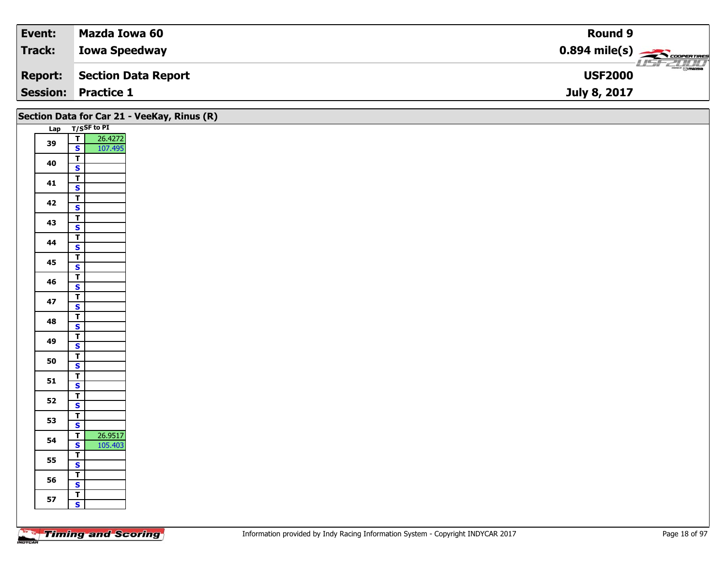| Event:         | Mazda Iowa 60              | Round 9                                                  |
|----------------|----------------------------|----------------------------------------------------------|
| Track:         | <b>Iowa Speedway</b>       | $0.894$ mile(s) $\overbrace{\hspace{2cm}}$ covening      |
| <b>Report:</b> | Section Data Report        | $\overline{\phantom{a}}$ $\odot$ mazoa<br><b>USF2000</b> |
|                | <b>Session: Practice 1</b> | July 8, 2017                                             |

|    |                                                    | Section Data for Car 21 - VeeKay, Rinus (R) |
|----|----------------------------------------------------|---------------------------------------------|
|    | Lap T/SSF to PI                                    |                                             |
| 39 | 26.4272<br>107.495<br>$\frac{1}{s}$                |                                             |
| 40 | $\overline{1}$<br>$\overline{\mathbf{s}}$          |                                             |
| 41 | $\overline{\mathsf{r}}$<br>$\overline{\mathbf{s}}$ |                                             |
| 42 | $\overline{\mathsf{r}}$<br>$\mathsf{s}$            |                                             |
| 43 | $\mathbf{T}$<br>$\overline{\mathbf{s}}$            |                                             |
| 44 | $\overline{\mathbf{r}}$<br>$\mathbf{s}$            |                                             |
| 45 | $\overline{\mathsf{T}}$<br>$\mathbf{s}$            |                                             |
| 46 | $rac{1}{s}$                                        |                                             |
| 47 | $\overline{\mathsf{r}}$<br>$\overline{\mathbf{s}}$ |                                             |
| 48 | $\overline{\mathsf{T}}$<br>$\overline{\mathbf{s}}$ |                                             |
| 49 | $\overline{I}$<br>$\mathbf{s}$                     |                                             |
| 50 | $\overline{\mathbf{T}}$<br>$\overline{\mathbf{s}}$ |                                             |
| 51 | $\overline{\mathbf{r}}$<br>$\mathbf{s}$            |                                             |
| 52 | $rac{1}{s}$                                        |                                             |
| 53 | $\overline{1}$<br>$\overline{\mathbf{s}}$          |                                             |
| 54 | 26.9517<br>$\mathbf{T}$<br>$\mathbf{s}$<br>105.403 |                                             |
| 55 | $rac{1}{s}$                                        |                                             |
| 56 | $\overline{\mathbf{r}}$<br>$\overline{\mathbf{s}}$ |                                             |
| 57 | $\overline{\mathsf{r}}$<br>$\mathbf{s}$            |                                             |
|    |                                                    |                                             |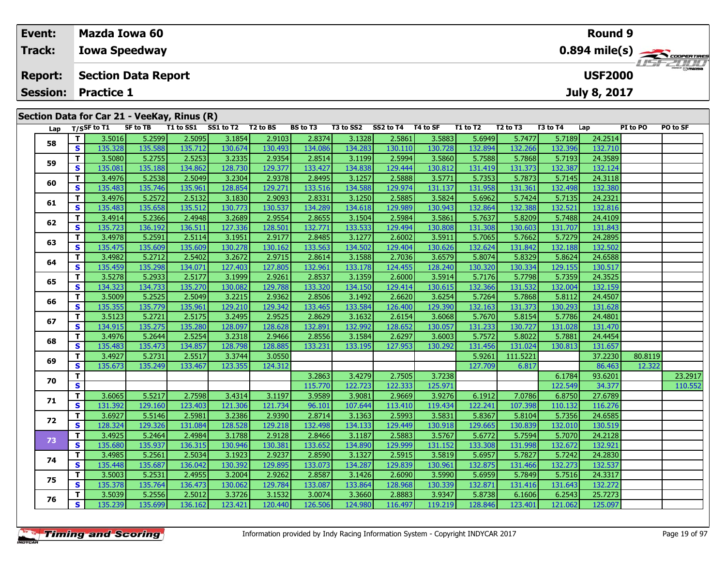| Event:                                                                                       | Mazda Iowa 60                                |                                                               |  |  |  |  | <b>Round 9</b> |  |  |  |          |              |  |  |
|----------------------------------------------------------------------------------------------|----------------------------------------------|---------------------------------------------------------------|--|--|--|--|----------------|--|--|--|----------|--------------|--|--|
| <b>Track:</b>                                                                                | <b>Iowa Speedway</b>                         | $0.894$ mile(s) $\rightarrow$ COOPERTIRES<br><b>LISF 2000</b> |  |  |  |  |                |  |  |  |          |              |  |  |
| <b>Report:</b>                                                                               | <b>USF2000</b><br><b>Section Data Report</b> |                                                               |  |  |  |  |                |  |  |  |          |              |  |  |
| <b>Session:</b>                                                                              | <b>Practice 1</b>                            |                                                               |  |  |  |  |                |  |  |  |          | July 8, 2017 |  |  |
| Section Data for Car 21 - VeeKay, Rinus (R)<br>T1 to SS1 SS1 to T2<br>SS2 to T4<br>T3 to SS2 |                                              |                                                               |  |  |  |  |                |  |  |  | PO to SF |              |  |  |

| Lap |          | T/SSF to T1 | SF to TB |         | T1 to SS1 SS1 to T2 T2 to BS |         | <b>BS to T3</b> |         | T3 to SS2 SS2 to T4 T4 to SF |         | T1 to T2 | T <sub>2</sub> to T <sub>3</sub> | T3 to T4 | Lap     | PI to PO | PO to SF |
|-----|----------|-------------|----------|---------|------------------------------|---------|-----------------|---------|------------------------------|---------|----------|----------------------------------|----------|---------|----------|----------|
| 58  | T.       | 3.5016      | 5.2599   | 2.5095  | 3.1854                       | 2.9103  | 2.8374          | 3.1328  | 2.5861                       | 3.5883  | 5.6949   | 5.7477                           | 5.7189   | 24.2514 |          |          |
|     | S        | 135.328     | 135.588  | 135.712 | 130.674                      | 130.493 | 134.086         | 134.283 | 130.110                      | 130.728 | 132.894  | 132.266                          | 132.396  | 132.710 |          |          |
| 59  | T.       | 3.5080      | 5.2755   | 2.5253  | 3.2335                       | 2.9354  | 2.8514          | 3.1199  | 2.5994                       | 3.5860  | 5.7588   | 5.7868                           | 5.7193   | 24.3589 |          |          |
|     | S        | 135.081     | 135.188  | 134.862 | 128.730                      | 129.377 | 133.427         | 134.838 | 129.444                      | 130.812 | 131.419  | 131.373                          | 132.387  | 132.124 |          |          |
| 60  | T.       | 3.4976      | 5.2538   | 2.5049  | 3.2304                       | 2.9378  | 2.8495          | 3.1257  | 2.5888                       | 3.5771  | 5.7353   | 5.7873                           | 5.7145   | 24.3118 |          |          |
|     | <b>S</b> | 135.483     | 135.746  | 135.961 | 128.854                      | 129.271 | 133.516         | 134.588 | 129.974                      | 131.137 | 131.958  | 131.361                          | 132.498  | 132.380 |          |          |
| 61  | T.       | 3.4976      | 5.2572   | 2.5132  | 3.1830                       | 2.9093  | 2.8331          | 3.1250  | 2.5885                       | 3.5824  | 5.6962   | 5.7424                           | 5.7135   | 24.2321 |          |          |
|     | S        | 135.483     | 135.658  | 135.512 | 130.773                      | 130.537 | 134.289         | 134.618 | 129.989                      | 130.943 | 132.864  | 132.388                          | 132.521  | 132.816 |          |          |
| 62  | т        | 3.4914      | 5.2366   | 2.4948  | 3.2689                       | 2.9554  | 2.8655          | 3.1504  | 2.5984                       | 3.5861  | 5.7637   | 5.8209                           | 5.7488   | 24.4109 |          |          |
|     | S        | 135.723     | 136.192  | 136.511 | 127.336                      | 128.501 | 132.771         | 133.533 | 129.494                      | 130.808 | 131.308  | 130.603                          | 131.707  | 131.843 |          |          |
| 63  | T.       | 3.4978      | 5.2591   | 2.5114  | 3.1951                       | 2.9177  | 2.8485          | 3.1277  | 2.6002                       | 3.5911  | 5.7065   | 5.7662                           | 5.7279   | 24.2895 |          |          |
|     | S        | 135.475     | 135.609  | 135.609 | 130.278                      | 130.162 | 133.563         | 134.502 | 129.404                      | 130.626 | 132.624  | 131.842                          | 132.188  | 132.502 |          |          |
| 64  | T.       | 3.4982      | 5.2712   | 2.5402  | 3.2672                       | 2.9715  | 2.8614          | 3.1588  | 2.7036                       | 3.6579  | 5.8074   | 5.8329                           | 5.8624   | 24.6588 |          |          |
|     | S        | 135.459     | 135.298  | 134.071 | 127.403                      | 127.805 | 132.961         | 133.178 | 124.455                      | 128.240 | 130.320  | 130.334                          | 129.155  | 130.517 |          |          |
| 65  | T.       | 3.5278      | 5.2933   | 2.5177  | 3.1999                       | 2.9261  | 2.8537          | 3.1359  | 2.6000                       | 3.5914  | 5.7176   | 5.7798                           | 5.7359   | 24.3525 |          |          |
|     | S        | 134.323     | 134.733  | 135.270 | 130.082                      | 129.788 | 133.320         | 134.150 | 129.414                      | 130.615 | 132.366  | 131.532                          | 132.004  | 132.159 |          |          |
| 66  | T.       | 3.5009      | 5.2525   | 2.5049  | 3.2215                       | 2.9362  | 2.8506          | 3.1492  | 2.6620                       | 3.6254  | 5.7264   | 5.7868                           | 5.8112   | 24.4507 |          |          |
|     | <b>S</b> | 135.355     | 135.779  | 135.961 | 129.210                      | 129.342 | 133.465         | 133.584 | 126.400                      | 129.390 | 132.163  | 131.373                          | 130.293  | 131.628 |          |          |
| 67  | т        | 3.5123      | 5.2721   | 2.5175  | 3.2495                       | 2.9525  | 2.8629          | 3.1632  | 2.6154                       | 3.6068  | 5.7670   | 5.8154                           | 5.7786   | 24.4801 |          |          |
|     | S        | 134.915     | 135.275  | 135.280 | 128.097                      | 128.628 | 132.891         | 132.992 | 128.652                      | 130.057 | 131.233  | 130.727                          | 131.028  | 131.470 |          |          |
| 68  | T.       | 3.4976      | 5.2644   | 2.5254  | 3.2318                       | 2.9466  | 2.8556          | 3.1584  | 2.6297                       | 3.6003  | 5.7572   | 5.8022                           | 5.7881   | 24.4454 |          |          |
|     | S        | 135.483     | 135.473  | 134.857 | 128.798                      | 128.885 | 133.231         | 133.195 | 127.953                      | 130.292 | 131.456  | 131.024                          | 130.813  | 131.657 |          |          |
| 69  | T        | 3.4927      | 5.2731   | 2.5517  | 3.3744                       | 3.0550  |                 |         |                              |         | 5.9261   | 111.5221                         |          | 37.2230 | 80.8119  |          |
|     | S        | 135.673     | 135.249  | 133.467 | 123.355                      | 124.312 |                 |         |                              |         | 127.709  | 6.817                            |          | 86.463  | 12.322   |          |
| 70  | T.       |             |          |         |                              |         | 3.2863          | 3.4279  | 2.7505                       | 3.7238  |          |                                  | 6.1784   | 93.6201 |          | 23.2917  |
|     | S        |             |          |         |                              |         | 115.770         | 122.723 | 122.333                      | 125.971 |          |                                  | 122.549  | 34.377  |          | 110.552  |
| 71  | T.       | 3.6065      | 5.5217   | 2.7598  | 3.4314                       | 3.1197  | 3.9589          | 3.9081  | 2.9669                       | 3.9276  | 6.1912   | 7.0786                           | 6.8750   | 27.6789 |          |          |
|     | <b>S</b> | 131.392     | 129.160  | 123.403 | 121.306                      | 121.734 | 96.101          | 107.644 | 113.410                      | 119.434 | 122.241  | 107.398                          | 110.132  | 116.276 |          |          |
| 72  | T        | 3.6927      | 5.5146   | 2.5981  | 3.2386                       | 2.9390  | 2.8714          | 3.1363  | 2.5993                       | 3.5831  | 5.8367   | 5.8104                           | 5.7356   | 24.6585 |          |          |
|     | S        | 128.324     | 129.326  | 131.084 | 128.528                      | 129.218 | 132.498         | 134.133 | 129.449                      | 130.918 | 129.665  | 130.839                          | 132.010  | 130.519 |          |          |
| 73  | T        | 3.4925      | 5.2464   | 2.4984  | 3.1788                       | 2.9128  | 2.8466          | 3.1187  | 2.5883                       | 3.5767  | 5.6772   | 5.7594                           | 5.7070   | 24.2128 |          |          |
|     | S        | 135.680     | 135.937  | 136.315 | 130.946                      | 130.381 | 133.652         | 134.890 | 129.999                      | 131.152 | 133.308  | 131.998                          | 132.672  | 132.921 |          |          |
| 74  | T.       | 3.4985      | 5.2561   | 2.5034  | 3.1923                       | 2.9237  | 2.8590          | 3.1327  | 2.5915                       | 3.5819  | 5.6957   | 5.7827                           | 5.7242   | 24.2830 |          |          |
|     | <b>S</b> | 135.448     | 135.687  | 136.042 | 130.392                      | 129.895 | 133.073         | 134.287 | 129.839                      | 130.961 | 132.875  | 131.466                          | 132.273  | 132.537 |          |          |
| 75  | T.       | 3.5003      | 5.2531   | 2.4955  | 3.2004                       | 2.9262  | 2.8587          | 3.1426  | 2.6090                       | 3.5990  | 5.6959   | 5.7849                           | 5.7516   | 24.3317 |          |          |
|     | S        | 135.378     | 135.764  | 136.473 | 130.062                      | 129.784 | 133.087         | 133.864 | 128.968                      | 130.339 | 132.871  | 131.416                          | 131.643  | 132.272 |          |          |
| 76  | T.       | 3.5039      | 5.2556   | 2.5012  | 3.3726                       | 3.1532  | 3.0074          | 3.3660  | 2.8883                       | 3.9347  | 5.8738   | 6.1606                           | 6.2543   | 25.7273 |          |          |
|     | S        | 135.239     | 135.699  | 136.162 | 123.421                      | 120.440 | 126.506         | 124.980 | 116.497                      | 119.219 | 128.846  | 123.401                          | 121.062  | 125.097 |          |          |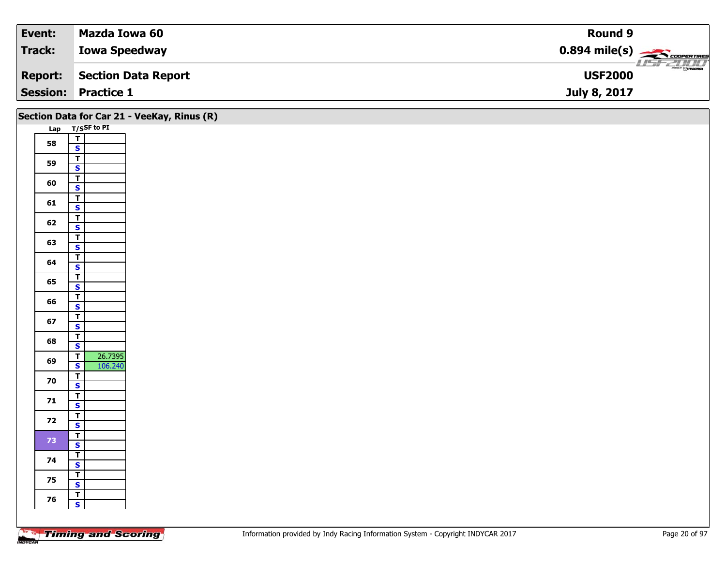| Event:          | Mazda Iowa 60        | Round 9                                    |
|-----------------|----------------------|--------------------------------------------|
| Track:          | <b>Iowa Speedway</b> | $0.894$ mile(s) $\frac{1}{2}$ COOPERTIRES  |
| <b>Report:</b>  | Section Data Report  | $\frac{1}{\Theta}$ mazoa<br><b>USF2000</b> |
| <b>Session:</b> | <b>Practice 1</b>    | July 8, 2017                               |

|                 | Section Data for Car 21 - VeeKay, Rinus (R)        |
|-----------------|----------------------------------------------------|
|                 | Lap T/SSF to PI                                    |
| 58              | $\frac{1}{s}$                                      |
|                 |                                                    |
| 59              | $rac{1}{s}$                                        |
| 60              | $rac{1}{s}$                                        |
|                 |                                                    |
| 61              | $rac{1}{s}$                                        |
|                 | $\overline{1}$                                     |
| 62              | $\overline{\mathbf{s}}$                            |
| 63              | $\frac{1}{s}$                                      |
|                 |                                                    |
| 64              | $\frac{1}{\mathsf{S}}$                             |
| 65              | $\overline{\mathbf{r}}$<br>$\overline{\mathbf{s}}$ |
|                 | $\overline{1}$                                     |
| 66              | $\mathsf{s}$                                       |
| 67              | $\overline{1}$                                     |
|                 | $\overline{\mathbf{s}}$                            |
| 68              | $\frac{1}{s}$                                      |
| 69              | 26.7395<br>106.240<br>$rac{T}{s}$                  |
|                 |                                                    |
| 70              | $\overline{r}$<br>$\overline{\mathbf{s}}$          |
| 71              | $\frac{1}{\mathsf{S}}$                             |
|                 |                                                    |
| 72              | $rac{1}{s}$                                        |
|                 |                                                    |
| 73 <sub>°</sub> | $\frac{1}{s}$                                      |
| 74              | $\overline{1}$<br>$\overline{\mathbf{s}}$          |
|                 |                                                    |
| 75              | $rac{1}{s}$                                        |
| 76              | $\begin{array}{c c}\n\hline\nT \\ S\n\end{array}$  |
|                 |                                                    |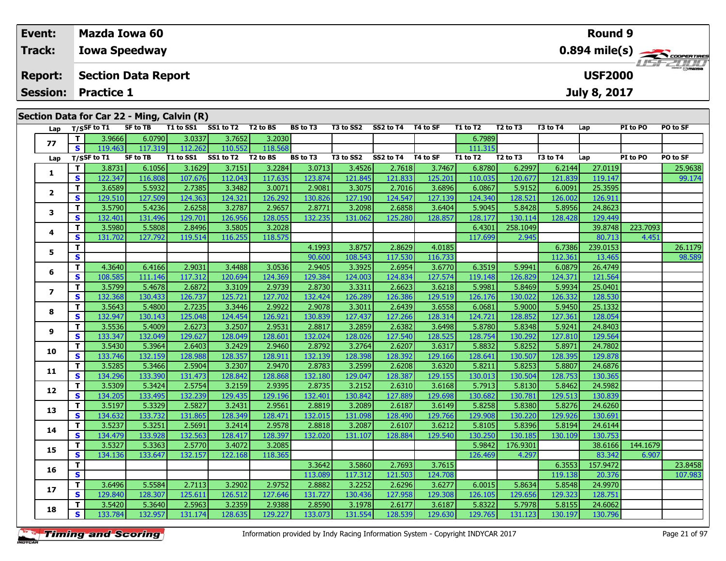### **Event: Mazda Iowa 60Round 90.894 mile(s) Track:Iowa Speedway COOPERTIRE** USFZUHL **Section Data Report Report: USF2000July 8, 2017 Session: Practice 1 Section Data for Car 22 - Ming, Calvin (R) Lap T/SSF to T1 SF to TB T1 to SS1 SS1 to T2 T2 to BS BS to T3 T3 to SS2 SS2 to T4 T4 to SF T1 to T2 T2 to T3 T3 to T4 Lap PI to PO PO to SF**

| Lap             |              | 1/53F to 11 | SL 10 I D       | 1 T TO 22 T                  | <b>331 to 12</b> | 1 Z LO D.S | נו טו כם | 15 to 552 | <b>334 LO 14</b> | 14 W JF  | 1 1 1 1 1 1 2 1 | 12 LO 13                         | 15 LO 14 | ∟ap      | PI LO PU | ru lu ər |
|-----------------|--------------|-------------|-----------------|------------------------------|------------------|------------|----------|-----------|------------------|----------|-----------------|----------------------------------|----------|----------|----------|----------|
|                 | T.           | 3.9666      | 6.0790          | 3.0337                       | 3.7652           | 3.2030     |          |           |                  |          | 6.7989          |                                  |          |          |          |          |
| 77              | S.           | 119.463     | 117.319         | 112.262                      | 110.552          | 118.568    |          |           |                  |          | 111.315         |                                  |          |          |          |          |
| Lap             |              | T/SSF to T1 | <b>SF to TB</b> | T1 to SS1 SS1 to T2 T2 to BS |                  |            | BS to T3 | T3 to SS2 | SS2 to T4        | T4 to SF | T1 to T2        | T <sub>2</sub> to T <sub>3</sub> | T3 to T4 | Lap      | PI to PO | PO to SF |
|                 | T.           | 3.8731      | 6.1056          | 3.1629                       | 3.7151           | 3.2284     | 3.0713   | 3.4526    | 2.7618           | 3.7467   | 6.8780          | 6.2997                           | 6.2144   | 27.0119  |          | 25.9638  |
| 1               | S            | 122.347     | 116.808         | 107.676                      | 112.043          | 117.635    | 123.874  | 121.845   | 121.833          | 125.201  | 110.035         | 120.677                          | 121.839  | 119.147  |          | 99.174   |
|                 | T.           | 3.6589      | 5.5932          | 2.7385                       | 3.3482           | 3.0071     | 2.9081   | 3.3075    | 2.7016           | 3.6896   | 6.0867          | 5.9152                           | 6.0091   | 25.3595  |          |          |
| $\mathbf{2}$    | S            | 129.510     | 127.509         | 124.363                      | 124.321          | 126.292    | 130.826  | 127.190   | 124.547          | 127.139  | 124.340         | 128.521                          | 126.002  | 126.911  |          |          |
|                 | T.           | 3.5790      | 5.4236          | 2.6258                       | 3.2787           | 2.9657     | 2.8771   | 3.2098    | 2.6858           | 3.6404   | 5.9045          | 5.8428                           | 5.8956   | 24.8623  |          |          |
| 3               | <b>S</b>     | 132.401     | 131.496         | 129.701                      | 126.956          | 128.055    | 132.235  | 131.062   | 125.280          | 128.857  | 128.177         | 130.114                          | 128.428  | 129.449  |          |          |
|                 | T            | 3.5980      | 5.5808          | 2.8496                       | 3.5805           | 3.2028     |          |           |                  |          | 6.4301          | 258.1049                         |          | 39.8748  | 223.7093 |          |
| 4               | $\mathbf{s}$ | 131.702     | 127.792         | 119.514                      | 116.255          | 118.575    |          |           |                  |          | 117.699         | 2.945                            |          | 80.713   | 4.451    |          |
|                 | т            |             |                 |                              |                  |            | 4.1993   | 3.8757    | 2.8629           | 4.0185   |                 |                                  | 6.7386   | 239.0153 |          | 26.1179  |
| 5               | $\mathbf{s}$ |             |                 |                              |                  |            | 90.600   | 108.543   | 117.530          | 116.733  |                 |                                  | 112.361  | 13.465   |          | 98.589   |
| 6               | T.           | 4.3640      | 6.4166          | 2.9031                       | 3.4488           | 3.0536     | 2.9405   | 3.3925    | 2.6954           | 3.6770   | 6.3519          | 5.9941                           | 6.0879   | 26.4749  |          |          |
|                 | $\mathbf{s}$ | 108.585     | 111.146         | 117.312                      | 120.694          | 124.369    | 129.384  | 124.003   | 124.834          | 127.574  | 119.148         | 126.829                          | 124.371  | 121.564  |          |          |
| $\overline{ }$  | T.           | 3.5799      | 5.4678          | 2.6872                       | 3.3109           | 2.9739     | 2.8730   | 3.3311    | 2.6623           | 3.6218   | 5.9981          | 5.8469                           | 5.9934   | 25.0401  |          |          |
|                 | S            | 132.368     | 130.433         | 126.737                      | 125.721          | 127.702    | 132.424  | 126.289   | 126.386          | 129.519  | 126.176         | 130.022                          | 126.332  | 128.530  |          |          |
| 8               | T.           | 3.5643      | 5.4800          | 2.7235                       | 3.3446           | 2.9922     | 2.9078   | 3.3011    | 2.6439           | 3.6558   | 6.0681          | 5.9000                           | 5.9450   | 25.1332  |          |          |
|                 | S            | 132.947     | 130.143         | 125.048                      | 124.454          | 126.921    | 130.839  | 127.437   | 127.266          | 128.314  | 124.721         | 128.852                          | 127.361  | 128.054  |          |          |
| 9               | T            | 3.5536      | 5.4009          | 2.6273                       | 3.2507           | 2.9531     | 2.8817   | 3.2859    | 2.6382           | 3.6498   | 5.8780          | 5.8348                           | 5.9241   | 24.8403  |          |          |
|                 | S            | 133.347     | 132.049         | 129.627                      | 128.049          | 128.601    | 132.024  | 128.026   | 127.540          | 128.525  | 128.754         | 130.292                          | 127.810  | 129.564  |          |          |
| 10              | T.           | 3.5430      | 5.3964          | 2.6403                       | 3.2429           | 2.9460     | 2.8792   | 3.2764    | 2.6207           | 3.6317   | 5.8832          | 5.8252                           | 5.8971   | 24.7802  |          |          |
|                 | S.           | 133.746     | 132.159         | 128.988                      | 128.357          | 128.911    | 132.139  | 128.398   | 128.392          | 129.166  | 128.641         | 130.507                          | 128.395  | 129.878  |          |          |
| 11              | T.           | 3.5285      | 5.3466          | 2.5904                       | 3.2307           | 2.9470     | 2.8783   | 3.2599    | 2.6208           | 3.6320   | 5.8211          | 5.8253                           | 5.8807   | 24.6876  |          |          |
|                 | <b>S</b>     | 134.296     | 133.390         | 131.473                      | 128.842          | 128.868    | 132.180  | 129.047   | 128.387          | 129.155  | 130.013         | 130.504                          | 128.753  | 130.365  |          |          |
| 12              | T.           | 3.5309      | 5.3424          | 2.5754                       | 3.2159           | 2.9395     | 2.8735   | 3.2152    | 2.6310           | 3.6168   | 5.7913          | 5.8130                           | 5.8462   | 24.5982  |          |          |
|                 | <b>S</b>     | 134.205     | 133.495         | 132.239                      | 129.435          | 129.196    | 132.401  | 130.842   | 127.889          | 129.698  | 130.682         | 130.781                          | 129.513  | 130.839  |          |          |
| 13              | Т            | 3.5197      | 5.3329          | 2.5827                       | 3.2431           | 2.9561     | 2.8819   | 3.2089    | 2.6187           | 3.6149   | 5.8258          | 5.8380                           | 5.8276   | 24.6260  |          |          |
|                 | $\mathbf{s}$ | 134.632     | 133.732         | 131.865                      | 128.349          | 128.471    | 132.015  | 131.098   | 128.490          | 129.766  | 129.908         | 130.220                          | 129.926  | 130.691  |          |          |
| 14              | T.           | 3.5237      | 5.3251          | 2.5691                       | 3.2414           | 2.9578     | 2.8818   | 3.2087    | 2.6107           | 3.6212   | 5.8105          | 5.8396                           | 5.8194   | 24.6144  |          |          |
|                 | S.           | 134.479     | 133.928         | 132.563                      | 128.417          | 128.397    | 132.020  | 131.107   | 128.884          | 129.540  | 130.250         | 130.185                          | 130.109  | 130.753  |          |          |
| 15              | T            | 3.5327      | 5.3363          | 2.5770                       | 3.4072           | 3.2085     |          |           |                  |          | 5.9842          | 176.9301                         |          | 38.6166  | 144.1679 |          |
|                 | $\mathbf{s}$ | 134.136     | 133.647         | 132.157                      | 122.168          | 118.365    |          |           |                  |          | 126.469         | 4.297                            |          | 83.342   | 6.907    |          |
| 16              | T.           |             |                 |                              |                  |            | 3.3642   | 3.5860    | 2.7693           | 3.7615   |                 |                                  | 6.3553   | 157.9472 |          | 23.8458  |
|                 | S            |             |                 |                              |                  |            | 113.089  | 117.312   | 121.503          | 124.708  |                 |                                  | 119.138  | 20.376   |          | 107.983  |
| 17 <sup>2</sup> | T.           | 3.6496      | 5.5584          | 2.7113                       | 3.2902           | 2.9752     | 2.8882   | 3.2252    | 2.6296           | 3.6277   | 6.0015          | 5.8634                           | 5.8548   | 24.9970  |          |          |
|                 | S            | 129.840     | 128.307         | 125.611                      | 126.512          | 127.646    | 131.727  | 130.436   | 127.958          | 129.308  | 126.105         | 129.656                          | 129.323  | 128.751  |          |          |
| 18              | T.           | 3.5420      | 5.3640          | 2.5963                       | 3.2359           | 2.9388     | 2.8590   | 3.1978    | 2.6177           | 3.6187   | 5.8322          | 5.7978                           | 5.8155   | 24.6062  |          |          |
|                 | S            | 133.784     | 132.957         | 131.174                      | 128.635          | 129.227    | 133.073  | 131.554   | 128.539          | 129.630  | 129.765         | 131.123                          | 130.197  | 130.796  |          |          |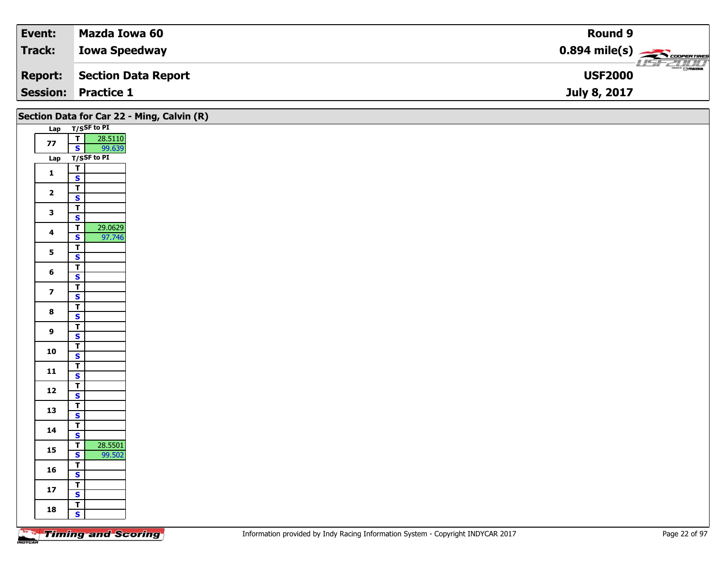| Event:          | Mazda Iowa 60        | Round 9                                                 |
|-----------------|----------------------|---------------------------------------------------------|
| <b>Track:</b>   | <b>Iowa Speedway</b> | $0.894$ mile(s) $\overbrace{\hspace{2cm}}$ coorer Times |
| <b>Report:</b>  | Section Data Report  | $\frac{1}{\Theta}$ mazoa<br><b>USF2000</b>              |
| <b>Session:</b> | <b>Practice 1</b>    | July 8, 2017                                            |

| Section Data for Car 22 - Ming, Calvin (R) |                         |             |
|--------------------------------------------|-------------------------|-------------|
| Lap                                        |                         | T/SSF to PI |
| 77                                         | $\overline{\mathsf{T}}$ | 28.5110     |
|                                            | $\overline{\mathbf{s}}$ | 99.639      |
| Lap                                        |                         | T/SSF to PI |
| $\mathbf 1$                                | $\overline{\mathsf{r}}$ |             |
|                                            | $\overline{\mathbf{s}}$ |             |
| $\mathbf{2}$                               | $\overline{\mathsf{r}}$ |             |
|                                            | $\overline{\mathbf{s}}$ |             |
| 3                                          | T                       |             |
|                                            | $\mathbf{s}$            |             |
| $\overline{\mathbf{4}}$                    | Ŧ                       | 29.0629     |
|                                            | $\overline{\mathbf{s}}$ | 97.746      |
| 5                                          | $\overline{\mathsf{r}}$ |             |
|                                            | $\mathbf{s}$            |             |
| $\bf 6$                                    | T                       |             |
|                                            | $\overline{\mathbf{s}}$ |             |
| $\overline{\mathbf{z}}$                    | $\overline{\mathsf{r}}$ |             |
|                                            | $\mathbf{s}$            |             |
| 8                                          | T                       |             |
|                                            | $\overline{\mathbf{s}}$ |             |
| $\mathbf{9}$                               | ₸                       |             |
|                                            | $\mathbf S$             |             |
| 10                                         | $\overline{\mathsf{r}}$ |             |
|                                            | $\overline{\mathbf{s}}$ |             |
| 11                                         | $\overline{\mathbf{r}}$ |             |
|                                            | $\overline{\mathbf{s}}$ |             |
| 12                                         | $\overline{\mathsf{T}}$ |             |
|                                            | $\overline{\mathbf{s}}$ |             |
| 13                                         | $\overline{\mathsf{r}}$ |             |
|                                            | $\overline{\mathbf{s}}$ |             |
| 14                                         | $\overline{\mathsf{r}}$ |             |
|                                            | $rac{S}{T}$             |             |
| 15                                         |                         | 28.5501     |
|                                            | $\overline{\mathbf{s}}$ | 99.502      |
| 16                                         | $\overline{\mathsf{r}}$ |             |
|                                            | $\overline{\mathbf{s}}$ |             |
| $17$                                       | $\overline{\mathsf{T}}$ |             |
|                                            | $\overline{\mathbf{s}}$ |             |
| 18                                         | T                       |             |
|                                            | $\overline{\mathbf{s}}$ |             |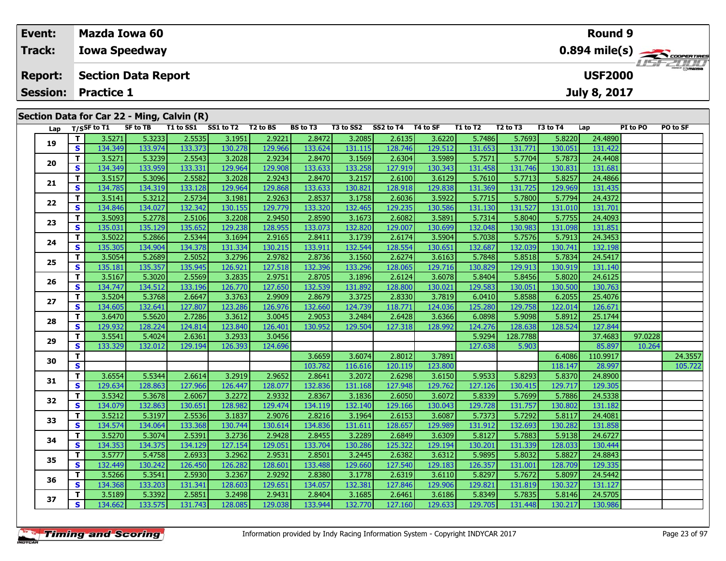| Event:                         |    |                            | Mazda Iowa 60                              |           |           |                      |                 |           |           |                     | Round 9                 |                                  |          |                |          |          |  |
|--------------------------------|----|----------------------------|--------------------------------------------|-----------|-----------|----------------------|-----------------|-----------|-----------|---------------------|-------------------------|----------------------------------|----------|----------------|----------|----------|--|
| Track:<br><b>Iowa Speedway</b> |    |                            |                                            |           |           |                      |                 |           |           |                     | $0.894 \text{ mile(s)}$ |                                  |          |                |          |          |  |
| <b>Report:</b>                 |    |                            | <b>Section Data Report</b>                 |           |           |                      |                 |           |           |                     |                         |                                  |          | <b>USF2000</b> |          |          |  |
|                                |    | <b>Session: Practice 1</b> |                                            |           |           |                      |                 |           |           | <b>July 8, 2017</b> |                         |                                  |          |                |          |          |  |
|                                |    |                            | Section Data for Car 22 - Ming, Calvin (R) |           |           |                      |                 |           |           |                     |                         |                                  |          |                |          |          |  |
|                                |    | Lap $T/S$ SF to T1         | <b>SF to TB</b>                            | T1 to SS1 | SS1 to T2 | T <sub>2</sub> to BS | <b>BS to T3</b> | T3 to SS2 | SS2 to T4 | T4 to SF            | T1 to T2                | T <sub>2</sub> to T <sub>3</sub> | T3 to T4 | Lap            | PI to PO | PO to SF |  |
| 19                             |    | 3.5271                     | 5.3233                                     | 2.5535    | 3.1951    | 2.9221               | 2.8472          | 3.2085    | 2.6135    | 3.6220              | 5.7486                  | 5.7693                           | 5.8220   | 24.4890        |          |          |  |
|                                | S. | 134.349                    | 133.974                                    | 133.373   | 130.278   | 129.966              | 133.624         | 131.115   | 128.746 l | 129.512             | 131.653                 | 131.771                          | 130.051  | 131.422        |          |          |  |

| Lap |    | $T/S$ SF to T1 | <b>SF to TB</b> | T1 to SS1 | SS1 to T2 T2 to BS |         | BS to T3 | T3 to SS2 | SS2 to T4 | T4 to SF | T1 to T2 | T <sub>2</sub> to T <sub>3</sub> | T3 to T4 | Lap      | PI to PO | PO to SF |
|-----|----|----------------|-----------------|-----------|--------------------|---------|----------|-----------|-----------|----------|----------|----------------------------------|----------|----------|----------|----------|
| 19  | T. | 3.5271         | 5.3233          | 2.5535    | 3.1951             | 2.9221  | 2.8472   | 3.2085    | 2.6135    | 3.6220   | 5.7486   | 5.7693                           | 5.8220   | 24.4890  |          |          |
|     | S  | 134.349        | 133.974         | 133.373   | 130.278            | 129.966 | 133.624  | 131.115   | 128.746   | 129.512  | 131.653  | 131.771                          | 130.051  | 131.422  |          |          |
|     | T. | 3.5271         | 5.3239          | 2.5543    | 3.2028             | 2.9234  | 2.8470   | 3.1569    | 2.6304    | 3.5989   | 5.7571   | 5.7704                           | 5.7873   | 24.4408  |          |          |
| 20  | S  | 134.349        | 133.959         | 133.331   | 129.964            | 129.908 | 133.633  | 133.258   | 127.919   | 130.343  | 131.458  | 131.746                          | 130.831  | 131.681  |          |          |
|     | т  | 3.5157         | 5.3096          | 2.5582    | 3.2028             | 2.9243  | 2.8470   | 3.2157    | 2.6100    | 3.6129   | 5.7610   | 5.7713                           | 5.8257   | 24.4866  |          |          |
| 21  | S  | 134.785        | 134.319         | 133.128   | 129.964            | 129.868 | 133.633  | 130.821   | 128.918   | 129.838  | 131.369  | 131.725                          | 129.969  | 131.435  |          |          |
|     | т  | 3.5141         | 5.3212          | 2.5734    | 3.1981             | 2.9263  | 2.8537   | 3.1758    | 2.6036    | 3.5922   | 5.7715   | 5.7800                           | 5.7794   | 24.4372  |          |          |
| 22  | S  | 134.846        | 134.027         | 132.342   | 130.155            | 129.779 | 133.320  | 132.465   | 129.235   | 130.586  | 131.130  | 131.527                          | 131.010  | 131.701  |          |          |
| 23  | т  | 3.5093         | 5.2778          | 2.5106    | 3.2208             | 2.9450  | 2.8590   | 3.1673    | 2.6082    | 3.5891   | 5.7314   | 5.8040                           | 5.7755   | 24.4093  |          |          |
|     | S  | 135.031        | 135.129         | 135.652   | 129.238            | 128.955 | 133.073  | 132.820   | 129.007   | 130.699  | 132.048  | 130.983                          | 131.098  | 131.851  |          |          |
| 24  | т  | 3.5022         | 5.2866          | 2.5344    | 3.1694             | 2.9165  | 2.8411   | 3.1739    | 2.6174    | 3.5904   | 5.7038   | 5.7576                           | 5.7913   | 24.3453  |          |          |
|     | S  | 135.305        | 134.904         | 134.378   | 131.334            | 130.215 | 133.911  | 132.544   | 128.554   | 130.651  | 132.687  | 132.039                          | 130.741  | 132.198  |          |          |
|     | т  | 3.5054         | 5.2689          | 2.5052    | 3.2796             | 2.9782  | 2.8736   | 3.1560    | 2.6274    | 3.6163   | 5.7848   | 5.8518                           | 5.7834   | 24.5417  |          |          |
| 25  | S  | 135.181        | 135.357         | 135.945   | 126.921            | 127.518 | 132.396  | 133.296   | 128.065   | 129.716  | 130.829  | 129.913                          | 130.919  | 131.140  |          |          |
| 26  | т  | 3.5167         | 5.3020          | 2.5569    | 3.2835             | 2.9751  | 2.8705   | 3.1896    | 2.6124    | 3.6078   | 5.8404   | 5.8456                           | 5.8020   | 24.6125  |          |          |
|     | S  | 134.747        | 134.512         | 133.196   | 126.770            | 127.650 | 132.539  | 131.892   | 128.800   | 130.021  | 129.583  | 130.051                          | 130.500  | 130.763  |          |          |
| 27  | T. | 3.5204         | 5.3768          | 2.6647    | 3.3763             | 2.9909  | 2.8679   | 3.3725    | 2.8330    | 3.7819   | 6.0410   | 5.8588                           | 6.2055   | 25.4076  |          |          |
|     | S  | 134.605        | 132.641         | 127.807   | 123.286            | 126.976 | 132.660  | 124.739   | 118.771   | 124.036  | 125.280  | 129.758                          | 122.014  | 126.671  |          |          |
| 28  | т  | 3.6470         | 5.5620          | 2.7286    | 3.3612             | 3.0045  | 2.9053   | 3.2484    | 2.6428    | 3.6366   | 6.0898   | 5.9098                           | 5.8912   | 25.1744  |          |          |
|     | S  | 129.932        | 128.224         | 124.814   | 123.840            | 126.401 | 130.952  | 129.504   | 127.318   | 128.992  | 124.276  | 128.638                          | 128.524  | 127.844  |          |          |
| 29  | т  | 3.5541         | 5.4024          | 2.6361    | 3.2933             | 3.0456  |          |           |           |          | 5.9294   | 128.7788                         |          | 37.4683  | 97.0228  |          |
|     | S  | 133.329        | 132.012         | 129.194   | 126.393            | 124.696 |          |           |           |          | 127.638  | 5.903                            |          | 85.897   | 10.264   |          |
| 30  | т  |                |                 |           |                    |         | 3.6659   | 3.6074    | 2.8012    | 3.7891   |          |                                  | 6.4086   | 110.9917 |          | 24.3557  |
|     | S. |                |                 |           |                    |         | 103.782  | 116.616   | 120.119   | 123.800  |          |                                  | 118.147  | 28.997   |          | 105.722  |
| 31  | т  | 3.6554         | 5.5344          | 2.6614    | 3.2919             | 2.9652  | 2.8641   | 3.2072    | 2.6298    | 3.6150   | 5.9533   | 5.8293                           | 5.8370   | 24.8900  |          |          |
|     | S  | 129.634        | 128.863         | 127.966   | 126.447            | 128.077 | 132.836  | 131.168   | 127.948   | 129.762  | 127.126  | 130.415                          | 129.717  | 129.305  |          |          |
| 32  | T. | 3.5342         | 5.3678          | 2.6067    | 3.2272             | 2.9332  | 2.8367   | 3.1836    | 2.6050    | 3.6072   | 5.8339   | 5.7699                           | 5.7886   | 24.5338  |          |          |
|     | S  | 134.079        | 132.863         | 130.651   | 128.982            | 129.474 | 134.119  | 132.140   | 129.166   | 130.043  | 129.728  | 131.757                          | 130.802  | 131.182  |          |          |
| 33  | т  | 3.5212         | 5.3197          | 2.5536    | 3.1837             | 2.9076  | 2.8216   | 3.1964    | 2.6153    | 3.6087   | 5.7373   | 5.7292                           | 5.8117   | 24.4081  |          |          |
|     | S  | 134.574        | 134.064         | 133.368   | 130.744            | 130.614 | 134.836  | 131.611   | 128.657   | 129.989  | 131.912  | 132.693                          | 130.282  | 131.858  |          |          |
| 34  | т  | 3.5270         | 5.3074          | 2.5391    | 3.2736             | 2.9428  | 2.8455   | 3.2289    | 2.6849    | 3.6309   | 5.8127   | 5.7883                           | 5.9138   | 24.6727  |          |          |
|     | S  | 134.353        | 134.375         | 134.129   | 127.154            | 129.051 | 133.704  | 130.286   | 125.322   | 129.194  | 130.201  | 131.339                          | 128.033  | 130.444  |          |          |
| 35  | т  | 3.5777         | 5.4758          | 2.6933    | 3.2962             | 2.9531  | 2.8501   | 3.2445    | 2.6382    | 3.6312   | 5.9895   | 5.8032                           | 5.8827   | 24.8843  |          |          |
|     | S  | 132.449        | 130.242         | 126.450   | 126.282            | 128.601 | 133.488  | 129.660   | 127.540   | 129.183  | 126.357  | 131.001                          | 128.709  | 129.335  |          |          |
| 36  | т  | 3.5266         | 5.3541          | 2.5930    | 3.2367             | 2.9292  | 2.8380   | 3.1778    | 2.6319    | 3.6110   | 5.8297   | 5.7672                           | 5.8097   | 24.5442  |          |          |
|     | S  | 134.368        | 133.203         | 131.341   | 128.603            | 129.651 | 134.057  | 132.381   | 127.846   | 129.906  | 129.821  | 131.819                          | 130.327  | 131.127  |          |          |
| 37  | т  | 3.5189         | 5.3392          | 2.5851    | 3.2498             | 2.9431  | 2.8404   | 3.1685    | 2.6461    | 3.6186   | 5.8349   | 5.7835                           | 5.8146   | 24.5705  |          |          |
|     | S  | 134.662        | 133.575         | 131.743   | 128.085            | 129.038 | 133.944  | 132.770   | 127.160   | 129.633  | 129.705  | 131.448                          | 130.217  | 130.986  |          |          |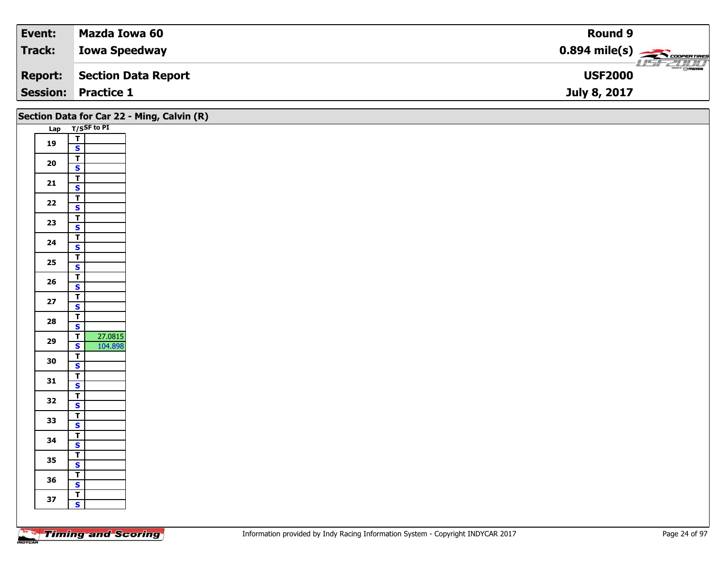| Event:         | Mazda Iowa 60              | <b>Round 9</b>                                         |
|----------------|----------------------------|--------------------------------------------------------|
| Track:         | <b>Iowa Speedway</b>       | $0.894$ mile(s) $\overbrace{\hspace{2cm}}$ COOPERTIRES |
| <b>Report:</b> | Section Data Report        | $\frac{1}{\odot}$ mazoa<br><b>USF2000</b>              |
|                | <b>Session: Practice 1</b> | July 8, 2017                                           |

| Lap T/SSF to PI<br>$\frac{1}{s}$<br>19                     |  |
|------------------------------------------------------------|--|
|                                                            |  |
|                                                            |  |
|                                                            |  |
| $\overline{\mathbf{T}}$<br>20                              |  |
| $\overline{\mathbf{s}}$                                    |  |
| $\overline{\mathbf{r}}$<br>21                              |  |
| $\overline{\mathbf{s}}$                                    |  |
| $\overline{\mathbf{T}}$<br>$22$<br>$\overline{\mathbf{s}}$ |  |
| $\overline{1}$                                             |  |
| 23<br>$\overline{\mathbf{s}}$                              |  |
|                                                            |  |
| $\frac{1}{s}$<br>24                                        |  |
| $\overline{\mathbf{I}}$                                    |  |
| 25<br>$\mathbf{s}$                                         |  |
| $\overline{\mathbf{r}}$<br>26                              |  |
| $\mathbf{s}$                                               |  |
| $\overline{\mathbf{T}}$<br>$27$                            |  |
| $\mathsf{s}$                                               |  |
| $rac{1}{s}$<br>28                                          |  |
| 27.0815<br>$\overline{I}$                                  |  |
| 29<br>$\overline{\mathbf{s}}$<br>104.898                   |  |
|                                                            |  |
| $\frac{1}{s}$<br>30                                        |  |
| $\overline{I}$<br>31                                       |  |
| $\mathbf{s}$                                               |  |
| $\overline{\mathsf{T}}$<br>32                              |  |
| $\mathbf{s}$                                               |  |
| $\overline{\mathbf{r}}$<br>33<br>$\overline{\mathbf{s}}$   |  |
|                                                            |  |
| $rac{1}{s}$<br>34                                          |  |
|                                                            |  |
| $\frac{1}{s}$<br>35                                        |  |
| 36                                                         |  |
| $\frac{1}{s}$                                              |  |
| $\overline{\mathsf{r}}$<br>37                              |  |
| $\mathbf{s}$                                               |  |
|                                                            |  |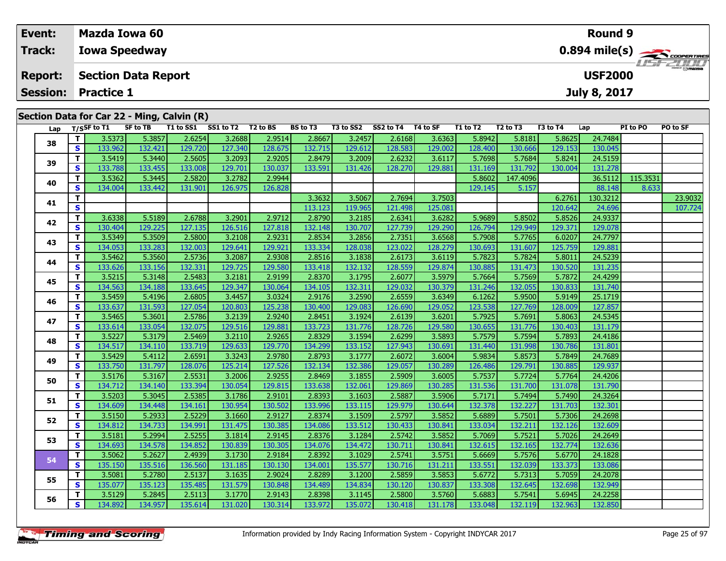| Event:         |                                                             |                      | <b>Mazda Iowa 60</b>                                          |           |           |                      |                 |           |           |          |          | <b>Round 9</b>                   |                                                                |         |          |          |  |  |
|----------------|-------------------------------------------------------------|----------------------|---------------------------------------------------------------|-----------|-----------|----------------------|-----------------|-----------|-----------|----------|----------|----------------------------------|----------------------------------------------------------------|---------|----------|----------|--|--|
| Track:         |                                                             | <b>Iowa Speedway</b> |                                                               |           |           |                      |                 |           |           |          |          |                                  | $0.894$ mile(s) $\rightarrow$ Coorga Tines<br><b>LIST 2000</b> |         |          |          |  |  |
| <b>Report:</b> | <b>Section Data Report</b><br><b>Practice 1</b><br>Session: |                      |                                                               |           |           |                      |                 |           |           |          |          | <b>USF2000</b><br>July 8, 2017   |                                                                |         |          |          |  |  |
| Lap            |                                                             | T/SSF to T1          | Section Data for Car 22 - Ming, Calvin (R)<br><b>SF to TB</b> | T1 to SS1 | SS1 to T2 | T <sub>2</sub> to BS | <b>BS</b> to T3 | T3 to SS2 | SS2 to T4 | T4 to SF | T1 to T2 | T <sub>2</sub> to T <sub>3</sub> | T3 to T4                                                       | Lap     | PI to PO | PO to SF |  |  |
|                |                                                             | 3.5373               | 5.3857                                                        | 2.6254    | 3.2688    | 2.9514               | 2.8667          | 3.2457    | 2.6168    | 3.6363   | 5.8942   | 5.8181                           | 5.8625                                                         | 24.7484 |          |          |  |  |
| 38             |                                                             | 133.962              | 132.421                                                       | 129.720   | 127.340   | 128.675              | 132.715         | 129.6121  | 128.583   | 129,002  | 128,400  | 130.666                          | 129.153                                                        | 130.045 |          |          |  |  |

**<sup>T</sup>** 3.5419 5.3440 2.5605 3.2093 2.9205 2.8479 3.2009 2.6232 3.6117 5.7698 5.7684 5.8241 24.5159 **<sup>S</sup>** 133.788 133.455 133.008 129.701 130.037 133.591 131.426 128.270 129.881 131.169 131.792 130.004 131.278

**<sup>T</sup>** 3.6338 5.5189 2.6788 3.2901 2.9712 2.8790 3.2185 2.6341 3.6282 5.9689 5.8502 5.8526 24.9337 **<sup>S</sup>** 130.404 129.225 127.135 126.516 127.818 132.148 130.707 127.739 129.290 126.794 129.949 129.371 129.078

**<sup>T</sup>** 3.5349 5.3509 2.5800 3.2108 2.9231 2.8534 3.2856 2.7351 3.6568 5.7908 5.7765 6.0207 24.7797 **<sup>S</sup>** 134.053 133.283 132.003 129.641 129.921 133.334 128.038 123.022 128.279 130.693 131.607 125.759 129.881

**<sup>T</sup>** 3.5462 5.3560 2.5736 3.2087 2.9308 2.8516 3.1838 2.6173 3.6119 5.7823 5.7824 5.8011 24.5239 **<sup>S</sup>** 133.626 133.156 132.331 129.725 129.580 133.418 132.132 128.559 129.874 130.885 131.473 130.520 131.235

**<sup>T</sup>** 3.5215 5.3148 2.5483 3.2181 2.9199 2.8370 3.1795 2.6077 3.5979 5.7664 5.7569 5.7872 24.4299 **<sup>S</sup>** 134.563 134.188 133.645 129.347 130.064 134.105 132.311 129.032 130.379 131.246 132.055 130.833 131.740

**<sup>T</sup>** 3.5459 5.4196 2.6805 3.4457 3.0324 2.9176 3.2590 2.6559 3.6349 6.1262 5.9500 5.9149 25.1719 **<sup>S</sup>** 133.637 131.593 127.054 120.803 125.238 130.400 129.083 126.690 129.052 123.538 127.769 128.009 127.857

**<sup>T</sup>** 3.5465 5.3601 2.5786 3.2139 2.9240 2.8451 3.1924 2.6139 3.6201 5.7925 5.7691 5.8063 24.5345 **<sup>S</sup>** 133.614 133.054 132.075 129.516 129.881 133.723 131.776 128.726 129.580 130.655 131.776 130.403 131.179

**<sup>T</sup>** 3.5227 5.3179 2.5469 3.2110 2.9265 2.8329 3.1594 2.6299 3.5893 5.7579 5.7594 5.7893 24.4186 **<sup>S</sup>** 134.517 134.110 133.719 129.633 129.770 134.299 133.152 127.943 130.691 131.440 131.998 130.786 131.801

**<sup>T</sup>** 3.5429 5.4112 2.6591 3.3243 2.9780 2.8793 3.1777 2.6072 3.6004 5.9834 5.8573 5.7849 24.7689 **<sup>S</sup>** 133.750 131.797 128.076 125.214 127.526 132.134 132.386 129.057 130.289 126.486 129.791 130.885 129.937

**<sup>T</sup>** 3.5176 5.3167 2.5531 3.2006 2.9255 2.8469 3.1855 2.5909 3.6005 5.7537 5.7724 5.7764 24.4206 **<sup>S</sup>** 134.712 134.140 133.394 130.054 129.815 133.638 132.061 129.869 130.285 131.536 131.700 131.078 131.790

**<sup>T</sup>** 3.5203 5.3045 2.5385 3.1786 2.9101 2.8393 3.1603 2.5887 3.5906 5.7171 5.7494 5.7490 24.3264 **<sup>S</sup>** 134.609 134.448 134.161 130.954 130.502 133.996 133.115 129.979 130.644 132.378 132.227 131.703 132.301

**<sup>T</sup>** 3.5150 5.2933 2.5229 3.1660 2.9127 2.8374 3.1509 2.5797 3.5852 5.6889 5.7501 5.7306 24.2698 **<sup>S</sup>** 134.812 134.733 134.991 131.475 130.385 134.086 133.512 130.433 130.841 133.034 132.211 132.126 132.609

**<sup>T</sup>** 3.5181 5.2994 2.5255 3.1814 2.9145 2.8376 3.1284 2.5742 3.5852 5.7069 5.7521 5.7026 24.2649 **<sup>S</sup>** 134.693 134.578 134.852 130.839 130.305 134.076 134.472 130.711 130.841 132.615 132.165 132.774 132.636

**<sup>T</sup>** 3.5062 5.2627 2.4939 3.1730 2.9184 2.8392 3.1029 2.5741 3.5751 5.6669 5.7576 5.6770 24.1828 **<sup>S</sup>** 135.150 135.516 136.560 131.185 130.130 134.001 135.577 130.716 131.211 133.551 132.039 133.373 133.086

**<sup>T</sup>** 3.5081 5.2780 2.5137 3.1635 2.9024 2.8289 3.1200 2.5859 3.5853 5.6772 5.7313 5.7059 24.2078 **<sup>S</sup>** 135.077 135.123 135.485 131.579 130.848 134.489 134.834 130.120 130.837 133.308 132.645 132.698 132.949

**<sup>T</sup>** 3.5129 5.2845 2.5113 3.1770 2.9143 2.8398 3.1145 2.5800 3.5760 5.6883 5.7541 5.6945 24.2258 **<sup>S</sup>** 134.892 134.957 135.614 131.020 130.314 133.972 135.072 130.418 131.178 133.048 132.119 132.963 132.850

**0 T** 3.5362 5.3445 2.5820 3.2782 2.9944 13.2782 - 1 1 5.8602 147.4096 36.5112 115.3531 115.3531 115.3531 126.975 1<br>I 129.145 5.157 134.004 133.442 131.901 126.975 126.828 129.145 129.145 5.157 1 88.148 8.633

**<sup>T</sup>** 3.3632 3.5067 2.7694 3.7503 6.2761 130.3212 23.9032 **<sup>S</sup>** 113.123 119.965 121.498 125.081 120.642 24.696 107.724

|  |  | <b>Timing and Scoring</b> |
|--|--|---------------------------|
|  |  |                           |

**39**

**40**

**41**

**42**

**43**

**44**

**45**

**46**

**47**

**48**

**49**

**50**

**51**

**52**

**53**

**54**

**55**

**56**

107.724

131.235

127.857

129.937

132.301

133.086

132.949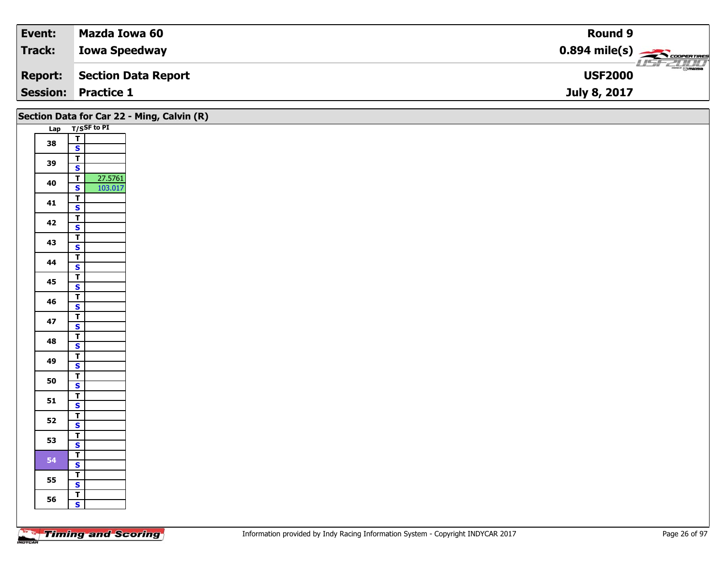| Event:          | Mazda Iowa 60        | Round 9                                                 |
|-----------------|----------------------|---------------------------------------------------------|
| <b>Track:</b>   | <b>Iowa Speedway</b> | $0.894$ mile(s) $\overbrace{\hspace{2cm}}$ coorer Times |
| <b>Report:</b>  | Section Data Report  | $\frac{1}{\Theta}$ mazoa<br><b>USF2000</b>              |
| <b>Session:</b> | <b>Practice 1</b>    | July 8, 2017                                            |

|    | Section Data for Car 22 - Ming, Calvin (R) |  |  |  |
|----|--------------------------------------------|--|--|--|
|    | Lap T/SSF to PI                            |  |  |  |
| 38 | $\frac{1}{s}$                              |  |  |  |
|    |                                            |  |  |  |
| 39 | $\mathbf{r}$<br>$\overline{\mathbf{s}}$    |  |  |  |
|    | 27.5761<br>$\overline{T}$                  |  |  |  |
| 40 | 103.017<br>$\overline{\mathbf{s}}$         |  |  |  |
|    | $\overline{t}$                             |  |  |  |
| 41 | $\mathbf{s}$                               |  |  |  |
| 42 | $\overline{1}$                             |  |  |  |
|    | $\overline{\mathbf{s}}$                    |  |  |  |
| 43 | $\overline{I}$                             |  |  |  |
|    | $\mathbf{s}$<br>$\mathbf{I}$               |  |  |  |
| 44 | $\overline{\mathbf{s}}$                    |  |  |  |
|    | $\overline{t}$                             |  |  |  |
| 45 | $\overline{\mathbf{s}}$                    |  |  |  |
| 46 | $\overline{\mathsf{T}}$                    |  |  |  |
|    | $\mathbf{s}$                               |  |  |  |
| 47 | $\overline{r}$<br>$\overline{\mathbf{s}}$  |  |  |  |
|    | $\mathbf{T}$                               |  |  |  |
| 48 | $\mathbf{s}$                               |  |  |  |
| 49 | $\mathbf{I}$                               |  |  |  |
|    | $\mathbf{s}$                               |  |  |  |
| 50 | $\overline{\mathsf{r}}$                    |  |  |  |
|    | $\mathbf{s}$<br>$\overline{\mathsf{T}}$    |  |  |  |
| 51 | $\mathbf{s}$                               |  |  |  |
|    | $\overline{1}$                             |  |  |  |
| 52 | $\overline{\mathbf{s}}$                    |  |  |  |
| 53 | $\overline{I}$                             |  |  |  |
|    | $\mathbf{s}$                               |  |  |  |
| 54 | $\mathbf{T}$<br>$\mathbf{s}$               |  |  |  |
|    | $\overline{\mathsf{T}}$                    |  |  |  |
| 55 | $\mathbf{s}$                               |  |  |  |
| 56 | $\overline{r}$                             |  |  |  |
|    | $\mathbf{s}$                               |  |  |  |
|    |                                            |  |  |  |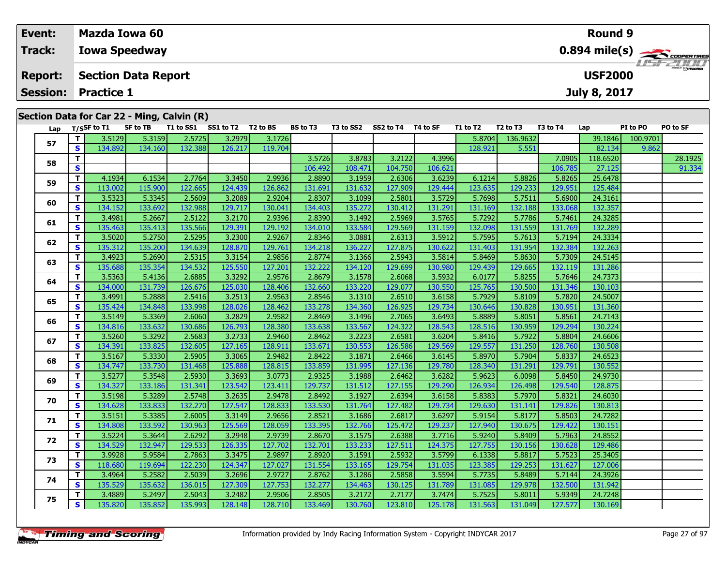### **Event: Mazda Iowa 60Round 90.894 mile(s) Track:Iowa Speedway** usrzumo **Report: Section Data Report USF2000July 8, 2017 Session: Practice 1Section Data for Car 22 - Ming, Calvin (R)** Lap T/S<sup>SF</sup> to T1 SF to TB T1 to SS1 SS1 to T2 T2 to BS BS to T3 T3 to SS2 SS2 to T4 T4 to SF T1 to T2 T2 to T3 T3 to T4 Lap PI to PO PO to SF **<sup>T</sup>** 3.5129 5.3159 2.5725 3.2979 3.1726 5.8704 136.9632 39.1846 100.9701 **<sup>S</sup>** 134.892 134.160 132.388 126.217 119.704 128.921 5.551 82.134 9.862

**T 3.5726 3.8783 3.2122 4.3996 7.0905 118.6520 28.1925 108.1926 8 3.2122 108.471 104.750 106.621 106.781 106.785 27.125 106.785 27.125 91.334** 

**<sup>T</sup>** 4.1934 6.1534 2.7764 3.3450 2.9936 2.8890 3.1959 2.6306 3.6239 6.1214 5.8826 5.8265 25.6478 **<sup>S</sup>** 113.002 115.900 122.665 124.439 126.862 131.691 131.632 127.909 129.444 123.635 129.233 129.951 125.484

**<sup>T</sup>** 3.5323 5.3345 2.5609 3.2089 2.9204 2.8307 3.1099 2.5801 3.5729 5.7698 5.7511 5.6900 24.3161 **<sup>S</sup>** 134.152 133.692 132.988 129.717 130.041 134.403 135.272 130.412 131.291 131.169 132.188 133.068 132.357

**<sup>T</sup>** 3.4981 5.2667 2.5122 3.2170 2.9396 2.8390 3.1492 2.5969 3.5765 5.7292 5.7786 5.7461 24.3285 **<sup>S</sup>** 135.463 135.413 135.566 129.391 129.192 134.010 133.584 129.569 131.159 132.098 131.559 131.769 132.289

**<sup>T</sup>** 3.5020 5.2750 2.5295 3.2300 2.9267 2.8346 3.0881 2.6313 3.5912 5.7595 5.7613 5.7194 24.3334 **<sup>S</sup>** 135.312 135.200 134.639 128.870 129.761 134.218 136.227 127.875 130.622 131.403 131.954 132.384 132.263

**<sup>T</sup>** 3.4923 5.2690 2.5315 3.3154 2.9856 2.8774 3.1366 2.5943 3.5814 5.8469 5.8630 5.7309 24.5145 **<sup>S</sup>** 135.688 135.354 134.532 125.550 127.201 132.222 134.120 129.699 130.980 129.439 129.665 132.119 131.286

**<sup>T</sup>** 3.5363 5.4136 2.6885 3.3292 2.9576 2.8679 3.1578 2.6068 3.5932 6.0177 5.8255 5.7646 24.7373 **<sup>S</sup>** 134.000 131.739 126.676 125.030 128.406 132.660 133.220 129.077 130.550 125.765 130.500 131.346 130.103

**<sup>T</sup>** 3.4991 5.2888 2.5416 3.2513 2.9563 2.8546 3.1310 2.6510 3.6158 5.7929 5.8109 5.7820 24.5007 **<sup>S</sup>** 135.424 134.848 133.998 128.026 128.462 133.278 134.360 126.925 129.734 130.646 130.828 130.951 131.360

**<sup>T</sup>** 3.5149 5.3369 2.6060 3.2829 2.9582 2.8469 3.1496 2.7065 3.6493 5.8889 5.8051 5.8561 24.7143 **<sup>S</sup>** 134.816 133.632 130.686 126.793 128.380 133.638 133.567 124.322 128.543 128.516 130.959 129.294 130.224

**<sup>T</sup>** 3.5260 5.3292 2.5683 3.2733 2.9460 2.8462 3.2223 2.6581 3.6204 5.8416 5.7922 5.8804 24.6606 **<sup>S</sup>** 134.391 133.825 132.605 127.165 128.911 133.671 130.553 126.586 129.569 129.557 131.250 128.760 130.508

**<sup>T</sup>** 3.5167 5.3330 2.5905 3.3065 2.9482 2.8422 3.1871 2.6466 3.6145 5.8970 5.7904 5.8337 24.6523 **<sup>S</sup>** 134.747 133.730 131.468 125.888 128.815 133.859 131.995 127.136 129.780 128.340 131.291 129.791 130.552

**<sup>T</sup>** 3.5277 5.3548 2.5930 3.3693 3.0773 2.9325 3.1988 2.6462 3.6282 5.9623 6.0098 5.8450 24.9730 **<sup>S</sup>** 134.327 133.186 131.341 123.542 123.411 129.737 131.512 127.155 129.290 126.934 126.498 129.540 128.875

**0 T|** 3.5198| 5.3289| 2.5748| 3.2635| 2.9478| 2.8492| 3.1927| 2.6394| 3.6158| 5.8383| 5.7970| 5.8321| 24.6030<br>| S| 134.628| 133.833| 132.270| 127.547| 128.833| 133.530| 131.764| 127.482| 129.734| 129.630| 131.141| 129.826

**<sup>T</sup>** 3.5151 5.3385 2.6005 3.3149 2.9656 2.8521 3.1686 2.6817 3.6297 5.9154 5.8177 5.8503 24.7282 **<sup>S</sup>** 134.808 133.592 130.963 125.569 128.059 133.395 132.766 125.472 129.237 127.940 130.675 129.422 130.151

**<sup>T</sup>** 3.5224 5.3644 2.6292 3.2948 2.9739 2.8670 3.1575 2.6388 3.7716 5.9240 5.8409 5.7963 24.8552 **<sup>S</sup>** 134.529 132.947 129.533 126.335 127.702 132.701 133.233 127.511 124.375 127.755 130.156 130.628 129.486

**<sup>T</sup>** 3.9928 5.9584 2.7863 3.3475 2.9897 2.8920 3.1591 2.5932 3.5799 6.1338 5.8817 5.7523 25.3405 **<sup>S</sup>** 118.680 119.694 122.230 124.347 127.027 131.554 133.165 129.754 131.035 123.385 129.253 131.627 127.006

**<sup>T</sup>** 3.4964 5.2582 2.5039 3.2696 2.9727 2.8762 3.1286 2.5858 3.5594 5.7735 5.8489 5.7144 24.3926 **<sup>S</sup>** 135.529 135.632 136.015 127.309 127.753 132.277 134.463 130.125 131.789 131.085 129.978 132.500 131.942

**<sup>T</sup>** 3.4889 5.2497 2.5043 3.2482 2.9506 2.8505 3.2172 2.7177 3.7474 5.7525 5.8011 5.9349 24.7248 **<sup>S</sup>** 135.820 135.852 135.993 128.148 128.710 133.469 130.760 123.810 125.178 131.563 131.049 127.577 130.169

| <b>Timing and Scoring</b> |  |
|---------------------------|--|
|---------------------------|--|

**57**

**58**

**59**

**60**

**61**

**62**

**63**

**64**

**65**

**66**

**67**

**68**

**69**

**70**

**71**

**72**

**73**

**74**

**75**

132.357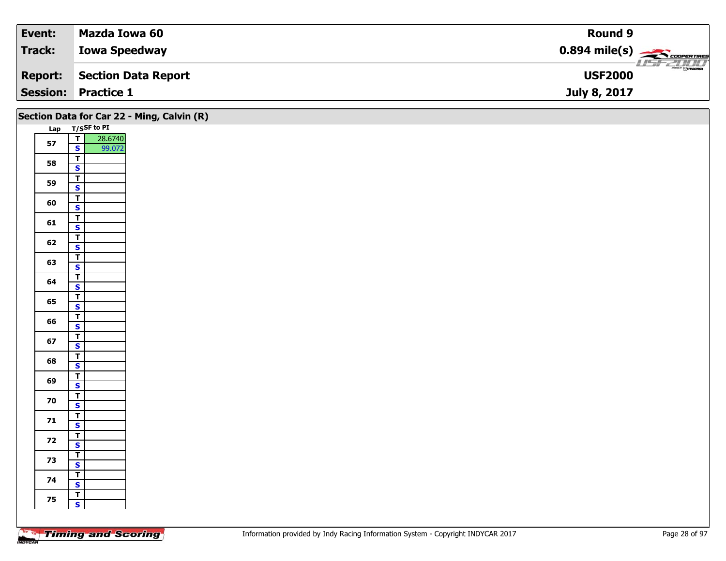| Event:  | Mazda Iowa 60              | Round 9                                |
|---------|----------------------------|----------------------------------------|
| Track:  | <b>Iowa Speedway</b>       | $0.894$ mile(s) $\frac{1}{2}$          |
| Report: | Section Data Report        | $\frac{1}{\sqrt{2}}$<br><b>USF2000</b> |
|         | <b>Session: Practice 1</b> | July 8, 2017                           |

|    |                                                              | Section Data for Car 22 - Ming, Calvin (R) |
|----|--------------------------------------------------------------|--------------------------------------------|
|    | Lap T/SSF to PI                                              |                                            |
| 57 | $\overline{\mathbf{T}}$<br>28.6740<br>$\mathbf{s}$<br>99.072 |                                            |
| 58 | $\overline{t}$<br>$\overline{\mathbf{s}}$                    |                                            |
| 59 | $\overline{1}$<br>$\mathbf{s}$                               |                                            |
| 60 | $\overline{\mathsf{T}}$<br>$\mathbf{s}$                      |                                            |
| 61 | $\overline{\mathsf{T}}$                                      |                                            |
| 62 | $\overline{\mathbf{s}}$<br>$\overline{1}$                    |                                            |
|    | $\mathsf{s}$<br>$\overline{\mathbf{T}}$                      |                                            |
| 63 | $\mathbf{s}$<br>$\overline{\mathbf{r}}$                      |                                            |
| 64 | $\overline{\mathbf{s}}$                                      |                                            |
| 65 | $\overline{\mathsf{T}}$<br>$\mathbf{s}$                      |                                            |
| 66 | $\overline{1}$<br>$\overline{\mathbf{s}}$                    |                                            |
| 67 | $\overline{\mathbf{r}}$<br>$\mathsf{s}$                      |                                            |
| 68 | $\frac{1}{s}$                                                |                                            |
| 69 | $\overline{\mathbf{r}}$                                      |                                            |
| 70 | $\overline{\mathbf{s}}$<br>$\overline{\mathsf{T}}$           |                                            |
| 71 | $\mathsf{s}$<br>$rac{T}{s}$                                  |                                            |
|    | $\overline{\mathbf{r}}$                                      |                                            |
| 72 | $\overline{\mathbf{s}}$<br>$\overline{1}$                    |                                            |
| 73 | $\mathbf{s}$                                                 |                                            |
| 74 | $\overline{1}$<br>$\overline{\mathbf{s}}$                    |                                            |
| 75 | $\overline{\mathsf{r}}$<br>$\mathbf{s}$                      |                                            |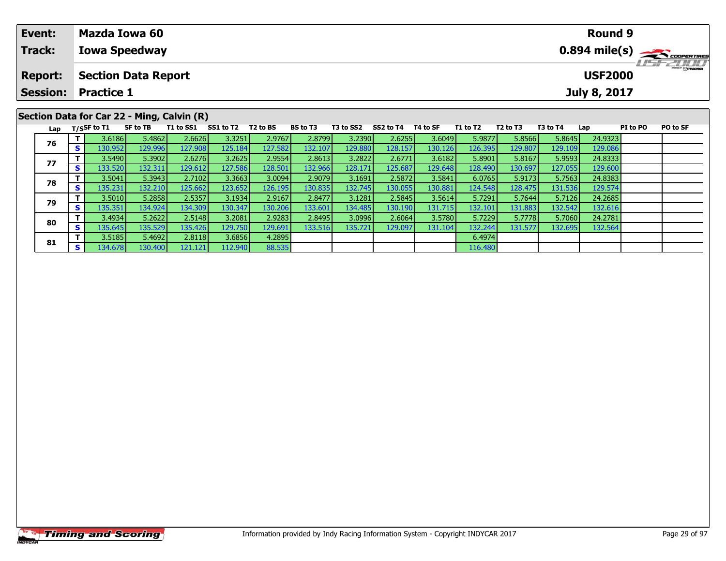| Event:                                     | <b>Mazda Iowa 60</b>                                                                                                                                                                                                                                                                      | Round 9                                               |          |  |  |  |  |  |  |  |  |
|--------------------------------------------|-------------------------------------------------------------------------------------------------------------------------------------------------------------------------------------------------------------------------------------------------------------------------------------------|-------------------------------------------------------|----------|--|--|--|--|--|--|--|--|
| <b>Track:</b>                              | <b>Iowa Speedway</b>                                                                                                                                                                                                                                                                      | $0.894$ mile(s) $\overbrace{\hspace{2cm}}$ coorgaines |          |  |  |  |  |  |  |  |  |
| <b>Report:</b>                             | <b>LISF 2000</b><br><b>USF2000</b><br><b>Section Data Report</b>                                                                                                                                                                                                                          |                                                       |          |  |  |  |  |  |  |  |  |
| <b>Session:</b>                            | Practice 1                                                                                                                                                                                                                                                                                | July 8, 2017                                          |          |  |  |  |  |  |  |  |  |
| Section Data for Car 22 - Ming, Calvin (R) |                                                                                                                                                                                                                                                                                           |                                                       |          |  |  |  |  |  |  |  |  |
|                                            | SS1 to T2<br>T1 to SS1<br>T2 to BS<br><b>BS to T3</b><br>T3 to SS2<br>SS2 to T4<br>T4 to SF<br>T1 to T2<br>T <sub>2</sub> to T <sub>3</sub><br>Lap $T/S$ SF to $\overline{11}$<br>SF to TB<br>a secolul al<br>case accel accelerate accel<br>agaal agaal agaal agaal agaal agaal a<br>- 1 | PI to PO<br>T3 to T4<br>Lap<br>$    -$                | PO to SF |  |  |  |  |  |  |  |  |

| 76 |     | 3.6186  | 5.4862  | 2.6626  | 3.3251  | 2.9767  | 2.8799  | 3.2390  | 2.6255  | 3.6049  | 5.9877  | 5.8566  | 5.8645  | 24.9323 |  |
|----|-----|---------|---------|---------|---------|---------|---------|---------|---------|---------|---------|---------|---------|---------|--|
|    |     | 130.952 | 129.996 | 127.908 | 125.184 | 127.582 | 132.107 | 129.880 | 128.157 | 130.126 | 126.395 | 129.807 | 129.109 | 129.086 |  |
| 77 |     | 3.5490  | 5.3902  | 2.6276  | 3.2625  | 2.9554  | 2.8613  | 3.2822  | 2.6771  | 3.6182  | 5.8901  | 5.8167  | 5.9593  | 24.8333 |  |
|    |     | 133.520 | 132.311 | 129.612 | 127.586 | 128.501 | 132.966 | 128.171 | 125.687 | 129.648 | 128.490 | 130.697 | 127.055 | 129.600 |  |
| 78 |     | 3.5041  | 5.3943  | 2.7102  | 3.3663  | 3.0094  | 2.9079  | 3.1691  | 2.5872V | 3.5841  | 6.0765  | 5.9173  | 5.7563  | 24.8383 |  |
|    |     | 135.231 | 132.210 | 125.662 | 123.652 | 126.195 | 130.835 | 132.745 | 130.055 | 130.881 | 124.548 | 128.475 | 131.536 | 129.574 |  |
| 79 |     | 3.5010  | 5.2858  | 2.5357  | 3.1934  | 2.9167  | 2.8477  | 3.1281  | 2.5845  | 3.5614  | 5.7291  | 5.7644  | 5.7126  | 24.2685 |  |
|    |     | 135.351 | 134.924 | 134.309 | 130.347 | 130.206 | 133.601 | 134.485 | 130.190 | 131.715 | 132.101 | 131.883 | 132.542 | 132.616 |  |
| 80 |     | 3.4934  | 5.2622  | 2.5148  | 3.2081  | 2.9283  | 2.8495  | 3.0996  | 2.6064  | 3.5780  | 5.7229  | 5.7778  | 5.7060  | 24.2781 |  |
|    | s l | 135.645 | 135.529 | 135.426 | 129.750 | 129.691 | 133.516 | 135.721 | 129.097 | 131.104 | 132.244 | 131.577 | 132.695 | 132.564 |  |
| 81 |     | 3.5185  | 5.4692  | 2.8118  | 3.6856  | 4.2895  |         |         |         |         | 6.4974  |         |         |         |  |
|    | S l | 134.678 | 130.400 | 121.121 | 112.940 | 88.535  |         |         |         |         | 116.480 |         |         |         |  |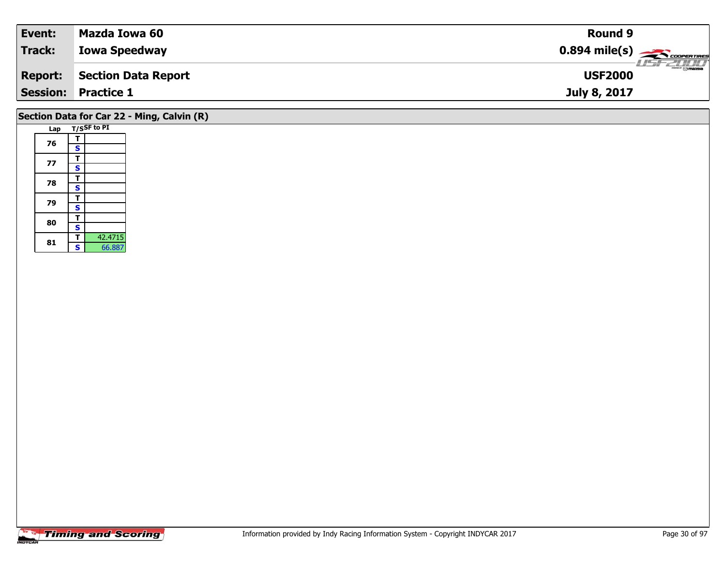| Event:         | Mazda Iowa 60              | <b>Round 9</b>                                                                                                                                                                                                                                                                                                                                                                                                                                                                                    |  |
|----------------|----------------------------|---------------------------------------------------------------------------------------------------------------------------------------------------------------------------------------------------------------------------------------------------------------------------------------------------------------------------------------------------------------------------------------------------------------------------------------------------------------------------------------------------|--|
| Track:         | <b>Iowa Speedway</b>       | $0.894$ mile(s) $\overbrace{\hspace{2cm}}$ coorentines                                                                                                                                                                                                                                                                                                                                                                                                                                            |  |
| <b>Report:</b> | Section Data Report        | $\overline{\phantom{a}}$ $\overline{\phantom{a}}$ $\overline{\phantom{a}}$ $\overline{\phantom{a}}$ $\overline{\phantom{a}}$ $\overline{\phantom{a}}$ $\overline{\phantom{a}}$ $\overline{\phantom{a}}$ $\overline{\phantom{a}}$ $\overline{\phantom{a}}$ $\overline{\phantom{a}}$ $\overline{\phantom{a}}$ $\overline{\phantom{a}}$ $\overline{\phantom{a}}$ $\overline{\phantom{a}}$ $\overline{\phantom{a}}$ $\overline{\phantom{a}}$ $\overline{\phantom{a}}$ $\overline{\$<br><b>USF2000</b> |  |
|                | <b>Session: Practice 1</b> | July 8, 2017                                                                                                                                                                                                                                                                                                                                                                                                                                                                                      |  |
|                |                            |                                                                                                                                                                                                                                                                                                                                                                                                                                                                                                   |  |

# **Section Data for Car 22 - Ming, Calvin (R)**

|  | Lap |                         | T/SSF to PI |
|--|-----|-------------------------|-------------|
|  |     | т                       |             |
|  | 76  | S                       |             |
|  |     | т                       |             |
|  | 77  | S                       |             |
|  |     | T                       |             |
|  | 78  | $\overline{\mathbf{s}}$ |             |
|  |     | т                       |             |
|  | 79  | S                       |             |
|  | 80  | т                       |             |
|  |     | S                       |             |
|  |     | т                       | 42.4715     |
|  | 81  | Ŝ                       | 66.887      |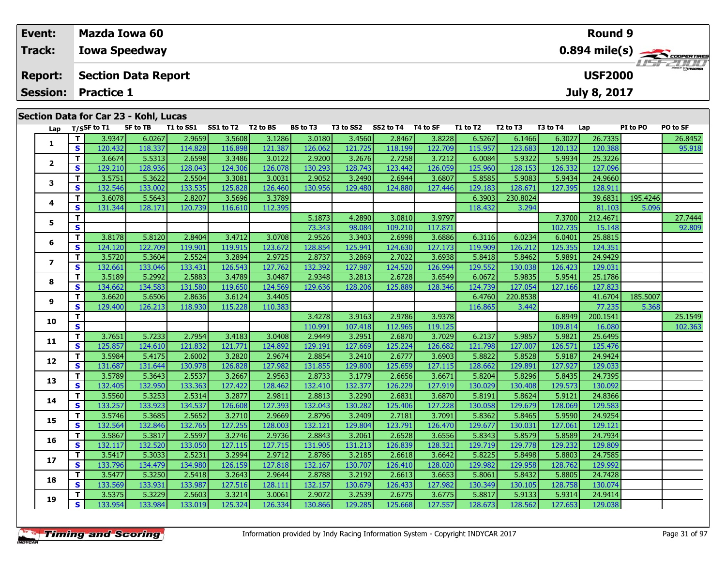| Event:         |     |                                              | Mazda Iowa 60 |                                                                                                                             |           |          |                 |           |           |          |          |                         |          | <b>Round 9</b> |                 |                                            |  |
|----------------|-----|----------------------------------------------|---------------|-----------------------------------------------------------------------------------------------------------------------------|-----------|----------|-----------------|-----------|-----------|----------|----------|-------------------------|----------|----------------|-----------------|--------------------------------------------|--|
| Track:         |     | <b>Iowa Speedway</b>                         |               |                                                                                                                             |           |          |                 |           |           |          |          | $0.894 \text{ mile(s)}$ |          |                |                 |                                            |  |
| <b>Report:</b> |     | <b>USF2000</b><br><b>Section Data Report</b> |               |                                                                                                                             |           |          |                 |           |           |          |          |                         |          |                |                 |                                            |  |
|                |     | <b>Session: Practice 1</b>                   |               |                                                                                                                             |           |          |                 |           |           |          |          |                         |          | July 8, 2017   |                 |                                            |  |
|                |     | Section Data for Car 23 - Kohl, Lucas        |               |                                                                                                                             |           |          |                 |           |           |          |          |                         |          |                |                 |                                            |  |
|                | Lap | T/SSF to T1                                  | SF to TB      | T1 to SS1<br>a construire de construire de la construcción de la construcción de la construcción de la construcción de la c | SS1 to T2 | T2 to BS | <b>BS to T3</b> | T3 to SS2 | SS2 to T4 | T4 to SF | T1 to T2 | T2 to T3                | T3 to T4 | Lap            | <b>PI</b> to PO | PO to SF<br>and the company of the company |  |

| Lap                     |              | $1/5$ <sup>31</sup> to 11 | <b>JE LU I D</b> | 1 1 LU 33 1 | <b>331 W IZ</b> | 12 W DJ | נו שט   | 19 W 394 | 334 W IT | 14 W JI | 1 1 LV 1 4 | 14 W 15  | 19 W I T | ∟aµ      | 51 W F V | rv w 31 |
|-------------------------|--------------|---------------------------|------------------|-------------|-----------------|---------|---------|----------|----------|---------|------------|----------|----------|----------|----------|---------|
|                         | т            | 3.9347                    | 6.0267           | 2.9659      | 3.5608          | 3.1286  | 3.0180  | 3.4560   | 2.8467   | 3.8228  | 6.5267     | 6.1466   | 6.3027   | 26.7335  |          | 26.8452 |
| 1                       | $\mathbf{s}$ | 120.432                   | 118.337          | 114.828     | 116.898         | 121.387 | 126.062 | 121.725  | 118.199  | 122.709 | 115.957    | 123.683  | 120.132  | 120.388  |          | 95.918  |
|                         | T.           | 3.6674                    | 5.5313           | 2.6598      | 3.3486          | 3.0122  | 2.9200  | 3.2676   | 2.7258   | 3.7212  | 6.0084     | 5.9322   | 5.9934   | 25.3226  |          |         |
| $\overline{\mathbf{2}}$ | S            | 129.210                   | 128.936          | 128.043     | 124.306         | 126.078 | 130.293 | 128.743  | 123.442  | 126.059 | 125.960    | 128.153  | 126.332  | 127.096  |          |         |
| 3                       | T            | 3.5751                    | 5.3622           | 2.5504      | 3.3081          | 3.0031  | 2.9052  | 3.2490   | 2.6944   | 3.6807  | 5.8585     | 5.9083   | 5.9434   | 24.9660  |          |         |
|                         | $\mathbf{s}$ | 132.546                   | 133.002          | 133.535     | 125.828         | 126.460 | 130.956 | 129.480  | 124.880  | 127.446 | 129.183    | 128.671  | 127.395  | 128.911  |          |         |
|                         | т            | 3.6078                    | 5.5643           | 2.8207      | 3.5696          | 3.3789  |         |          |          |         | 6.3903     | 230.8024 |          | 39.6831  | 195.4246 |         |
| 4                       | $\mathbf{s}$ | 131.344                   | 128.171          | 120.739     | 116.610         | 112.395 |         |          |          |         | 118.432    | 3.294    |          | 81.103   | 5.096    |         |
| 5                       | т            |                           |                  |             |                 |         | 5.1873  | 4.2890   | 3.0810   | 3.9797  |            |          | 7.3700   | 212.4671 |          | 27.7444 |
|                         | S            |                           |                  |             |                 |         | 73.343  | 98.084   | 109.210  | 117.871 |            |          | 102.735  | 15.148   |          | 92.809  |
| 6                       | T.           | 3.8178                    | 5.8120           | 2.8404      | 3.4712          | 3.0708  | 2.9526  | 3.3403   | 2.6998   | 3.6886  | 6.3116     | 6.0234   | 6.0401   | 25.8815  |          |         |
|                         | S            | 124.120                   | 122.709          | 119.901     | 119.915         | 123.672 | 128.854 | 125.941  | 124.630  | 127.173 | 119.909    | 126.212  | 125.355  | 124.351  |          |         |
| $\overline{ }$          | T            | 3.5720                    | 5.3604           | 2.5524      | 3.2894          | 2.9725  | 2.8737  | 3.2869   | 2.7022   | 3.6938  | 5.8418     | 5.8462   | 5.9891   | 24.9429  |          |         |
|                         | S            | 132.661                   | 133.046          | 133.431     | 126.543         | 127.762 | 132.392 | 127.987  | 124.520  | 126.994 | 129.552    | 130.038  | 126.423  | 129.031  |          |         |
| 8                       | T            | 3.5189                    | 5.2992           | 2.5883      | 3.4789          | 3.0487  | 2.9348  | 3.2813   | 2.6728   | 3.6549  | 6.0672     | 5.9835   | 5.9541   | 25.1786  |          |         |
|                         | S            | 134.662                   | 134.583          | 131.580     | 119.650         | 124.569 | 129.636 | 128.206  | 125.889  | 128.346 | 124.739    | 127.054  | 127.166  | 127.823  |          |         |
| 9                       | T            | 3.6620                    | 5.6506           | 2.8636      | 3.6124          | 3.4405  |         |          |          |         | 6.4760     | 220.8538 |          | 41.6704  | 185.5007 |         |
|                         | S            | 129.400                   | 126.213          | 118.930     | 115.228         | 110.383 |         |          |          |         | 116.865    | 3.442    |          | 77.235   | 5.368    |         |
| 10                      | T.           |                           |                  |             |                 |         | 3.4278  | 3.9163   | 2.9786   | 3.9378  |            |          | 6.8949   | 200.1541 |          | 25.1549 |
|                         | S            |                           |                  |             |                 |         | 110.991 | 107.418  | 112.965  | 119.125 |            |          | 109.814  | 16.080   |          | 102.363 |
| 11                      | T.           | 3.7651                    | 5.7233           | 2.7954      | 3.4183          | 3.0408  | 2.9449  | 3.2951   | 2.6870   | 3.7029  | 6.2137     | 5.9857   | 5.9821   | 25.6495  |          |         |
|                         | S            | 125.857                   | 124.610          | 121.832     | 121.771         | 124.892 | 129.191 | 127.669  | 125.224  | 126.682 | 121.798    | 127.007  | 126.571  | 125.476  |          |         |
| 12                      | т            | 3.5984                    | 5.4175           | 2.6002      | 3.2820          | 2.9674  | 2.8854  | 3.2410   | 2.6777   | 3.6903  | 5.8822     | 5.8528   | 5.9187   | 24.9424  |          |         |
|                         | $\mathbf{s}$ | 131.687                   | 131.644          | 130.978     | 126.828         | 127.982 | 131.855 | 129.800  | 125.659  | 127.115 | 128.662    | 129.891  | 127.927  | 129.033  |          |         |
| 13                      | т            | 3.5789                    | 5.3643           | 2.5537      | 3.2667          | 2.9563  | 2.8733  | 3.1779   | 2.6656   | 3.6671  | 5.8204     | 5.8296   | 5.8435   | 24.7395  |          |         |
|                         | $\mathbf{s}$ | 132.405                   | 132.950          | 133.363     | 127.422         | 128.462 | 132.410 | 132.377  | 126.229  | 127.919 | 130.029    | 130.408  | 129.573  | 130.092  |          |         |
| 14                      | т            | 3.5560                    | 5.3253           | 2.5314      | 3.2877          | 2.9811  | 2.8813  | 3.2290   | 2.6831   | 3.6870  | 5.8191     | 5.8624   | 5.9121   | 24.8366  |          |         |
|                         | S            | 133.257                   | 133.923          | 134.537     | 126.608         | 127.393 | 132.043 | 130.282  | 125.406  | 127.228 | 130.058    | 129.679  | 128.069  | 129.583  |          |         |
| 15                      | T            | 3.5746                    | 5.3685           | 2.5652      | 3.2710          | 2.9669  | 2.8796  | 3.2409   | 2.7181   | 3.7091  | 5.8362     | 5.8465   | 5.9590   | 24.9254  |          |         |
|                         | S            | 132.564                   | 132.846          | 132.765     | 127.255         | 128.003 | 132.121 | 129.804  | 123.791  | 126.470 | 129.677    | 130.031  | 127.061  | 129.121  |          |         |
| 16                      | т            | 3.5867                    | 5.3817           | 2.5597      | 3.2746          | 2.9736  | 2.8843  | 3.2061   | 2.6528   | 3.6556  | 5.8343     | 5.8579   | 5.8589   | 24.7934  |          |         |
|                         | $\mathbf{s}$ | 132.117                   | 132.520          | 133.050     | 127.115         | 127.715 | 131.905 | 131.213  | 126.839  | 128.321 | 129.719    | 129.778  | 129.232  | 129.809  |          |         |
| 17                      | T.           | 3.5417                    | 5.3033           | 2.5231      | 3.2994          | 2.9712  | 2.8786  | 3.2185   | 2.6618   | 3.6642  | 5.8225     | 5.8498   | 5.8803   | 24.7585  |          |         |
|                         | S            | 133.796                   | 134.479          | 134.980     | 126.159         | 127.818 | 132.167 | 130.707  | 126.410  | 128.020 | 129.982    | 129.958  | 128.762  | 129.992  |          |         |
| 18                      | T            | 3.5477                    | 5.3250           | 2.5418      | 3.2643          | 2.9644  | 2.8788  | 3.2192   | 2.6613   | 3.6653  | 5.8061     | 5.8432   | 5.8805   | 24.7428  |          |         |
|                         | S            | 133.569                   | 133.931          | 133.987     | 127.516         | 128.111 | 132.157 | 130.679  | 126.433  | 127.982 | 130.349    | 130.105  | 128.758  | 130.074  |          |         |
| 19                      | т            | 3.5375                    | 5.3229           | 2.5603      | 3.3214          | 3.0061  | 2.9072  | 3.2539   | 2.6775   | 3.6775  | 5.8817     | 5.9133   | 5.9314   | 24.9414  |          |         |
|                         | S            | 133.954                   | 133.984          | 133.019     | 125.324         | 126.334 | 130.866 | 129.285  | 125.668  | 127.557 | 128.673    | 128.562  | 127.653  | 129.038  |          |         |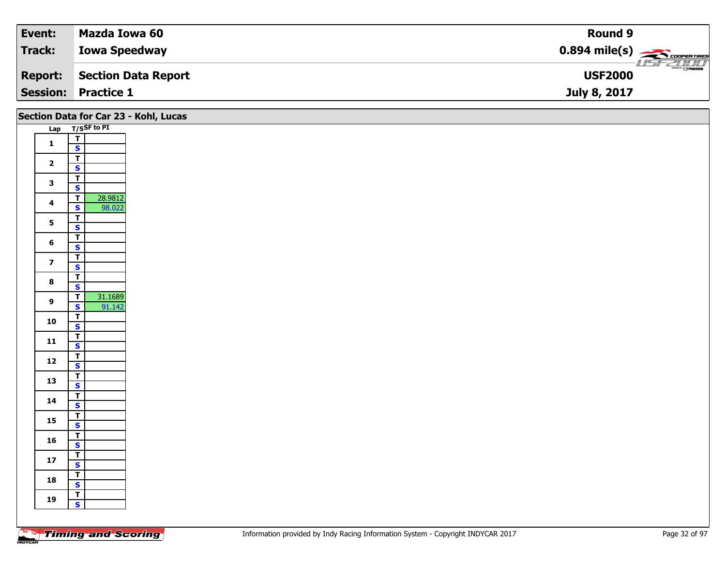| Event:         | Mazda Iowa 60              | <b>Round 9</b>                                      |
|----------------|----------------------------|-----------------------------------------------------|
| Track:         | <b>Iowa Speedway</b>       | $0.894$ mile(s) $\overbrace{\hspace{2cm}}$ covening |
| <b>Report:</b> | Section Data Report        | $\overline{\odot}$ mazoa<br><b>USF2000</b>          |
|                | <b>Session: Practice 1</b> | July 8, 2017                                        |

|                         |                                                      | Section Data for Car 23 - Kohl, Lucas |
|-------------------------|------------------------------------------------------|---------------------------------------|
|                         | Lap T/SSF to PI                                      |                                       |
| $\mathbf{1}$            | $rac{1}{s}$                                          |                                       |
|                         |                                                      |                                       |
| $\overline{2}$          | $\overline{\mathsf{r}}$                              |                                       |
|                         | $\overline{\mathbf{s}}$                              |                                       |
| $\mathbf{3}$            | $\overline{\mathsf{T}}$<br>$\overline{\mathbf{s}}$   |                                       |
|                         | 28.9812<br>$\overline{\mathsf{r}}$                   |                                       |
| 4                       | 98.022<br>S                                          |                                       |
|                         | $\overline{\mathsf{T}}$                              |                                       |
| $5\phantom{a}$          | $\overline{\mathbf{s}}$                              |                                       |
|                         | $\overline{\mathbf{r}}$                              |                                       |
| $6\phantom{1}$          | $\overline{\mathbf{s}}$                              |                                       |
| $\overline{\mathbf{z}}$ | $\overline{\mathsf{T}}$                              |                                       |
|                         | $\overline{\mathbf{s}}$                              |                                       |
| $\boldsymbol{8}$        | $\overline{\mathbf{r}}$                              |                                       |
|                         | $\overline{\mathbf{s}}$<br>31.1689<br>$\overline{t}$ |                                       |
| $\boldsymbol{9}$        | 91.142<br>$\mathbf{s}$                               |                                       |
|                         | $\overline{\mathsf{r}}$                              |                                       |
| 10                      | $\overline{\mathbf{s}}$                              |                                       |
|                         | $\overline{t}$                                       |                                       |
| 11                      | $\overline{\mathbf{s}}$                              |                                       |
| $12$                    | $rac{1}{s}$                                          |                                       |
|                         |                                                      |                                       |
| 13                      | $\overline{\mathbf{r}}$                              |                                       |
|                         | $\overline{\mathbf{s}}$                              |                                       |
| 14                      | $\overline{\mathsf{r}}$<br>$\mathsf{s}$              |                                       |
|                         | $\overline{\mathsf{T}}$                              |                                       |
| 15                      | $\overline{\mathbf{s}}$                              |                                       |
|                         | $\overline{\mathsf{T}}$                              |                                       |
| 16                      | $\mathbf{s}$                                         |                                       |
| $17$                    | $\overline{1}$                                       |                                       |
|                         | $\mathbf{s}$                                         |                                       |
| 18                      | $\overline{\mathsf{T}}$<br>$\overline{\mathbf{s}}$   |                                       |
|                         | $\overline{\mathsf{T}}$                              |                                       |
| 19                      | $\mathsf{s}$                                         |                                       |
|                         |                                                      |                                       |
|                         |                                                      |                                       |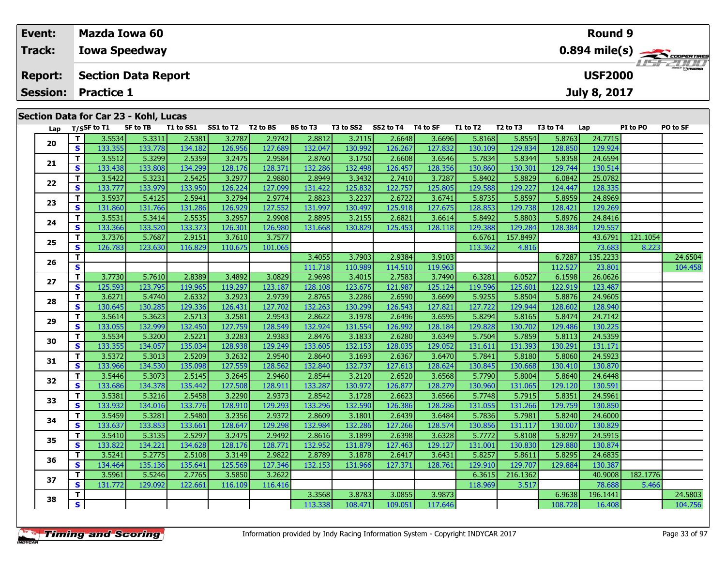| Event:                                | <b>Mazda Iowa 60</b>                                                                                                                                                                                                                                                                                                                                      | Round 9                                              |  |  |  |  |  |  |  |  |
|---------------------------------------|-----------------------------------------------------------------------------------------------------------------------------------------------------------------------------------------------------------------------------------------------------------------------------------------------------------------------------------------------------------|------------------------------------------------------|--|--|--|--|--|--|--|--|
| <b>Track:</b>                         | <b>Iowa Speedway</b>                                                                                                                                                                                                                                                                                                                                      | $0.894$ mile(s) $\leftarrow$ $\leftarrow$ coorenance |  |  |  |  |  |  |  |  |
| <b>Report:</b>                        | <b>Section Data Report</b>                                                                                                                                                                                                                                                                                                                                | <b>LIST CLIP</b><br><b>USF2000</b>                   |  |  |  |  |  |  |  |  |
| <b>Session:</b>                       | <b>Practice 1</b>                                                                                                                                                                                                                                                                                                                                         | July 8, 2017                                         |  |  |  |  |  |  |  |  |
| Section Data for Car 23 - Kohl, Lucas |                                                                                                                                                                                                                                                                                                                                                           |                                                      |  |  |  |  |  |  |  |  |
| Lap                                   | SS1 to T2<br>T2 to BS<br><b>BS</b> to T3<br>SS2 to T4<br>T/SSF to T1<br><b>SF to TB</b><br>T3 to SS2<br>T4 to SF<br>T <sub>2</sub> to T <sub>3</sub><br>T3 to T4<br>T1 to SS1<br>T1 to T2<br>Lap<br>າຂອງປ<br>5.8763<br>ן ב $\epsilon$ בא צ<br>26648<br>5.8168<br>ا 1 באבא כ<br><b>3 2787L</b><br>ו ר⊿דם כ<br><b>Lapas</b><br>5.8554<br>5.3311<br>$-22115$ | PO to SF<br>PI to PO<br>247715                       |  |  |  |  |  |  |  |  |

| Lap |              | T/SSF to 11 | <b>SF TO 1B</b> | 11 TO 551 | <b>SSI TO 12</b> | 1 Z TO BS | <b>BS tO 13</b> | 13 TO 552 | $552 \text{ to } 14$ 14 to SF |         | 11 TO 12 | 12 TO 13 | <b>13 το 14</b> | Lap      | PI TO PU | PU TO SF |
|-----|--------------|-------------|-----------------|-----------|------------------|-----------|-----------------|-----------|-------------------------------|---------|----------|----------|-----------------|----------|----------|----------|
| 20  | T            | 3.5534      | 5.3311          | 2.5381    | 3.2787           | 2.9742    | 2.8812          | 3.2115    | 2.6648                        | 3.6696  | 5.8168   | 5.8554   | 5.8763          | 24.7715  |          |          |
|     | <b>S</b>     | 133.355     | 133.778         | 134.182   | 126.956          | 127.689   | 132.047         | 130.992   | 126.267                       | 127.832 | 130.109  | 129.834  | 128.850         | 129.924  |          |          |
| 21  | T.           | 3.5512      | 5.3299          | 2.5359    | 3.2475           | 2.9584    | 2.8760          | 3.1750    | 2.6608                        | 3.6546  | 5.7834   | 5.8344   | 5.8358          | 24.6594  |          |          |
|     | S            | 133.438     | 133.808         | 134.299   | 128.176          | 128.371   | 132.286         | 132.498   | 126.457                       | 128.356 | 130.860  | 130.301  | 129.744         | 130.514  |          |          |
| 22  | T            | 3.5422      | 5.3231          | 2.5425    | 3.2977           | 2.9880    | 2.8949          | 3.3432    | 2.7410                        | 3.7287  | 5.8402   | 5.8829   | 6.0842          | 25.0782  |          |          |
|     | S            | 133.777     | 133.979         | 133.950   | 126.224          | 127.099   | 131.422         | 125.832   | 122.757                       | 125.805 | 129.588  | 129.227  | 124.447         | 128.335  |          |          |
| 23  | T.           | 3.5937      | 5.4125          | 2.5941    | 3.2794           | 2.9774    | 2.8823          | 3.2237    | 2.6722                        | 3.6741  | 5.8735   | 5.8597   | 5.8959          | 24.8969  |          |          |
|     | S            | 131.860     | 131.766         | 131.286   | 126.929          | 127.552   | 131.997         | 130.497   | 125.918                       | 127.675 | 128.853  | 129.738  | 128.421         | 129.269  |          |          |
| 24  | T.           | 3.5531      | 5.3414          | 2.5535    | 3.2957           | 2.9908    | 2.8895          | 3.2155    | 2.6821                        | 3.6614  | 5.8492   | 5.8803   | 5.8976          | 24.8416  |          |          |
|     | <b>S</b>     | 133.366     | 133.520         | 133.373   | 126.301          | 126.980   | 131.668         | 130.829   | 125.453                       | 128.118 | 129.388  | 129.284  | 128.384         | 129.557  |          |          |
| 25  | T            | 3.7376      | 5.7687          | 2.9151    | 3.7610           | 3.7577    |                 |           |                               |         | 6.6761   | 157.8497 |                 | 43.6791  | 121.1054 |          |
|     | <b>S</b>     | 126.783     | 123.630         | 116.829   | 110.675          | 101.065   |                 |           |                               |         | 113.362  | 4.816    |                 | 73.683   | 8.223    |          |
| 26  | T.           |             |                 |           |                  |           | 3.4055          | 3.7903    | 2.9384                        | 3.9103  |          |          | 6.7287          | 135.2233 |          | 24.6504  |
|     | $\mathbf{s}$ |             |                 |           |                  |           | 111.718         | 110.989   | 114.510                       | 119.963 |          |          | 112.527         | 23.801   |          | 104.458  |
| 27  | T.           | 3.7730      | 5.7610          | 2.8389    | 3.4892           | 3.0829    | 2.9698          | 3.4015    | 2.7583                        | 3.7490  | 6.3281   | 6.0527   | 6.1598          | 26.0626  |          |          |
|     | <b>S</b>     | 125.593     | 123.795         | 119.965   | 119.297          | 123.187   | 128.108         | 123.675   | 121.987                       | 125.124 | 119.596  | 125.601  | 122.919         | 123.487  |          |          |
| 28  | T            | 3.6271      | 5.4740          | 2.6332    | 3.2923           | 2.9739    | 2.8765          | 3.2286    | 2.6590                        | 3.6699  | 5.9255   | 5.8504   | 5.8876          | 24.9605  |          |          |
|     | S            | 130.645     | 130.285         | 129.336   | 126.431          | 127.702   | 132.263         | 130.299   | 126.543                       | 127.821 | 127.722  | 129.944  | 128.602         | 128.940  |          |          |
| 29  | T.           | 3.5614      | 5.3623          | 2.5713    | 3.2581           | 2.9543    | 2.8622          | 3.1978    | 2.6496                        | 3.6595  | 5.8294   | 5.8165   | 5.8474          | 24.7142  |          |          |
|     | S            | 133.055     | 132.999         | 132.450   | 127.759          | 128.549   | 132.924         | 131.554   | 126.992                       | 128.184 | 129.828  | 130.702  | 129.486         | 130.225  |          |          |
| 30  | T.           | 3.5534      | 5.3200          | 2.5221    | 3.2283           | 2.9383    | 2.8476          | 3.1833    | 2.6280                        | 3.6349  | 5.7504   | 5.7859   | 5.8113          | 24.5359  |          |          |
|     | S            | 133.355     | 134.057         | 135.034   | 128.938          | 129.249   | 133.605         | 132.153   | 128.035                       | 129.052 | 131.611  | 131.393  | 130.291         | 131.171  |          |          |
| 31  | T            | 3.5372      | 5.3013          | 2.5209    | 3.2632           | 2.9540    | 2.8640          | 3.1693    | 2.6367                        | 3.6470  | 5.7841   | 5.8180   | 5.8060          | 24.5923  |          |          |
|     | <b>S</b>     | 133.966     | 134.530         | 135.098   | 127.559          | 128.562   | 132.840         | 132.737   | 127.613                       | 128.624 | 130.845  | 130.668  | 130.410         | 130.870  |          |          |
| 32  | T.           | 3.5446      | 5.3073          | 2.5145    | 3.2645           | 2.9460    | 2.8544          | 3.2120    | 2.6520                        | 3.6568  | 5.7790   | 5.8004   | 5.8640          | 24.6448  |          |          |
|     | S            | 133.686     | 134.378         | 135.442   | 127.508          | 128.911   | 133.287         | 130.972   | 126.877                       | 128.279 | 130.960  | 131.065  | 129.120         | 130.591  |          |          |
| 33  | Т            | 3.5381      | 5.3216          | 2.5458    | 3.2290           | 2.9373    | 2.8542          | 3.1728    | 2.6623                        | 3.6566  | 5.7748   | 5.7915   | 5.8351          | 24.5961  |          |          |
|     | S            | 133.932     | 134.016         | 133.776   | 128.910          | 129.293   | 133.296         | 132.590   | 126.386                       | 128.286 | 131.055  | 131.266  | 129.759         | 130.850  |          |          |
| 34  | T.           | 3.5459      | 5.3281          | 2.5480    | 3.2356           | 2.9372    | 2.8609          | 3.1801    | 2.6439                        | 3.6484  | 5.7836   | 5.7981   | 5.8240          | 24.6000  |          |          |
|     | <b>S</b>     | 133.637     | 133.853         | 133.661   | 128.647          | 129.298   | 132.984         | 132.286   | 127.266                       | 128.574 | 130.856  | 131.117  | 130.007         | 130.829  |          |          |
| 35  | T.           | 3.5410      | 5.3135          | 2.5297    | 3.2475           | 2.9492    | 2.8616          | 3.1899    | 2.6398                        | 3.6328  | 5.7772   | 5.8108   | 5.8297          | 24.5915  |          |          |
|     | S            | 133.822     | 134.221         | 134.628   | 128.176          | 128.771   | 132.952         | 131.879   | 127.463                       | 129.127 | 131.001  | 130.830  | 129.880         | 130.874  |          |          |
| 36  | T.           | 3.5241      | 5.2775          | 2.5108    | 3.3149           | 2.9822    | 2.8789          | 3.1878    | 2.6417                        | 3.6431  | 5.8257   | 5.8611   | 5.8295          | 24.6835  |          |          |
|     | <b>S</b>     | 134.464     | 135.136         | 135.641   | 125.569          | 127.346   | 132.153         | 131.966   | 127.371                       | 128.761 | 129.910  | 129.707  | 129.884         | 130.387  |          |          |
| 37  | T.           | 3.5961      | 5.5246          | 2.7765    | 3.5850           | 3.2622    |                 |           |                               |         | 6.3615   | 216.1362 |                 | 40.9008  | 182.1776 |          |
|     | <b>S</b>     | 131.772     | 129.092         | 122.661   | 116.109          | 116.416   |                 |           |                               |         | 118.969  | 3.517    |                 | 78.688   | 5.466    |          |
| 38  | T            |             |                 |           |                  |           | 3.3568          | 3.8783    | 3.0855                        | 3.9873  |          |          | 6.9638          | 196.1441 |          | 24.5803  |
|     | S            |             |                 |           |                  |           | 113.338         | 108.471   | 109.051                       | 117.646 |          |          | 108.728         | 16.408   |          | 104.756  |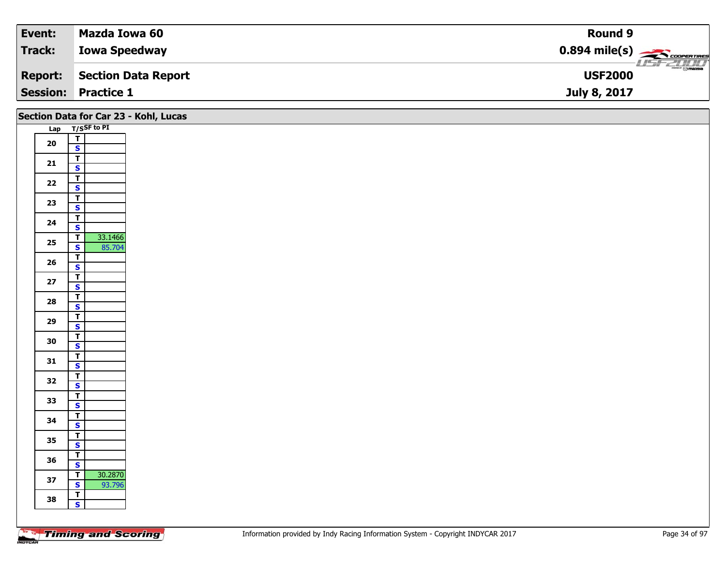| Event:          | Mazda Iowa 60        | Round 9                                             |
|-----------------|----------------------|-----------------------------------------------------|
| Track:          | <b>Iowa Speedway</b> | $0.894$ mile(s) $\overbrace{\hspace{2cm}}$ covening |
| <b>Report:</b>  | Section Data Report  | $\overline{\odot}$ mazpa<br><b>USF2000</b>          |
| <b>Session:</b> | <b>Practice 1</b>    | July 8, 2017                                        |

|            |                                                                | Section Data for Car 23 - Kohl, Lucas |
|------------|----------------------------------------------------------------|---------------------------------------|
|            | Lap T/SSF to PI                                                |                                       |
| ${\bf 20}$ | $\frac{1}{s}$                                                  |                                       |
|            | $\overline{\mathbf{T}}$                                        |                                       |
| 21         | $\mathbf{s}$                                                   |                                       |
|            | $\overline{\mathbf{r}}$                                        |                                       |
| 22         | $\overline{\mathbf{s}}$                                        |                                       |
| 23         | $\overline{\mathbf{T}}$                                        |                                       |
|            | $\mathsf{s}$                                                   |                                       |
| 24         | $\overline{\mathsf{T}}$<br>$\overline{\mathbf{s}}$             |                                       |
|            | 33.1466<br>$\overline{1}$                                      |                                       |
| 25         | $\mathsf{s}$<br>85.704                                         |                                       |
|            | $\overline{\mathbf{r}}$                                        |                                       |
| 26         | $\mathbf{s}$                                                   |                                       |
| $27\,$     | $\overline{\mathbf{T}}$                                        |                                       |
|            | $\overline{\mathbf{s}}$<br>$\overline{\mathsf{r}}$             |                                       |
| 28         | $\mathbf{s}$                                                   |                                       |
|            | $\overline{\mathsf{T}}$                                        |                                       |
| 29         | $\overline{\mathbf{s}}$                                        |                                       |
| 30         | $\overline{\mathbf{r}}$                                        |                                       |
|            | $\mathsf{s}$<br>$\overline{\mathbf{T}}$                        |                                       |
| 31         | $\mathbf{s}$                                                   |                                       |
|            | $\overline{\mathbf{r}}$                                        |                                       |
| 32         | $\overline{\mathbf{s}}$                                        |                                       |
| 33         | $\overline{\mathbf{T}}$                                        |                                       |
|            | $\mathbf{s}$<br>$\overline{\mathbf{T}}$                        |                                       |
| 34         | $\overline{\mathbf{s}}$                                        |                                       |
|            | $\overline{\mathbf{T}}$                                        |                                       |
| 35         | $\mathbf{s}$                                                   |                                       |
| 36         | $\overline{\mathsf{T}}$                                        |                                       |
|            | $\overline{\mathbf{s}}$                                        |                                       |
| 37         | 30.2870<br>$\overline{1}$<br>$\overline{\mathbf{s}}$<br>93.796 |                                       |
|            | $\overline{I}$                                                 |                                       |
| 38         | $\mathsf{s}$                                                   |                                       |
|            |                                                                |                                       |

Τ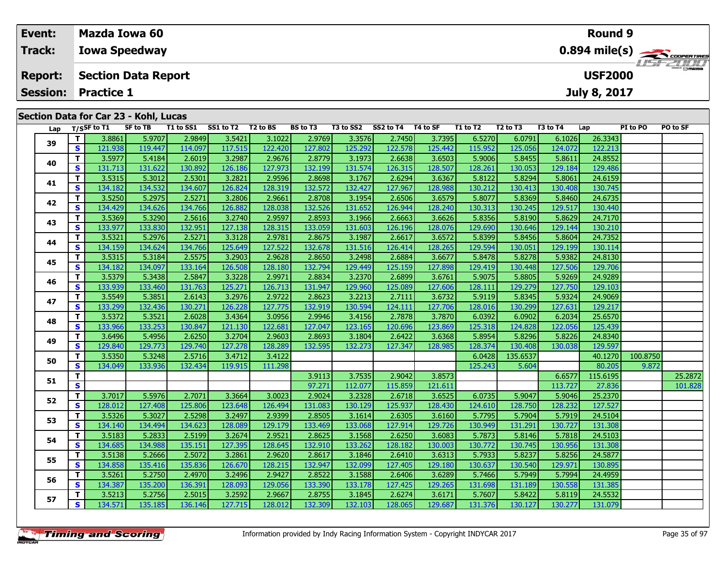| Event:         |                                       |                            | Mazda Iowa 60              |           |           |                      |                 |           |           |          |          |                                  | <b>Round 9</b>                           |                |          |                |  |  |  |  |
|----------------|---------------------------------------|----------------------------|----------------------------|-----------|-----------|----------------------|-----------------|-----------|-----------|----------|----------|----------------------------------|------------------------------------------|----------------|----------|----------------|--|--|--|--|
| Track:         |                                       |                            | <b>Iowa Speedway</b>       |           |           |                      |                 |           |           |          |          |                                  | $0.894$ mile(s) $\rightarrow$ coorganges |                |          |                |  |  |  |  |
| <b>Report:</b> |                                       |                            | <b>Section Data Report</b> |           |           |                      |                 |           |           |          |          |                                  |                                          | <b>USF2000</b> |          | <b>USFZUUD</b> |  |  |  |  |
|                |                                       | <b>Session: Practice 1</b> |                            |           |           |                      |                 |           |           |          |          |                                  |                                          | July 8, 2017   |          |                |  |  |  |  |
|                | Section Data for Car 23 - Kohl, Lucas |                            |                            |           |           |                      |                 |           |           |          |          |                                  |                                          |                |          |                |  |  |  |  |
|                | Lap                                   | T/SSF to T1                | SF to TB                   | T1 to SS1 | SS1 to T2 | T <sub>2</sub> to BS | <b>BS</b> to T3 | T3 to SS2 | SS2 to T4 | T4 to SF | T1 to T2 | T <sub>2</sub> to T <sub>3</sub> | T3 to T4                                 | Lap            | PI to PO | PO to SF       |  |  |  |  |
|                | $\sim$                                | 3.8861                     | 5.9707                     | 2.9849    | 3.5421    | 3.1022               | 2.9769          | 3.3576    | 2.7450    | 3.7395   | 6.5270   | 6.0791                           | 6.1026                                   | 26.3343        |          |                |  |  |  |  |

| Lap |                         | T/SSF to 11 | SF to TB | 11 to SS1 | <b>SS1 to 12</b> | 12 to BS | <b>BS to 13</b> | 13 to SS2 | SS2 to 14 14 to SF |         | 11 to 12 | 12 to 13 | 13 to 14 | Lap      | PI to PO | PO to SF |
|-----|-------------------------|-------------|----------|-----------|------------------|----------|-----------------|-----------|--------------------|---------|----------|----------|----------|----------|----------|----------|
| 39  | T.                      | 3.8861      | 5.9707   | 2.9849    | 3.5421           | 3.1022   | 2.9769          | 3.3576    | 2.7450             | 3.7395  | 6.5270   | 6.0791   | 6.1026   | 26.3343  |          |          |
|     | S                       | 121.938     | 119.447  | 114.097   | 117.515          | 122.420  | 127.802         | 125.292   | 122.578            | 125.442 | 115.952  | 125.056  | 124.072  | 122.213  |          |          |
|     | T.                      | 3.5977      | 5.4184   | 2.6019    | 3.2987           | 2.9676   | 2.8779          | 3.1973    | 2.6638             | 3.6503  | 5.9006   | 5.8455   | 5.8611   | 24.8552  |          |          |
| 40  | S                       | 131.713     | 131.622  | 130.892   | 126.186          | 127.973  | 132.199         | 131.574   | 126.315            | 128.507 | 128.261  | 130.053  | 129.184  | 129.486  |          |          |
| 41  | T.                      | 3.5315      | 5.3012   | 2.5301    | 3.2821           | 2.9596   | 2.8698          | 3.1767    | 2.6294             | 3.6367  | 5.8122   | 5.8294   | 5.8061   | 24.6159  |          |          |
|     | S                       | 134.182     | 134.532  | 134.607   | 126.824          | 128.319  | 132.572         | 132.427   | 127.967            | 128.988 | 130.212  | 130.413  | 130.408  | 130.745  |          |          |
|     | T.                      | 3.5250      | 5.2975   | 2.5271    | 3.2806           | 2.9661   | 2.8708          | 3.1954    | 2.6506             | 3.6579  | 5.8077   | 5.8369   | 5.8460   | 24.6735  |          |          |
| 42  | S                       | 134.429     | 134.626  | 134.766   | 126.882          | 128.038  | 132.526         | 131.652   | 126.944            | 128.240 | 130.313  | 130.245  | 129.517  | 130.440  |          |          |
| 43  | T.                      | 3.5369      | 5.3290   | 2.5616    | 3.2740           | 2.9597   | 2.8593          | 3.1966    | 2.6663             | 3.6626  | 5.8356   | 5.8190   | 5.8629   | 24.7170  |          |          |
|     | <b>S</b>                | 133.977     | 133.830  | 132.951   | 127.138          | 128.315  | 133.059         | 131.603   | 126.196            | 128.076 | 129.690  | 130.646  | 129.144  | 130.210  |          |          |
| 44  | T.                      | 3.5321      | 5.2976   | 2.5271    | 3.3128           | 2.9781   | 2.8675          | 3.1987    | 2.6617             | 3.6572  | 5.8399   | 5.8456   | 5.8604   | 24.7352  |          |          |
|     | S                       | 134.159     | 134.624  | 134.766   | 125.649          | 127.522  | 132.678         | 131.516   | 126.414            | 128.265 | 129.594  | 130.051  | 129.199  | 130.114  |          |          |
| 45  | T.                      | 3.5315      | 5.3184   | 2.5575    | 3.2903           | 2.9628   | 2.8650          | 3.2498    | 2.6884             | 3.6677  | 5.8478   | 5.8278   | 5.9382   | 24.8130  |          |          |
|     | S                       | 134.182     | 134.097  | 133.164   | 126.508          | 128.180  | 132.794         | 129.449   | 125.159            | 127.898 | 129.419  | 130.448  | 127.506  | 129.706  |          |          |
| 46  | T.                      | 3.5379      | 5.3438   | 2.5847    | 3.3228           | 2.9971   | 2.8834          | 3.2370    | 2.6899             | 3.6761  | 5.9075   | 5.8805   | 5.9269   | 24.9289  |          |          |
|     | S                       | 133.939     | 133.460  | 131.763   | 125.271          | 126.713  | 131.947         | 129.960   | 125.089            | 127.606 | 128.111  | 129.279  | 127.750  | 129.103  |          |          |
| 47  | T.                      | 3.5549      | 5.3851   | 2.6143    | 3.2976           | 2.9722   | 2.8623          | 3.2213    | 2.7111             | 3.6732  | 5.9119   | 5.8345   | 5.9324   | 24.9069  |          |          |
|     | S.                      | 133.299     | 132.436  | 130.271   | 126.228          | 127.775  | 132.919         | 130.594   | 124.111            | 127.706 | 128.016  | 130.299  | 127.631  | 129.217  |          |          |
| 48  | T.                      | 3.5372      | 5.3521   | 2.6028    | 3.4364           | 3.0956   | 2.9946          | 3.4156    | 2.7878             | 3.7870  | 6.0392   | 6.0902   | 6.2034   | 25.6570  |          |          |
|     | S                       | 133.966     | 133.253  | 130.847   | 121.130          | 122.681  | 127.047         | 123.165   | 120.696            | 123.869 | 125.318  | 124.828  | 122.056  | 125.439  |          |          |
| 49  | T.                      | 3.6496      | 5.4956   | 2.6250    | 3.2704           | 2.9603   | 2.8693          | 3.1804    | 2.6422             | 3.6368  | 5.8954   | 5.8296   | 5.8226   | 24.8340  |          |          |
|     | S                       | 129.840     | 129.773  | 129.740   | 127.278          | 128.289  | 132.595         | 132.273   | 127.347            | 128.985 | 128.374  | 130.408  | 130.038  | 129.597  |          |          |
| 50  | T.                      | 3.5350      | 5.3248   | 2.5716    | 3.4712           | 3.4122   |                 |           |                    |         | 6.0428   | 135.6537 |          | 40.1270  | 100.8750 |          |
|     | S                       | 134.049     | 133.936  | 132.434   | 119.915          | 111.298  |                 |           |                    |         | 125.243  | 5.604    |          | 80.205   | 9.872    |          |
| 51  | T.                      |             |          |           |                  |          | 3.9113          | 3.7535    | 2.9042             | 3.8573  |          |          | 6.6577   | 115.6195 |          | 25.2872  |
|     | $\overline{\mathbf{s}}$ |             |          |           |                  |          | 97.271          | 112.077   | 115.859            | 121.611 |          |          | 113.727  | 27.836   |          | 101.828  |
| 52  | T.                      | 3.7017      | 5.5976   | 2.7071    | 3.3664           | 3.0023   | 2.9024          | 3.2328    | 2.6718             | 3.6525  | 6.0735   | 5.9047   | 5.9046   | 25.2370  |          |          |
|     | S                       | 128.012     | 127.408  | 125.806   | 123.648          | 126.494  | 131.083         | 130.129   | 125.937            | 128.430 | 124.610  | 128.750  | 128.232  | 127.527  |          |          |
| 53  | T.                      | 3.5326      | 5.3027   | 2.5298    | 3.2497           | 2.9399   | 2.8505          | 3.1614    | 2.6305             | 3.6160  | 5.7795   | 5.7904   | 5.7919   | 24.5104  |          |          |
|     | S                       | 134.140     | 134.494  | 134.623   | 128.089          | 129.179  | 133.469         | 133.068   | 127.914            | 129.726 | 130.949  | 131.291  | 130.727  | 131.308  |          |          |
| 54  | T.                      | 3.5183      | 5.2833   | 2.5199    | 3.2674           | 2.9521   | 2.8625          | 3.1568    | 2.6250             | 3.6083  | 5.7873   | 5.8146   | 5.7818   | 24.5103  |          |          |
|     | S                       | 134.685     | 134.988  | 135.151   | 127.395          | 128.645  | 132.910         | 133.262   | 128.182            | 130.003 | 130.772  | 130.745  | 130.956  | 131.308  |          |          |
| 55  | T.                      | 3.5138      | 5.2666   | 2.5072    | 3.2861           | 2.9620   | 2.8617          | 3.1846    | 2.6410             | 3.6313  | 5.7933   | 5.8237   | 5.8256   | 24.5877  |          |          |
|     | S                       | 134.858     | 135.416  | 135.836   | 126.670          | 128.215  | 132.947         | 132.099   | 127.405            | 129.180 | 130.637  | 130.540  | 129.971  | 130.895  |          |          |
| 56  | T.                      | 3.5261      | 5.2750   | 2.4970    | 3.2496           | 2.9427   | 2.8522          | 3.1588    | 2.6406             | 3.6289  | 5.7466   | 5.7949   | 5.7994   | 24.4959  |          |          |
|     | S                       | 134.387     | 135.200  | 136.391   | 128.093          | 129.056  | 133.390         | 133.178   | 127.425            | 129.265 | 131.698  | 131.189  | 130.558  | 131.385  |          |          |
| 57  | Т                       | 3.5213      | 5.2756   | 2.5015    | 3.2592           | 2.9667   | 2.8755          | 3.1845    | 2.6274             | 3.6171  | 5.7607   | 5.8422   | 5.8119   | 24.5532  |          |          |
|     | S.                      | 134.571     | 135.185  | 136.146   | 127.715          | 128.012  | 132.309         | 132.103   | 128.065            | 129.687 | 131.376  | 130.127  | 130.277  | 131.079  |          |          |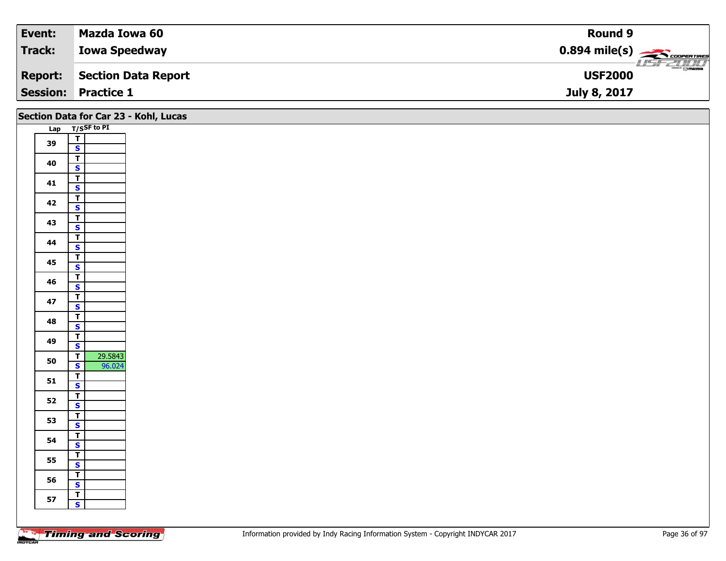| Event:                     | Mazda Iowa 60        | <b>Round 9</b>                                         |
|----------------------------|----------------------|--------------------------------------------------------|
| Track:                     | <b>Iowa Speedway</b> | $0.894$ mile(s) $\overbrace{\hspace{2cm}}$ coorentines |
| <b>Report:</b>             | Section Data Report  | $\overline{\odot}$ maxpa<br><b>USF2000</b>             |
| <b>Session: Practice 1</b> |                      | July 8, 2017                                           |

|    | Section Data for Car 23 - Kohl, Lucas              |  |
|----|----------------------------------------------------|--|
|    | Lap T/SSF to PI                                    |  |
| 39 | $\frac{1}{s}$                                      |  |
| 40 | $\overline{\mathbf{T}}$<br>$\overline{\mathbf{s}}$ |  |
| 41 | $\overline{\mathsf{T}}$<br>$\mathbf{s}$            |  |
| 42 | $\overline{\mathbf{T}}$                            |  |
| 43 | $\mathbf{s}$<br>$\overline{\mathbf{r}}$            |  |
|    | $\overline{\mathbf{s}}$<br>$\overline{\mathsf{r}}$ |  |
| 44 | $\overline{\mathbf{s}}$<br>$\mathbf{T}$            |  |
| 45 | $\overline{\mathbf{s}}$                            |  |
| 46 | $\overline{\mathsf{T}}$<br>$\overline{\mathbf{s}}$ |  |
| 47 | $\overline{\mathbf{T}}$<br>$\mathbf{s}$            |  |
| 48 | $\overline{\mathsf{r}}$<br>$\overline{\mathbf{s}}$ |  |
| 49 | $\overline{\mathsf{r}}$                            |  |
| 50 | $\mathbf{s}$<br>29.5843<br>$\overline{\mathbf{r}}$ |  |
|    | $\mathbf{s}$<br>96.024                             |  |
| 51 | $\frac{1}{s}$<br>$\overline{\mathsf{T}}$           |  |
| 52 | $\mathbf{s}$                                       |  |
| 53 | $\overline{\mathsf{T}}$<br>$\overline{\mathbf{s}}$ |  |
| 54 | $\overline{\mathbf{r}}$<br>$\mathbf{s}$            |  |
| 55 | $\overline{\mathbf{r}}$<br>$\mathbf{s}$            |  |
| 56 | $\overline{\mathsf{r}}$<br>$\mathbf{s}$            |  |
| 57 | $\overline{\mathsf{r}}$<br>$\mathbf{s}$            |  |
|    |                                                    |  |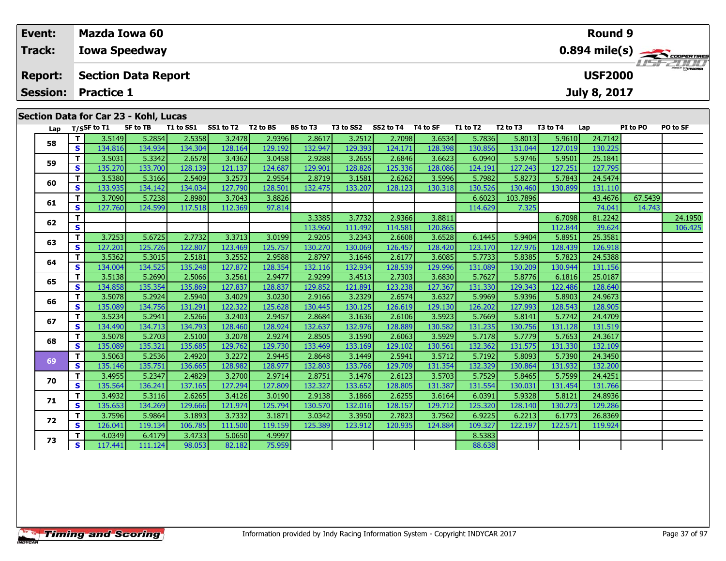| Event:                            |   |                   | <b>Mazda Iowa 60</b>                  |           |           |                      |                 |           |           |          |          |                                  |          | <b>Round 9</b>                        |          |                                            |  |
|-----------------------------------|---|-------------------|---------------------------------------|-----------|-----------|----------------------|-----------------|-----------|-----------|----------|----------|----------------------------------|----------|---------------------------------------|----------|--------------------------------------------|--|
| Track:                            |   |                   | <b>Iowa Speedway</b>                  |           |           |                      |                 |           |           |          |          |                                  |          |                                       |          | $0.894$ mile(s) $\rightarrow$ coorga Tines |  |
| <b>Report:</b><br><b>Session:</b> |   | <b>Practice 1</b> | <b>Section Data Report</b>            |           |           |                      |                 |           |           |          |          |                                  |          | <b>USF2000</b><br><b>July 8, 2017</b> |          | <b>LIST 2000</b>                           |  |
|                                   |   |                   | Section Data for Car 23 - Kohl, Lucas |           |           |                      |                 |           |           |          |          |                                  |          |                                       |          |                                            |  |
| Lap                               |   | T/SSF to T1       | SF to TB                              | T1 to SS1 | SS1 to T2 | T <sub>2</sub> to BS | <b>BS</b> to T3 | T3 to SS2 | SS2 to T4 | T4 to SF | T1 to T2 | T <sub>2</sub> to T <sub>3</sub> | T3 to T4 | Lap                                   | PI to PO | PO to SF                                   |  |
| 58                                |   | 3.5149            | 5.2854                                | 2.5358    | 3.2478    | 2.9396               | 2.8617          | 3.2512    | 2.7098    | 3.6534   | 5.7836   | 5.8013                           | 5.9610   | 24.7142                               |          |                                            |  |
|                                   | S | 134.816           | 134.934                               | 134.304   | 128.164   | 129.1921             | 132.947         | 129.393   | 124.1711  | 128.398  | 130.856  | 131.044                          | 127.019  | 130.225                               |          |                                            |  |

**<sup>T</sup>** 3.5031 5.3342 2.6578 3.4362 3.0458 2.9288 3.2655 2.6846 3.6623 6.0940 5.9746 5.9501 25.1841 **<sup>S</sup>** 135.270 133.700 128.139 121.137 124.687 129.901 128.826 125.336 128.086 124.191 127.243 127.251 127.795

**<sup>T</sup>** 3.5380 5.3166 2.5409 3.2573 2.9554 2.8719 3.1581 2.6262 3.5996 5.7982 5.8273 5.7843 24.5474 **<sup>S</sup>** 133.935 134.142 134.034 127.790 128.501 132.475 133.207 128.123 130.318 130.526 130.460 130.899 131.110

**<sup>T</sup>** 3.7253 5.6725 2.7732 3.3713 3.0199 2.9205 3.2343 2.6608 3.6528 6.1445 5.9404 5.8951 25.3581 **<sup>S</sup>** 127.201 125.726 122.807 123.469 125.757 130.270 130.069 126.457 128.420 123.170 127.976 128.439 126.918

**<sup>T</sup>** 3.5362 5.3015 2.5181 3.2552 2.9588 2.8797 3.1646 2.6177 3.6085 5.7733 5.8385 5.7823 24.5388 **<sup>S</sup>** 134.004 134.525 135.248 127.872 128.354 132.116 132.934 128.539 129.996 131.089 130.209 130.944 131.156

**<sup>T</sup>** 3.5138 5.2690 2.5066 3.2561 2.9477 2.9299 3.4513 2.7303 3.6830 5.7627 5.8776 6.1816 25.0187 **<sup>S</sup>** 134.858 135.354 135.869 127.837 128.837 129.852 121.891 123.238 127.367 131.330 129.343 122.486 128.640

**<sup>T</sup>** 3.5078 5.2924 2.5940 3.4029 3.0230 2.9166 3.2329 2.6574 3.6327 5.9969 5.9396 5.8903 24.9673 **<sup>S</sup>** 135.089 134.756 131.291 122.322 125.628 130.445 130.125 126.619 129.130 126.202 127.993 128.543 128.905

**<sup>T</sup>** 3.5234 5.2941 2.5266 3.2403 2.9457 2.8684 3.1636 2.6106 3.5923 5.7669 5.8141 5.7742 24.4709 **<sup>S</sup>** 134.490 134.713 134.793 128.460 128.924 132.637 132.976 128.889 130.582 131.235 130.756 131.128 131.519

**<sup>T</sup>** 3.5078 5.2703 2.5100 3.2078 2.9274 2.8505 3.1590 2.6063 3.5929 5.7178 5.7779 5.7653 24.3617 **<sup>S</sup>** 135.089 135.321 135.685 129.762 129.730 133.469 133.169 129.102 130.561 132.362 131.575 131.330 132.109

**<sup>T</sup>** 3.5063 5.2536 2.4920 3.2272 2.9445 2.8648 3.1449 2.5941 3.5712 5.7192 5.8093 5.7390 24.3450 **<sup>S</sup>** 135.146 135.751 136.665 128.982 128.977 132.803 133.766 129.709 131.354 132.329 130.864 131.932 132.200

**<sup>T</sup>** 3.4955 5.2347 2.4829 3.2700 2.9714 2.8751 3.1476 2.6123 3.5703 5.7529 5.8465 5.7599 24.4251 **<sup>S</sup>** 135.564 136.241 137.165 127.294 127.809 132.327 133.652 128.805 131.387 131.554 130.031 131.454 131.766

**<sup>T</sup>** 3.4932 5.3116 2.6265 3.4126 3.0190 2.9138 3.1866 2.6255 3.6164 6.0391 5.9328 5.8121 24.8936 **<sup>S</sup>** 135.653 134.269 129.666 121.974 125.794 130.570 132.016 128.157 129.712 125.320 128.140 130.273 129.286

**<sup>T</sup>** 3.7596 5.9864 3.1893 3.7332 3.1871 3.0342 3.3950 2.7823 3.7562 6.9225 6.2213 6.1773 26.8369 **<sup>S</sup>** 126.041 119.134 106.785 111.500 119.159 125.389 123.912 120.935 124.884 109.327 122.197 122.571 119.924

**T** 4.0349 6.4179 3.4733 5.0650 4.9997 8.5383<br>**S** 117.441 111.124 98.053 82.182 75.959 8.058 88.638

**<sup>T</sup>** 3.7090 5.7238 2.8980 3.7043 3.8826 6.6023 103.7896 43.4676 67.5439 **<sup>S</sup>** 127.760 124.599 117.518 112.369 97.814 114.629 7.325 74.041 14.743

**<sup>T</sup>** 3.3385 3.7732 2.9366 3.8811 6.7098 81.2242 24.1950 **<sup>S</sup>** 113.960 111.492 114.581 120.865 112.844 39.624 106.425

**59**

**60**

**61**

**62**

**63**

**64**

**65**

**66**

**67**

**68**

**69**

**70**

**71**

**72**

**73**

14.743

131.156

128.905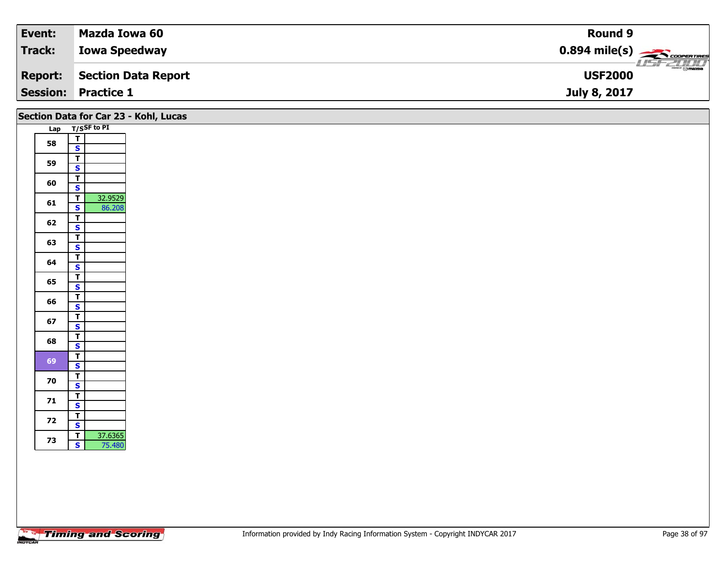| Event:         | Mazda Iowa 60              | Round 9                                             |
|----------------|----------------------------|-----------------------------------------------------|
| Track:         | <b>Iowa Speedway</b>       | $0.894$ mile(s) $\frac{1}{\sqrt{1.500}$ coorentines |
| <b>Report:</b> | Section Data Report        | $\overline{\Theta}$ mazoa<br><b>USF2000</b>         |
|                | <b>Session: Practice 1</b> | July 8, 2017                                        |

|    |                                                              | Section Data for Car 23 - Kohl, Lucas |
|----|--------------------------------------------------------------|---------------------------------------|
|    | Lap T/SSF to PI                                              |                                       |
| 58 | $\overline{\mathbf{r}}$<br>$\overline{\mathbf{s}}$           |                                       |
| 59 | $\mathbf T$<br>$\overline{\mathbf{s}}$                       |                                       |
| 60 | $\overline{\mathsf{r}}$                                      |                                       |
| 61 | $\overline{\mathbf{s}}$<br>32.9529<br>$\overline{t}$         |                                       |
|    | $\overline{\mathbf{s}}$<br>86.208<br>$\overline{t}$          |                                       |
| 62 | $\overline{\mathbf{s}}$<br>$\mathbf{T}$                      |                                       |
| 63 | $\overline{\mathbf{s}}$                                      |                                       |
| 64 | $\overline{\mathsf{T}}$<br>$\overline{\mathbf{s}}$           |                                       |
| 65 | $\overline{\mathsf{r}}$<br>$\overline{\mathbf{s}}$           |                                       |
| 66 | $\overline{\mathbf{r}}$<br>$\mathbf{s}$                      |                                       |
| 67 | $\overline{\mathbf{r}}$                                      |                                       |
| 68 | $\overline{\mathbf{s}}$<br>$\mathbf T$                       |                                       |
|    | $\overline{\mathbf{s}}$<br>$\overline{\mathsf{r}}$           |                                       |
| 69 | $\overline{\mathbf{s}}$<br>$\overline{\mathsf{r}}$           |                                       |
| 70 | $\overline{\mathbf{s}}$                                      |                                       |
| 71 | $\overline{\mathsf{T}}$<br>$\mathbf{s}$                      |                                       |
| 72 | $\mathbf{T}$<br>$\overline{\mathbf{s}}$                      |                                       |
| 73 | $\overline{\mathbf{r}}$<br>37.6365<br>$\mathbf{s}$<br>75.480 |                                       |
|    |                                                              |                                       |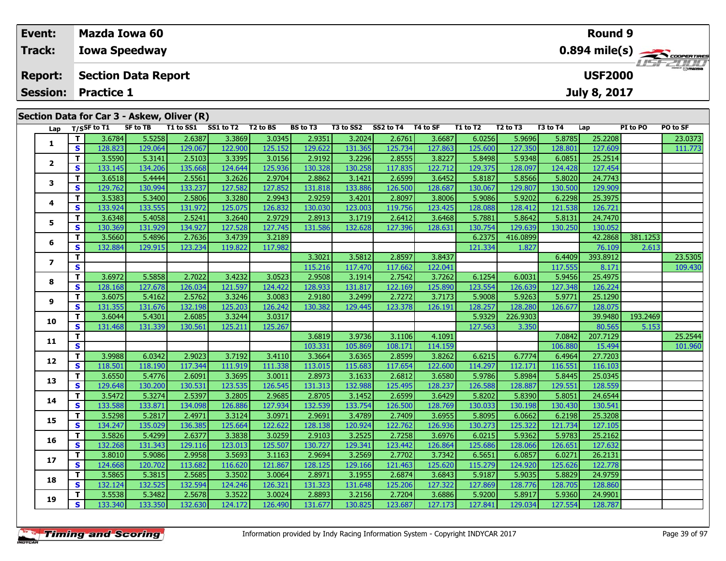| Event:         |    |                            | Mazda Iowa 60                              |           |           |                      |          |           |           |          |          |                                  |          | <b>Round 9</b> |          |                                          |
|----------------|----|----------------------------|--------------------------------------------|-----------|-----------|----------------------|----------|-----------|-----------|----------|----------|----------------------------------|----------|----------------|----------|------------------------------------------|
| Track:         |    |                            | <b>Iowa Speedway</b>                       |           |           |                      |          |           |           |          |          |                                  |          |                |          | $0.894$ mile(s) $\rightarrow$ Coorentmen |
| <b>Report:</b> |    |                            | <b>Section Data Report</b>                 |           |           |                      |          |           |           |          |          |                                  |          | <b>USF2000</b> |          | <b>LISITZ DI LI</b>                      |
|                |    | <b>Session: Practice 1</b> |                                            |           |           |                      |          |           |           |          |          |                                  |          | July 8, 2017   |          |                                          |
|                |    |                            | Section Data for Car 3 - Askew, Oliver (R) |           |           |                      |          |           |           |          |          |                                  |          |                |          |                                          |
| Lap            |    | T/SSF to T1                | SF to TB                                   | T1 to SS1 | SS1 to T2 | T <sub>2</sub> to BS | BS to T3 | T3 to SS2 | SS2 to T4 | T4 to SF | T1 to T2 | T <sub>2</sub> to T <sub>3</sub> | T3 to T4 | Lap            | PI to PO | PO to SF                                 |
|                |    | 3.6784                     | 5.5258                                     | 2.6387    | 3.3869    | 3.0345               | 2.9351   | 3.2024    | 2.6761    | 3.6687   | 6.0256   | 5.9696                           | 5.8785   | 25.2208        |          | 23.0373                                  |
|                | S. | 128.823                    | 129.064                                    | 129.067   | 122.900   | 125.152              | 129.622  | 131.365   | 125.734   | 127.8631 | 125.600  | 127.350                          | 128.801  | 127.609        |          | 111.773                                  |

**<sup>T</sup>** 3.5590 5.3141 2.5103 3.3395 3.0156 2.9192 3.2296 2.8555 3.8227 5.8498 5.9348 6.0851 25.2514 **<sup>S</sup>** 133.145 134.206 135.668 124.644 125.936 130.328 130.258 117.835 122.712 129.375 128.097 124.428 127.454

**<sup>T</sup>** 3.6518 5.4444 2.5561 3.2626 2.9704 2.8862 3.1421 2.6599 3.6452 5.8187 5.8566 5.8020 24.7743 **<sup>S</sup>** 129.762 130.994 133.237 127.582 127.852 131.818 133.886 126.500 128.687 130.067 129.807 130.500 129.909

**<sup>T</sup>** 3.5383 5.3400 2.5806 3.3280 2.9943 2.9259 3.4201 2.8097 3.8006 5.9086 5.9202 6.2298 25.3975 **<sup>S</sup>** 133.924 133.555 131.972 125.075 126.832 130.030 123.003 119.756 123.425 128.088 128.412 121.538 126.721

**<sup>T</sup>** 3.6348 5.4058 2.5241 3.2640 2.9729 2.8913 3.1719 2.6412 3.6468 5.7881 5.8642 5.8131 24.7470 **<sup>S</sup>** 130.369 131.929 134.927 127.528 127.745 131.586 132.628 127.396 128.631 130.754 129.639 130.250 130.052

**<sup>T</sup>** 3.6972 5.5858 2.7022 3.4232 3.0523 2.9508 3.1914 2.7542 3.7262 6.1254 6.0031 5.9456 25.4975 **<sup>S</sup>** 128.168 127.678 126.034 121.597 124.422 128.933 131.817 122.169 125.890 123.554 126.639 127.348 126.224

**<sup>T</sup>** 3.6075 5.4162 2.5762 3.3246 3.0083 2.9180 3.2499 2.7272 3.7173 5.9008 5.9263 5.9771 25.1290 **<sup>S</sup>** 131.355 131.676 132.198 125.203 126.242 130.382 129.445 123.378 126.191 128.257 128.280 126.677 128.075

**<sup>T</sup>** 3.9988 6.0342 2.9023 3.7192 3.4110 3.3664 3.6365 2.8599 3.8262 6.6215 6.7774 6.4964 27.7203 **<sup>S</sup>** 118.501 118.190 117.344 111.919 111.338 113.015 115.683 117.654 122.600 114.297 112.171 116.551 116.103

**<sup>T</sup>** 3.6550 5.4776 2.6091 3.3695 3.0011 2.8973 3.1633 2.6812 3.6580 5.9786 5.8984 5.8445 25.0345 **<sup>S</sup>** 129.648 130.200 130.531 123.535 126.545 131.313 132.988 125.495 128.237 126.588 128.887 129.551 128.559

**<sup>T</sup>** 3.5472 5.3274 2.5397 3.2805 2.9685 2.8705 3.1452 2.6599 3.6429 5.8202 5.8390 5.8051 24.6544 **<sup>S</sup>** 133.588 133.871 134.098 126.886 127.934 132.539 133.754 126.500 128.769 130.033 130.198 130.430 130.541

**<sup>T</sup>** 3.5298 5.2817 2.4971 3.3124 3.0971 2.9691 3.4789 2.7409 3.6955 5.8095 6.0662 6.2198 25.3208 **<sup>S</sup>** 134.247 135.029 136.385 125.664 122.622 128.138 120.924 122.762 126.936 130.273 125.322 121.734 127.105

**<sup>T</sup>** 3.5826 5.4299 2.6377 3.3838 3.0259 2.9103 3.2525 2.7258 3.6976 6.0215 5.9362 5.9783 25.2162 **<sup>S</sup>** 132.268 131.343 129.116 123.013 125.507 130.727 129.341 123.442 126.864 125.686 128.066 126.651 127.632

**<sup>T</sup>** 3.8010 5.9086 2.9958 3.5693 3.1163 2.9694 3.2569 2.7702 3.7342 6.5651 6.0857 6.0271 26.2131 **<sup>S</sup>** 124.668 120.702 113.682 116.620 121.867 128.125 129.166 121.463 125.620 115.279 124.920 125.626 122.778

**<sup>T</sup>** 3.5865 5.3815 2.5685 3.3502 3.0064 2.8971 3.1955 2.6874 3.6843 5.9187 5.9035 5.8829 24.9759 **<sup>S</sup>** 132.124 132.525 132.594 124.246 126.321 131.323 131.648 125.206 127.322 127.869 128.776 128.705 128.860

**<sup>T</sup>** 3.5538 5.3482 2.5678 3.3522 3.0024 2.8893 3.2156 2.7204 3.6886 5.9200 5.8917 5.9360 24.9901 **<sup>S</sup>** 133.340 133.350 132.630 124.172 126.490 131.677 130.825 123.687 127.173 127.841 129.034 127.554 128.787

**<sup>T</sup>** 3.5660 5.4896 2.7636 3.4739 3.2189 6.2375 416.0899 42.2868 381.1253 **<sup>S</sup>** 132.884 129.915 123.234 119.822 117.982 121.334 1.827 76.109 2.613

**<sup>T</sup>** 3.6044 5.4301 2.6085 3.3244 3.0317 5.9329 226.9303 39.9480 193.2469 **<sup>S</sup>** 131.468 131.339 130.561 125.211 125.267 127.563 3.350 80.565 5.153

**<sup>T</sup>** 3.3021 3.5812 2.8597 3.8437 6.4409 393.8912 23.5305 **<sup>S</sup>** 115.216 117.470 117.662 122.041 117.555 8.171 109.430

**<sup>T</sup>** 3.6819 3.9736 3.1106 4.1091 7.0842 207.7129 25.2544 **<sup>S</sup>** 103.331 105.869 108.171 114.159 106.880 15.494 101.960

|  | <b>Timing and Scoring</b> |  |
|--|---------------------------|--|
|  |                           |  |

**2**

**3**

**4**

**5**

**6**

**7**

**8**

**9**

**10**

**11**

**12**

**13**

**14**

**15**

**16**

**17**

**18**

**19**

109.430

126.721

128.075

116.103

130.541

122.778<br>24.9759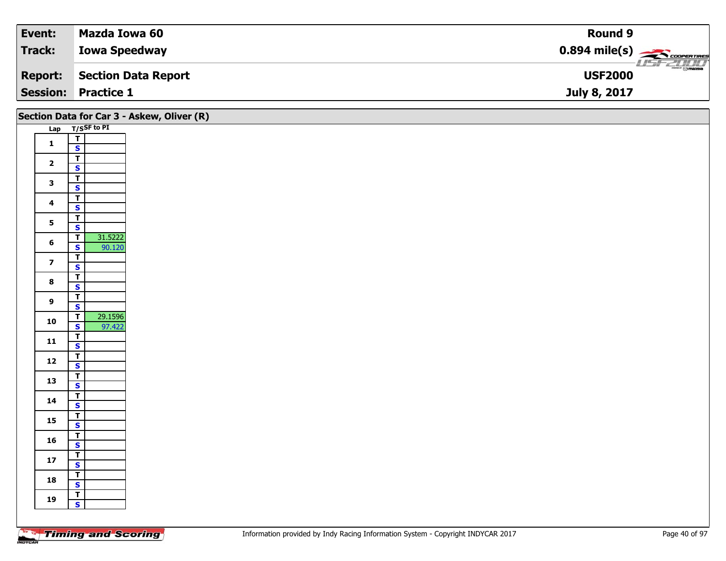| Event:         | Mazda Iowa 60              | <b>Round 9</b>                                         |
|----------------|----------------------------|--------------------------------------------------------|
| Track:         | <b>Iowa Speedway</b>       | $0.894$ mile(s) $\overbrace{\hspace{2cm}}$ COOPERTIRES |
| <b>Report:</b> | Section Data Report        | $\frac{1}{\odot}$ mazoa<br><b>USF2000</b>              |
|                | <b>Session: Practice 1</b> | July 8, 2017                                           |

|                         |                                                                         | Section Data for Car 3 - Askew, Oliver (R) |
|-------------------------|-------------------------------------------------------------------------|--------------------------------------------|
|                         | Lap T/SSF to PI                                                         |                                            |
| $\mathbf 1$             | $\frac{1}{s}$                                                           |                                            |
|                         |                                                                         |                                            |
| $\overline{\mathbf{2}}$ | $\mathbf{T}$                                                            |                                            |
|                         | $\overline{\mathbf{s}}$                                                 |                                            |
| $\mathbf{3}$            | $\overline{\mathbf{r}}$<br>$\overline{\mathbf{s}}$                      |                                            |
|                         | $\overline{\mathsf{T}}$                                                 |                                            |
| $\overline{\mathbf{4}}$ | $\mathbf{s}$                                                            |                                            |
| $5\phantom{a}$          | $\overline{1}$                                                          |                                            |
|                         | $\overline{\mathbf{s}}$                                                 |                                            |
| $6\phantom{a}$          | 31.5222<br>$\overline{I}$                                               |                                            |
|                         | $\mathsf{s}$<br>90.120<br>$\mathbf{T}$                                  |                                            |
| $\overline{\mathbf{z}}$ | $\overline{\mathbf{s}}$                                                 |                                            |
|                         | $\overline{\mathsf{T}}$                                                 |                                            |
| $\bf{8}$                | $\overline{\mathbf{s}}$                                                 |                                            |
| $\boldsymbol{9}$        | $\overline{\mathsf{r}}$                                                 |                                            |
|                         | $\mathbf{s}$                                                            |                                            |
| 10                      | 29.1596<br>$\overline{\mathsf{T}}$<br>$\overline{\mathbf{s}}$<br>97.422 |                                            |
|                         | $\overline{\mathbf{r}}$                                                 |                                            |
| ${\bf 11}$              | $\mathsf{s}$                                                            |                                            |
| $12$                    | $\overline{\mathsf{T}}$                                                 |                                            |
|                         | $\overline{\mathbf{s}}$                                                 |                                            |
| 13                      | $\overline{\mathsf{r}}$                                                 |                                            |
|                         | $\mathbf{s}$<br>$\overline{\mathbf{r}}$                                 |                                            |
| 14                      | $\mathsf{s}$                                                            |                                            |
|                         |                                                                         |                                            |
| 15                      | $rac{T}{s}$                                                             |                                            |
| 16                      | $\overline{\mathsf{T}}$                                                 |                                            |
|                         | $\mathsf{s}$                                                            |                                            |
| $17$                    | $\overline{\mathsf{T}}$<br>$\mathbf{s}$                                 |                                            |
|                         |                                                                         |                                            |
| 18                      | $rac{1}{s}$                                                             |                                            |
| 19                      | $\overline{\mathbf{r}}$                                                 |                                            |
|                         | $\mathbf{s}$                                                            |                                            |
|                         |                                                                         |                                            |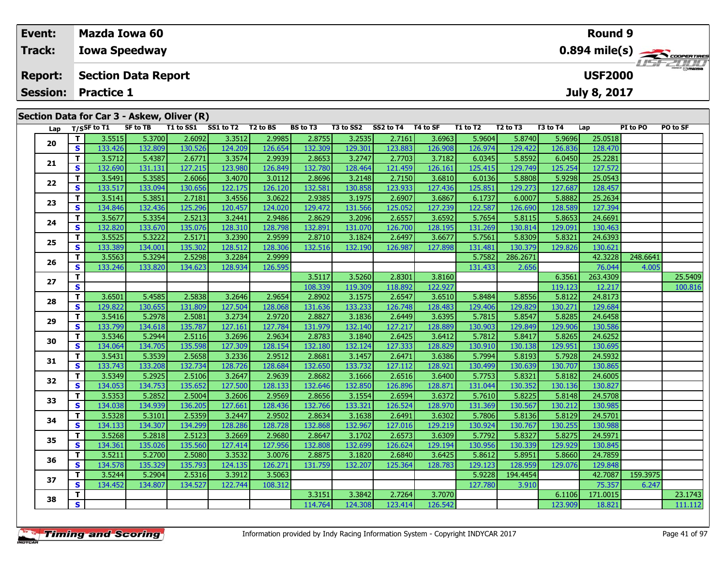| Event:         |                            | <b>Mazda Iowa 60</b>       |                      |                                            |           |          |          |           |           |          |          | <b>Round 9</b>                   |          |                     |          |                                                        |  |  |  |
|----------------|----------------------------|----------------------------|----------------------|--------------------------------------------|-----------|----------|----------|-----------|-----------|----------|----------|----------------------------------|----------|---------------------|----------|--------------------------------------------------------|--|--|--|
| Track:         |                            |                            | <b>Iowa Speedway</b> |                                            |           |          |          |           |           |          |          |                                  |          |                     |          | $0.894$ mile(s) $\rightarrow$ coorganizes<br>LISE 2000 |  |  |  |
| <b>Report:</b> | <b>Section Data Report</b> |                            |                      |                                            |           |          |          |           |           |          |          |                                  |          | <b>USF2000</b>      |          |                                                        |  |  |  |
|                |                            | <b>Session: Practice 1</b> |                      |                                            |           |          |          |           |           |          |          |                                  |          | <b>July 8, 2017</b> |          |                                                        |  |  |  |
|                |                            |                            |                      | Section Data for Car 3 - Askew, Oliver (R) |           |          |          |           |           |          |          |                                  |          |                     |          |                                                        |  |  |  |
|                |                            | Lap $T/S$ SF to T1         | SF to TB             | T1 to SS1                                  | SS1 to T2 | T2 to BS | BS to T3 | T3 to SS2 | SS2 to T4 | T4 to SF | T1 to T2 | T <sub>2</sub> to T <sub>3</sub> | T3 to T4 | Lap                 | PI to PO | PO to SF                                               |  |  |  |
| 20             |                            | 3.5515                     | 5.3700               | 2.6092                                     | 3.3512    | 2.9985   | 2.8755   | 3.2535    | 2.7161    | 3.6963   | 5.9604   | 5.8740                           | 5.9696   | 25.0518             |          |                                                        |  |  |  |
|                | S.                         | 133.426                    | 132.809              | 130.526                                    | 124.209   | 126.654  | 132.309  | 129.301   | 123.883   | 126.908  | 126.974  | 129.422                          | 126.836  | 128.470             |          |                                                        |  |  |  |
| 21             |                            | 3.5712                     | 5.4387               | 2.6771                                     | 3.3574    | 2.9939   | 2.8653   | 3.2747    | 2.7703    | 3.7182   | 6.0345   | 5.8592                           | 6.0450   | 25.2281             |          |                                                        |  |  |  |
|                |                            |                            |                      |                                            |           |          |          |           |           |          |          |                                  |          |                     |          |                                                        |  |  |  |

| 21 | T                       | 3.5712  | 5.4387  | 2.6771  | 3.3574  | 2.9939  | 2.8653  | 3.2747  | 2.7703  | 3.7182  | 6.0345  | 5.8592   | 6.0450  | 25.2281  |          |         |
|----|-------------------------|---------|---------|---------|---------|---------|---------|---------|---------|---------|---------|----------|---------|----------|----------|---------|
|    | S                       | 132.690 | 131.131 | 127.215 | 123.980 | 126.849 | 132.780 | 128.464 | 121.459 | 126.161 | 125.415 | 129.749  | 125.254 | 127.572  |          |         |
| 22 | T                       | 3.5491  | 5.3585  | 2.6066  | 3.4070  | 3.0112  | 2.8696  | 3.2148  | 2.7150  | 3.6810  | 6.0136  | 5.8808   | 5.9298  | 25.0543  |          |         |
|    | S                       | 133.517 | 133.094 | 130.656 | 122.175 | 126.120 | 132.581 | 130.858 | 123.933 | 127.436 | 125.851 | 129.273  | 127.687 | 128.457  |          |         |
|    | T                       | 3.5141  | 5.3851  | 2.7181  | 3.4556  | 3.0622  | 2.9385  | 3.1975  | 2.6907  | 3.6867  | 6.1737  | 6.0007   | 5.8882  | 25.2634  |          |         |
| 23 | $\mathbf{s}$            | 134.846 | 132.436 | 125.296 | 120.457 | 124.020 | 129.472 | 131.566 | 125.052 | 127.239 | 122.587 | 126.690  | 128.589 | 127.394  |          |         |
|    | $\mathbf{T}$            | 3.5677  | 5.3354  | 2.5213  | 3.2441  | 2.9486  | 2.8629  | 3.2096  | 2.6557  | 3.6592  | 5.7654  | 5.8115   | 5.8653  | 24.6691  |          |         |
| 24 | $\mathbf{s}$            | 132.820 | 133.670 | 135.076 | 128.310 | 128.798 | 132.891 | 131.070 | 126.700 | 128.195 | 131.269 | 130.814  | 129.091 | 130.463  |          |         |
|    | T                       | 3.5525  | 5.3222  | 2.5171  | 3.2390  | 2.9599  | 2.8710  | 3.1824  | 2.6497  | 3.6677  | 5.7561  | 5.8309   | 5.8321  | 24.6393  |          |         |
| 25 | S                       | 133.389 | 134.001 | 135.302 | 128.512 | 128.306 | 132.516 | 132.190 | 126.987 | 127.898 | 131.481 | 130.379  | 129.826 | 130.621  |          |         |
|    | T                       | 3.5563  | 5.3294  | 2.5298  | 3.2284  | 2.9999  |         |         |         |         | 5.7582  | 286.2671 |         | 42.3228  | 248.6641 |         |
| 26 | S                       | 133.246 | 133.820 | 134.623 | 128.934 | 126.595 |         |         |         |         | 131.433 | 2.656    |         | 76.044   | 4.005    |         |
|    | $\mathbf{T}$            |         |         |         |         |         | 3.5117  | 3.5260  | 2.8301  | 3.8160  |         |          | 6.3561  | 263.4309 |          | 25.5409 |
| 27 | $\mathbf{s}$            |         |         |         |         |         | 108.339 | 119.309 | 118.892 | 122.927 |         |          | 119.123 | 12.217   |          | 100.816 |
|    | T                       | 3.6501  | 5.4585  | 2.5838  | 3.2646  | 2.9654  | 2.8902  | 3.1575  | 2.6547  | 3.6510  | 5.8484  | 5.8556   | 5.8122  | 24.8173  |          |         |
| 28 | $\mathbf{s}$            | 129.822 | 130.655 | 131.809 | 127.504 | 128.068 | 131.636 | 133.233 | 126.748 | 128.483 | 129.406 | 129.829  | 130.271 | 129.684  |          |         |
|    | т                       | 3.5416  | 5.2978  | 2.5081  | 3.2734  | 2.9720  | 2.8827  | 3.1836  | 2.6449  | 3.6395  | 5.7815  | 5.8547   | 5.8285  | 24.6458  |          |         |
| 29 | S                       | 133.799 | 134.618 | 135.787 | 127.161 | 127.784 | 131.979 | 132.140 | 127.217 | 128.889 | 130.903 | 129.849  | 129.906 | 130.586  |          |         |
|    | т                       | 3.5346  | 5.2944  | 2.5116  | 3.2696  | 2.9634  | 2.8783  | 3.1840  | 2.6425  | 3.6412  | 5.7812  | 5.8417   | 5.8265  | 24.6252  |          |         |
| 30 | $\mathbf{s}$            | 134.064 | 134.705 | 135.598 | 127.309 | 128.154 | 132.180 | 132.124 | 127.333 | 128.829 | 130.910 | 130.138  | 129.951 | 130.695  |          |         |
|    | $\mathbf{T}$            | 3.5431  | 5.3539  | 2.5658  | 3.2336  | 2.9512  | 2.8681  | 3.1457  | 2.6471  | 3.6386  | 5.7994  | 5.8193   | 5.7928  | 24.5932  |          |         |
| 31 | S                       | 133.743 | 133.208 | 132.734 | 128.726 | 128.684 | 132.650 | 133.732 | 127.112 | 128.921 | 130.499 | 130.639  | 130.707 | 130.865  |          |         |
|    | T                       | 3.5349  | 5.2925  | 2.5106  | 3.2647  | 2.9639  | 2.8682  | 3.1666  | 2.6516  | 3.6400  | 5.7753  | 5.8321   | 5.8182  | 24.6005  |          |         |
| 32 | $\mathbf{s}$            | 134.053 | 134.753 | 135.652 | 127.500 | 128.133 | 132.646 | 132.850 | 126.896 | 128.871 | 131.044 | 130.352  | 130.136 | 130.827  |          |         |
|    | $\mathbf{T}$            | 3.5353  | 5.2852  | 2.5004  | 3.2606  | 2.9569  | 2.8656  | 3.1554  | 2.6594  | 3.6372  | 5.7610  | 5.8225   | 5.8148  | 24.5708  |          |         |
| 33 | $\mathbf{s}$            | 134.038 | 134.939 | 136.205 | 127.661 | 128.436 | 132.766 | 133.321 | 126.524 | 128.970 | 131.369 | 130.567  | 130.212 | 130.985  |          |         |
| 34 | т                       | 3.5328  | 5.3101  | 2.5359  | 3.2447  | 2.9502  | 2.8634  | 3.1638  | 2.6491  | 3.6302  | 5.7806  | 5.8136   | 5.8129  | 24.5701  |          |         |
|    | S                       | 134.133 | 134.307 | 134.299 | 128.286 | 128.728 | 132.868 | 132.967 | 127.016 | 129.219 | 130.924 | 130.767  | 130.255 | 130.988  |          |         |
|    | $\mathbf{T}$            | 3.5268  | 5.2818  | 2.5123  | 3.2669  | 2.9680  | 2.8647  | 3.1702  | 2.6573  | 3.6309  | 5.7792  | 5.8327   | 5.8275  | 24.5971  |          |         |
| 35 | S                       | 134.361 | 135.026 | 135.560 | 127.414 | 127.956 | 132.808 | 132.699 | 126.624 | 129.194 | 130.956 | 130.339  | 129.929 | 130.845  |          |         |
|    | т                       | 3.5211  | 5.2700  | 2.5080  | 3.3532  | 3.0076  | 2.8875  | 3.1820  | 2.6840  | 3.6425  | 5.8612  | 5.8951   | 5.8660  | 24.7859  |          |         |
| 36 | $\mathbf{s}$            | 134.578 | 135.329 | 135.793 | 124.135 | 126.271 | 131.759 | 132.207 | 125.364 | 128.783 | 129.123 | 128.959  | 129.076 | 129.848  |          |         |
| 37 | $\mathbf{T}$            | 3.5244  | 5.2904  | 2.5316  | 3.3912  | 3.5063  |         |         |         |         | 5.9228  | 194.4454 |         | 42.7087  | 159.3975 |         |
|    | $\mathbf{s}$            | 134.452 | 134.807 | 134.527 | 122.744 | 108.312 |         |         |         |         | 127.780 | 3.910    |         | 75.357   | 6.247    |         |
|    | т                       |         |         |         |         |         | 3.3151  | 3.3842  | 2.7264  | 3.7070  |         |          | 6.1106  | 171.0015 |          | 23.1743 |
| 38 | $\overline{\mathbf{s}}$ |         |         |         |         |         | 114.764 | 124.308 | 123.414 | 126.542 |         |          | 123.909 | 18.821   |          | 111.112 |
|    |                         |         |         |         |         |         |         |         |         |         |         |          |         |          |          |         |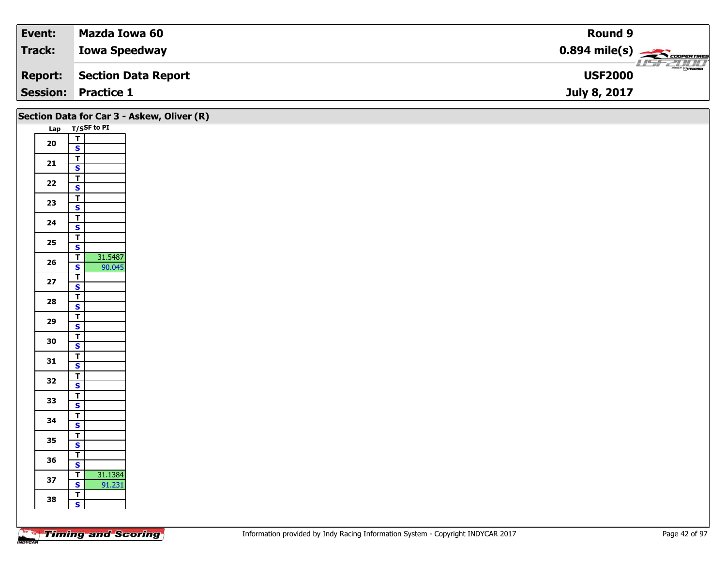| Event:          | Mazda Iowa 60        | <b>Round 9</b>                                          |
|-----------------|----------------------|---------------------------------------------------------|
| <b>Track:</b>   | <b>Iowa Speedway</b> | $0.894$ mile(s) $\overbrace{\hspace{2cm}}$ coorer Times |
| <b>Report:</b>  | Section Data Report  | $\frac{1}{\Theta}$ mazoa<br><b>USF2000</b>              |
| <b>Session:</b> | <b>Practice 1</b>    | July 8, 2017                                            |

|            | Section Data for Car 3 - Askew, Oliver (R) |  |  |  |
|------------|--------------------------------------------|--|--|--|
|            | Lap T/SSF to PI                            |  |  |  |
| ${\bf 20}$ | $\frac{1}{s}$                              |  |  |  |
|            |                                            |  |  |  |
| 21         | $\mathbf{T}$                               |  |  |  |
|            | $\mathbf{s}$                               |  |  |  |
| $22$       | $\overline{\mathsf{T}}$                    |  |  |  |
|            | $\mathbf{s}$                               |  |  |  |
| 23         | $\overline{\mathsf{T}}$<br>$\mathbf{s}$    |  |  |  |
|            | $\overline{\mathsf{T}}$                    |  |  |  |
| 24         | $\overline{\mathbf{s}}$                    |  |  |  |
|            | $\overline{I}$                             |  |  |  |
| 25         | $\mathbf{s}$                               |  |  |  |
|            | 31.5487<br>$\mathbf{I}$                    |  |  |  |
| 26         | $\overline{\mathbf{s}}$<br>90.045          |  |  |  |
| $27\,$     | $\vert$ T                                  |  |  |  |
|            | $\overline{\mathbf{s}}$                    |  |  |  |
| 28         | $\overline{\mathsf{T}}$                    |  |  |  |
|            | $\mathbf{s}$<br>$\overline{I}$             |  |  |  |
| 29         | $\overline{\mathbf{s}}$                    |  |  |  |
|            | $\overline{I}$                             |  |  |  |
| 30         | $\mathsf{s}$                               |  |  |  |
|            | $\mathsf{T}$                               |  |  |  |
| 31         | $\overline{\mathbf{s}}$                    |  |  |  |
| 32         | $\overline{r}$                             |  |  |  |
|            | $\overline{\mathbf{s}}$                    |  |  |  |
| 33         | $\overline{t}$                             |  |  |  |
|            | $\mathbf{s}$                               |  |  |  |
| 34         | $\overline{I}$<br>$\overline{\mathbf{s}}$  |  |  |  |
|            | $\overline{\mathbf{r}}$                    |  |  |  |
| 35         | $\mathsf{s}$                               |  |  |  |
|            | $\mathbf{I}$                               |  |  |  |
| 36         | $\mathbf{s}$                               |  |  |  |
|            | 31.1384<br>$\vert T \vert$                 |  |  |  |
| 37         | 91.231<br>$\mathbf{s}$                     |  |  |  |
| 38         | $\overline{L}$                             |  |  |  |
|            | $\mathbf{s}$                               |  |  |  |
|            |                                            |  |  |  |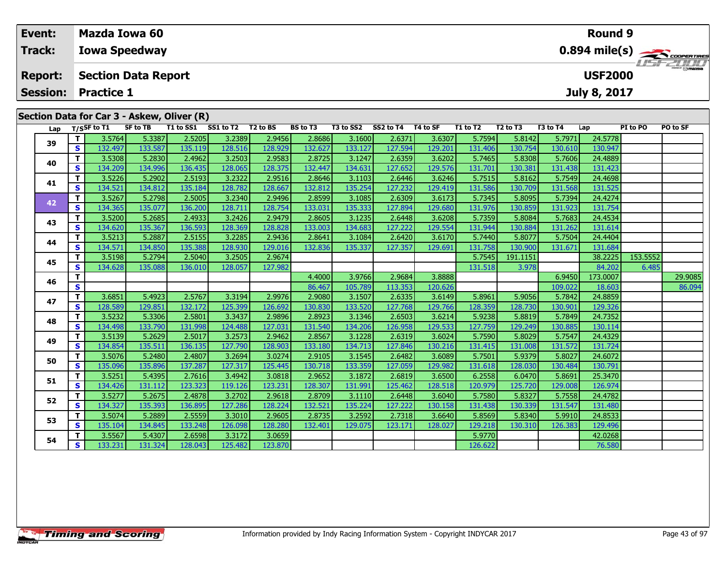|    | Event:<br>Track:                  |          | <b>Mazda Iowa 60</b> | <b>Iowa Speedway</b>       |                                            |           |          |                 |           |           |          |          |                                  |          | Round 9                               |          | $0.894$ mile(s) $\rightarrow$ |
|----|-----------------------------------|----------|----------------------|----------------------------|--------------------------------------------|-----------|----------|-----------------|-----------|-----------|----------|----------|----------------------------------|----------|---------------------------------------|----------|-------------------------------|
|    | <b>Report:</b><br><b>Session:</b> |          | <b>Practice 1</b>    | <b>Section Data Report</b> |                                            |           |          |                 |           |           |          |          |                                  |          | <b>USF2000</b><br><b>July 8, 2017</b> |          | <b>LISF 2000</b>              |
|    |                                   |          |                      |                            | Section Data for Car 3 - Askew, Oliver (R) |           |          |                 |           |           |          |          |                                  |          |                                       |          |                               |
|    |                                   |          | Lap T/SSF to T1      | SF to TB                   | T1 to SS1                                  | SS1 to T2 | T2 to BS | <b>BS to T3</b> | T3 to SS2 | SS2 to T4 | T4 to SF | T1 to T2 | T <sub>2</sub> to T <sub>3</sub> | T3 to T4 | Lap                                   | PI to PO | PO to SF                      |
|    |                                   |          | 3.5764               | 5.3387                     | 2.5205                                     | 3.2389    | 2.9456   | 2.8686          | 3.1600    | 2.6371    | 3.6307   | 5.7594   | 5.8142                           | 5.7971   | 24.5778                               |          |                               |
| 39 |                                   | <b>S</b> | 132.497              | 133.587                    | 135.119                                    | 128.516   | 128.929  | 132.627         | 133.127   | 127.594   | 129.201  | 131.406  | 130.754                          | 130.610  | 130.947                               |          |                               |
|    |                                   |          | 3.5308               | 5.2830                     | 2.4962                                     | 3.2503    | 2.9583   | 2.8725          | 3.1247    | 2.6359    | 3.6202   | 5.7465   | 5.8308                           | 5.7606   | 24.4889                               |          |                               |
|    | 40                                |          | 134.209              | 134.996                    | 136.435                                    | 128.065   | 128.375  | 132.447         | 134.631   | 127.652   | 129.576  | 131.701  | 130.381                          | 131.438  | 131.423                               |          |                               |

**<sup>T</sup>** 3.5226 5.2902 2.5193 3.2322 2.9516 2.8646 3.1103 2.6446 3.6246 5.7515 5.8162 5.7549 24.4698 **<sup>S</sup>** 134.521 134.812 135.184 128.782 128.667 132.812 135.254 127.232 129.419 131.586 130.709 131.568 131.525

**<sup>T</sup>** 3.5267 5.2798 2.5005 3.2340 2.9496 2.8599 3.1085 2.6309 3.6173 5.7345 5.8095 5.7394 24.4274 **<sup>S</sup>** 134.365 135.077 136.200 128.711 128.754 133.031 135.333 127.894 129.680 131.976 130.859 131.923 131.754

**<sup>T</sup>** 3.5200 5.2685 2.4933 3.2426 2.9479 2.8605 3.1235 2.6448 3.6208 5.7359 5.8084 5.7683 24.4534 **<sup>S</sup>** 134.620 135.367 136.593 128.369 128.828 133.003 134.683 127.222 129.554 131.944 130.884 131.262 131.614

**<sup>T</sup>** 3.5213 5.2887 2.5155 3.2285 2.9436 2.8641 3.1084 2.6420 3.6170 5.7440 5.8077 5.7504 24.4404 **<sup>S</sup>** 134.571 134.850 135.388 128.930 129.016 132.836 135.337 127.357 129.691 131.758 130.900 131.671 131.684

**<sup>T</sup>** 3.6851 5.4923 2.5767 3.3194 2.9976 2.9080 3.1507 2.6335 3.6149 5.8961 5.9056 5.7842 24.8859 **<sup>S</sup>** 128.589 129.851 132.172 125.399 126.692 130.830 133.520 127.768 129.766 128.359 128.730 130.901 129.326

**<sup>T</sup>** 3.5232 5.3306 2.5801 3.3437 2.9896 2.8923 3.1346 2.6503 3.6214 5.9238 5.8819 5.7849 24.7352 **<sup>S</sup>** 134.498 133.790 131.998 124.488 127.031 131.540 134.206 126.958 129.533 127.759 129.249 130.885 130.114

**<sup>T</sup>** 3.5139 5.2629 2.5017 3.2573 2.9462 2.8567 3.1228 2.6319 3.6024 5.7590 5.8029 5.7547 24.4329 **<sup>S</sup>** 134.854 135.511 136.135 127.790 128.903 133.180 134.713 127.846 130.216 131.415 131.008 131.572 131.724

**<sup>T</sup>** 3.5076 5.2480 2.4807 3.2694 3.0274 2.9105 3.1545 2.6482 3.6089 5.7501 5.9379 5.8027 24.6072 **<sup>S</sup>** 135.096 135.896 137.287 127.317 125.445 130.718 133.359 127.059 129.982 131.618 128.030 130.484 130.791

**<sup>T</sup>** 3.5251 5.4395 2.7616 3.4942 3.0818 2.9652 3.1872 2.6819 3.6500 6.2558 6.0470 5.8691 25.3470 **<sup>S</sup>** 134.426 131.112 123.323 119.126 123.231 128.307 131.991 125.462 128.518 120.979 125.720 129.008 126.974

**<sup>T</sup>** 3.5277 5.2675 2.4878 3.2702 2.9618 2.8709 3.1110 2.6448 3.6040 5.7580 5.8327 5.7558 24.4782 **<sup>S</sup>** 134.327 135.393 136.895 127.286 128.224 132.521 135.224 127.222 130.158 131.438 130.339 131.547 131.480

**<sup>T</sup>** 3.5074 5.2889 2.5559 3.3010 2.9605 2.8735 3.2592 2.7318 3.6640 5.8569 5.8340 5.9910 24.8533 **<sup>S</sup>** 135.104 134.845 133.248 126.098 128.280 132.401 129.075 123.171 128.027 129.218 130.310 126.383 129.496

**<sup>T</sup>** 3.5567 5.4307 2.6598 3.3172 3.0659 5.9770 42.0268 **<sup>S</sup>** 133.231 131.324 128.043 125.482 123.870 126.622 76.580

**<sup>T</sup>** 3.5198 5.2794 2.5040 3.2505 2.9674 5.7545 191.1151 38.2225 153.5552 **<sup>S</sup>** 134.628 135.088 136.010 128.057 127.982 131.518 3.978 84.202 6.485

**<sup>T</sup>** 4.4000 3.9766 2.9684 3.8888 6.9450 173.0007 29.9085 **<sup>S</sup>** 86.467 105.789 113.353 120.626 109.022 18.603 86.094

**41**

**42**

**43**

**44**

**45**

**46**

**47**

**48**

**49**

**50**

**51**

**52**

**53**

**54**

131.754

129.326

130.791

126.974

131.480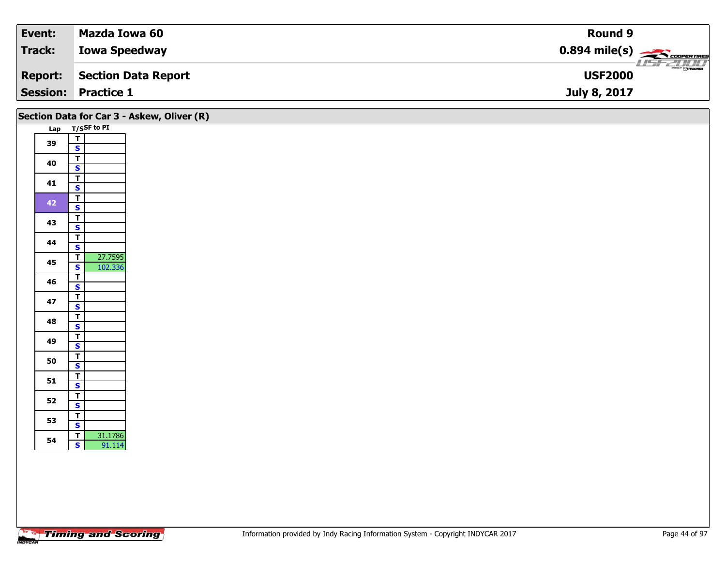| Event:         | Mazda Iowa 60              | <b>Round 9</b>                                         |
|----------------|----------------------------|--------------------------------------------------------|
| Track:         | <b>Iowa Speedway</b>       | $0.894$ mile(s) $\overbrace{\hspace{2cm}}$ COOPERTIRES |
| <b>Report:</b> | Section Data Report        | $\frac{1}{\odot}$ mazoa<br><b>USF2000</b>              |
|                | <b>Session: Practice 1</b> | July 8, 2017                                           |

|    |                                                                 | Section Data for Car 3 - Askew, Oliver (R) |
|----|-----------------------------------------------------------------|--------------------------------------------|
|    | Lap T/SSF to PI                                                 |                                            |
| 39 | $\mathbf{T}$<br>$\mathbf{s}$                                    |                                            |
| 40 | $\overline{\mathbf{T}}$<br>$\mathbf{s}$                         |                                            |
| 41 | $\frac{1}{s}$                                                   |                                            |
| 42 | $\overline{\mathsf{T}}$<br>$\mathbf{s}$                         |                                            |
| 43 | $\overline{\mathbf{r}}$<br>$\overline{\mathbf{s}}$              |                                            |
| 44 | $\overline{\mathbf{T}}$<br>$\mathbf{s}$                         |                                            |
| 45 | 27.7595<br>$\overline{t}$<br>$\overline{\mathbf{s}}$<br>102.336 |                                            |
| 46 | $\overline{\mathbf{T}}$<br>$\overline{\mathbf{s}}$              |                                            |
| 47 | $\overline{\mathbf{r}}$<br>$\mathbf{s}$                         |                                            |
| 48 | $\overline{\mathsf{T}}$<br>$\overline{\mathbf{s}}$              |                                            |
| 49 | $\overline{\mathbf{T}}$<br>$\mathbf{s}$                         |                                            |
| 50 | $\overline{\mathsf{T}}$<br>$\overline{\mathbf{s}}$              |                                            |
| 51 | $rac{1}{s}$                                                     |                                            |
| 52 | $rac{1}{s}$                                                     |                                            |
| 53 | $\overline{\mathbf{r}}$                                         |                                            |
|    | $\overline{\mathbf{s}}$<br>31.1786<br>$\overline{I}$            |                                            |
| 54 | $\mathbf{s}$<br>91.114                                          |                                            |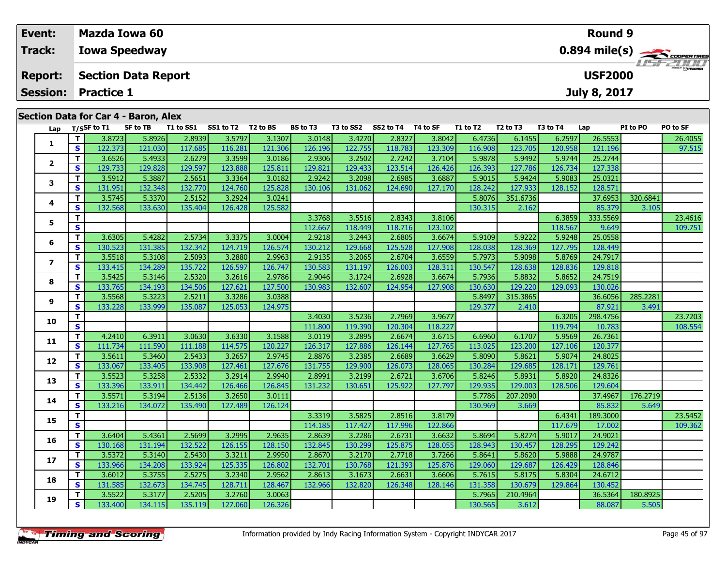| Event:                               | Mazda Iowa 60              |          |           |                    |          |           |           |          |          |          |          | Round 9        |          |                         |
|--------------------------------------|----------------------------|----------|-----------|--------------------|----------|-----------|-----------|----------|----------|----------|----------|----------------|----------|-------------------------|
| <b>Track:</b>                        | <b>Iowa Speedway</b>       |          |           |                    |          |           |           |          |          |          |          |                |          | $0.894 \text{ mile(s)}$ |
| <b>Report:</b>                       | <b>Section Data Report</b> |          |           |                    |          |           |           |          |          |          |          | <b>USF2000</b> |          |                         |
|                                      | <b>Session: Practice 1</b> |          |           |                    |          |           |           |          |          |          |          | July 8, 2017   |          |                         |
| Section Data for Car 4 - Baron, Alex |                            |          |           |                    |          |           |           |          |          |          |          |                |          |                         |
| Lap                                  | T/SSF to T1                | SF to TB | T1 to SS1 | SS1 to T2 T2 to BS | BS to T3 | T3 to SS2 | SS2 to T4 | T4 to SF | T1 to T2 | T2 to T3 | T3 to T4 | Lap            | PI to PO | <b>PO to SF</b>         |

| Lap          |              | T/SSF to $T1$ | SF to TB | T1 to SS1 | SS1 to T2 | T2 to BS | <b>BS to T3</b> | T3 to SS2 | SS2 to T4 | T4 to SF | T1 to T2 | T2 to T3 | T3 to T4 | Lap      | PI to PO | PO to SF |
|--------------|--------------|---------------|----------|-----------|-----------|----------|-----------------|-----------|-----------|----------|----------|----------|----------|----------|----------|----------|
| 1            | T.           | 3.8723        | 5.8926   | 2.8939    | 3.5797    | 3.1307   | 3.0148          | 3.4270    | 2.8327    | 3.8042   | 6.4736   | 6.1455   | 6.2597   | 26.5553  |          | 26.4055  |
|              | S            | 122.373       | 121.030  | 117.685   | 116.281   | 121.306  | 126.196         | 122.755   | 118.783   | 123.309  | 116.908  | 123.705  | 120.958  | 121.196  |          | 97.515   |
|              | T.           | 3.6526        | 5.4933   | 2.6279    | 3.3599    | 3.0186   | 2.9306          | 3.2502    | 2.7242    | 3.7104   | 5.9878   | 5.9492   | 5.9744   | 25.2744  |          |          |
| $\mathbf{2}$ | <b>S</b>     | 129.733       | 129.828  | 129.597   | 123.888   | 125.811  | 129.821         | 129.433   | 123.514   | 126.426  | 126.393  | 127.786  | 126.734  | 127.338  |          |          |
| 3            | т            | 3.5912        | 5.3887   | 2.5651    | 3.3364    | 3.0182   | 2.9242          | 3.2098    | 2.6985    | 3.6887   | 5.9015   | 5.9424   | 5.9083   | 25.0321  |          |          |
|              | $\mathbf{s}$ | 131.951       | 132.348  | 132.770   | 124.760   | 125.828  | 130.106         | 131.062   | 124.690   | 127.170  | 128.242  | 127.933  | 128.152  | 128.571  |          |          |
| 4            | T.           | 3.5745        | 5.3370   | 2.5152    | 3.2924    | 3.0241   |                 |           |           |          | 5.8076   | 351.6736 |          | 37.6953  | 320.6841 |          |
|              | S            | 132.568       | 133.630  | 135.404   | 126.428   | 125.582  |                 |           |           |          | 130.315  | 2.162    |          | 85.379   | 3.105    |          |
| 5            | T.           |               |          |           |           |          | 3.3768          | 3.5516    | 2.8343    | 3.8106   |          |          | 6.3859   | 333.5569 |          | 23.4616  |
|              | S            |               |          |           |           |          | 112.667         | 118.449   | 118.716   | 123.102  |          |          | 118.567  | 9.649    |          | 109.751  |
| 6            | T.           | 3.6305        | 5.4282   | 2.5734    | 3.3375    | 3.0004   | 2.9218          | 3.2443    | 2.6805    | 3.6674   | 5.9109   | 5.9222   | 5.9248   | 25.0558  |          |          |
|              | $\mathbf{s}$ | 130.523       | 131.385  | 132.342   | 124.719   | 126.574  | 130.212         | 129.668   | 125.528   | 127.908  | 128.038  | 128.369  | 127.795  | 128.449  |          |          |
| 7            | T.           | 3.5518        | 5.3108   | 2.5093    | 3.2880    | 2.9963   | 2.9135          | 3.2065    | 2.6704    | 3.6559   | 5.7973   | 5.9098   | 5.8769   | 24.7917  |          |          |
|              | S            | 133.415       | 134.289  | 135.722   | 126.597   | 126.747  | 130.583         | 131.197   | 126.003   | 128.311  | 130.547  | 128.638  | 128.836  | 129.818  |          |          |
| 8            | T.           | 3.5425        | 5.3146   | 2.5320    | 3.2616    | 2.9786   | 2.9046          | 3.1724    | 2.6928    | 3.6674   | 5.7936   | 5.8832   | 5.8652   | 24.7519  |          |          |
|              | S            | 133.765       | 134.193  | 134.506   | 127.621   | 127.500  | 130.983         | 132.607   | 124.954   | 127.908  | 130.630  | 129.220  | 129.093  | 130.026  |          |          |
| 9            | T.           | 3.5568        | 5.3223   | 2.5211    | 3.3286    | 3.0388   |                 |           |           |          | 5.8497   | 315.3865 |          | 36.6056  | 285.2281 |          |
|              | S            | 133.228       | 133.999  | 135.087   | 125.053   | 124.975  |                 |           |           |          | 129.377  | 2.410    |          | 87.921   | 3.491    |          |
| 10           | T.           |               |          |           |           |          | 3.4030          | 3.5236    | 2.7969    | 3.9677   |          |          | 6.3205   | 298.4756 |          | 23.7203  |
|              | S            |               |          |           |           |          | 111.800         | 119.390   | 120.304   | 118.227  |          |          | 119.794  | 10.783   |          | 108.554  |
| 11           | T.           | 4.2410        | 6.3911   | 3.0630    | 3.6330    | 3.1588   | 3.0119          | 3.2895    | 2.6674    | 3.6715   | 6.6960   | 6.1707   | 5.9569   | 26.7361  |          |          |
|              | <b>S</b>     | 111.734       | 111.590  | 111.188   | 114.575   | 120.227  | 126.317         | 127.886   | 126.144   | 127.765  | 113.025  | 123.200  | 127.106  | 120.377  |          |          |
| 12           | T.           | 3.5611        | 5.3460   | 2.5433    | 3.2657    | 2.9745   | 2.8876          | 3.2385    | 2.6689    | 3.6629   | 5.8090   | 5.8621   | 5.9074   | 24.8025  |          |          |
|              | $\mathbf{s}$ | 133.067       | 133.405  | 133.908   | 127.461   | 127.676  | 131.755         | 129.900   | 126.073   | 128.065  | 130.284  | 129.685  | 128.171  | 129.761  |          |          |
| 13           | T.           | 3.5523        | 5.3258   | 2.5332    | 3.2914    | 2.9940   | 2.8991          | 3.2199    | 2.6721    | 3.6706   | 5.8246   | 5.8931   | 5.8920   | 24.8326  |          |          |
|              | S            | 133.396       | 133.911  | 134.442   | 126.466   | 126.845  | 131.232         | 130.651   | 125.922   | 127.797  | 129.935  | 129.003  | 128.506  | 129.604  |          |          |
| 14           | T.           | 3.5571        | 5.3194   | 2.5136    | 3.2650    | 3.0111   |                 |           |           |          | 5.7786   | 207.2090 |          | 37.4967  | 176.2719 |          |
|              | <b>S</b>     | 133.216       | 134.072  | 135.490   | 127.489   | 126.124  |                 |           |           |          | 130.969  | 3.669    |          | 85.832   | 5.649    |          |
| 15           | T.           |               |          |           |           |          | 3.3319          | 3.5825    | 2.8516    | 3.8179   |          |          | 6.4341   | 189.3000 |          | 23.5452  |
|              | $\mathbf{s}$ |               |          |           |           |          | 114.185         | 117.427   | 117.996   | 122.866  |          |          | 117.679  | 17.002   |          | 109.362  |
| 16           | T.           | 3.6404        | 5.4361   | 2.5699    | 3.2995    | 2.9635   | 2.8639          | 3.2286    | 2.6731    | 3.6632   | 5.8694   | 5.8274   | 5.9017   | 24.9021  |          |          |
|              | $\mathbf{s}$ | 130.168       | 131.194  | 132.522   | 126.155   | 128.150  | 132.845         | 130.299   | 125.875   | 128.055  | 128.943  | 130.457  | 128.295  | 129.242  |          |          |
| 17           | T.           | 3.5372        | 5.3140   | 2.5430    | 3.3211    | 2.9950   | 2.8670          | 3.2170    | 2.7718    | 3.7266   | 5.8641   | 5.8620   | 5.9888   | 24.9787  |          |          |
|              | S            | 133.966       | 134.208  | 133.924   | 125.335   | 126.802  | 132.701         | 130.768   | 121.393   | 125.876  | 129.060  | 129.687  | 126.429  | 128.846  |          |          |
| 18           | T.           | 3.6012        | 5.3755   | 2.5275    | 3.2340    | 2.9562   | 2.8613          | 3.1673    | 2.6631    | 3.6606   | 5.7615   | 5.8175   | 5.8304   | 24.6712  |          |          |
|              | S            | 131.585       | 132.673  | 134.745   | 128.711   | 128.467  | 132.966         | 132.820   | 126.348   | 128.146  | 131.358  | 130.679  | 129.864  | 130.452  |          |          |
| 19           | Τ.           | 3.5522        | 5.3177   | 2.5205    | 3.2760    | 3.0063   |                 |           |           |          | 5.7965   | 210.4964 |          | 36.5364  | 180.8925 |          |
|              | S.           | 133.400       | 134.115  | 135.119   | 127.060   | 126.326  |                 |           |           |          | 130.565  | 3.612    |          | 88.087   | 5.505    |          |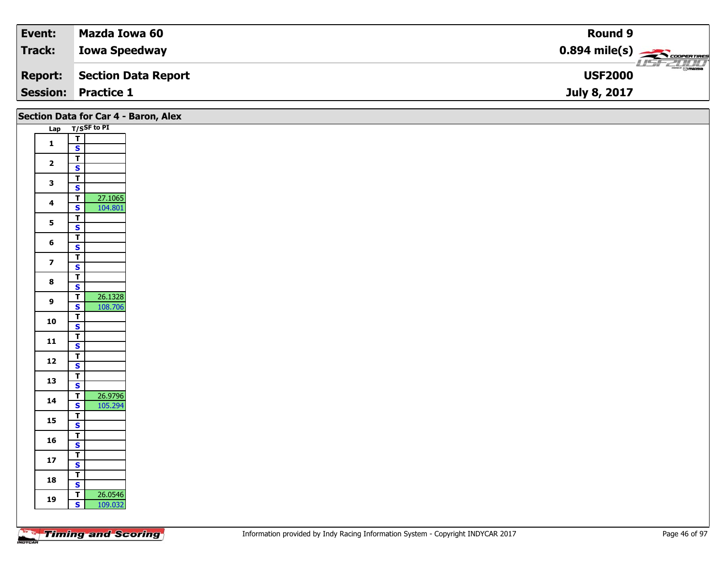| Event:  | Mazda Iowa 60              | Round 9                                             |
|---------|----------------------------|-----------------------------------------------------|
| Track:  | <b>Iowa Speedway</b>       | $0.894$ mile(s) $\overbrace{\hspace{2cm}}$ covening |
| Report: | Section Data Report        | $\frac{1}{\odot}$ mazoa<br><b>USF2000</b>           |
|         | <b>Session: Practice 1</b> | July 8, 2017                                        |

|                         |                                                    | Section Data for Car 4 - Baron, Alex |
|-------------------------|----------------------------------------------------|--------------------------------------|
|                         | Lap T/SSF to PI                                    |                                      |
| $\mathbf{1}$            | $\overline{I}$                                     |                                      |
|                         | $\mathbf{s}$                                       |                                      |
| $\overline{\mathbf{2}}$ | $\overline{\mathsf{r}}$                            |                                      |
|                         | $\overline{\mathbf{s}}$                            |                                      |
| $\mathbf{3}$            | $\overline{\mathsf{T}}$<br>$\overline{\mathbf{s}}$ |                                      |
|                         | 27.1065<br>$\overline{\mathsf{r}}$                 |                                      |
| $\overline{\mathbf{4}}$ | 104.801<br>$\overline{\mathbf{s}}$                 |                                      |
|                         | $\overline{r}$                                     |                                      |
| 5 <sub>5</sub>          | $\overline{\mathbf{s}}$                            |                                      |
| $6\phantom{1}$          | $\overline{\mathbf{r}}$                            |                                      |
|                         | $\mathbf{s}$                                       |                                      |
| $\overline{\mathbf{z}}$ | $\overline{\mathsf{T}}$                            |                                      |
|                         | $\mathbf{s}$                                       |                                      |
| $\bf{8}$                | $\overline{\mathsf{T}}$<br>$\overline{\mathbf{s}}$ |                                      |
|                         | 26.1328<br>$\overline{f}$                          |                                      |
| $\mathbf{9}$            | 108.706<br>$\mathbf{s}$                            |                                      |
|                         | $\overline{\mathsf{r}}$                            |                                      |
| 10                      | $\overline{\mathbf{s}}$                            |                                      |
| ${\bf 11}$              | $\overline{\mathsf{T}}$                            |                                      |
|                         | $\mathbf{s}$                                       |                                      |
| 12                      | $\mathbf{T}$<br>$\mathsf{s}$                       |                                      |
|                         | $\mathbf{T}$                                       |                                      |
| 13                      | $\overline{\mathbf{s}}$                            |                                      |
|                         | 26.9796<br>$\overline{r}$                          |                                      |
| 14                      | 105.294<br>$\mathsf{s}$                            |                                      |
| 15                      | $\overline{\mathsf{T}}$                            |                                      |
|                         | $\overline{\mathbf{s}}$                            |                                      |
| 16                      | $\overline{t}$                                     |                                      |
|                         | $\mathbf{s}$<br>$\overline{\mathsf{r}}$            |                                      |
| ${\bf 17}$              | $\mathbf{s}$                                       |                                      |
|                         | $\overline{\mathbf{T}}$                            |                                      |
| 18                      | $\overline{\mathbf{s}}$                            |                                      |
|                         | 26.0546<br>$\overline{\mathsf{r}}$                 |                                      |
| 19                      | $\mathsf{s}$<br>109.032                            |                                      |
|                         |                                                    |                                      |

Τ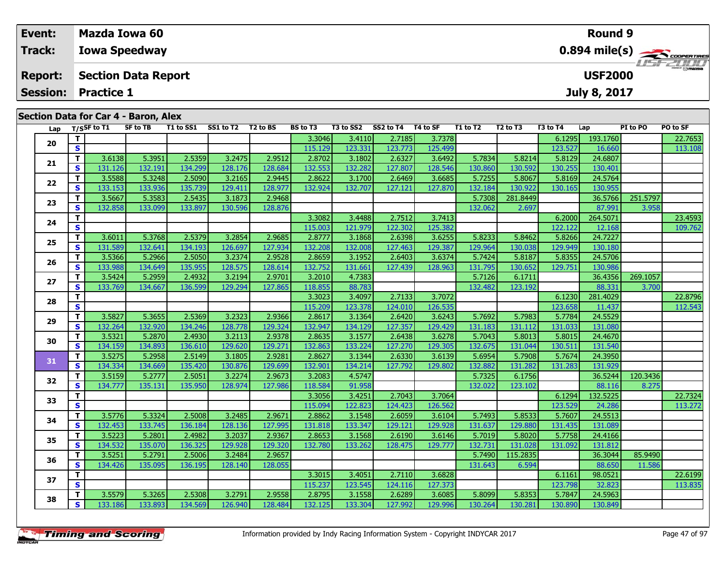| Event:         | Mazda Iowa 60                                                                                  |                                                           |                 |                  |                     |                  |                 |                  |                     | Round 9  |                                                      |
|----------------|------------------------------------------------------------------------------------------------|-----------------------------------------------------------|-----------------|------------------|---------------------|------------------|-----------------|------------------|---------------------|----------|------------------------------------------------------|
| <b>Track:</b>  | <b>Iowa Speedway</b>                                                                           |                                                           |                 |                  |                     |                  |                 |                  |                     |          | $0.894$ mile(s) $\overbrace{\hspace{2cm}}$ coverages |
| <b>Report:</b> | <b>Section Data Report</b>                                                                     |                                                           |                 |                  |                     |                  |                 |                  | <b>USF2000</b>      |          | <b>HSFZHIJ</b>                                       |
|                | <b>Session: Practice 1</b>                                                                     |                                                           |                 |                  |                     |                  |                 |                  | <b>July 8, 2017</b> |          |                                                      |
|                |                                                                                                |                                                           |                 |                  |                     |                  |                 |                  |                     |          |                                                      |
|                | Section Data for Car 4 - Baron, Alex                                                           |                                                           |                 |                  |                     |                  |                 |                  |                     |          |                                                      |
|                | $\mathbf{r} = \mathbf{r}$ $\mathbf{r} = \mathbf{r} \cdot \mathbf{r}$ . The set of $\mathbf{r}$ | $CE + 6 - TD$ $T1 + 6 - CC1$ $CC1 + 6 - T2$ $T2 + 6 - DC$ | <b>DC to T?</b> | <b>T2 to CC2</b> | CC 3 to TA TA to CE | <b>T1 + 2 T3</b> | <b>ED to TD</b> | <b>F2 + 0 TA</b> | $\sim$              | DT to DO | <b>DO to CE</b>                                      |

| T.<br>3.3046<br>2.7185<br>3.4110<br>3.7378<br>6.1295<br>193.1760<br>20<br>$\mathbf{s}$<br>123.527<br>115.129<br>123.331<br>123.773<br>125.499<br>16.660<br>2.5359<br>3.2475<br>5.8214<br>5.8129<br>24.6807<br>T.<br>3.6138<br>5.3951<br>2.9512<br>2.8702<br>3.1802<br>2.6327<br>3.6492<br>5.7834 | 22.7653<br>113.108 |
|--------------------------------------------------------------------------------------------------------------------------------------------------------------------------------------------------------------------------------------------------------------------------------------------------|--------------------|
|                                                                                                                                                                                                                                                                                                  |                    |
|                                                                                                                                                                                                                                                                                                  |                    |
|                                                                                                                                                                                                                                                                                                  |                    |
| 21<br>$\mathbf{s}$<br>131.126<br>132.191<br>128.176<br>132.553<br>132.282<br>127.807<br>128.546<br>130.860<br>130.592<br>130.255<br>130.401<br>134.299<br>128.684                                                                                                                                |                    |
| T<br>3.5588<br>5.3248<br>2.5090<br>3.2165<br>2.9445<br>2.8622<br>3.1700<br>2.6469<br>3.6685<br>5.7255<br>5.8067<br>5.8169<br>24.5764<br>22                                                                                                                                                       |                    |
| $\overline{\mathbf{s}}$<br>133.153<br>133.936<br>135.739<br>129.411<br>128.977<br>132.924<br>132.707<br>127.121<br>132.184<br>130.922<br>130.165<br>130.955<br>127.870                                                                                                                           |                    |
| 3.5667<br>2.9468<br>T.<br>5.3583<br>2.5435<br>3.1873<br>5.7308<br>281.8449<br>36.5766<br>23                                                                                                                                                                                                      | 251.5797           |
| S<br>132.858<br>132.062<br>2.697<br>87.991<br>133.099<br>133.897<br>130.596<br>128.876                                                                                                                                                                                                           | 3.958              |
| T.<br>3.3082<br>3.4488<br>2.7512<br>3.7413<br>6.2000<br>264.5071<br>24                                                                                                                                                                                                                           | 23.4593            |
| $\overline{\mathbf{s}}$<br>122.302<br>125.382<br>122.122<br>115.003<br>121.979<br>12.168                                                                                                                                                                                                         | 109.762            |
| T.<br>2.5379<br>2.9685<br>3.6011<br>5.3768<br>3.2854<br>3.1868<br>2.6398<br>3.6255<br>5.8233<br>5.8462<br>5.8266<br>24.7227<br>2.8777<br>25                                                                                                                                                      |                    |
| $\mathbf{s}$<br>126.697<br>127.934<br>132.208<br>127.463<br>129.387<br>129.949<br>130.180<br>131.589<br>132.641<br>134.193<br>132.008<br>129.964<br>130.038                                                                                                                                      |                    |
| T.<br>3.5366<br>3.2374<br>2.9528<br>3.1952<br>2.6403<br>3.6374<br>5.7424<br>5.8187<br>5.8355<br>24.5706<br>5.2966<br>2.5050<br>2.8659<br>26                                                                                                                                                      |                    |
| $\overline{\mathbf{s}}$<br>133.988<br>128.575<br>132.752<br>131.661<br>127.439<br>130.652<br>129.751<br>130.986<br>134.649<br>135.955<br>128.614<br>128.963<br>131.795                                                                                                                           |                    |
| T.<br>3.5424<br>5.2959<br>2.4932<br>3.2194<br>2.9701<br>3.2010<br>4.7383<br>5.7126<br>6.1711<br>36.4356<br>27                                                                                                                                                                                    | 269.1057           |
| $\mathbf{s}$<br>88.783<br>133.769<br>129.294<br>118.855<br>123.192<br>88.331<br>134.667<br>136.599<br>127.865<br>132.482                                                                                                                                                                         | 3.700              |
| 2.7133<br>3.7072<br>3.3023<br>3.4097<br>6.1230<br>281.4029<br>T<br>28                                                                                                                                                                                                                            | 22.8796            |
| $\overline{\mathbf{s}}$<br>123.378<br>124.010<br>126.535<br>123.658<br>115.209<br>11.437                                                                                                                                                                                                         | 112.543            |
| 3.2323<br>2.6420<br>5.7983<br>T.<br>3.5827<br>5.3655<br>2.5369<br>2.9366<br>2.8617<br>3.1364<br>3.6243<br>5.7692<br>24.5529<br>5.7784<br>29                                                                                                                                                      |                    |
| $\mathbf{s}$<br>134.129<br>127.357<br>129.429<br>131.183<br>131.033<br>132.264<br>132.920<br>134.246<br>128.778<br>129.324<br>132.947<br>131.112<br>131.080                                                                                                                                      |                    |
| 3.5321<br>2.4930<br>3.2113<br>2.9378<br>2.8635<br>3.1577<br>2.6438<br>3.6278<br>5.8013<br>5.8015<br>24.4670<br>T<br>5.2870<br>5.7043<br>30                                                                                                                                                       |                    |
| $\overline{\mathbf{s}}$<br>129.620<br>129.271<br>127.270<br>129.305<br>130.511<br>134.159<br>134.893<br>136.610<br>132.863<br>133.224<br>132.675<br>131.044<br>131.540                                                                                                                           |                    |
| T.<br>3.5275<br>5.2958<br>2.5149<br>3.1805<br>2.9281<br>2.8627<br>3.1344<br>2.6330<br>3.6139<br>5.6954<br>5.7908<br>5.7674<br>24.3950<br>31                                                                                                                                                      |                    |
| S<br>134.334<br>130.876<br>129.699<br>134.214<br>127.792<br>131.282<br>131.929<br>134.669<br>135.420<br>132.901<br>129.802<br>132.882<br>131.283                                                                                                                                                 |                    |
| 3.2274<br>4.5747<br>T.<br>3.5159<br>5.2777<br>2.5051<br>2.9673<br>3.2083<br>5.7325<br>6.1756<br>36.5244<br>32                                                                                                                                                                                    | 120.3436           |
| S<br>91.958<br>134.777<br>135.950<br>127.986<br>118.584<br>132.022<br>123.102<br>88.116<br>135.131<br>128.974                                                                                                                                                                                    | 8.275              |
| T.<br>3.4251<br>2.7043<br>3.7064<br>6.1294<br>3.3056<br>132.5225<br>33                                                                                                                                                                                                                           | 22.7324            |
| $\overline{\mathbf{s}}$<br>115.094<br>122.823<br>124.423<br>126.562<br>123.529<br>24.286                                                                                                                                                                                                         | 113.272            |
| T.<br>3.5776<br>5.3324<br>2.5008<br>3.2485<br>2.9671<br>2.8862<br>3.1548<br>2.6059<br>3.6104<br>5.7493<br>5.8533<br>24.5513<br>5.7607<br>34                                                                                                                                                      |                    |
| S<br>132.453<br>133.745<br>136.184<br>128.136<br>127.995<br>133.347<br>129.121<br>129.928<br>131.637<br>129.880<br>131.435<br>131.089<br>131.818                                                                                                                                                 |                    |
| T.<br>3.2037<br>5.7758<br>24.4166<br>3.5223<br>5.2801<br>2.4982<br>2.9367<br>2.8653<br>3.1568<br>2.6190<br>3.6146<br>5.7019<br>5.8020<br>35                                                                                                                                                      |                    |
| $\overline{\mathbf{s}}$<br>129.320<br>134.532<br>135.070<br>136.325<br>129.928<br>132.780<br>133.262<br>128.475<br>129.777<br>132.731<br>131.028<br>131.092<br>131.812                                                                                                                           |                    |
| 2.9657<br>T.<br>3.5251<br>5.2791<br>2.5006<br>3.2484<br>5.7490<br>115.2835<br>36.3044<br>36                                                                                                                                                                                                      | 85.9490            |
| S<br>134.426<br>135.095<br>136.195<br>128.140<br>128.055<br>131.643<br>6.594<br>88.650                                                                                                                                                                                                           | 11.586             |
| $\mathbf{T}$<br>3.3015<br>3.4051<br>2.7110<br>3.6828<br>6.1161<br>98.0521<br>37                                                                                                                                                                                                                  | 22.6199            |
| $\overline{\mathbf{s}}$<br>127.373<br>32.823<br>115.237<br>123.545<br>124.116<br>123.798                                                                                                                                                                                                         | 113.835            |
| 2.5308<br>3.2791<br>2.6289<br>5.8353<br>T<br>3.5579<br>5.3265<br>2.9558<br>2.8795<br>3.1558<br>3.6085<br>5.8099<br>5.7847<br>24.5963<br>38                                                                                                                                                       |                    |
| S<br>133.186<br>134.569<br>126.940<br>132.125<br>133.304<br>127.992<br>129.996<br>130.264<br>130.281<br>130.890<br>133.893<br>128.484<br>130.849                                                                                                                                                 |                    |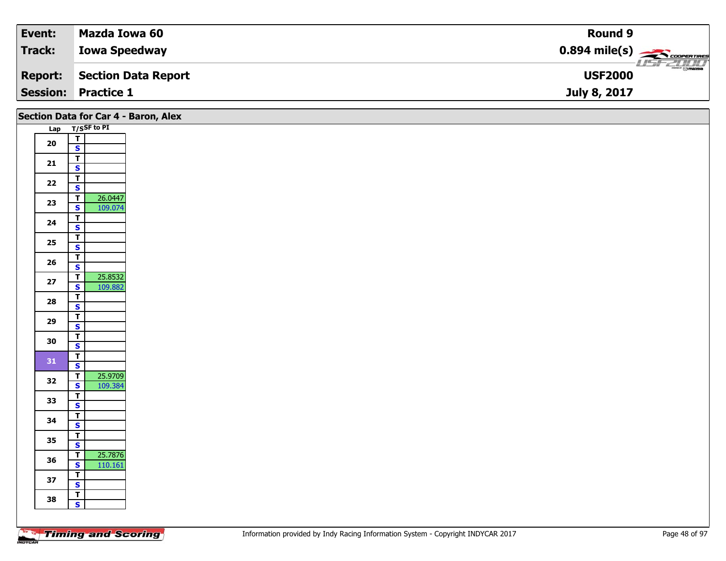| Event:          | Mazda Iowa 60        | <b>Round 9</b>                                      |
|-----------------|----------------------|-----------------------------------------------------|
| Track:          | <b>Iowa Speedway</b> | $0.894$ mile(s) $\overbrace{\hspace{2cm}}$ covening |
| <b>Report:</b>  | Section Data Report  | $\frac{1}{\odot}$ mazpa<br><b>USF2000</b>           |
| <b>Session:</b> | <b>Practice 1</b>    | July 8, 2017                                        |

| Lap T/SSF to PI<br>$\overline{T}$<br>${\bf 20}$<br>$\mathbf{s}$<br>$\overline{\mathsf{T}}$<br>21<br>$\mathbf{s}$<br>$\overline{\mathsf{r}}$<br>$22$<br>$\overline{\mathbf{s}}$<br>26.0447<br>$\overline{\mathsf{T}}$<br>23<br>109.074<br>$\mathbf{s}$<br>$\overline{r}$<br>24<br>$\overline{\mathbf{s}}$<br>$\overline{\mathbf{r}}$<br>$25\,$<br>$\mathbf{s}$<br>$\overline{\mathsf{T}}$<br>26<br>$\mathbf{s}$<br>25.8532<br>$\overline{\mathsf{T}}$<br>$27$<br>$\overline{\mathbf{s}}$<br>109.882<br>$\overline{\mathsf{T}}$<br>28<br>$\mathbf{s}$<br>$\mathbf{r}$<br>29<br>$\overline{\mathbf{s}}$<br>$\overline{\mathsf{r}}$<br>30<br>$\mathbf{s}$<br>$\overline{1}$<br>31<br>$\overline{\mathbf{s}}$<br>25.9709<br>$\overline{\mathbf{T}}$<br>32<br>$\overline{\mathbf{s}}$<br>109.384<br>$\overline{1}$<br>33<br>$\mathbf{s}$<br>$\mathbf{r}$<br>34<br>$\overline{\mathbf{s}}$<br>$\mathbf{T}$<br>35<br>$\mathsf{s}$<br>25.7876<br>$\overline{1}$<br>36<br>$\mathbf{s}$<br>110.161<br>$\overline{I}$<br>37<br>$\overline{\mathbf{s}}$<br>$\overline{t}$<br>38<br>$\mathbf{s}$ | Section Data for Car 4 - Baron, Alex |  |
|------------------------------------------------------------------------------------------------------------------------------------------------------------------------------------------------------------------------------------------------------------------------------------------------------------------------------------------------------------------------------------------------------------------------------------------------------------------------------------------------------------------------------------------------------------------------------------------------------------------------------------------------------------------------------------------------------------------------------------------------------------------------------------------------------------------------------------------------------------------------------------------------------------------------------------------------------------------------------------------------------------------------------------------------------------------------------------|--------------------------------------|--|
|                                                                                                                                                                                                                                                                                                                                                                                                                                                                                                                                                                                                                                                                                                                                                                                                                                                                                                                                                                                                                                                                                    |                                      |  |
|                                                                                                                                                                                                                                                                                                                                                                                                                                                                                                                                                                                                                                                                                                                                                                                                                                                                                                                                                                                                                                                                                    |                                      |  |
|                                                                                                                                                                                                                                                                                                                                                                                                                                                                                                                                                                                                                                                                                                                                                                                                                                                                                                                                                                                                                                                                                    |                                      |  |
|                                                                                                                                                                                                                                                                                                                                                                                                                                                                                                                                                                                                                                                                                                                                                                                                                                                                                                                                                                                                                                                                                    |                                      |  |
|                                                                                                                                                                                                                                                                                                                                                                                                                                                                                                                                                                                                                                                                                                                                                                                                                                                                                                                                                                                                                                                                                    |                                      |  |
|                                                                                                                                                                                                                                                                                                                                                                                                                                                                                                                                                                                                                                                                                                                                                                                                                                                                                                                                                                                                                                                                                    |                                      |  |
|                                                                                                                                                                                                                                                                                                                                                                                                                                                                                                                                                                                                                                                                                                                                                                                                                                                                                                                                                                                                                                                                                    |                                      |  |
|                                                                                                                                                                                                                                                                                                                                                                                                                                                                                                                                                                                                                                                                                                                                                                                                                                                                                                                                                                                                                                                                                    |                                      |  |
|                                                                                                                                                                                                                                                                                                                                                                                                                                                                                                                                                                                                                                                                                                                                                                                                                                                                                                                                                                                                                                                                                    |                                      |  |
|                                                                                                                                                                                                                                                                                                                                                                                                                                                                                                                                                                                                                                                                                                                                                                                                                                                                                                                                                                                                                                                                                    |                                      |  |
|                                                                                                                                                                                                                                                                                                                                                                                                                                                                                                                                                                                                                                                                                                                                                                                                                                                                                                                                                                                                                                                                                    |                                      |  |
|                                                                                                                                                                                                                                                                                                                                                                                                                                                                                                                                                                                                                                                                                                                                                                                                                                                                                                                                                                                                                                                                                    |                                      |  |
|                                                                                                                                                                                                                                                                                                                                                                                                                                                                                                                                                                                                                                                                                                                                                                                                                                                                                                                                                                                                                                                                                    |                                      |  |
|                                                                                                                                                                                                                                                                                                                                                                                                                                                                                                                                                                                                                                                                                                                                                                                                                                                                                                                                                                                                                                                                                    |                                      |  |
|                                                                                                                                                                                                                                                                                                                                                                                                                                                                                                                                                                                                                                                                                                                                                                                                                                                                                                                                                                                                                                                                                    |                                      |  |
|                                                                                                                                                                                                                                                                                                                                                                                                                                                                                                                                                                                                                                                                                                                                                                                                                                                                                                                                                                                                                                                                                    |                                      |  |
|                                                                                                                                                                                                                                                                                                                                                                                                                                                                                                                                                                                                                                                                                                                                                                                                                                                                                                                                                                                                                                                                                    |                                      |  |
|                                                                                                                                                                                                                                                                                                                                                                                                                                                                                                                                                                                                                                                                                                                                                                                                                                                                                                                                                                                                                                                                                    |                                      |  |
|                                                                                                                                                                                                                                                                                                                                                                                                                                                                                                                                                                                                                                                                                                                                                                                                                                                                                                                                                                                                                                                                                    |                                      |  |
|                                                                                                                                                                                                                                                                                                                                                                                                                                                                                                                                                                                                                                                                                                                                                                                                                                                                                                                                                                                                                                                                                    |                                      |  |
|                                                                                                                                                                                                                                                                                                                                                                                                                                                                                                                                                                                                                                                                                                                                                                                                                                                                                                                                                                                                                                                                                    |                                      |  |
|                                                                                                                                                                                                                                                                                                                                                                                                                                                                                                                                                                                                                                                                                                                                                                                                                                                                                                                                                                                                                                                                                    |                                      |  |
|                                                                                                                                                                                                                                                                                                                                                                                                                                                                                                                                                                                                                                                                                                                                                                                                                                                                                                                                                                                                                                                                                    |                                      |  |
|                                                                                                                                                                                                                                                                                                                                                                                                                                                                                                                                                                                                                                                                                                                                                                                                                                                                                                                                                                                                                                                                                    |                                      |  |
|                                                                                                                                                                                                                                                                                                                                                                                                                                                                                                                                                                                                                                                                                                                                                                                                                                                                                                                                                                                                                                                                                    |                                      |  |
|                                                                                                                                                                                                                                                                                                                                                                                                                                                                                                                                                                                                                                                                                                                                                                                                                                                                                                                                                                                                                                                                                    |                                      |  |
|                                                                                                                                                                                                                                                                                                                                                                                                                                                                                                                                                                                                                                                                                                                                                                                                                                                                                                                                                                                                                                                                                    |                                      |  |
|                                                                                                                                                                                                                                                                                                                                                                                                                                                                                                                                                                                                                                                                                                                                                                                                                                                                                                                                                                                                                                                                                    |                                      |  |
|                                                                                                                                                                                                                                                                                                                                                                                                                                                                                                                                                                                                                                                                                                                                                                                                                                                                                                                                                                                                                                                                                    |                                      |  |
|                                                                                                                                                                                                                                                                                                                                                                                                                                                                                                                                                                                                                                                                                                                                                                                                                                                                                                                                                                                                                                                                                    |                                      |  |
|                                                                                                                                                                                                                                                                                                                                                                                                                                                                                                                                                                                                                                                                                                                                                                                                                                                                                                                                                                                                                                                                                    |                                      |  |
|                                                                                                                                                                                                                                                                                                                                                                                                                                                                                                                                                                                                                                                                                                                                                                                                                                                                                                                                                                                                                                                                                    |                                      |  |
|                                                                                                                                                                                                                                                                                                                                                                                                                                                                                                                                                                                                                                                                                                                                                                                                                                                                                                                                                                                                                                                                                    |                                      |  |
|                                                                                                                                                                                                                                                                                                                                                                                                                                                                                                                                                                                                                                                                                                                                                                                                                                                                                                                                                                                                                                                                                    |                                      |  |
|                                                                                                                                                                                                                                                                                                                                                                                                                                                                                                                                                                                                                                                                                                                                                                                                                                                                                                                                                                                                                                                                                    |                                      |  |
|                                                                                                                                                                                                                                                                                                                                                                                                                                                                                                                                                                                                                                                                                                                                                                                                                                                                                                                                                                                                                                                                                    |                                      |  |
|                                                                                                                                                                                                                                                                                                                                                                                                                                                                                                                                                                                                                                                                                                                                                                                                                                                                                                                                                                                                                                                                                    |                                      |  |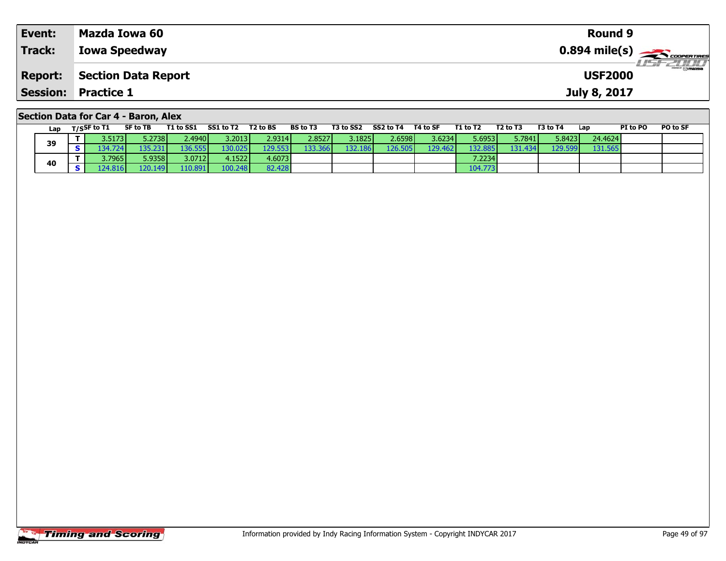| Event:         | Mazda Iowa 60                        | <b>Round 9</b> |                  |
|----------------|--------------------------------------|----------------|------------------|
| <b>Track:</b>  | <b>Iowa Speedway</b>                 |                |                  |
| <b>Report:</b> | Section Data Report                  | <b>USF2000</b> | <b>LISTELLIN</b> |
|                | <b>Session: Practice 1</b>           | July 8, 2017   |                  |
|                | Section Data for Car 4 - Baron, Alex |                |                  |

| Lap |            | T/SSF to T1     | SF to TB         | T1 to SS1       | SS1 to T2 | T2 to BS | <b>BS to T3</b> | T3 to SS2 | SS2 to T4        | T4 to SF | T1 to T2 | T <sub>2</sub> to T <sub>3</sub> | T3 to T4         | Lap     | PI to PO | PO to SF |
|-----|------------|-----------------|------------------|-----------------|-----------|----------|-----------------|-----------|------------------|----------|----------|----------------------------------|------------------|---------|----------|----------|
| 39  |            | 3.5173 <b>I</b> | 5.2738           | 2.4940 <b>I</b> | 3.2013    | 2.9314   | 2.8527          | 3.1825 l  | 2.6598           | 3.6234   | 5.6953   | 5.7841                           | 5.8423           | 24.4624 |          |          |
|     | $\epsilon$ | 134.724         | '35.231'         | 136.555         | 130.025   | 129.553  | 133.366         | 132.186   | 126.505 <b>l</b> | 129.462  | 132.885  | 131.434 <b>l</b>                 | 129.599 <b>l</b> | 131.565 |          |          |
|     |            | 3.7965          | 5.9358           | 3.0712          | 4.1522    | 4.6073   |                 |           |                  |          | 7.22341  |                                  |                  |         |          |          |
| 40  | e          | 24.816          | 120.149 <b>I</b> | 110.891         | 100.248   | 82.428   |                 |           |                  |          | 104.773  |                                  |                  |         |          |          |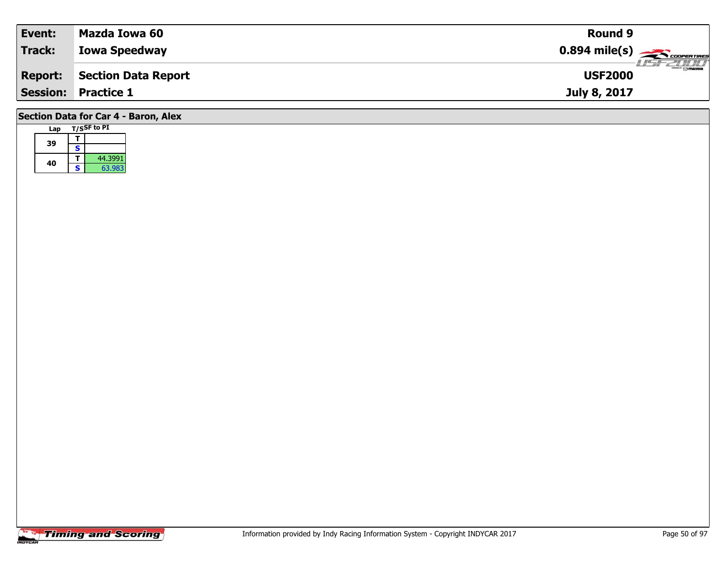| Event:         | Mazda Iowa 60                        | <b>Round 9</b>                                         |
|----------------|--------------------------------------|--------------------------------------------------------|
| <b>Track:</b>  | <b>Iowa Speedway</b>                 | $0.894$ mile(s) $\overbrace{\hspace{2cm}}$ coorerrings |
| <b>Report:</b> | Section Data Report                  | <i><b>LISE 2000</b></i><br><b>USF2000</b>              |
|                | <b>Session: Practice 1</b>           | July 8, 2017                                           |
|                | Section Data for Car 4 - Baron, Alex |                                                        |

| Lap |   | T/SSF to PI |
|-----|---|-------------|
| 39  |   |             |
|     | s |             |
|     |   | 44.3991     |
| 40  | S | 63.983      |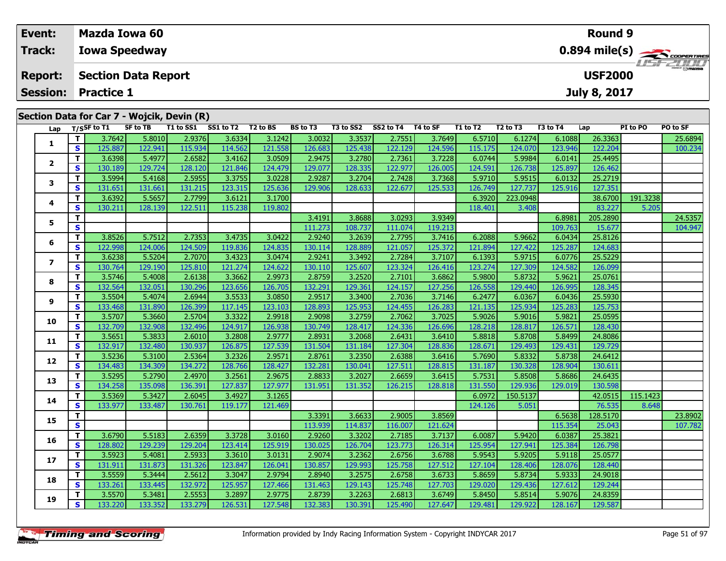| Event:          |    | Mazda Iowa 60     |                            |                                            |           |          |          |           |           |          |          |                                  |          | Round 9             |          |                                         |
|-----------------|----|-------------------|----------------------------|--------------------------------------------|-----------|----------|----------|-----------|-----------|----------|----------|----------------------------------|----------|---------------------|----------|-----------------------------------------|
| <b>Track:</b>   |    |                   | <b>Iowa Speedway</b>       |                                            |           |          |          |           |           |          |          |                                  |          |                     |          | $0.894$ mile(s) $\rightarrow$ Coorganes |
| <b>Report:</b>  |    |                   | <b>Section Data Report</b> |                                            |           |          |          |           |           |          |          |                                  |          | <b>USF2000</b>      |          | <b>HSFZUTI</b>                          |
| <b>Session:</b> |    | <b>Practice 1</b> |                            |                                            |           |          |          |           |           |          |          |                                  |          | <b>July 8, 2017</b> |          |                                         |
|                 |    |                   |                            | Section Data for Car 7 - Wojcik, Devin (R) |           |          |          |           |           |          |          |                                  |          |                     |          |                                         |
|                 |    | Lap T/SSF to T1   | SF to TB                   | T1 to SS1                                  | SS1 to T2 | T2 to BS | BS to T3 | T3 to SS2 | SS2 to T4 | T4 to SF | T1 to T2 | T <sub>2</sub> to T <sub>3</sub> | T3 to T4 | Lap                 | PI to PO | PO to SF                                |
|                 |    | 3.7642            | 5.8010                     | 2.9376                                     | 3.6334    | 3.1242   | 3.0032   | 3.3537    | 2.7551    | 3.7649   | 6.5710   | 6.1274                           | 6.1088   | 26.3363             |          | 25.6894                                 |
| л.              | S. | 125.887           | 122.941                    | 115.934                                    | 114.562   | 121.558  | 126.683  | 125.438   | 122.129   | 124.596  | 115.175  | 124.070                          | 123.946  | 122.204             |          | 100.234                                 |
|                 |    | 3.6398            | 5.4977                     | 2.6582                                     | 3.4162    | 3.0509   | 2.9475   | 3.2780    | 2.7361    | 3.7228   | 6.0744   | 5.9984                           | 6.0141   | 25.4495             |          |                                         |
| $\epsilon$      |    | 130.189           | 129.7241                   | 128.120                                    | 121.846   | 124.479  | 129.077  | 128.335   | 122.977   | 126.005  | 124.591  | 126.738                          | 125.897  | 126.462             |          |                                         |

| 5              | T.                      |         |         |         |         |         | 3.4191  | 3.86881 | 3.0293  | 3.9349  |         |          | 6.8981  | 205.2890 |          | 24.5357 |
|----------------|-------------------------|---------|---------|---------|---------|---------|---------|---------|---------|---------|---------|----------|---------|----------|----------|---------|
|                | $\overline{\mathbf{s}}$ |         |         |         |         |         | 111.273 | 108.737 | 111.074 | 119.213 |         |          | 109.763 | 15.677   |          | 104.947 |
| 6              | T.                      | 3.8526  | 5.7512  | 2.7353  | 3.4735  | 3.0422  | 2.9240  | 3.2639  | 2.7795  | 3.7416  | 6.2088  | 5.9662   | 6.0434  | 25.8126  |          |         |
|                | s                       | 122.998 | 124.006 | 124.509 | 119.836 | 124.835 | 130.114 | 128.889 | 121.057 | 125.372 | 121.894 | 127.422  | 125.287 | 124.683  |          |         |
| $\overline{ }$ | T.                      | 3.6238  | 5.5204  | 2.7070  | 3.4323  | 3.0474  | 2.9241  | 3.3492  | 2.7284  | 3.7107  | 6.1393  | 5.9715   | 6.0776  | 25.5229  |          |         |
|                | S                       | 130.764 | 129.190 | 125.810 | 121.274 | 124.622 | 130.110 | 125.607 | 123.324 | 126.416 | 123.274 | 127.309  | 124.582 | 126.099  |          |         |
| 8              | T.                      | 3.5746  | 5.4008  | 2.6138  | 3.3662  | 2.9973  | 2.8759  | 3.2520  | 2.7101  | 3.6862  | 5.9800  | 5.8732   | 5.9621  | 25.0761  |          |         |
|                | S                       | 132.564 | 132.051 | 130.296 | 123.656 | 126.705 | 132.291 | 129.361 | 124.157 | 127.256 | 126.558 | 129.440  | 126.995 | 128.345  |          |         |
| 9              | т                       | 3.5504  | 5.4074  | 2.6944  | 3.5533  | 3.0850  | 2.9517  | 3.3400  | 2.7036  | 3.7146  | 6.2477  | 6.0367   | 6.0436  | 25.5930  |          |         |
|                | S                       | 133.468 | 131.890 | 126.399 | 117.145 | 123.103 | 128.893 | 125.953 | 124.455 | 126.283 | 121.135 | 125.934  | 125.283 | 125.753  |          |         |
| 10             | т                       | 3.5707  | 5.3660  | 2.5704  | 3.3322  | 2.9918  | 2.9098  | 3.2759  | 2.7062  | 3.7025  | 5.9026  | 5.9016   | 5.9821  | 25.0595  |          |         |
|                | S                       | 132.709 | 132.908 | 132.496 | 124.917 | 126.938 | 130.749 | 128.417 | 124.336 | 126.696 | 128.218 | 128.817  | 126.571 | 128.430  |          |         |
| 11             | т                       | 3.5651  | 5.3833  | 2.6010  | 3.2808  | 2.9777  | 2.8931  | 3.2068  | 2.6431  | 3.6410  | 5.8818  | 5.8708   | 5.8499  | 24.8086  |          |         |
|                | S                       | 132.917 | 132.480 | 130.937 | 126.875 | 127.539 | 131.504 | 131.184 | 127.304 | 128.836 | 128.671 | 129.493  | 129.431 | 129.729  |          |         |
| 12             | т                       | 3.5236  | 5.3100  | 2.5364  | 3.2326  | 2.9571  | 2.8761  | 3.2350  | 2.6388  | 3.6416  | 5.7690  | 5.8332   | 5.8738  | 24.6412  |          |         |
|                | S                       | 134.483 | 134.309 | 134.272 | 128.766 | 128.427 | 132.281 | 130.041 | 127.511 | 128.815 | 131.187 | 130.328  | 128.904 | 130.611  |          |         |
| 13             | т                       | 3.5295  | 5.2790  | 2.4970  | 3.2561  | 2.9675  | 2.8833  | 3.2027  | 2.6659  | 3.6415  | 5.7531  | 5.8508   | 5.8686  | 24.6435  |          |         |
|                | $\mathbf{s}$            | 134.258 | 135.098 | 136.391 | 127.837 | 127.977 | 131.951 | 131.352 | 126.215 | 128.818 | 131.550 | 129.936  | 129.019 | 130.598  |          |         |
| 14             | T.                      | 3.5369  | 5.3427  | 2.6045  | 3.4927  | 3.1265  |         |         |         |         | 6.0972  | 150.5137 |         | 42.0515  | 115.1423 |         |
|                | S                       | 133.977 | 133.487 | 130.761 | 119.177 | 121.469 |         |         |         |         | 124.126 | 5.051    |         | 76.535   | 8.648    |         |
| 15             | T.                      |         |         |         |         |         | 3.3391  | 3.6633  | 2.9005  | 3.8569  |         |          | 6.5638  | 128.5170 |          | 23.8902 |
|                | $\overline{\mathbf{s}}$ |         |         |         |         |         | 113.939 | 114.837 | 116.007 | 121.624 |         |          | 115.354 | 25.043   |          | 107.782 |
| 16             | T.                      | 3.6790  | 5.5183  | 2.6359  | 3.3728  | 3.0160  | 2.9260  | 3.3202  | 2.7185  | 3.7137  | 6.0087  | 5.9420   | 6.0387  | 25.3821  |          |         |
|                | S                       | 128.802 | 129.239 | 129.204 | 123.414 | 125.919 | 130.025 | 126.704 | 123.773 | 126.314 | 125.954 | 127.941  | 125.384 | 126.798  |          |         |
| 17             | T.                      | 3.5923  | 5.4081  | 2.5933  | 3.3610  | 3.0131  | 2.9074  | 3.2362  | 2.6756  | 3.6788  | 5.9543  | 5.9205   | 5.9118  | 25.0577  |          |         |
|                | S                       | 131.911 | 131.873 | 131.326 | 123.847 | 126.041 | 130.857 | 129.993 | 125.758 | 127.512 | 127.104 | 128.406  | 128.076 | 128.440  |          |         |
| 18             | T.                      | 3.5559  | 5.3444  | 2.5612  | 3.3047  | 2.9794  | 2.8940  | 3.2575  | 2.6758  | 3.6733  | 5.8659  | 5.8734   | 5.9333  | 24.9018  |          |         |
|                | S                       | 133.261 | 133.445 | 132.972 | 125.957 | 127.466 | 131.463 | 129.143 | 125.748 | 127.703 | 129.020 | 129.436  | 127.612 | 129.244  |          |         |
| 19             | T.                      | 3.5570  | 5.3481  | 2.5553  | 3.2897  | 2.9775  | 2.8739  | 3.2263  | 2.6813  | 3.6749  | 5.8450  | 5.8514   | 5.9076  | 24.8359  |          |         |
|                | S.                      | 133.220 | 133.352 | 133.279 | 126.531 | 127.548 | 132.383 | 130.391 | 125.490 | 127.647 | 129.481 | 129.922  | 128.167 | 129.587  |          |         |
|                |                         |         |         |         |         |         |         |         |         |         |         |          |         |          |          |         |

**<sup>T</sup>** 3.5994 5.4168 2.5955 3.3755 3.0228 2.9287 3.2704 2.7428 3.7368 5.9710 5.9515 6.0132 25.2719 **<sup>S</sup>** 131.651 131.661 131.215 123.315 125.636 129.906 128.633 122.677 125.533 126.749 127.737 125.916 127.351

**T** 3.6392 5.5657 2.7799 3.6121 3.1700 6.3920 223.0948 38.6700 191.3238<br>**S** 130.211 128.139 122.511 115.238 119.802 118.401 3.408 83.227 5.205

**3**

**4**

126.462

127.351

5.205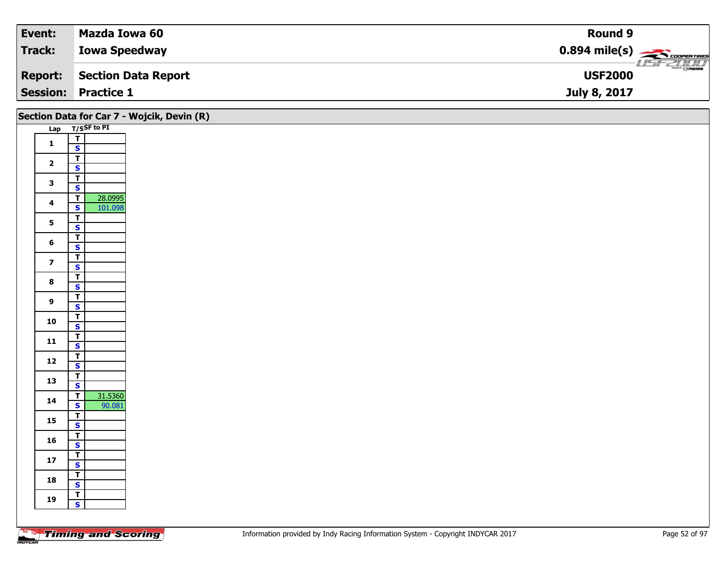| Event:         | Mazda Iowa 60              | <b>Round 9</b>                                          |
|----------------|----------------------------|---------------------------------------------------------|
| Track:         | <b>Iowa Speedway</b>       | $0.894$ mile(s) $\overbrace{\hspace{2cm}}$ coorer Times |
| <b>Report:</b> | Section Data Report        | $\frac{1}{\odot}$ mazpa<br><b>USF2000</b>               |
|                | <b>Session: Practice 1</b> | July 8, 2017                                            |

|                         |                                                    | Section Data for Car 7 - Wojcik, Devin (R) |
|-------------------------|----------------------------------------------------|--------------------------------------------|
|                         | Lap T/SSF to PI                                    |                                            |
| $\mathbf 1$             | $\frac{T}{S}$                                      |                                            |
|                         |                                                    |                                            |
| $\overline{\mathbf{2}}$ | $\overline{\mathbf{T}}$<br>$\overline{\mathbf{s}}$ |                                            |
|                         |                                                    |                                            |
| $\mathbf{3}$            | $rac{1}{s}$                                        |                                            |
| $\overline{\mathbf{4}}$ | 28.0995<br>$\overline{\mathsf{T}}$                 |                                            |
|                         | $\overline{\mathbf{s}}$<br>101.098                 |                                            |
| $5\phantom{a}$          | $\overline{\mathsf{T}}$<br>$\overline{\mathbf{s}}$ |                                            |
|                         | $\overline{I}$                                     |                                            |
| $\bf 6$                 | $\mathbf{s}$                                       |                                            |
| $\overline{\mathbf{z}}$ | $\overline{I}$<br>$\overline{\mathbf{s}}$          |                                            |
|                         | $\overline{1}$                                     |                                            |
| $\bf8$                  | $\overline{\mathbf{s}}$                            |                                            |
|                         |                                                    |                                            |
| $\boldsymbol{9}$        | $\frac{1}{s}$                                      |                                            |
| 10                      | $\frac{T}{S}$                                      |                                            |
|                         | $\overline{1}$                                     |                                            |
| $11$                    | $\mathsf{s}$                                       |                                            |
| $12$                    | $rac{T}{s}$                                        |                                            |
|                         |                                                    |                                            |
| 13                      | $\frac{1}{s}$                                      |                                            |
| 14                      | 31.5360<br>$\overline{\mathsf{T}}$                 |                                            |
|                         | $\mathbf{s}$<br>90.081                             |                                            |
| 15                      | $\frac{1}{s}$                                      |                                            |
| 16                      | $\frac{1}{s}$                                      |                                            |
|                         | $\overline{\mathbf{r}}$                            |                                            |
| ${\bf 17}$              | $\mathsf{s}$                                       |                                            |
| 18                      | $\overline{\mathbf{r}}$                            |                                            |
|                         | $\overline{\mathbf{s}}$<br>$\overline{\mathsf{T}}$ |                                            |
| 19                      | $\mathbf{s}$                                       |                                            |
|                         |                                                    |                                            |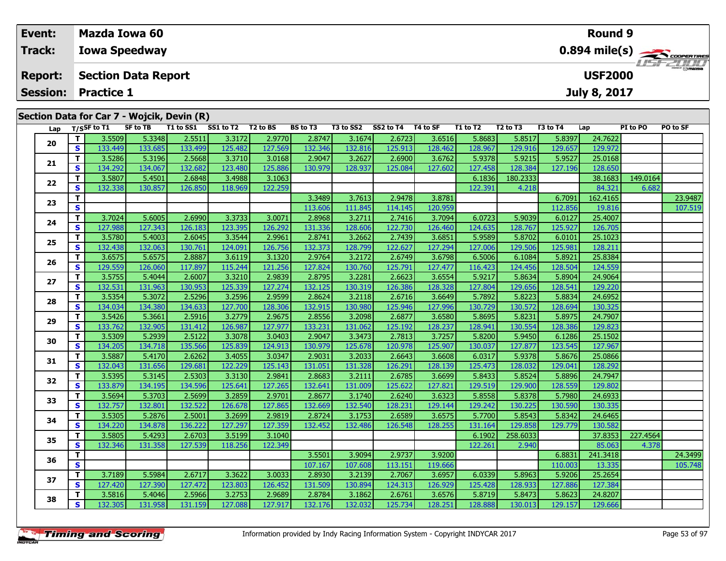| Event:          |     |                   | <b>Mazda Iowa 60</b>       |                                            |           |          |                 | Round 9   |           |          |          |                                  |          |                     |          |                                           |  |  |  |  |
|-----------------|-----|-------------------|----------------------------|--------------------------------------------|-----------|----------|-----------------|-----------|-----------|----------|----------|----------------------------------|----------|---------------------|----------|-------------------------------------------|--|--|--|--|
| <b>Track:</b>   |     |                   | <b>Iowa Speedway</b>       |                                            |           |          |                 |           |           |          |          |                                  |          |                     |          | $0.894$ mile(s) $\rightarrow$ coorganized |  |  |  |  |
| <b>Report:</b>  |     |                   | <b>Section Data Report</b> |                                            |           |          |                 |           |           |          |          |                                  |          | <b>USF2000</b>      |          | <b>LISF 2000</b>                          |  |  |  |  |
| <b>Session:</b> |     | <b>Practice 1</b> |                            |                                            |           |          |                 |           |           |          |          |                                  |          | <b>July 8, 2017</b> |          |                                           |  |  |  |  |
|                 |     |                   |                            | Section Data for Car 7 - Wojcik, Devin (R) |           |          |                 |           |           |          |          |                                  |          |                     |          |                                           |  |  |  |  |
| Lap             |     | T/SSF to T1       | SF to TB                   | T1 to SS1                                  | SS1 to T2 | T2 to BS | <b>BS to T3</b> | T3 to SS2 | SS2 to T4 | T4 to SF | T1 to T2 | T <sub>2</sub> to T <sub>3</sub> | T3 to T4 | Lap                 | PI to PO | PO to SF                                  |  |  |  |  |
| 20              |     | 3.5509            | 5.3348                     | 2.5511                                     | 3.3172    | 2.9770   | 2.8747          | 3.1674    | 2.6723    | 3.6516   | 5.8683   | 5.8517                           | 5.8397   | 24.7622             |          |                                           |  |  |  |  |
|                 | s l | 133.449           | 133.685                    | 133.499                                    | 125.482   | 127.569  | 132.346         | 132.816   | 125.913   | 128.462  | 128.967  | 129.916                          | 129.657  | 129.972             |          |                                           |  |  |  |  |
| 21              |     | 3.5286            | 5.3196                     | 2.5668                                     | 3.3710    | 3.0168   | 2.9047          | 3.2627    | 2.6900    | 3.6762   | 5.9378   | 5.9215                           | 5.9527   | 25.0168             |          |                                           |  |  |  |  |

| 21 | т            | 3.5286  | 5.3196  | 2.5668  | 3.3710  | 3.0168  | 2.9047  | 3.2627  | 2.6900  | 3.6762  | 5.9378  | 5.9215   | 5.9527  | 25.0168  |          |         |
|----|--------------|---------|---------|---------|---------|---------|---------|---------|---------|---------|---------|----------|---------|----------|----------|---------|
|    | $\mathbf{s}$ | 134.292 | 134.067 | 132.682 | 123.480 | 125.886 | 130.979 | 128.937 | 125.084 | 127.602 | 127.458 | 128.384  | 127.196 | 128.650  |          |         |
| 22 | T.           | 3.5807  | 5.4501  | 2.6848  | 3.4988  | 3.1063  |         |         |         |         | 6.1836  | 180.2333 |         | 38.1683  | 149.0164 |         |
|    | S            | 132.338 | 130.857 | 126.850 | 118.969 | 122.259 |         |         |         |         | 122.391 | 4.218    |         | 84.321   | 6.682    |         |
| 23 | $\mathbf{T}$ |         |         |         |         |         | 3.3489  | 3.7613  | 2.9478  | 3.8781  |         |          | 6.7091  | 162.4165 |          | 23.9487 |
|    | $\mathbf{s}$ |         |         |         |         |         | 113.606 | 111.845 | 114.145 | 120.959 |         |          | 112.856 | 19.816   |          | 107.519 |
| 24 | $\mathbf{T}$ | 3.7024  | 5.6005  | 2.6990  | 3.3733  | 3.0071  | 2.8968  | 3.2711  | 2.7416  | 3.7094  | 6.0723  | 5.9039   | 6.0127  | 25.4007  |          |         |
|    | S            | 127.988 | 127.343 | 126.183 | 123.395 | 126.292 | 131.336 | 128.606 | 122.730 | 126.460 | 124.635 | 128.767  | 125.927 | 126.705  |          |         |
| 25 | T            | 3.5780  | 5.4003  | 2.6045  | 3.3544  | 2.9961  | 2.8741  | 3.2662  | 2.7439  | 3.6851  | 5.9589  | 5.8702   | 6.0101  | 25.1023  |          |         |
|    | <b>S</b>     | 132.438 | 132.063 | 130.761 | 124.091 | 126.756 | 132.373 | 128.799 | 122.627 | 127.294 | 127.006 | 129.506  | 125.981 | 128.211  |          |         |
| 26 | Т            | 3.6575  | 5.6575  | 2.8887  | 3.6119  | 3.1320  | 2.9764  | 3.2172  | 2.6749  | 3.6798  | 6.5006  | 6.1084   | 5.8921  | 25.8384  |          |         |
|    | S            | 129.559 | 126.060 | 117.897 | 115.244 | 121.256 | 127.824 | 130.760 | 125.791 | 127.477 | 116.423 | 124.456  | 128.504 | 124.559  |          |         |
| 27 | $\mathbf{T}$ | 3.5755  | 5.4044  | 2.6007  | 3.3210  | 2.9839  | 2.8795  | 3.2281  | 2.6623  | 3.6554  | 5.9217  | 5.8634   | 5.8904  | 24.9064  |          |         |
|    | $\mathbf{s}$ | 132.531 | 131.963 | 130.953 | 125.339 | 127.274 | 132.125 | 130.319 | 126.386 | 128.328 | 127.804 | 129.656  | 128.541 | 129,220  |          |         |
| 28 | Т            | 3.5354  | 5.3072  | 2.5296  | 3.2596  | 2.9599  | 2.8624  | 3.2118  | 2.6716  | 3.6649  | 5.7892  | 5.8223   | 5.8834  | 24.6952  |          |         |
|    | $\mathbf{s}$ | 134.034 | 134.380 | 134.633 | 127.700 | 128.306 | 132.915 | 130.980 | 125.946 | 127.996 | 130.729 | 130.572  | 128.694 | 130.325  |          |         |
| 29 | $\mathbf{T}$ | 3.5426  | 5.3661  | 2.5916  | 3.2779  | 2.9675  | 2.8556  | 3.2098  | 2.6877  | 3.6580  | 5.8695  | 5.8231   | 5.8975  | 24.7907  |          |         |
|    | S            | 133.762 | 132.905 | 131.412 | 126.987 | 127.977 | 133.231 | 131.062 | 125.192 | 128.237 | 128.941 | 130.554  | 128.386 | 129.823  |          |         |
| 30 | T.           | 3.5309  | 5.2939  | 2.5122  | 3.3078  | 3.0403  | 2.9047  | 3.3473  | 2.7813  | 3.7257  | 5.8200  | 5.9450   | 6.1286  | 25.1502  |          |         |
|    | S            | 134.205 | 134.718 | 135.566 | 125.839 | 124.913 | 130.979 | 125.678 | 120.978 | 125.907 | 130.037 | 127.877  | 123.545 | 127.967  |          |         |
| 31 | T.           | 3.5887  | 5.4170  | 2.6262  | 3.4055  | 3.0347  | 2.9031  | 3.2033  | 2.6643  | 3.6608  | 6.0317  | 5.9378   | 5.8676  | 25.0866  |          |         |
|    | S            | 132.043 | 131.656 | 129.681 | 122.229 | 125.143 | 131.051 | 131.328 | 126.291 | 128.139 | 125.473 | 128.032  | 129.041 | 128.292  |          |         |
| 32 | Т            | 3.5395  | 5.3145  | 2.5303  | 3.3130  | 2.9841  | 2.8683  | 3.2111  | 2.6785  | 3.6699  | 5.8433  | 5.8524   | 5.8896  | 24.7947  |          |         |
|    | S            | 133.879 | 134.195 | 134.596 | 125.641 | 127.265 | 132.641 | 131.009 | 125.622 | 127.821 | 129.519 | 129.900  | 128.559 | 129.802  |          |         |
| 33 | T.           | 3.5694  | 5.3703  | 2.5699  | 3.2859  | 2.9701  | 2.8677  | 3.1740  | 2.6240  | 3.6323  | 5.8558  | 5.8378   | 5.7980  | 24.6933  |          |         |
|    | S            | 132.757 | 132.801 | 132.522 | 126.678 | 127.865 | 132.669 | 132.540 | 128.231 | 129.144 | 129.242 | 130.225  | 130.590 | 130.335  |          |         |
| 34 | Т            | 3.5305  | 5.2876  | 2.5001  | 3.2699  | 2.9819  | 2.8724  | 3.1753  | 2.6589  | 3.6575  | 5.7700  | 5.8543   | 5.8342  | 24.6465  |          |         |
|    | S            | 134.220 | 134.878 | 136.222 | 127.297 | 127.359 | 132.452 | 132.486 | 126.548 | 128.255 | 131.164 | 129.858  | 129.779 | 130.582  |          |         |
| 35 | т            | 3.5805  | 5.4293  | 2.6703  | 3.5199  | 3.1040  |         |         |         |         | 6.1902  | 258.6033 |         | 37.8353  | 227.4564 |         |
|    | $\mathbf{s}$ | 132.346 | 131.358 | 127.539 | 118.256 | 122.349 |         |         |         |         | 122.261 | 2.940    |         | 85.063   | 4.378    |         |
| 36 | Т            |         |         |         |         |         | 3.5501  | 3.9094  | 2.9737  | 3.9200  |         |          | 6.8831  | 241.3418 |          | 24.3499 |
|    | $\mathbf{s}$ |         |         |         |         |         | 107.167 | 107.608 | 113.151 | 119.666 |         |          | 110.003 | 13.335   |          | 105.748 |
| 37 | T.           | 3.7189  | 5.5984  | 2.6717  | 3.3622  | 3.0033  | 2.8930  | 3.2139  | 2.7067  | 3.6957  | 6.0339  | 5.8963   | 5.9206  | 25.2654  |          |         |
|    | $\mathbf{s}$ | 127.420 | 127.390 | 127.472 | 123.803 | 126.452 | 131.509 | 130.894 | 124.313 | 126.929 | 125.428 | 128.933  | 127.886 | 127.384  |          |         |
| 38 | Т            | 3.5816  | 5.4046  | 2.5966  | 3.2753  | 2.9689  | 2.8784  | 3.1862  | 2.6761  | 3.6576  | 5.8719  | 5.8473   | 5.8623  | 24.8207  |          |         |
|    | $\mathbf{s}$ | 132.305 | 131.958 | 131.159 | 127.088 | 127.917 | 132.176 | 132.032 | 125.734 | 128.251 | 128.888 | 130.013  | 129.157 | 129.666  |          |         |
|    |              |         |         |         |         |         |         |         |         |         |         |          |         |          |          |         |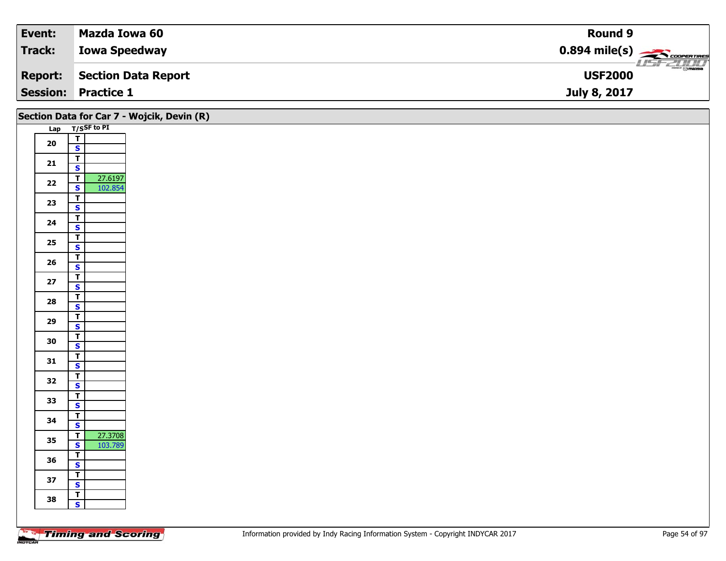| Event:          | Mazda Iowa 60        | <b>Round 9</b>                             |
|-----------------|----------------------|--------------------------------------------|
| Track:          | <b>Iowa Speedway</b> | $0.894$ mile(s) $\frac{1}{2}$ COOPERTIRES  |
| <b>Report:</b>  | Section Data Report  | $\frac{1}{\Theta}$ mazoa<br><b>USF2000</b> |
| <b>Session:</b> | <b>Practice 1</b>    | July 8, 2017                               |

|        |                                           | Section Data for Car 7 - Wojcik, Devin (R) |
|--------|-------------------------------------------|--------------------------------------------|
|        | Lap T/SSF to PI                           |                                            |
| 20     | $\frac{1}{5}$                             |                                            |
|        |                                           |                                            |
| 21     | $\mathbf{r}$<br>$\mathbf{s}$              |                                            |
|        | 27.6197<br>$\overline{T}$                 |                                            |
| $22$   | 102.854<br>$\overline{\mathbf{s}}$        |                                            |
|        | $\overline{\mathsf{r}}$                   |                                            |
| 23     | $\mathbf{s}$                              |                                            |
| 24     | $\overline{t}$                            |                                            |
|        | $\overline{\mathbf{s}}$                   |                                            |
| 25     | $\overline{r}$<br>$\mathbf{s}$            |                                            |
|        | $\overline{1}$                            |                                            |
| 26     | $\overline{\mathbf{s}}$                   |                                            |
| $27\,$ | $\overline{\mathsf{T}}$                   |                                            |
|        | $\mathbf{s}$                              |                                            |
| 28     | $\overline{\mathsf{r}}$                   |                                            |
|        | $\mathbf{s}$<br>$\mathbf{r}$              |                                            |
| 29     | $\overline{\mathbf{s}}$                   |                                            |
|        | $\overline{T}$                            |                                            |
| 30     | $\mathbf{s}$                              |                                            |
| 31     | $\overline{r}$                            |                                            |
|        | $\mathbf{s}$                              |                                            |
| 32     | $\overline{\mathsf{T}}$<br>$\mathbf{s}$   |                                            |
|        | $\overline{\mathsf{r}}$                   |                                            |
| 33     | $\mathbf{s}$                              |                                            |
| 34     | $\mathbf{r}$                              |                                            |
|        | $\mathbf{s}$                              |                                            |
| 35     | 27.3708<br>$\overline{r}$<br>$\mathbf{s}$ |                                            |
|        | 103.789<br>$\overline{\mathsf{r}}$        |                                            |
| 36     | $\overline{\mathbf{s}}$                   |                                            |
|        | $\overline{\mathsf{r}}$                   |                                            |
| 37     | $\mathbf{s}$                              |                                            |
| 38     | T                                         |                                            |
|        | $\mathbf{s}$                              |                                            |
|        |                                           |                                            |

Τ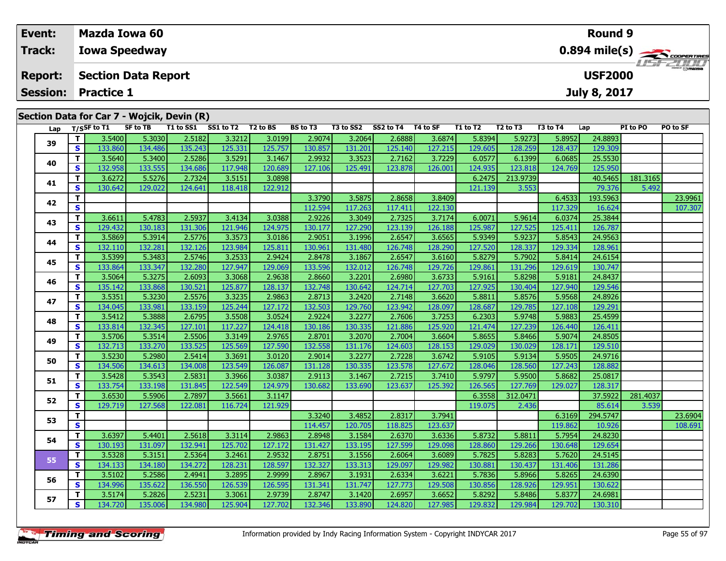| Event:          |     |                   | <b>Mazda Iowa 60</b>       |                                            |           |          |                 |           |           |          |          |          |          | <b>Round 9</b>      |          |                                                         |
|-----------------|-----|-------------------|----------------------------|--------------------------------------------|-----------|----------|-----------------|-----------|-----------|----------|----------|----------|----------|---------------------|----------|---------------------------------------------------------|
| <b>Track:</b>   |     |                   | <b>Iowa Speedway</b>       |                                            |           |          |                 |           |           |          |          |          |          |                     |          | $0.894$ mile(s) $\overbrace{\hspace{2cm}}$ coorer Times |
| <b>Report:</b>  |     |                   | <b>Section Data Report</b> |                                            |           |          |                 |           |           |          |          |          |          | <b>USF2000</b>      |          | LISE 2000                                               |
| <b>Session:</b> |     | <b>Practice 1</b> |                            |                                            |           |          |                 |           |           |          |          |          |          | <b>July 8, 2017</b> |          |                                                         |
|                 |     |                   |                            | Section Data for Car 7 - Wojcik, Devin (R) |           |          |                 |           |           |          |          |          |          |                     |          |                                                         |
| Lap             |     | T/SSF to T1       | SF to TB                   | T1 to SS1                                  | SS1 to T2 | T2 to BS | <b>BS to T3</b> | T3 to SS2 | SS2 to T4 | T4 to SF | T1 to T2 | T2 to T3 | T3 to T4 | Lap                 | PI to PO | PO to SF                                                |
|                 |     | 3.5400            | 5.3030                     | 2.5182                                     | 3.3212    | 3.0199   | 2.9074          | 3.2064    | 2.6888    | 3.6874   | 5.8394   | 5.9273   | 5.8952   | 24.8893             |          |                                                         |
| 39              | S I | 133.860           | 134.486                    | 135.243                                    | 125.331   | 125.757  | 130.857         | 131.201   | 125.140   | 127.215  | 129.605  | 128.259  | 128.437  | 129.309             |          |                                                         |
|                 | тı  | 3 5640 L          | 5.34001                    | 2528                                       | 352011    | 31467    | n qasa L        | 3.35231   | 2.7162    | a zoboli | 60577    | 61200    | 60685    | 25520               |          |                                                         |

| Lap |              | 1/55 F to 11 | SL 10 ID | 1 1 10 33 1 | <b>331 10 12</b> | 1 Z LO D. | נו טו כם | 13 LU 332 | <b>334 to 14</b> | 14 W SF | 1 J. LO 1 Z | 12 W 13  | 15 LO 14 | ∟ap      | PI 10 PU | ru lu ər |
|-----|--------------|--------------|----------|-------------|------------------|-----------|----------|-----------|------------------|---------|-------------|----------|----------|----------|----------|----------|
| 39  | T.           | 3.5400       | 5.3030   | 2.5182      | 3.3212           | 3.0199    | 2.9074   | 3.2064    | 2.6888           | 3.6874  | 5.8394      | 5.9273   | 5.8952   | 24.8893  |          |          |
|     | S            | 133.860      | 134.486  | 135.243     | 125.331          | 125.757   | 130.857  | 131.201   | 125.140          | 127.215 | 129.605     | 128.259  | 128.437  | 129.309  |          |          |
| 40  | т            | 3.5640       | 5.3400   | 2.5286      | 3.5291           | 3.1467    | 2.9932   | 3.3523    | 2.7162           | 3.7229  | 6.0577      | 6.1399   | 6.0685   | 25.5530  |          |          |
|     | S            | 132.958      | 133.555  | 134.686     | 117.948          | 120.689   | 127.106  | 125.491   | 123.878          | 126.001 | 124.935     | 123.818  | 124.769  | 125.950  |          |          |
|     | T.           | 3.6272       | 5.5276   | 2.7324      | 3.5151           | 3.0898    |          |           |                  |         | 6.2475      | 213.9739 |          | 40.5465  | 181.3165 |          |
| 41  | S            | 130.642      | 129.022  | 124.641     | 118.418          | 122.912   |          |           |                  |         | 121.139     | 3.553    |          | 79.376   | 5.492    |          |
|     | т            |              |          |             |                  |           | 3.3790   | 3.5875    | 2.8658           | 3.8409  |             |          | 6.4533   | 193.5963 |          | 23.9961  |
| 42  | S            |              |          |             |                  |           | 112.594  | 117.263   | 117.411          | 122.130 |             |          | 117.329  | 16.624   |          | 107.307  |
|     | т            | 3.6611       | 5.4783   | 2.5937      | 3.4134           | 3.0388    | 2.9226   | 3.3049    | 2.7325           | 3.7174  | 6.0071      | 5.9614   | 6.0374   | 25.3844  |          |          |
| 43  | S            | 129.432      | 130.183  | 131.306     | 121.946          | 124.975   | 130.177  | 127.290   | 123.139          | 126.188 | 125.987     | 127.525  | 125.411  | 126.787  |          |          |
|     | т            | 3.5869       | 5.3914   | 2.5776      | 3.3573           | 3.0186    | 2.9051   | 3.1996    | 2.6547           | 3.6565  | 5.9349      | 5.9237   | 5.8543   | 24.9563  |          |          |
| 44  | S            | 132.110      | 132.281  | 132.126     | 123.984          | 125.811   | 130.961  | 131.480   | 126.748          | 128.290 | 127.520     | 128.337  | 129.334  | 128.961  |          |          |
|     | т            | 3.5399       | 5.3483   | 2.5746      | 3.2533           | 2.9424    | 2.8478   | 3.1867    | 2.6547           | 3.6160  | 5.8279      | 5.7902   | 5.8414   | 24.6154  |          |          |
| 45  | S            | 133.864      | 133.347  | 132.280     | 127.947          | 129.069   | 133.596  | 132.012   | 126.748          | 129.726 | 129.861     | 131.296  | 129.619  | 130.747  |          |          |
|     | т            | 3.5064       | 5.3275   | 2.6093      | 3.3068           | 2.9638    | 2.8660   | 3.2201    | 2.6980           | 3.6733  | 5.9161      | 5.8298   | 5.9181   | 24.8437  |          |          |
| 46  | S            | 135.142      | 133.868  | 130.521     | 125.877          | 128.137   | 132.748  | 130.642   | 124.714          | 127.703 | 127.925     | 130.404  | 127.940  | 129.546  |          |          |
|     | т            | 3.5351       | 5.3230   | 2.5576      | 3.3235           | 2.9863    | 2.8713   | 3.2420    | 2.7148           | 3.6620  | 5.8811      | 5.8576   | 5.9568   | 24.8926  |          |          |
| 47  | S            | 134.045      | 133.981  | 133.159     | 125.244          | 127.172   | 132.503  | 129.760   | 123.942          | 128.097 | 128.687     | 129.785  | 127.108  | 129.291  |          |          |
|     | т            | 3.5412       | 5.3888   | 2.6795      | 3.5508           | 3.0524    | 2.9224   | 3.2277    | 2.7606           | 3.7253  | 6.2303      | 5.9748   | 5.9883   | 25.4599  |          |          |
| 48  | S            | 133.814      | 132.345  | 127.101     | 117.227          | 124.418   | 130.186  | 130.335   | 121.886          | 125.920 | 121.474     | 127.239  | 126.440  | 126.411  |          |          |
|     | т            | 3.5706       | 5.3514   | 2.5506      | 3.3149           | 2.9765    | 2.8701   | 3.2070    | 2.7004           | 3.6604  | 5.8655      | 5.8466   | 5.9074   | 24.8505  |          |          |
| 49  | S            | 132.713      | 133.270  | 133.525     | 125.569          | 127.590   | 132.558  | 131.176   | 124.603          | 128.153 | 129.029     | 130.029  | 128.171  | 129.510  |          |          |
|     | т            | 3.5230       | 5.2980   | 2.5414      | 3.3691           | 3.0120    | 2.9014   | 3.2277    | 2.7228           | 3.6742  | 5.9105      | 5.9134   | 5.9505   | 24.9716  |          |          |
| 50  | S            | 134.506      | 134.613  | 134.008     | 123.549          | 126.087   | 131.128  | 130.335   | 123.578          | 127.672 | 128.046     | 128.560  | 127.243  | 128.882  |          |          |
|     | т            | 3.5428       | 5.3543   | 2.5831      | 3.3966           | 3.0387    | 2.9113   | 3.1467    | 2.7215           | 3.7410  | 5.9797      | 5.9500   | 5.8682   | 25.0817  |          |          |
| 51  | S            | 133.754      | 133.198  | 131.845     | 122.549          | 124.979   | 130.682  | 133.690   | 123.637          | 125.392 | 126.565     | 127.769  | 129.027  | 128.317  |          |          |
|     | т            | 3.6530       | 5.5906   | 2.7897      | 3.5661           | 3.1147    |          |           |                  |         | 6.3558      | 312.0471 |          | 37.5922  | 281.4037 |          |
| 52  | S            | 129.719      | 127.568  | 122.081     | 116.724          | 121.929   |          |           |                  |         | 119.075     | 2.436    |          | 85.614   | 3.539    |          |
|     | т            |              |          |             |                  |           | 3.3240   | 3.4852    | 2.8317           | 3.7941  |             |          | 6.3169   | 294.5747 |          | 23.6904  |
| 53  | S            |              |          |             |                  |           | 114.457  | 120.705   | 118.825          | 123.637 |             |          | 119.862  | 10.926   |          | 108.691  |
|     | т            | 3.6397       | 5.4401   | 2.5618      | 3.3114           | 2.9863    | 2.8948   | 3.1584    | 2.6370           | 3.6336  | 5.8732      | 5.8811   | 5.7954   | 24.8230  |          |          |
| 54  | $\mathbf{s}$ | 130.193      | 131.097  | 132.941     | 125.702          | 127.172   | 131.427  | 133.195   | 127.599          | 129.098 | 128.860     | 129.266  | 130.648  | 129.654  |          |          |
|     | т            | 3.5328       | 5.3151   | 2.5364      | 3.2461           | 2.9532    | 2.8751   | 3.1556    | 2.6064           | 3.6089  | 5.7825      | 5.8283   | 5.7620   | 24.5145  |          |          |
| 55  | S            | 134.133      | 134.180  | 134.272     | 128.231          | 128.597   | 132.327  | 133.313   | 129.097          | 129.982 | 130.881     | 130.437  | 131.406  | 131.286  |          |          |
|     | т            | 3.5102       | 5.2586   | 2.4941      | 3.2895           | 2.9999    | 2.8967   | 3.1931    | 2.6334           | 3.6221  | 5.7836      | 5.8966   | 5.8265   | 24.6390  |          |          |
| 56  | S            | 134.996      | 135.622  | 136.550     | 126.539          | 126.595   | 131.341  | 131.747   | 127.773          | 129.508 | 130.856     | 128.926  | 129.951  | 130.622  |          |          |
|     | т            | 3.5174       | 5.2826   | 2.5231      | 3.3061           | 2.9739    | 2.8747   | 3.1420    | 2.6957           | 3.6652  | 5.8292      | 5.8486   | 5.8377   | 24.6981  |          |          |
| 57  | S            | 134.720      | 135.006  | 134.980     | 125.904          | 127.702   | 132.346  | 133.890   | 124.820          | 127.985 | 129.832     | 129.984  | 129.702  | 130.310  |          |          |
|     |              |              |          |             |                  |           |          |           |                  |         |             |          |          |          |          |          |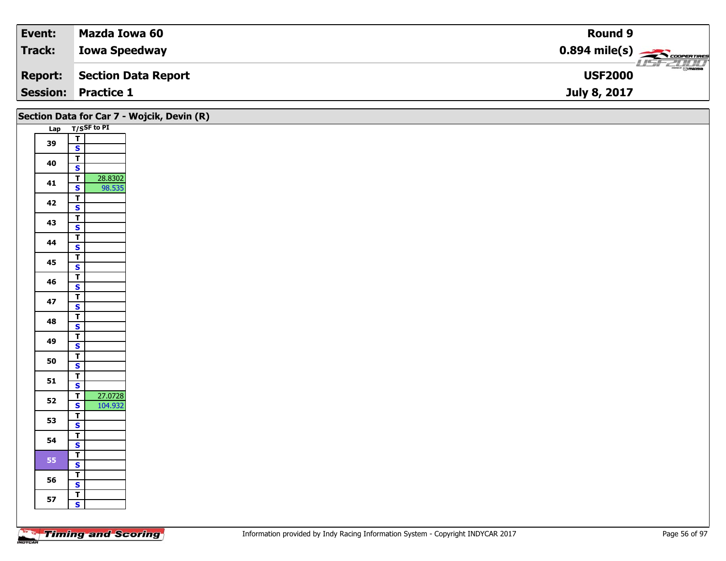| Event:  | Mazda Iowa 60              | Round 9                                     |
|---------|----------------------------|---------------------------------------------|
| Track:  | <b>Iowa Speedway</b>       | $0.894$ mile(s) $\frac{1}{2}$               |
| Report: | Section Data Report        | $ \overline{\odot}$ mazoa<br><b>USF2000</b> |
|         | <b>Session: Practice 1</b> | July 8, 2017                                |

|    |                                         | Section Data for Car 7 - Wojcik, Devin (R) |
|----|-----------------------------------------|--------------------------------------------|
|    | Lap T/SSF to PI                         |                                            |
| 39 | $\overline{1}$                          |                                            |
|    | $\mathbf{s}$                            |                                            |
| 40 | $\overline{\mathsf{T}}$                 |                                            |
|    | $\mathbf{s}$                            |                                            |
| 41 | 28.8302<br>$\overline{\mathbf{r}}$      |                                            |
|    | $\overline{\mathbf{s}}$<br>98.535       |                                            |
| 42 | $\overline{1}$<br>$\mathbf{s}$          |                                            |
|    | $\overline{1}$                          |                                            |
| 43 | $\overline{\mathbf{s}}$                 |                                            |
|    | $\overline{\mathbf{r}}$                 |                                            |
| 44 | $\mathbf{s}$                            |                                            |
|    | $\overline{1}$                          |                                            |
| 45 | $\overline{\mathbf{s}}$                 |                                            |
| 46 | $\overline{I}$                          |                                            |
|    | $\mathbf{s}$                            |                                            |
| 47 | $\overline{\mathbf{r}}$                 |                                            |
|    | $\mathbf{s}$                            |                                            |
| 48 | $\overline{\mathsf{T}}$                 |                                            |
|    | $\overline{\mathbf{s}}$                 |                                            |
| 49 | $\overline{\mathsf{T}}$                 |                                            |
|    | $\overline{\mathbf{s}}$<br>$\mathbf{T}$ |                                            |
| 50 | $\mathbf{s}$                            |                                            |
|    | $\overline{\mathsf{T}}$                 |                                            |
| 51 | $\mathbf{s}$                            |                                            |
|    | 27.0728<br>$\overline{\mathsf{r}}$      |                                            |
| 52 | $\mathbf{s}$<br>104.932                 |                                            |
| 53 | $\overline{1}$                          |                                            |
|    | $\overline{\mathbf{s}}$                 |                                            |
| 54 | $\overline{\mathbf{T}}$                 |                                            |
|    | $\mathbf{s}$                            |                                            |
| 55 | $\overline{1}$                          |                                            |
|    | $\overline{\mathbf{s}}$                 |                                            |
| 56 | $\overline{\mathbf{r}}$<br>$\mathbf{s}$ |                                            |
|    | $\overline{\mathbf{T}}$                 |                                            |
| 57 | $\mathbf{s}$                            |                                            |
|    |                                         |                                            |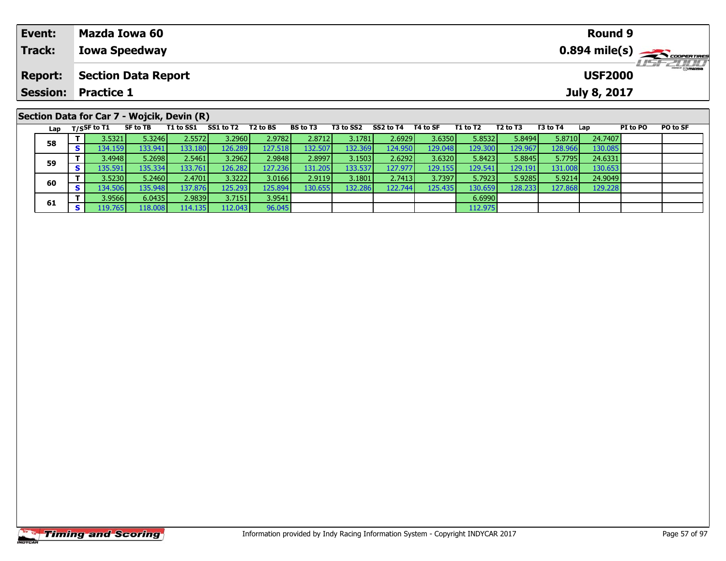| Event:          | Mazda Iowa 60                                                                                                                                                                                             | <b>Round 9</b>                                                                                                            |  |  |  |  |  |  |  |
|-----------------|-----------------------------------------------------------------------------------------------------------------------------------------------------------------------------------------------------------|---------------------------------------------------------------------------------------------------------------------------|--|--|--|--|--|--|--|
| <b>Track:</b>   | <b>Iowa Speedway</b>                                                                                                                                                                                      | $0.894$ mile(s) $\frac{1}{\sqrt{1-\frac{1}{2}}}\cos\theta$                                                                |  |  |  |  |  |  |  |
| <b>Report:</b>  | <b>Section Data Report</b>                                                                                                                                                                                | <b>LISTZULU</b><br><b>USF2000</b>                                                                                         |  |  |  |  |  |  |  |
| <b>Session:</b> | <b>Practice 1</b>                                                                                                                                                                                         | July 8, 2017                                                                                                              |  |  |  |  |  |  |  |
|                 | Section Data for Car 7 - Wojcik, Devin (R)<br>$T = 1.001$ $0.011$ $T = 2$<br>$\mathbf{A} = \mathbf{A} \cdot \mathbf{A}$<br><b>TALL CORP.</b><br>$-0.021 - 7.4$ $-0.07$<br><b>BOLL TO</b><br><b>TAL-BA</b> | <b>TALL TO</b><br><b>BOLLOF</b><br><b>FR.L. TR.</b><br><b>BY 1. BA</b><br><b>FOL. TA</b><br>$\mathbf{1}$ and $\mathbf{1}$ |  |  |  |  |  |  |  |

| Lap | T/S5F to T1 | SF to TB         | T1 to SS1 | SS1 to T2 | T2 to BS | <b>BS to T3</b> | T3 to SS2 | SS2 to T4 | T4 to SF | T1 to T2 | T <sub>2</sub> to T <sub>3</sub> | T3 to T4 | Lap     | PI to PO | <b>PO to SF</b> |
|-----|-------------|------------------|-----------|-----------|----------|-----------------|-----------|-----------|----------|----------|----------------------------------|----------|---------|----------|-----------------|
| 58  | 3.5321      | 5.3246           | 2.5572    | 3.2960    | 2.9782   | 2.8712          | 3.1781    | 2.69291   | 3.6350   | 5.8532   | 5.8494                           | 5.8710   | 24.7407 |          |                 |
|     | 134.1591    | 133.941          | 133.1801  | 126.289   | 127.518  | 132.507         | 132.369   | 124.950   | 129.048  | 129.300  | 129.9671                         | 128.966  | 130.085 |          |                 |
| 59  | 3.4948      | 5.2698           | 2.5461    | 3.2962    | 2.9848   | 2.8997          | 3.1503    | 2.6292    | 3.6320   | 5.8423   | 5.8845                           | 5.7795   | 24.6331 |          |                 |
|     | 135.591     | 135.334 <b>I</b> | 133.761   | 126.282   | 127.236  | 131.205         | 133.537   | 127.977   | 129.155  | 129.541  | 129.1911                         | 131.008  | 130.653 |          |                 |
| 60  | 3.5230      | 5.2460           | 2.4701    | 3.3222    | 3.0166   | 2.9119          | 3.1801    | 2.7413    | 3.7397   | 5.7923   | 5.9285                           | 5.9214   | 24.9049 |          |                 |
|     | 134.506     | 135.948          | 137.8761  | 125.2931  | 125.894  | 130.655         | 132.286   | 122.7441  | 125.435  | 130.659  | 128.2331                         | 127.868  | 129.228 |          |                 |
|     | 3.9566      | 6.0435           | 2.9839    | 3.7151    | 3.9541   |                 |           |           |          | 6.6990   |                                  |          |         |          |                 |
| 61  | 119.765     | 118.008          | 114.135   | 112.043   | 96.045   |                 |           |           |          | 112.975  |                                  |          |         |          |                 |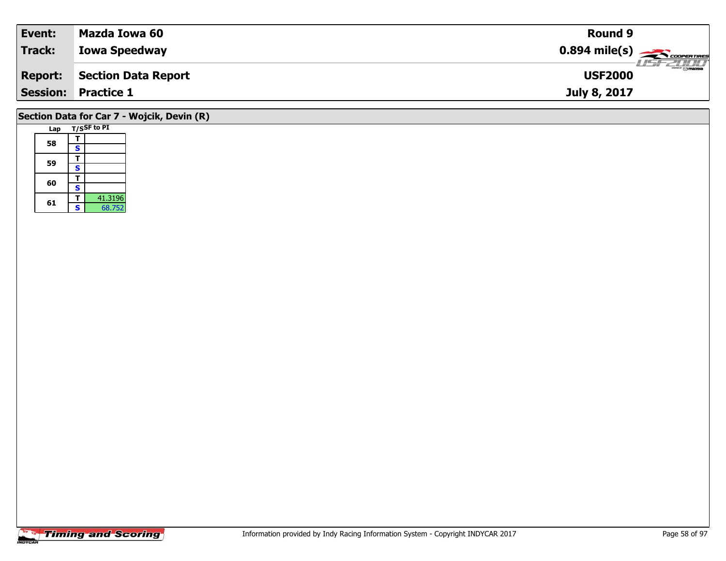| <b>Event:</b>  | Mazda Iowa 60              | <b>Round 9</b>                                         |                           |
|----------------|----------------------------|--------------------------------------------------------|---------------------------|
| Track:         | <b>Iowa Speedway</b>       | $0.894$ mile(s) $\overbrace{\hspace{2cm}}$ coorentines |                           |
| <b>Report:</b> | Section Data Report        | <b>USF2000</b>                                         | $\overline{\Theta}$ mazba |
|                | <b>Session: Practice 1</b> | July 8, 2017                                           |                           |
|                |                            |                                                        |                           |

## **Section Data for Car 7 - Wojcik, Devin (R)**

| Lap |   | T/SSF to PI |
|-----|---|-------------|
| 58  | т |             |
|     | S |             |
|     | т |             |
| 59  | S |             |
| 60  |   |             |
|     | S |             |
|     |   | 41.3196     |
| 61  | Ś | 68.752      |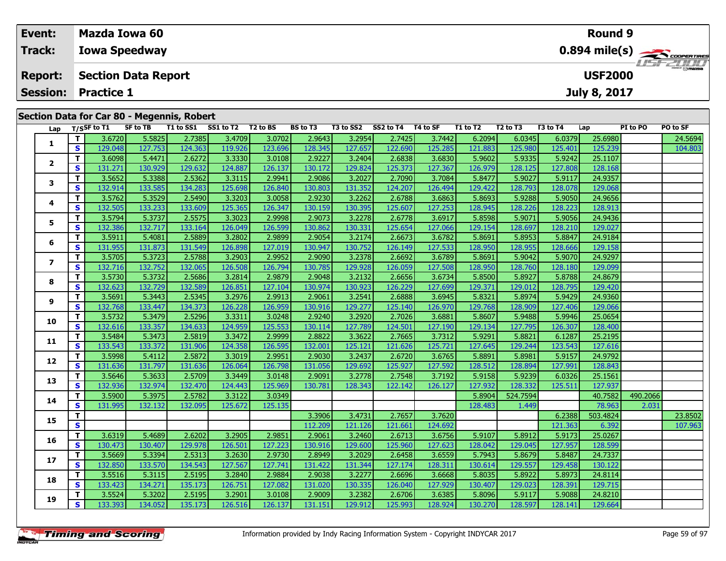| Track:<br><b>Iowa Speedway</b><br><b>USF2000</b><br><b>Section Data Report</b><br><b>Report:</b>                                                                                                              |                                         |  |  |  |  |  |  |
|---------------------------------------------------------------------------------------------------------------------------------------------------------------------------------------------------------------|-----------------------------------------|--|--|--|--|--|--|
|                                                                                                                                                                                                               | $0.894$ mile(s) $\leftarrow$ coorgaines |  |  |  |  |  |  |
|                                                                                                                                                                                                               | <b>LISF 2007</b>                        |  |  |  |  |  |  |
| <b>Practice 1</b><br><b>Session:</b><br>July 8, 2017                                                                                                                                                          |                                         |  |  |  |  |  |  |
| Section Data for Car 80 - Megennis, Robert<br>T3 to SS2 SS2 to T4<br>T1 to SS1 SS1 to T2 T2 to BS<br>BS to T3<br>T4 to SF<br>T2 to T3<br>SF to TB<br>T1 to T2<br>T3 to T4<br>PI to PO<br>$I_{2n}$ T/SSF to T1 |                                         |  |  |  |  |  |  |

| Lap                     |    | T/SSF to T1 | SF to TB | T1 to SS1 | SS1 to T2 | T2 to BS | <b>BS to T3</b> | T3 to SS2 | SS2 to T4 | T4 to SF | T1 to T2 | T <sub>2</sub> to T <sub>3</sub> | T3 to T4 | Lap      | PI to PO | PO to SF |
|-------------------------|----|-------------|----------|-----------|-----------|----------|-----------------|-----------|-----------|----------|----------|----------------------------------|----------|----------|----------|----------|
| 1                       | T. | 3.6720      | 5.5825   | 2.7385    | 3.4709    | 3.0702   | 2.9643          | 3.2954    | 2.7425    | 3.7442   | 6.2094   | 6.0345                           | 6.0379   | 25.6980  |          | 24.5694  |
|                         | S. | 129.048     | 127.753  | 124.363   | 119.926   | 123.696  | 128.345         | 127.657   | 122.690   | 125.285  | 121.883  | 125.980                          | 125.401  | 125.239  |          | 104.803  |
| $\overline{\mathbf{2}}$ | Τ. | 3.6098      | 5.4471   | 2.6272    | 3.3330    | 3.0108   | 2.9227          | 3.2404    | 2.6838    | 3.6830   | 5.9602   | 5.9335                           | 5.9242   | 25.1107  |          |          |
|                         | S. | 131.271     | 130.929  | 129.632   | 124.887   | 126.137  | 130.172         | 129.824   | 125.373   | 127.367  | 126.979  | 128.125                          | 127.808  | 128.168  |          |          |
| 3                       | T. | 3.5652      | 5.3388   | 2.5362    | 3.3115    | 2.9941   | 2.9086          | 3.2027    | 2.7090    | 3.7084   | 5.8477   | 5.9027                           | 5.9117   | 24.9357  |          |          |
|                         | S  | 132.914     | 133.585  | 134.283   | 125.698   | 126.840  | 130.803         | 131.352   | 124.207   | 126.494  | 129.422  | 128.793                          | 128.078  | 129.068  |          |          |
| 4                       | T. | 3.5762      | 5.3529   | 2.5490    | 3.3203    | 3.0058   | 2.9230          | 3.2262    | 2.6788    | 3.6863   | 5.8693   | 5.9288                           | 5.9050   | 24.9656  |          |          |
|                         | S  | 132.505     | 133.233  | 133.609   | 125.365   | 126.347  | 130.159         | 130.395   | 125.607   | 127.253  | 128.945  | 128.226                          | 128.223  | 128.913  |          |          |
| 5                       | Τ. | 3.5794      | 5.3737   | 2.5575    | 3.3023    | 2.9998   | 2.9073          | 3.2278    | 2.6778    | 3.6917   | 5.8598   | 5.9071                           | 5.9056   | 24.9436  |          |          |
|                         | S  | 132.386     | 132.717  | 133.164   | 126.049   | 126.599  | 130.862         | 130.331   | 125.654   | 127.066  | 129.154  | 128.697                          | 128.210  | 129.027  |          |          |
| 6                       | T. | 3.5911      | 5.4081   | 2.5889    | 3.2802    | 2.9899   | 2.9054          | 3.2174    | 2.6673    | 3.6782   | 5.8691   | 5.8953                           | 5.8847   | 24.9184  |          |          |
|                         | S  | 131.955     | 131.873  | 131.549   | 126.898   | 127.019  | 130.947         | 130.752   | 126.149   | 127.533  | 128.950  | 128.955                          | 128.666  | 129.158  |          |          |
| $\overline{ }$          | T. | 3.5705      | 5.3723   | 2.5788    | 3.2903    | 2.9952   | 2.9090          | 3.2378    | 2.6692    | 3.6789   | 5.8691   | 5.9042                           | 5.9070   | 24.9297  |          |          |
|                         | S. | 132.716     | 132.752  | 132.065   | 126.508   | 126.794  | 130.785         | 129.928   | 126.059   | 127.508  | 128.950  | 128.760                          | 128.180  | 129.099  |          |          |
| 8                       | Τ. | 3.5730      | 5.3732   | 2.5686    | 3.2814    | 2.9879   | 2.9048          | 3.2132    | 2.6656    | 3.6734   | 5.8500   | 5.8927                           | 5.8788   | 24.8679  |          |          |
|                         | S. | 132.623     | 132.729  | 132.589   | 126.851   | 127.104  | 130.974         | 130.923   | 126.229   | 127.699  | 129.371  | 129.012                          | 128.795  | 129.420  |          |          |
| 9                       | T. | 3.5691      | 5.3443   | 2.5345    | 3.2976    | 2.9913   | 2.9061          | 3.2541    | 2.6888    | 3.6945   | 5.8321   | 5.8974                           | 5.9429   | 24.9360  |          |          |
|                         | S. | 132.768     | 133.447  | 134.373   | 126.228   | 126.959  | 130.916         | 129.277   | 125.140   | 126.970  | 129.768  | 128.909                          | 127.406  | 129.066  |          |          |
| 10                      | T. | 3.5732      | 5.3479   | 2.5296    | 3.3311    | 3.0248   | 2.9240          | 3.2920    | 2.7026    | 3.6881   | 5.8607   | 5.9488                           | 5.9946   | 25.0654  |          |          |
|                         | S  | 132.616     | 133.357  | 134.633   | 124.959   | 125.553  | 130.114         | 127.789   | 124.501   | 127.190  | 129.134  | 127.795                          | 126.307  | 128.400  |          |          |
| 11                      | Τ. | 3.5484      | 5.3473   | 2.5819    | 3.3472    | 2.9999   | 2.8822          | 3.3622    | 2.7665    | 3.7312   | 5.9291   | 5.8821                           | 6.1287   | 25.2195  |          |          |
|                         | S  | 133.543     | 133.372  | 131.906   | 124.358   | 126.595  | 132.001         | 125.121   | 121.626   | 125.721  | 127.645  | 129.244                          | 123.543  | 127.616  |          |          |
| 12                      | T. | 3.5998      | 5.4112   | 2.5872    | 3.3019    | 2.9951   | 2.9030          | 3.2437    | 2.6720    | 3.6765   | 5.8891   | 5.8981                           | 5.9157   | 24.9792  |          |          |
|                         | S. | 131.636     | 131.797  | 131.636   | 126.064   | 126.798  | 131.056         | 129.692   | 125.927   | 127.592  | 128.512  | 128.894                          | 127.991  | 128.843  |          |          |
| 13                      | T. | 3.5646      | 5.3633   | 2.5709    | 3.3449    | 3.0148   | 2.9091          | 3.2778    | 2.7548    | 3.7192   | 5.9158   | 5.9239                           | 6.0326   | 25.1561  |          |          |
|                         | S. | 132.936     | 132.974  | 132.470   | 124.443   | 125.969  | 130.781         | 128.343   | 122.142   | 126.127  | 127.932  | 128.332                          | 125.511  | 127.937  |          |          |
| 14                      | Τ. | 3.5900      | 5.3975   | 2.5782    | 3.3122    | 3.0349   |                 |           |           |          | 5.8904   | 524.7594                         |          | 40.7582  | 490.2066 |          |
|                         | S  | 131.995     | 132.132  | 132.095   | 125.672   | 125.135  |                 |           |           |          | 128.483  | 1.449                            |          | 78.963   | 2.031    |          |
| 15                      | T. |             |          |           |           |          | 3.3906          | 3.4731    | 2.7657    | 3.7620   |          |                                  | 6.2388   | 503.4824 |          | 23.8502  |
|                         | S. |             |          |           |           |          | 112.209         | 121.126   | 121.661   | 124.692  |          |                                  | 121.363  | 6.392    |          | 107.963  |
| 16                      | T. | 3.6319      | 5.4689   | 2.6202    | 3.2905    | 2.9851   | 2.9061          | 3.2460    | 2.6713    | 3.6756   | 5.9107   | 5.8912                           | 5.9173   | 25.0267  |          |          |
|                         | S  | 130.473     | 130.407  | 129.978   | 126.501   | 127.223  | 130.916         | 129.600   | 125.960   | 127.623  | 128.042  | 129.045                          | 127.957  | 128.599  |          |          |
| 17                      | T. | 3.5669      | 5.3394   | 2.5313    | 3.2630    | 2.9730   | 2.8949          | 3.2029    | 2.6458    | 3.6559   | 5.7943   | 5.8679                           | 5.8487   | 24.7337  |          |          |
|                         | S  | 132.850     | 133.570  | 134.543   | 127.567   | 127.741  | 131.422         | 131.344   | 127.174   | 128.311  | 130.614  | 129.557                          | 129.458  | 130.122  |          |          |
| 18                      | T. | 3.5516      | 5.3115   | 2.5195    | 3.2840    | 2.9884   | 2.9038          | 3.2277    | 2.6696    | 3.6668   | 5.8035   | 5.8922                           | 5.8973   | 24.8114  |          |          |
|                         | S. | 133.423     | 134.271  | 135.173   | 126.751   | 127.082  | 131.020         | 130.335   | 126.040   | 127.929  | 130.407  | 129.023                          | 128.391  | 129.715  |          |          |
| 19                      | Τ. | 3.5524      | 5.3202   | 2.5195    | 3.2901    | 3.0108   | 2.9009          | 3.2382    | 2.6706    | 3.6385   | 5.8096   | 5.9117                           | 5.9088   | 24.8210  |          |          |
|                         | S. | 133.393     | 134.052  | 135.173   | 126.516   | 126.137  | 131.151         | 129.912   | 125.993   | 128.924  | 130.270  | 128.597                          | 128.141  | 129.664  |          |          |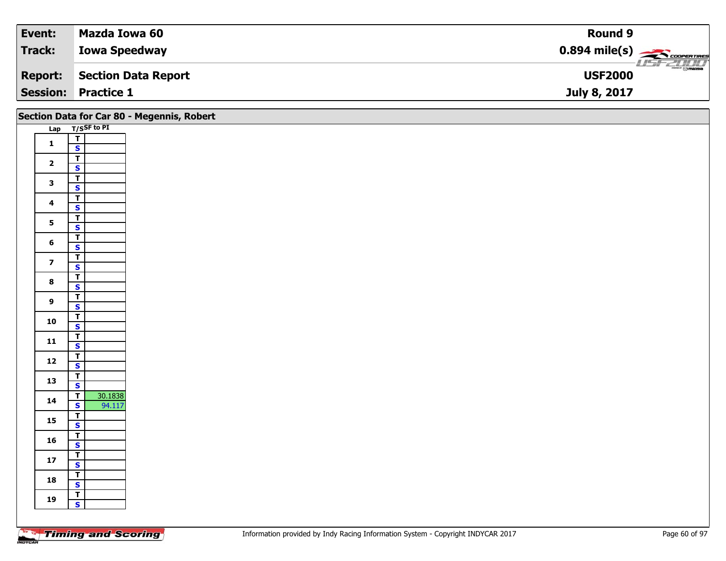| Event:  | Mazda Iowa 60              | <b>Round 9</b>                                          |
|---------|----------------------------|---------------------------------------------------------|
| Track:  | <b>Iowa Speedway</b>       | $0.894$ mile(s) $\overbrace{\hspace{2cm}}$ coorer Times |
| Report: | Section Data Report        | $\frac{2}{\sqrt{2}}$<br><b>USF2000</b>                  |
|         | <b>Session: Practice 1</b> | July 8, 2017                                            |

|                         |                                           | Section Data for Car 80 - Megennis, Robert |
|-------------------------|-------------------------------------------|--------------------------------------------|
|                         | Lap T/SSF to PI                           |                                            |
| $\mathbf{1}$            | $\begin{array}{c} \nT \\ S \n\end{array}$ |                                            |
|                         |                                           |                                            |
| $\overline{\mathbf{2}}$ | $\overline{\mathsf{r}}$                   |                                            |
|                         | $\mathbf{s}$                              |                                            |
| $\mathbf{3}$            | $\overline{1}$<br>$\overline{\mathbf{s}}$ |                                            |
|                         |                                           |                                            |
| $\overline{\mathbf{4}}$ | $\overline{\mathsf{r}}$<br>$\mathbf{s}$   |                                            |
|                         | $\mathbf{T}$                              |                                            |
| $5\phantom{a}$          | $\overline{\mathbf{s}}$                   |                                            |
|                         | $\overline{T}$                            |                                            |
| $\bf 6$                 | $\mathbf{s}$                              |                                            |
|                         | $\overline{\mathsf{r}}$                   |                                            |
| $\overline{\mathbf{z}}$ | $\mathbf{s}$                              |                                            |
| $\bf{8}$                | $\overline{\mathbf{r}}$                   |                                            |
|                         | $\mathbf{s}$                              |                                            |
| $\boldsymbol{9}$        | $\overline{\mathsf{r}}$                   |                                            |
|                         | $\mathbf{s}$                              |                                            |
| 10                      | $\overline{1}$                            |                                            |
|                         | $\overline{\mathbf{s}}$                   |                                            |
| 11                      | $\overline{r}$<br>$\mathbf{s}$            |                                            |
|                         | $\overline{r}$                            |                                            |
| $12$                    | $\overline{\mathbf{s}}$                   |                                            |
|                         | $\overline{r}$                            |                                            |
| 13                      | $\overline{\mathbf{s}}$                   |                                            |
| 14                      | 30.1838<br>$\overline{1}$                 |                                            |
|                         | $\mathbf{s}$<br>94.117                    |                                            |
| 15                      | $\mathbf{T}$                              |                                            |
|                         | $\overline{\mathbf{s}}$                   |                                            |
| 16                      | $\overline{T}$                            |                                            |
|                         | $\mathbf{s}$                              |                                            |
| $17\,$                  | $\overline{1}$<br>$\mathbf{s}$            |                                            |
|                         |                                           |                                            |
| 18                      | $rac{1}{s}$                               |                                            |
|                         | $\mathbf{T}$                              |                                            |
| 19                      | $\mathbf{s}$                              |                                            |
|                         |                                           |                                            |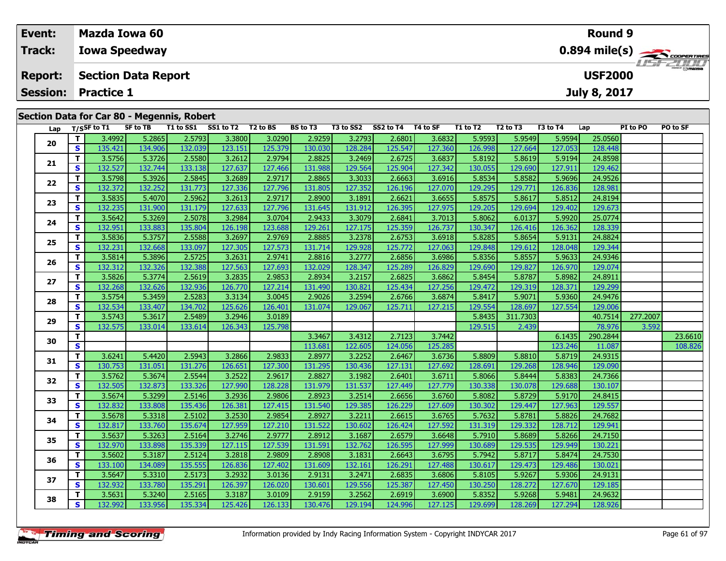| Event:          | Mazda Iowa 60                                                               |                                              |                    |                  |                 |           |           |          |          |          |          | <b>Round 9</b> |          |          |  |
|-----------------|-----------------------------------------------------------------------------|----------------------------------------------|--------------------|------------------|-----------------|-----------|-----------|----------|----------|----------|----------|----------------|----------|----------|--|
| Track:          | <b>Iowa Speedway</b>                                                        |                                              |                    | <b>LISF 2000</b> |                 |           |           |          |          |          |          |                |          |          |  |
| <b>Report:</b>  |                                                                             | <b>Section Data Report</b><br><b>USF2000</b> |                    |                  |                 |           |           |          |          |          |          |                |          |          |  |
| <b>Session:</b> | <b>Practice 1</b><br>July 8, 2017                                           |                                              |                    |                  |                 |           |           |          |          |          |          |                |          |          |  |
|                 | Section Data for Car 80 - Megennis, Robert<br>SF to TB<br>Lan $T/SSF$ to T1 | T1 to SS1                                    | SS1 to T2 T2 to BS |                  | <b>BS to T3</b> | T3 to SS2 | SS2 to T4 | T4 to SF | T1 to T2 | T2 to T3 | T3 to T4 | Lap            | PI to PO | PO to SF |  |

| Lap |              | T/SSF to $\overline{11}$ | <b>SF to TB</b> |         | T1 to SS1 SS1 to T2 T2 to BS |         | BS to T3 |         | T3 to SS2 SS2 to T4 T4 to SF |         | T1 to T2 | T2 to T3 | T3 to T4 | Lap      | PI to PO | PO to SF |
|-----|--------------|--------------------------|-----------------|---------|------------------------------|---------|----------|---------|------------------------------|---------|----------|----------|----------|----------|----------|----------|
| 20  | т            | 3.4992                   | 5.2865          | 2.5793  | 3.3800                       | 3.0290  | 2.9259   | 3.2793  | 2.6801                       | 3.6832  | 5.9593   | 5.9549   | 5.9594   | 25.0560  |          |          |
|     | S            | 135.421                  | 134.906         | 132.039 | 123.151                      | 125.379 | 130.030  | 128.284 | 125.547                      | 127.360 | 126.998  | 127.664  | 127.053  | 128.448  |          |          |
|     | T            | 3.5756                   | 5.3726          | 2.5580  | 3.2612                       | 2.9794  | 2.8825   | 3.2469  | 2.6725                       | 3.6837  | 5.8192   | 5.8619   | 5.9194   | 24.8598  |          |          |
| 21  | S            | 132.527                  | 132.744         | 133.138 | 127.637                      | 127.466 | 131.988  | 129.564 | 125.904                      | 127.342 | 130.055  | 129.690  | 127.911  | 129.462  |          |          |
| 22  | T.           | 3.5798                   | 5.3926          | 2.5845  | 3.2689                       | 2.9717  | 2.8865   | 3.3033  | 2.6663                       | 3.6916  | 5.8534   | 5.8582   | 5.9696   | 24.9526  |          |          |
|     | <b>S</b>     | 132.372                  | 132.252         | 131.773 | 127.336                      | 127.796 | 131.805  | 127.352 | 126.196                      | 127.070 | 129.295  | 129.771  | 126.836  | 128.981  |          |          |
| 23  | T.           | 3.5835                   | 5.4070          | 2.5962  | 3.2613                       | 2.9717  | 2.8900   | 3.1891  | 2.6621                       | 3.6655  | 5.8575   | 5.8617   | 5.8512   | 24.8194  |          |          |
|     | S            | 132.235                  | 131.900         | 131.179 | 127.633                      | 127.796 | 131.645  | 131.912 | 126.395                      | 127.975 | 129.205  | 129.694  | 129.402  | 129.673  |          |          |
| 24  | T            | 3.5642                   | 5.3269          | 2.5078  | 3.2984                       | 3.0704  | 2.9433   | 3.3079  | 2.6841                       | 3.7013  | 5.8062   | 6.0137   | 5.9920   | 25.0774  |          |          |
|     | S            | 132.951                  | 133.883         | 135.804 | 126.198                      | 123.688 | 129.261  | 127.175 | 125.359                      | 126.737 | 130.347  | 126.416  | 126.362  | 128.339  |          |          |
| 25  | T.           | 3.5836                   | 5.3757          | 2.5588  | 3.2697                       | 2.9769  | 2.8885   | 3.2378  | 2.6753                       | 3.6918  | 5.8285   | 5.8654   | 5.9131   | 24.8824  |          |          |
|     | S.           | 132.231                  | 132.668         | 133.097 | 127.305                      | 127.573 | 131.714  | 129.928 | 125.772                      | 127.063 | 129.848  | 129.612  | 128.048  | 129.344  |          |          |
| 26  | T            | 3.5814                   | 5.3896          | 2.5725  | 3.2631                       | 2.9741  | 2.8816   | 3.2777  | 2.6856                       | 3.6986  | 5.8356   | 5.8557   | 5.9633   | 24.9346  |          |          |
|     | S            | 132.312                  | 132.326         | 132.388 | 127.563                      | 127.693 | 132.029  | 128.347 | 125.289                      | 126.829 | 129.690  | 129.827  | 126.970  | 129.074  |          |          |
| 27  | T.           | 3.5826                   | 5.3774          | 2.5619  | 3.2835                       | 2.9853  | 2.8934   | 3.2157  | 2.6825                       | 3.6862  | 5.8454   | 5.8787   | 5.8982   | 24.8911  |          |          |
|     | S.           | 132.268                  | 132.626         | 132.936 | 126.770                      | 127.214 | 131.490  | 130.821 | 125.434                      | 127.256 | 129.472  | 129.319  | 128.371  | 129.299  |          |          |
| 28  | T.           | 3.5754                   | 5.3459          | 2.5283  | 3.3134                       | 3.0045  | 2.9026   | 3.2594  | 2.6766                       | 3.6874  | 5.8417   | 5.9071   | 5.9360   | 24.9476  |          |          |
|     | <b>S</b>     | 132.534                  | 133.407         | 134.702 | 125.626                      | 126.401 | 131.074  | 129.067 | 125.711                      | 127.215 | 129.554  | 128.697  | 127.554  | 129.006  |          |          |
| 29  | T            | 3.5743                   | 5.3617          | 2.5489  | 3.2946                       | 3.0189  |          |         |                              |         | 5.8435   | 311.7303 |          | 40.7514  | 277.2007 |          |
|     | S            | 132.575                  | 133.014         | 133.614 | 126.343                      | 125.798 |          |         |                              |         | 129.515  | 2.439    |          | 78.976   | 3.592    |          |
| 30  | Т            |                          |                 |         |                              |         | 3.3467   | 3.4312  | 2.7123                       | 3.7442  |          |          | 6.1435   | 290.2844 |          | 23.6610  |
|     | S.           |                          |                 |         |                              |         | 113.681  | 122.605 | 124.056                      | 125.285 |          |          | 123.246  | 11.087   |          | 108.826  |
| 31  | T.           | 3.6241                   | 5.4420          | 2.5943  | 3.2866                       | 2.9833  | 2.8977   | 3.2252  | 2.6467                       | 3.6736  | 5.8809   | 5.8810   | 5.8719   | 24.9315  |          |          |
|     | S            | 130.753                  | 131.051         | 131.276 | 126.651                      | 127.300 | 131.295  | 130.436 | 127.131                      | 127.692 | 128.691  | 129.268  | 128.946  | 129.090  |          |          |
| 32  | T            | 3.5762                   | 5.3674          | 2.5544  | 3.2522                       | 2.9617  | 2.8827   | 3.1982  | 2.6401                       | 3.6711  | 5.8066   | 5.8444   | 5.8383   | 24.7366  |          |          |
|     | S            | 132.505                  | 132.873         | 133.326 | 127.990                      | 128.228 | 131.979  | 131.537 | 127.449                      | 127.779 | 130.338  | 130.078  | 129.688  | 130.107  |          |          |
| 33  | T.           | 3.5674                   | 5.3299          | 2.5146  | 3.2936                       | 2.9806  | 2.8923   | 3.2514  | 2.6656                       | 3.6760  | 5.8082   | 5.8729   | 5.9170   | 24.8415  |          |          |
|     | <b>S</b>     | 132.832                  | 133.808         | 135.436 | 126.381                      | 127.415 | 131.540  | 129.385 | 126.229                      | 127.609 | 130.302  | 129.447  | 127.963  | 129.557  |          |          |
| 34  | т            | 3.5678                   | 5.3318          | 2.5102  | 3.2530                       | 2.9854  | 2.8927   | 3.2211  | 2.6615                       | 3.6765  | 5.7632   | 5.8781   | 5.8826   | 24.7682  |          |          |
|     | $\mathbf{s}$ | 132.817                  | 133.760         | 135.674 | 127.959                      | 127.210 | 131.522  | 130.602 | 126.424                      | 127.592 | 131.319  | 129.332  | 128.712  | 129.941  |          |          |
| 35  | T.           | 3.5637                   | 5.3263          | 2.5164  | 3.2746                       | 2.9777  | 2.8912   | 3.1687  | 2.6579                       | 3.6648  | 5.7910   | 5.8689   | 5.8266   | 24.7150  |          |          |
|     | S            | 132.970                  | 133.898         | 135.339 | 127.115                      | 127.539 | 131.591  | 132.762 | 126.595                      | 127.999 | 130.689  | 129.535  | 129.949  | 130.221  |          |          |
| 36  | T.           | 3.5602                   | 5.3187          | 2.5124  | 3.2818                       | 2.9809  | 2.8908   | 3.1831  | 2.6643                       | 3.6795  | 5.7942   | 5.8717   | 5.8474   | 24.7530  |          |          |
|     | S            | 133.100                  | 134.089         | 135.555 | 126.836                      | 127.402 | 131.609  | 132.161 | 126.291                      | 127.488 | 130.617  | 129.473  | 129.486  | 130.021  |          |          |
| 37  | T.           | 3.5647                   | 5.3310          | 2.5173  | 3.2932                       | 3.0136  | 2.9131   | 3.2471  | 2.6835                       | 3.6806  | 5.8105   | 5.9267   | 5.9306   | 24.9131  |          |          |
|     | S            | 132.932                  | 133.780         | 135.291 | 126.397                      | 126.020 | 130.601  | 129.556 | 125.387                      | 127.450 | 130.250  | 128.272  | 127.670  | 129.185  |          |          |
| 38  | T.           | 3.5631                   | 5.3240          | 2.5165  | 3.3187                       | 3.0109  | 2.9159   | 3.2562  | 2.6919                       | 3.6900  | 5.8352   | 5.9268   | 5.9481   | 24.9632  |          |          |
|     | S.           | 132.992                  | 133.956         | 135.334 | 125.426                      | 126.133 | 130.476  | 129.194 | 124.996                      | 127.125 | 129.699  | 128.269  | 127.294  | 128.926  |          |          |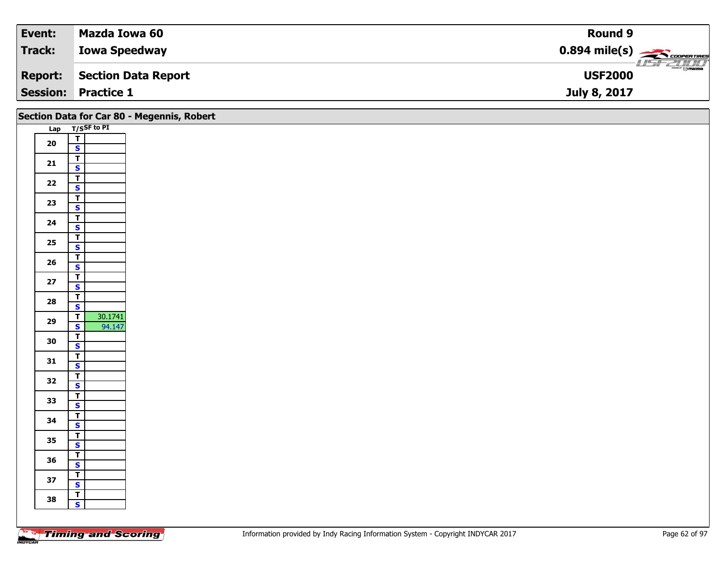| Event:         | Mazda Iowa 60              | Round 9                                                |
|----------------|----------------------------|--------------------------------------------------------|
| Track:         | <b>Iowa Speedway</b>       | $0.894$ mile(s) $\overbrace{\hspace{2cm}}$ coorentines |
| <b>Report:</b> | Section Data Report        | $\frac{2\pi}{\omega}$<br><b>USF2000</b>                |
|                | <b>Session: Practice 1</b> | July 8, 2017                                           |

|            |                                                    | Section Data for Car 80 - Megennis, Robert |
|------------|----------------------------------------------------|--------------------------------------------|
|            | Lap T/SSF to PI                                    |                                            |
| ${\bf 20}$ | $\begin{array}{c} \nT \\ S \n\end{array}$          |                                            |
|            | $\mathbf{T}$                                       |                                            |
| 21         | $\mathbf{s}$                                       |                                            |
|            | $\overline{L}$                                     |                                            |
| $22$       | $\mathbf{s}$                                       |                                            |
| 23         | $\overline{1}$                                     |                                            |
|            | $\mathbf{s}$<br>$\mathbf{T}$                       |                                            |
| 24         | $\overline{\mathbf{s}}$                            |                                            |
| $25\,$     | $\mathbf{T}$                                       |                                            |
|            | $\mathbf{s}$                                       |                                            |
| 26         | $\mathbf{T}$<br>$\mathbf{s}$                       |                                            |
|            | $\overline{\mathsf{r}}$                            |                                            |
| $27\,$     | $\overline{\mathbf{s}}$                            |                                            |
| 28         | $\overline{\mathsf{T}}$                            |                                            |
|            | $\mathbf{s}$<br>30.1741<br>$\overline{\mathsf{T}}$ |                                            |
| 29         | 94.147<br>$\overline{\mathbf{s}}$                  |                                            |
| 30         | $\overline{r}$                                     |                                            |
|            | $\mathbf{s}$                                       |                                            |
| 31         | $\mathbf{T}$<br>$\overline{\mathbf{s}}$            |                                            |
|            | $\overline{\mathsf{r}}$                            |                                            |
| 32         | $\mathbf{s}$                                       |                                            |
| 33         | $\overline{\mathsf{r}}$                            |                                            |
|            | $\mathbf{s}$                                       |                                            |
| 34         | $\overline{\mathsf{T}}$<br>$\overline{\mathbf{s}}$ |                                            |
|            | $\overline{r}$                                     |                                            |
| 35         | $\mathbf{s}$                                       |                                            |
| 36         | $\overline{\mathbf{r}}$                            |                                            |
|            | $\overline{\mathbf{s}}$<br>$\overline{r}$          |                                            |
| 37         | $\mathbf{s}$                                       |                                            |
| 38         | $\overline{\mathsf{r}}$                            |                                            |
|            | $\mathbf{s}$                                       |                                            |
|            |                                                    |                                            |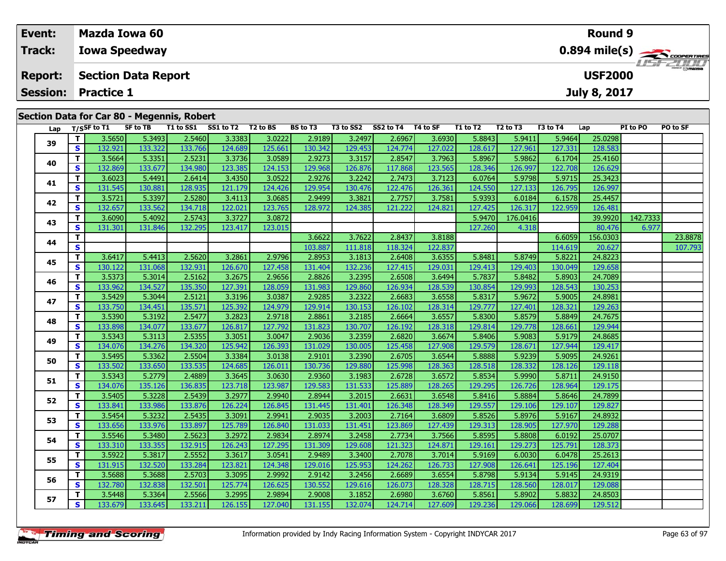|                   |                                            |  |  |  |  |  |  |  |  |  | <b>Round 9</b> |  |                  |
|-------------------|--------------------------------------------|--|--|--|--|--|--|--|--|--|----------------|--|------------------|
| Track:            | <b>Iowa Speedway</b>                       |  |  |  |  |  |  |  |  |  |                |  |                  |
| <b>Report:</b>    | <b>Section Data Report</b>                 |  |  |  |  |  |  |  |  |  | <b>USF2000</b> |  | <b>LISF 2007</b> |
| <b>Session:</b>   | <b>Practice 1</b><br>July 8, 2017          |  |  |  |  |  |  |  |  |  |                |  |                  |
| $Ian$ T/SSF to T1 | Section Data for Car 80 - Megennis, Robert |  |  |  |  |  |  |  |  |  |                |  |                  |

| Lap |    | T/SSF to T1 | SF to TB |         | T1 to SS1 SS1 to T2 T2 to BS |         | <b>BS to T3</b> |         | T3 to SS2 SS2 to T4 T4 to SF |         | T1 to T2 | T <sub>2</sub> to T <sub>3</sub> | T3 to T4 | Lap      | PI to PO | PO to SF |
|-----|----|-------------|----------|---------|------------------------------|---------|-----------------|---------|------------------------------|---------|----------|----------------------------------|----------|----------|----------|----------|
| 39  | Τ. | 3.5650      | 5.3493   | 2.5460  | 3.3383                       | 3.0222  | 2.9189          | 3.2497  | 2.6967                       | 3.6930  | 5.8843   | 5.9411                           | 5.9464   | 25.0298  |          |          |
|     | S. | 132.921     | 133.322  | 133.766 | 124.689                      | 125.661 | 130.342         | 129.453 | 124.774                      | 127.022 | 128.617  | 127.961                          | 127.331  | 128.583  |          |          |
| 40  | Τ. | 3.5664      | 5.3351   | 2.5231  | 3.3736                       | 3.0589  | 2.9273          | 3.3157  | 2.8547                       | 3.7963  | 5.8967   | 5.9862                           | 6.1704   | 25.4160  |          |          |
|     | S. | 132.869     | 133.677  | 134.980 | 123.385                      | 124.153 | 129.968         | 126.876 | 117.868                      | 123.565 | 128.346  | 126.997                          | 122.708  | 126.629  |          |          |
| 41  | Τ. | 3.6023      | 5.4491   | 2.6414  | 3.4350                       | 3.0522  | 2.9276          | 3.2242  | 2.7473                       | 3.7123  | 6.0764   | 5.9798                           | 5.9715   | 25.3423  |          |          |
|     | S. | 131.545     | 130.881  | 128.935 | 121.179                      | 124.426 | 129.954         | 130.476 | 122.476                      | 126.361 | 124.550  | 127.133                          | 126.795  | 126.997  |          |          |
| 42  | Τ. | 3.5721      | 5.3397   | 2.5280  | 3.4113                       | 3.0685  | 2.9499          | 3.3821  | 2.7757                       | 3.7581  | 5.9393   | 6.0184                           | 6.1578   | 25.4457  |          |          |
|     | S. | 132.657     | 133.562  | 134.718 | 122.021                      | 123.765 | 128.972         | 124.385 | 121.222                      | 124.821 | 127.425  | 126.317                          | 122.959  | 126.481  |          |          |
| 43  | T. | 3.6090      | 5.4092   | 2.5743  | 3.3727                       | 3.0872  |                 |         |                              |         | 5.9470   | 176.0416                         |          | 39.9920  | 142.7333 |          |
|     | S. | 131.301     | 131.846  | 132.295 | 123.417                      | 123.015 |                 |         |                              |         | 127.260  | 4.318                            |          | 80.476   | 6.977    |          |
| 44  | Τ. |             |          |         |                              |         | 3.6622          | 3.7622  | 2.8437                       | 3.8188  |          |                                  | 6.6059   | 156.0303 |          | 23.8878  |
|     | S  |             |          |         |                              |         | 103.887         | 111.818 | 118.324                      | 122.837 |          |                                  | 114.619  | 20.627   |          | 107.793  |
| 45  | T. | 3.6417      | 5.4413   | 2.5620  | 3.2861                       | 2.9796  | 2.8953          | 3.1813  | 2.6408                       | 3.6355  | 5.8481   | 5.8749                           | 5.8221   | 24.8223  |          |          |
|     | S. | 130.122     | 131.068  | 132.931 | 126.670                      | 127.458 | 131.404         | 132.236 | 127.415                      | 129.031 | 129.413  | 129.403                          | 130.049  | 129.658  |          |          |
| 46  | Τ. | 3.5373      | 5.3014   | 2.5162  | 3.2675                       | 2.9656  | 2.8826          | 3.2395  | 2.6508                       | 3.6494  | 5.7837   | 5.8482                           | 5.8903   | 24.7089  |          |          |
|     | S. | 133.962     | 134.527  | 135.350 | 127.391                      | 128.059 | 131.983         | 129.860 | 126.934                      | 128.539 | 130.854  | 129.993                          | 128.543  | 130.253  |          |          |
| 47  | Τ. | 3.5429      | 5.3044   | 2.5121  | 3.3196                       | 3.0387  | 2.9285          | 3.2322  | 2.6683                       | 3.6558  | 5.8317   | 5.9672                           | 5.9005   | 24.8981  |          |          |
|     | S. | 133.750     | 134.451  | 135.571 | 125.392                      | 124.979 | 129.914         | 130.153 | 126.102                      | 128.314 | 129.777  | 127.401                          | 128.321  | 129.263  |          |          |
| 48  | T. | 3.5390      | 5.3192   | 2.5477  | 3.2823                       | 2.9718  | 2.8861          | 3.2185  | 2.6664                       | 3.6557  | 5.8300   | 5.8579                           | 5.8849   | 24.7675  |          |          |
|     | S. | 133.898     | 134.077  | 133.677 | 126.817                      | 127.792 | 131.823         | 130.707 | 126.192                      | 128.318 | 129.814  | 129.778                          | 128.661  | 129.944  |          |          |
| 49  | T. | 3.5343      | 5.3113   | 2.5355  | 3.3051                       | 3.0047  | 2.9036          | 3.2359  | 2.6820                       | 3.6674  | 5.8406   | 5.9083                           | 5.9179   | 24.8685  |          |          |
|     | S. | 134.076     | 134.276  | 134.320 | 125.942                      | 126.393 | 131.029         | 130.005 | 125.458                      | 127.908 | 129.579  | 128.671                          | 127.944  | 129.417  |          |          |
| 50  | T. | 3.5495      | 5.3362   | 2.5504  | 3.3384                       | 3.0138  | 2.9101          | 3.2390  | 2.6705                       | 3.6544  | 5.8888   | 5.9239                           | 5.9095   | 24.9261  |          |          |
|     | S. | 133.502     | 133.650  | 133.535 | 124.685                      | 126.011 | 130.736         | 129.880 | 125.998                      | 128.363 | 128.518  | 128.332                          | 128.126  | 129.118  |          |          |
| 51  | Τ. | 3.5343      | 5.2779   | 2.4889  | 3.3645                       | 3.0630  | 2.9360          | 3.1983  | 2.6728                       | 3.6572  | 5.8534   | 5.9990                           | 5.8711   | 24.9150  |          |          |
|     | S. | 134.076     | 135.126  | 136.835 | 123.718                      | 123.987 | 129.583         | 131.533 | 125.889                      | 128.265 | 129.295  | 126.726                          | 128.964  | 129.175  |          |          |
| 52  | Τ. | 3.5405      | 5.3228   | 2.5439  | 3.2977                       | 2.9940  | 2.8944          | 3.2015  | 2.6631                       | 3.6548  | 5.8416   | 5.8884                           | 5.8646   | 24.7899  |          |          |
|     | S. | 133.841     | 133.986  | 133.876 | 126.224                      | 126.845 | 131.445         | 131.401 | 126.348                      | 128.349 | 129.557  | 129.106                          | 129.107  | 129.827  |          |          |
| 53  | T. | 3.5454      | 5.3232   | 2.5435  | 3.3091                       | 2.9941  | 2.9035          | 3.2003  | 2.7164                       | 3.6809  | 5.8526   | 5.8976                           | 5.9167   | 24.8932  |          |          |
|     | S. | 133.656     | 133.976  | 133.897 | 125.789                      | 126.840 | 131.033         | 131.451 | 123.869                      | 127.439 | 129.313  | 128.905                          | 127.970  | 129.288  |          |          |
| 54  | Τ. | 3.5546      | 5.3480   | 2.5623  | 3.2972                       | 2.9834  | 2.8974          | 3.2458  | 2.7734                       | 3.7566  | 5.8595   | 5.8808                           | 6.0192   | 25.0707  |          |          |
|     | S. | 133.310     | 133.355  | 132.915 | 126.243                      | 127.295 | 131.309         | 129.608 | 121.323                      | 124.871 | 129.161  | 129.273                          | 125.791  | 128.373  |          |          |
| 55  | T. | 3.5922      | 5.3817   | 2.5552  | 3.3617                       | 3.0541  | 2.9489          | 3.3400  | 2.7078                       | 3.7014  | 5.9169   | 6.0030                           | 6.0478   | 25.2613  |          |          |
|     | S. | 131.915     | 132.520  | 133.284 | 123.821                      | 124.348 | 129.016         | 125.953 | 124.262                      | 126.733 | 127.908  | 126.641                          | 125.196  | 127.404  |          |          |
| 56  | Τ. | 3.5688      | 5.3688   | 2.5703  | 3.3095                       | 2.9992  | 2.9142          | 3.2456  | 2.6689                       | 3.6554  | 5.8798   | 5.9134                           | 5.9145   | 24.9319  |          |          |
|     | S. | 132.780     | 132.838  | 132.501 | 125.774                      | 126.625 | 130.552         | 129.616 | 126.073                      | 128.328 | 128.715  | 128.560                          | 128.017  | 129.088  |          |          |
| 57  | T. | 3.5448      | 5.3364   | 2.5566  | 3.2995                       | 2.9894  | 2.9008          | 3.1852  | 2.6980                       | 3.6760  | 5.8561   | 5.8902                           | 5.8832   | 24.8503  |          |          |
|     | S. | 133.679     | 133.645  | 133.211 | 126.155                      | 127.040 | 131.155         | 132.074 | 124.714                      | 127.609 | 129.236  | 129.066                          | 128.699  | 129.512  |          |          |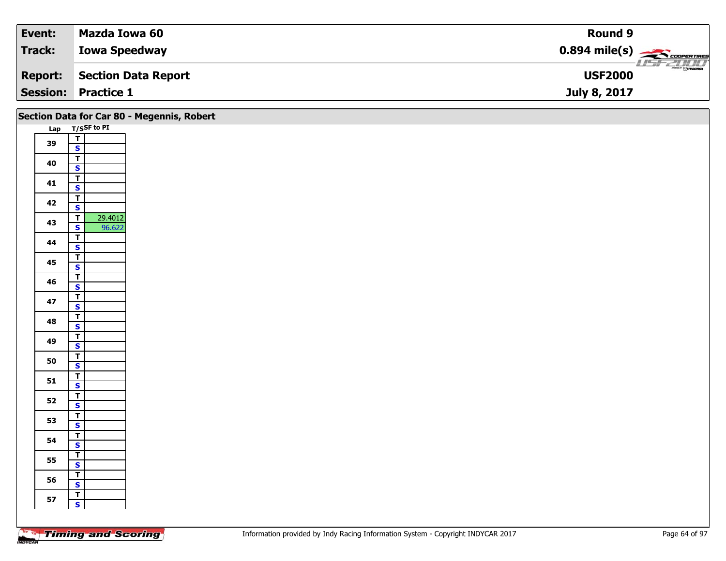| Event:         | Mazda Iowa 60              | Round 9                                                |
|----------------|----------------------------|--------------------------------------------------------|
| Track:         | <b>Iowa Speedway</b>       | $0.894$ mile(s) $\overbrace{\hspace{2cm}}$ coorentines |
| <b>Report:</b> | Section Data Report        | $\frac{2\pi}{\omega}$<br><b>USF2000</b>                |
|                | <b>Session: Practice 1</b> | July 8, 2017                                           |

|    | Section Data for Car 80 - Megennis, Robert         |
|----|----------------------------------------------------|
|    | Lap T/SSF to PI                                    |
| 39 | $\frac{1}{\sqrt{2}}$                               |
|    |                                                    |
| 40 | $\overline{\mathbf{T}}$                            |
|    | $\overline{\mathbf{s}}$                            |
| 41 | $\overline{\mathsf{T}}$<br>$\overline{\mathbf{s}}$ |
|    | $\overline{\mathsf{T}}$                            |
| 42 | $\mathbf{s}$                                       |
|    | 29.4012<br>$\overline{\mathsf{r}}$                 |
| 43 | 96.622<br>$\overline{\mathbf{s}}$                  |
|    | $\overline{\mathbf{r}}$                            |
| 44 | $\mathsf{s}$                                       |
|    | $\overline{\mathbf{T}}$                            |
| 45 | $\mathbf{s}$                                       |
| 46 | $\overline{\mathsf{T}}$                            |
|    | $\overline{\mathbf{s}}$                            |
| 47 | $\overline{\mathsf{T}}$                            |
|    | $\mathsf{s}$                                       |
| 48 | $\overline{1}$                                     |
|    | $\overline{\mathbf{s}}$                            |
| 49 | $\overline{\mathbf{r}}$                            |
|    | $\mathbf{s}$                                       |
| 50 | $\overline{1}$                                     |
|    | $\overline{\mathbf{s}}$                            |
| 51 | $\overline{1}$<br>$\mathbf{s}$                     |
|    | $\overline{\mathbf{r}}$                            |
| 52 | $\mathbf{s}$                                       |
|    | $\mathbf{I}$                                       |
| 53 | $\overline{\mathbf{s}}$                            |
|    | $\overline{\mathbf{r}}$                            |
| 54 | $\mathsf{s}$                                       |
|    | $\overline{1}$                                     |
| 55 | $\overline{\mathbf{s}}$                            |
| 56 | $\overline{1}$                                     |
|    | $\mathbf{s}$                                       |
| 57 | $\mathbf{T}$                                       |
|    | $\mathbf{s}$                                       |
|    |                                                    |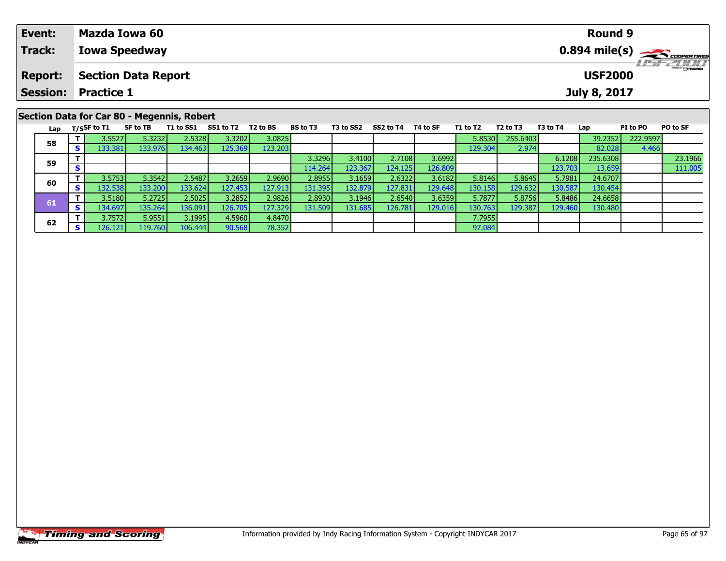| Event:                                     | Mazda Iowa 60        | <b>Round 9</b>                           |  |  |  |  |  |  |  |  |
|--------------------------------------------|----------------------|------------------------------------------|--|--|--|--|--|--|--|--|
| Track:                                     | <b>Iowa Speedway</b> | $0.894$ mile(s) $\rightarrow$ Coorenames |  |  |  |  |  |  |  |  |
| <b>Report:</b>                             | Section Data Report  | <b>LISF 2007</b><br><b>USF2000</b>       |  |  |  |  |  |  |  |  |
| <b>Session:</b>                            | <b>Practice 1</b>    | July 8, 2017                             |  |  |  |  |  |  |  |  |
| Section Data for Car 80 - Megennis, Robert |                      |                                          |  |  |  |  |  |  |  |  |

| Lap |    | T/SSF to T1      | SF to TB | T1 to SS1 | SS1 to T2 | T <sub>2</sub> to BS | <b>BS</b> to T3 | T3 to SS2 | SS2 to T4 | T4 to SF | T1 to T2 | T <sub>2</sub> to T <sub>3</sub> | T3 to T4 | Lap      | PI to PO | PO to SF |
|-----|----|------------------|----------|-----------|-----------|----------------------|-----------------|-----------|-----------|----------|----------|----------------------------------|----------|----------|----------|----------|
| 58  |    | 3.5527           | 5.3232   | 2.5328    | 3.3202    | 3.0825               |                 |           |           |          | 5.8530   | 255.6403                         |          | 39.2352  | 222.9597 |          |
|     | s  | 133.381          | 133.976  | 134.463   | 125.369   | 123.203              |                 |           |           |          | 129.304  | 2.974                            |          | 82.028   | 4.466    |          |
| 59  |    |                  |          |           |           |                      | 3.3296          | 3.4100    | 2.7108    | 3.6992   |          |                                  | 6.1208   | 235.6308 |          | 23.1966  |
|     |    |                  |          |           |           |                      | 114.264         | 123.367   | 124.125   | 126.809  |          |                                  | 123.7031 | 13.659   |          | 111.005  |
| 60  |    | 3.5753           | 5.3542   | 2.5487    | 3.2659    | 2.9690               | 2.8955          | 3.1659    | 2.6322    | 3.6182   | 5.8146   | 5.8645                           | 5.7981   | 24.6707  |          |          |
|     | S. | 132.538 <b>I</b> | 133.200  | 133.624   | 127.453   | 127.913              | 131.395         | 132.879   | 127.831   | 129.648  | 130.158  | 129.632                          | 130.587  | 130.454  |          |          |
|     |    | 3.5180           | 5.2725   | 2.5025    | 3.2852    | 2.9826               | 2.8930          | 3.1946    | 2.6540    | 3.6359   | 5.7877   | 5.8756                           | 5.8486   | 24.6658  |          |          |
| 61  | s. | 134.697          | 135.264  | 136.091   | 126.705   | 127.329              | 131.509         | 131.685   | 126.781   | 129.016  | 130.763  | 129.387                          | 129.460  | 130.480  |          |          |
| 62  |    | 3.7572           | 5.9551   | 3.1995    | 4.5960    | 4.8470               |                 |           |           |          | 7.7955   |                                  |          |          |          |          |
|     | S. | 126.121          | 19.760   | 106.444   | 90.568    | 78.352               |                 |           |           |          | 97.084   |                                  |          |          |          |          |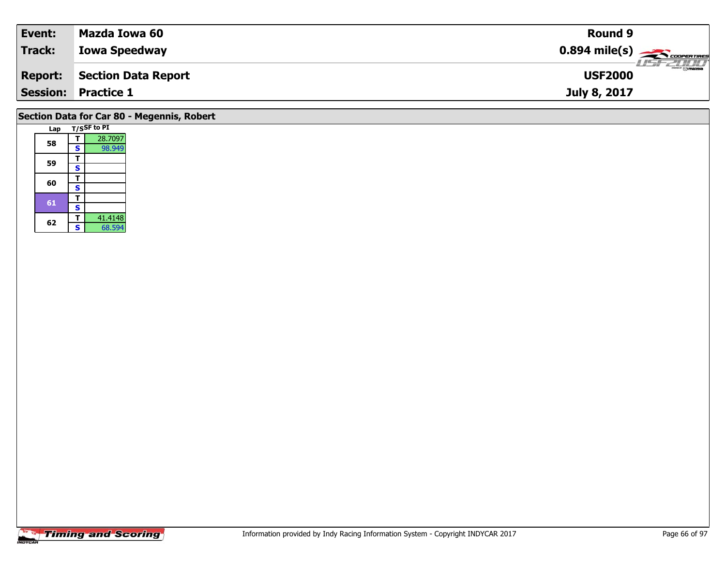| Event:<br>Mazda Iowa 60                      | Round 9        |                             |
|----------------------------------------------|----------------|-----------------------------|
| Track:<br><b>Iowa Speedway</b>               |                |                             |
| <b>Section Data Report</b><br><b>Report:</b> | <b>USF2000</b> | $\frac{2}{\sqrt{2}}$ omazoa |
| <b>Session:</b><br><b>Practice 1</b>         | July 8, 2017   |                             |

## **Section Data for Car 80 - Megennis, Robert**

|  | Lap |   | T/SSF to PI |
|--|-----|---|-------------|
|  |     | т | 28.7097     |
|  | 58  | S | 98.949      |
|  |     | т |             |
|  | 59  | S |             |
|  |     | т |             |
|  | 60  | S |             |
|  | 61  | т |             |
|  |     | S |             |
|  | 62  | т | 41.4148     |
|  |     | S | 68.594      |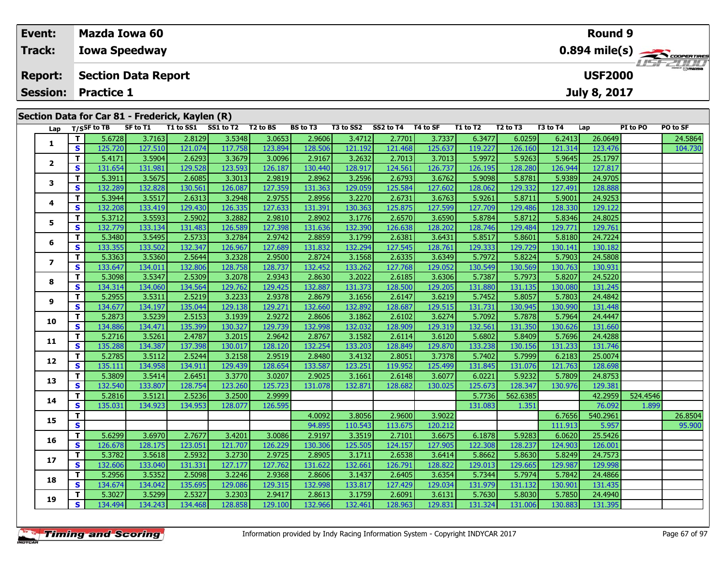| Event:          | Mazda Iowa 60                                                                                                                                                                                                                                        | <b>Round 9</b>                                                                                                                                                            |  |  |  |  |  |  |  |  |  |  |  |  |
|-----------------|------------------------------------------------------------------------------------------------------------------------------------------------------------------------------------------------------------------------------------------------------|---------------------------------------------------------------------------------------------------------------------------------------------------------------------------|--|--|--|--|--|--|--|--|--|--|--|--|
| Track:          | <b>Iowa Speedway</b>                                                                                                                                                                                                                                 | $0.894$ mile(s) $\rightarrow$ coorganges                                                                                                                                  |  |  |  |  |  |  |  |  |  |  |  |  |
| <b>Report:</b>  | <b>Section Data Report</b>                                                                                                                                                                                                                           | LISF 2000<br><b>USF2000</b>                                                                                                                                               |  |  |  |  |  |  |  |  |  |  |  |  |
| <b>Session:</b> | <b>Practice 1</b>                                                                                                                                                                                                                                    | July 8, 2017                                                                                                                                                              |  |  |  |  |  |  |  |  |  |  |  |  |
|                 | Section Data for Car 81 - Frederick, Kaylen (R)                                                                                                                                                                                                      |                                                                                                                                                                           |  |  |  |  |  |  |  |  |  |  |  |  |
| Lap             | T <sub>2</sub> to BS<br><b>BS</b> to T3<br>SS2 to T4<br>T4 to SF<br>T/SSF to TB<br>SF to T1<br>T1 to SS1<br>SS1 to T2<br>T3 to SS2<br>r czool i<br>$\sim$ $\sim$ $\sim$ $\sim$ $\sim$<br>0.0100<br>22.71<br>200<br>2000<br>$2.47121 - 2.7701$<br>- 1 | T1 to T2<br><b>PO to SF</b><br>T <sub>2</sub> to T <sub>3</sub><br>T3 to T4<br>PI to PO<br>Lap<br>24F064<br>conto L<br>$\sim$ $\sim$ $\sim$ $\sim$ $\sim$ $\sim$<br>20000 |  |  |  |  |  |  |  |  |  |  |  |  |

| Lap                     |              | $1/5$ <sup>31</sup> to 15 | 30 W LL | 1 1 LU JJ 1 | <b>331 W IZ</b> | 12 W DJ | נו שט   | 19 W 334 | <b>334W14</b> | 14 W JI | 1 1 LV 1 4 | 14 W 15  | 19 W I T | ∟aµ      | רו נטרט  | וכ שו ס |
|-------------------------|--------------|---------------------------|---------|-------------|-----------------|---------|---------|----------|---------------|---------|------------|----------|----------|----------|----------|---------|
|                         | т            | 5.6728                    | 3.7163  | 2.8129      | 3.5348          | 3.0653  | 2.9606  | 3.4712   | 2.7701        | 3.7337  | 6.3477     | 6.0259   | 6.2413   | 26.0649  |          | 24.5864 |
| 1                       | S            | 125.720                   | 127.510 | 121.074     | 117.758         | 123.894 | 128.506 | 121.192  | 121.468       | 125.637 | 119.227    | 126.160  | 121.314  | 123.476  |          | 104.730 |
|                         | Т            | 5.4171                    | 3.5904  | 2.6293      | 3.3679          | 3.0096  | 2.9167  | 3.2632   | 2.7013        | 3.7013  | 5.9972     | 5.9263   | 5.9645   | 25.1797  |          |         |
| 2                       | S            | 131.654                   | 131.981 | 129.528     | 123.593         | 126.187 | 130.440 | 128.917  | 124.561       | 126.737 | 126.195    | 128.280  | 126.944  | 127.817  |          |         |
| 3                       | т            | 5.3911                    | 3.5675  | 2.6085      | 3.3013          | 2.9819  | 2.8962  | 3.2596   | 2.6793        | 3.6762  | 5.9098     | 5.8781   | 5.9389   | 24.9705  |          |         |
|                         | S            | 132.289                   | 132.828 | 130.561     | 126.087         | 127.359 | 131.363 | 129.059  | 125.584       | 127.602 | 128.062    | 129.332  | 127.491  | 128.888  |          |         |
| 4                       | т            | 5.3944                    | 3.5517  | 2.6313      | 3.2948          | 2.9755  | 2.8956  | 3.2270   | 2.6731        | 3.6763  | 5.9261     | 5.8711   | 5.9001   | 24.9253  |          |         |
|                         | $\mathbf{s}$ | 132.208                   | 133.419 | 129.430     | 126.335         | 127.633 | 131.391 | 130.363  | 125.875       | 127.599 | 127.709    | 129.486  | 128.330  | 129.122  |          |         |
| 5                       | т            | 5.3712                    | 3.5593  | 2.5902      | 3.2882          | 2.9810  | 2.8902  | 3.1776   | 2.6570        | 3.6590  | 5.8784     | 5.8712   | 5.8346   | 24.8025  |          |         |
|                         | S            | 132.779                   | 133.134 | 131.483     | 126.589         | 127.398 | 131.636 | 132.390  | 126.638       | 128.202 | 128.746    | 129.484  | 129.771  | 129.761  |          |         |
| 6                       | Т            | 5.3480                    | 3.5495  | 2.5733      | 3.2784          | 2.9742  | 2.8859  | 3.1799   | 2.6381        | 3.6431  | 5.8517     | 5.8601   | 5.8180   | 24.7224  |          |         |
|                         | S            | 133.355                   | 133.502 | 132.347     | 126.967         | 127.689 | 131.832 | 132.294  | 127.545       | 128.761 | 129.333    | 129.729  | 130.141  | 130.182  |          |         |
| $\overline{\mathbf{z}}$ | T.           | 5.3363                    | 3.5360  | 2.5644      | 3.2328          | 2.9500  | 2.8724  | 3.1568   | 2.6335        | 3.6349  | 5.7972     | 5.8224   | 5.7903   | 24.5808  |          |         |
|                         | $\mathbf{s}$ | 133.647                   | 134.011 | 132.806     | 128.758         | 128.737 | 132.452 | 133.262  | 127.768       | 129.052 | 130.549    | 130.569  | 130.763  | 130.931  |          |         |
| 8                       | Т            | 5.3098                    | 3.5347  | 2.5309      | 3.2078          | 2.9343  | 2.8630  | 3.2022   | 2.6185        | 3.6306  | 5.7387     | 5.7973   | 5.8207   | 24.5220  |          |         |
|                         | $\mathbf{s}$ | 134.314                   | 134.060 | 134.564     | 129.762         | 129.425 | 132.887 | 131.373  | 128.500       | 129.205 | 131.880    | 131.135  | 130.080  | 131.245  |          |         |
| 9                       | Т            | 5.2955                    | 3.5311  | 2.5219      | 3.2233          | 2.9378  | 2.8679  | 3.1656   | 2.6147        | 3.6219  | 5.7452     | 5.8057   | 5.7803   | 24.4842  |          |         |
|                         | S            | 134.677                   | 134.197 | 135.044     | 129.138         | 129.271 | 132.660 | 132.892  | 128.687       | 129.515 | 131.731    | 130.945  | 130.990  | 131.448  |          |         |
| 10                      | T.           | 5.2873                    | 3.5239  | 2.5153      | 3.1939          | 2.9272  | 2.8606  | 3.1862   | 2.6102        | 3.6274  | 5.7092     | 5.7878   | 5.7964   | 24.4447  |          |         |
|                         | S            | 134.886                   | 134.471 | 135.399     | 130.327         | 129.739 | 132.998 | 132.032  | 128.909       | 129.319 | 132.561    | 131.350  | 130.626  | 131.660  |          |         |
| 11                      | т            | 5.2716                    | 3.5261  | 2.4787      | 3.2015          | 2.9642  | 2.8767  | 3.1582   | 2.6114        | 3.6120  | 5.6802     | 5.8409   | 5.7696   | 24.4288  |          |         |
|                         | S            | 135.288                   | 134.387 | 137.398     | 130.017         | 128.120 | 132.254 | 133.203  | 128.849       | 129.870 | 133.238    | 130.156  | 131.233  | 131.746  |          |         |
| 12                      | т            | 5.2785                    | 3.5112  | 2.5244      | 3.2158          | 2.9519  | 2.8480  | 3.4132   | 2.8051        | 3.7378  | 5.7402     | 5.7999   | 6.2183   | 25.0074  |          |         |
|                         | S            | 135.111                   | 134.958 | 134.911     | 129.439         | 128.654 | 133.587 | 123.251  | 119.952       | 125.499 | 131.845    | 131.076  | 121.763  | 128.698  |          |         |
| 13                      | T.           | 5.3809                    | 3.5414  | 2.6451      | 3.3770          | 3.0207  | 2.9025  | 3.1661   | 2.6148        | 3.6077  | 6.0221     | 5.9232   | 5.7809   | 24.8753  |          |         |
|                         | <b>S</b>     | 132.540                   | 133.807 | 128.754     | 123.260         | 125.723 | 131.078 | 132.871  | 128.682       | 130.025 | 125.673    | 128.347  | 130.976  | 129.381  |          |         |
| 14                      | т            | 5.2816                    | 3.5121  | 2.5236      | 3.2500          | 2.9999  |         |          |               |         | 5.7736     | 562.6385 |          | 42.2959  | 524.4546 |         |
|                         | S            | 135.031                   | 134.923 | 134.953     | 128.077         | 126.595 |         |          |               |         | 131.083    | 1.351    |          | 76.092   | 1.899    |         |
| 15                      | T.           |                           |         |             |                 |         | 4.0092  | 3.8056   | 2.9600        | 3.9022  |            |          | 6.7656   | 540.2961 |          | 26.8504 |
|                         | S            |                           |         |             |                 |         | 94.895  | 110.543  | 113.675       | 120.212 |            |          | 111.913  | 5.957    |          | 95.900  |
| 16                      | T.           | 5.6299                    | 3.6970  | 2.7677      | 3.4201          | 3.0086  | 2.9197  | 3.3519   | 2.7101        | 3.6675  | 6.1878     | 5.9283   | 6.0620   | 25.5426  |          |         |
|                         | S            | 126.678                   | 128.175 | 123.051     | 121.707         | 126.229 | 130.306 | 125.505  | 124.157       | 127.905 | 122.308    | 128.237  | 124.903  | 126.001  |          |         |
| 17                      | T.           | 5.3782                    | 3.5618  | 2.5932      | 3.2730          | 2.9725  | 2.8905  | 3.1711   | 2.6538        | 3.6414  | 5.8662     | 5.8630   | 5.8249   | 24.7573  |          |         |
|                         | S            | 132.606                   | 133.040 | 131.331     | 127.177         | 127.762 | 131.622 | 132.661  | 126.791       | 128.822 | 129.013    | 129.665  | 129.987  | 129.998  |          |         |
| 18                      | T.           | 5.2956                    | 3.5352  | 2.5098      | 3.2246          | 2.9368  | 2.8606  | 3.1437   | 2.6405        | 3.6354  | 5.7344     | 5.7974   | 5.7842   | 24.4866  |          |         |
|                         | S            | 134.674                   | 134.042 | 135.695     | 129.086         | 129.315 | 132.998 | 133.817  | 127.429       | 129.034 | 131.979    | 131.132  | 130.901  | 131.435  |          |         |
| 19                      | T.           | 5.3027                    | 3.5299  | 2.5327      | 3.2303          | 2.9417  | 2.8613  | 3.1759   | 2.6091        | 3.6131  | 5.7630     | 5.8030   | 5.7850   | 24.4940  |          |         |
|                         | S            | 134.494                   | 134.243 | 134.468     | 128.858         | 129.100 | 132.966 | 132.461  | 128.963       | 129.831 | 131.324    | 131.006  | 130.883  | 131.395  |          |         |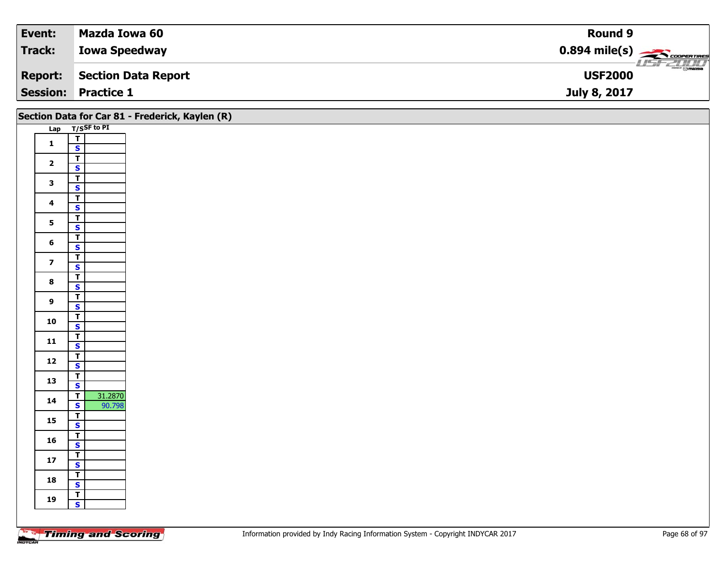| Event:          | Mazda Iowa 60        | Round 9                                                 |
|-----------------|----------------------|---------------------------------------------------------|
| <b>Track:</b>   | <b>Iowa Speedway</b> | $0.894$ mile(s) $\overbrace{\hspace{2cm}}$ coorer Times |
| <b>Report:</b>  | Section Data Report  | $\frac{1}{\odot}$ mazpa<br><b>USF2000</b>               |
| <b>Session:</b> | <b>Practice 1</b>    | July 8, 2017                                            |

|                         |                                                   | Section Data for Car 81 - Frederick, Kaylen (R) |
|-------------------------|---------------------------------------------------|-------------------------------------------------|
|                         | Lap T/SSF to PI                                   |                                                 |
| $\mathbf{1}$            | $\overline{T}$                                    |                                                 |
|                         | $\mathbf{s}$                                      |                                                 |
| $\overline{2}$          | $\overline{1}$                                    |                                                 |
|                         | $\mathbf{s}$                                      |                                                 |
| $\mathbf{3}$            | $\overline{\mathsf{r}}$                           |                                                 |
|                         | $\mathbf{s}$                                      |                                                 |
| $\overline{\mathbf{4}}$ | $\overline{\mathsf{r}}$<br>$\mathsf{s}$           |                                                 |
|                         | $\mathbf{I}$                                      |                                                 |
| $5\phantom{a}$          | $\overline{\mathbf{s}}$                           |                                                 |
|                         | $\overline{\mathsf{T}}$                           |                                                 |
| $6\phantom{a}$          | $\mathsf{s}$                                      |                                                 |
|                         | $\mathbf{T}$                                      |                                                 |
| $\overline{\mathbf{z}}$ | $\overline{\mathbf{s}}$                           |                                                 |
| $\bf{8}$                | $\overline{\mathsf{r}}$                           |                                                 |
|                         | $\overline{\mathbf{s}}$                           |                                                 |
| $\overline{9}$          | $\overline{1}$                                    |                                                 |
|                         | $\mathbf{s}$                                      |                                                 |
| 10                      | $\overline{1}$<br>$\overline{\mathbf{s}}$         |                                                 |
|                         | $\overline{I}$                                    |                                                 |
| $11$                    | $\mathbf{s}$                                      |                                                 |
|                         |                                                   |                                                 |
| $12$                    | $rac{1}{s}$                                       |                                                 |
| 13                      | $\mathbf{T}$                                      |                                                 |
|                         | $\overline{\mathbf{s}}$                           |                                                 |
| 14                      | 31.2870<br>$\overline{\mathsf{T}}$                |                                                 |
|                         | 90.798<br>$\mathbf{s}$<br>$\overline{\mathsf{r}}$ |                                                 |
| 15                      | $\overline{\mathbf{s}}$                           |                                                 |
|                         | $\overline{\mathsf{r}}$                           |                                                 |
| 16                      | $\mathsf{s}$                                      |                                                 |
| $17\,$                  | $\overline{1}$                                    |                                                 |
|                         | $\mathbf{s}$                                      |                                                 |
| 18                      | $\mathbf{T}$                                      |                                                 |
|                         | $\mathbf{s}$                                      |                                                 |
| 19                      | $\mathbf{r}$<br>$\mathbf{s}$                      |                                                 |
|                         |                                                   |                                                 |
|                         |                                                   |                                                 |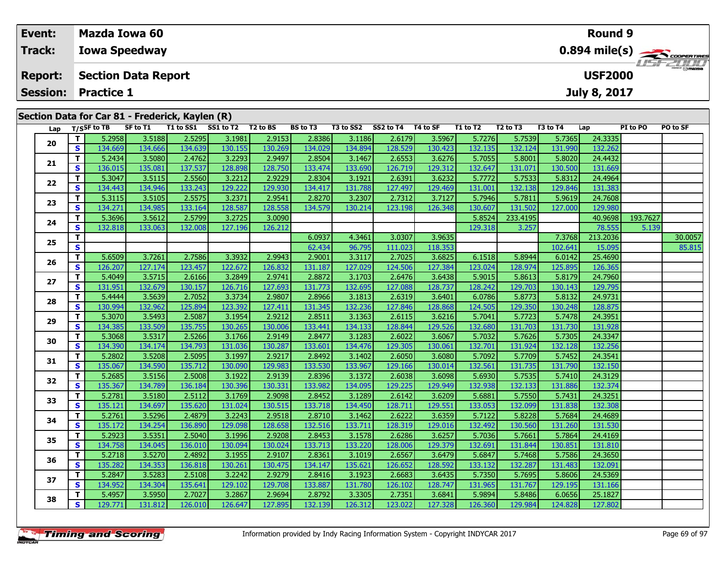| Event:          | Mazda Iowa 60                                                     |          |           |           |                      |                 |           |           |          |          |                                  |          | <b>Round 9</b> |          |          |
|-----------------|-------------------------------------------------------------------|----------|-----------|-----------|----------------------|-----------------|-----------|-----------|----------|----------|----------------------------------|----------|----------------|----------|----------|
| <b>Track:</b>   | <b>Iowa Speedway</b>                                              |          |           |           |                      |                 |           |           |          |          |                                  |          |                |          |          |
| <b>Report:</b>  | <b>LIST ZULLI</b><br><b>USF2000</b><br><b>Section Data Report</b> |          |           |           |                      |                 |           |           |          |          |                                  |          |                |          |          |
| <b>Session:</b> | <b>Practice 1</b><br><b>July 8, 2017</b>                          |          |           |           |                      |                 |           |           |          |          |                                  |          |                |          |          |
|                 | Section Data for Car 81 - Frederick, Kaylen (R)                   |          |           |           |                      |                 |           |           |          |          |                                  |          |                |          |          |
| Lap             | T/SSF to TB                                                       | SF to T1 | T1 to SS1 | SS1 to T2 | T <sub>2</sub> to BS | <b>BS</b> to T3 | T3 to SS2 | SS2 to T4 | T4 to SF | T1 to T2 | T <sub>2</sub> to T <sub>3</sub> | T3 to T4 | Lap            | PI to PO | PO to SF |
| 20              | 5.2958                                                            | 3.5188   | 2.5295    | 3.1981    | 2.9153               | 2.8386          | 3.1186    | 2.6179    | 3.5967   | 5.7276   | 5.7539                           | 5.7365   | 24.3335        |          |          |

| Lap |          | T/SSF to TB | SF to T1 | <b>T1 to SS1</b> | SS1 to T2 | T2 to BS | BS to T3 | <b>T3 to SS2</b> | SS2 to T4 | T4 to SF | T1 to T2 | <b>12 to T3</b> | <b>13 to T4</b> | Lap      | PI to PO | PO to SF |
|-----|----------|-------------|----------|------------------|-----------|----------|----------|------------------|-----------|----------|----------|-----------------|-----------------|----------|----------|----------|
| 20  | T.       | 5.2958      | 3.5188   | 2.5295           | 3.1981    | 2.9153   | 2.8386   | 3.1186           | 2.6179    | 3.5967   | 5.7276   | 5.7539          | 5.7365          | 24.3335  |          |          |
|     | S.       | 134.669     | 134.666  | 134.639          | 130.155   | 130.269  | 134.029  | 134.894          | 128.529   | 130.423  | 132.135  | 132.124         | 131.990         | 132.262  |          |          |
| 21  | T.       | 5.2434      | 3.5080   | 2.4762           | 3.2293    | 2.9497   | 2.8504   | 3.1467           | 2.6553    | 3.6276   | 5.7055   | 5.8001          | 5.8020          | 24.4432  |          |          |
|     | S        | 136.015     | 135.081  | 137.537          | 128.898   | 128.750  | 133.474  | 133.690          | 126.719   | 129.312  | 132.647  | 131.071         | 130.500         | 131.669  |          |          |
| 22  | т        | 5.3047      | 3.5115   | 2.5560           | 3.2212    | 2.9229   | 2.8304   | 3.1921           | 2.6391    | 3.6232   | 5.7772   | 5.7533          | 5.8312          | 24.4964  |          |          |
|     | S        | 134.443     | 134.946  | 133.243          | 129.222   | 129.930  | 134.417  | 131.788          | 127.497   | 129.469  | 131.001  | 132.138         | 129.846         | 131.383  |          |          |
| 23  | T.       | 5.3115      | 3.5105   | 2.5575           | 3.2371    | 2.9541   | 2.8270   | 3.2307           | 2.7312    | 3.7127   | 5.7946   | 5.7811          | 5.9619          | 24.7608  |          |          |
|     | S        | 134.271     | 134.985  | 133.164          | 128.587   | 128.558  | 134.579  | 130.214          | 123.198   | 126.348  | 130.607  | 131.502         | 127.000         | 129.980  |          |          |
| 24  | T.       | 5.3696      | 3.5612   | 2.5799           | 3.2725    | 3.0090   |          |                  |           |          | 5.8524   | 233.4195        |                 | 40.9698  | 193.7627 |          |
|     | S        | 132.818     | 133.063  | 132.008          | 127.196   | 126.212  |          |                  |           |          | 129.318  | 3.257           |                 | 78.555   | 5.139    |          |
| 25  | T.       |             |          |                  |           |          | 6.0937   | 4.3461           | 3.0307    | 3.9635   |          |                 | 7.3768          | 213.2036 |          | 30.0057  |
|     | S.       |             |          |                  |           |          | 62.434   | 96.795           | 111.023   | 118.353  |          |                 | 102.641         | 15.095   |          | 85.815   |
| 26  | T.       | 5.6509      | 3.7261   | 2.7586           | 3.3932    | 2.9943   | 2.9001   | 3.3117           | 2.7025    | 3.6825   | 6.1518   | 5.8944          | 6.0142          | 25.4690  |          |          |
|     | S        | 126.207     | 127.174  | 123.457          | 122.672   | 126.832  | 131.187  | 127.029          | 124.506   | 127.384  | 123.024  | 128.974         | 125.895         | 126.365  |          |          |
| 27  | T.       | 5.4049      | 3.5715   | 2.6166           | 3.2849    | 2.9741   | 2.8872   | 3.1703           | 2.6476    | 3.6438   | 5.9015   | 5.8613          | 5.8179          | 24.7960  |          |          |
|     | S        | 131.951     | 132.679  | 130.157          | 126.716   | 127.693  | 131.773  | 132.695          | 127.088   | 128.737  | 128.242  | 129.703         | 130.143         | 129.795  |          |          |
| 28  | T.       | 5.4444      | 3.5639   | 2.7052           | 3.3734    | 2.9807   | 2.8966   | 3.1813           | 2.6319    | 3.6401   | 6.0786   | 5.8773          | 5.8132          | 24.9731  |          |          |
|     | <b>S</b> | 130.994     | 132.962  | 125.894          | 123.392   | 127.411  | 131.345  | 132.236          | 127.846   | 128.868  | 124.505  | 129.350         | 130.248         | 128.875  |          |          |
| 29  | T.       | 5.3070      | 3.5493   | 2.5087           | 3.1954    | 2.9212   | 2.8511   | 3.1363           | 2.6115    | 3.6216   | 5.7041   | 5.7723          | 5.7478          | 24.3951  |          |          |
|     | S        | 134.385     | 133.509  | 135.755          | 130.265   | 130.006  | 133.441  | 134.133          | 128.844   | 129.526  | 132.680  | 131.703         | 131.730         | 131.928  |          |          |
| 30  | T.       | 5.3068      | 3.5317   | 2.5266           | 3.1766    | 2.9149   | 2.8477   | 3.1283           | 2.6022    | 3.6067   | 5.7032   | 5.7626          | 5.7305          | 24.3347  |          |          |
|     | S        | 134.390     | 134.174  | 134.793          | 131.036   | 130.287  | 133.601  | 134.476          | 129.305   | 130.061  | 132.701  | 131.924         | 132.128         | 132.256  |          |          |
| 31  | T.       | 5.2802      | 3.5208   | 2.5095           | 3.1997    | 2.9217   | 2.8492   | 3.1402           | 2.6050    | 3.6080   | 5.7092   | 5.7709          | 5.7452          | 24.3541  |          |          |
|     | S        | 135.067     | 134.590  | 135.712          | 130.090   | 129.983  | 133.530  | 133.967          | 129.166   | 130.014  | 132.561  | 131.735         | 131.790         | 132.150  |          |          |
| 32  | T.       | 5.2685      | 3.5156   | 2.5008           | 3.1922    | 2.9139   | 2.8396   | 3.1372           | 2.6038    | 3.6098   | 5.6930   | 5.7535          | 5.7410          | 24.3129  |          |          |
|     | S        | 135.367     | 134.789  | 136.184          | 130.396   | 130.331  | 133.982  | 134.095          | 129.225   | 129.949  | 132.938  | 132.133         | 131.886         | 132.374  |          |          |
| 33  | T.       | 5.2781      | 3.5180   | 2.5112           | 3.1769    | 2.9098   | 2.8452   | 3.1289           | 2.6142    | 3.6209   | 5.6881   | 5.7550          | 5.7431          | 24.3251  |          |          |
|     | S        | 135.121     | 134.697  | 135.620          | 131.024   | 130.515  | 133.718  | 134.450          | 128.711   | 129.551  | 133.053  | 132.099         | 131.838         | 132.308  |          |          |
| 34  | T.       | 5.2761      | 3.5296   | 2.4879           | 3.2243    | 2.9518   | 2.8710   | 3.1462           | 2.6222    | 3.6359   | 5.7122   | 5.8228          | 5.7684          | 24.4689  |          |          |
|     | S        | 135.172     | 134.254  | 136.890          | 129.098   | 128.658  | 132.516  | 133.711          | 128.319   | 129.016  | 132.492  | 130.560         | 131.260         | 131.530  |          |          |
| 35  | T.       | 5.2923      | 3.5351   | 2.5040           | 3.1996    | 2.9208   | 2.8453   | 3.1578           | 2.6286    | 3.6257   | 5.7036   | 5.7661          | 5.7864          | 24.4169  |          |          |
|     | S        | 134.758     | 134.045  | 136.010          | 130.094   | 130.024  | 133.713  | 133.220          | 128.006   | 129.379  | 132.691  | 131.844         | 130.851         | 131.810  |          |          |
| 36  | T.       | 5.2718      | 3.5270   | 2.4892           | 3.1955    | 2.9107   | 2.8361   | 3.1019           | 2.6567    | 3.6479   | 5.6847   | 5.7468          | 5.7586          | 24.3650  |          |          |
|     | S        | 135.282     | 134.353  | 136.818          | 130.261   | 130.475  | 134.147  | 135.621          | 126.652   | 128.592  | 133.132  | 132.287         | 131.483         | 132.091  |          |          |
| 37  | T.       | 5.2847      | 3.5283   | 2.5108           | 3.2242    | 2.9279   | 2.8416   | 3.1923           | 2.6683    | 3.6435   | 5.7350   | 5.7695          | 5.8606          | 24.5369  |          |          |
|     | S.       | 134.952     | 134.304  | 135.641          | 129.102   | 129.708  | 133.887  | 131.780          | 126.102   | 128.747  | 131.965  | 131.767         | 129.195         | 131.166  |          |          |
| 38  | Т        | 5.4957      | 3.5950   | 2.7027           | 3.2867    | 2.9694   | 2.8792   | 3.3305           | 2.7351    | 3.6841   | 5.9894   | 5.8486          | 6.0656          | 25.1827  |          |          |
|     | S        | 129.771     | 131.812  | 126.010          | 126.647   | 127.895  | 132.139  | 126.312          | 123.022   | 127.328  | 126.360  | 129.984         | 124.828         | 127.802  |          |          |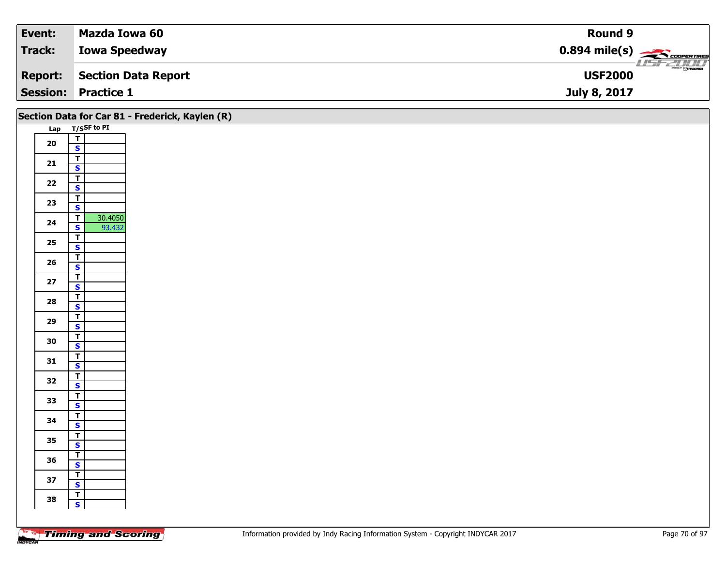| Event:         | Mazda Iowa 60              | <b>Round 9</b>                                           |
|----------------|----------------------------|----------------------------------------------------------|
| Track:         | <b>Iowa Speedway</b>       | $0.894$ mile(s) $\overbrace{\hspace{2cm}}$ coorerring    |
| <b>Report:</b> | Section Data Report        | $\overline{\phantom{a}}$ $\odot$ mazpa<br><b>USF2000</b> |
|                | <b>Session: Practice 1</b> | July 8, 2017                                             |

|            |                                                    | Section Data for Car 81 - Frederick, Kaylen (R) |
|------------|----------------------------------------------------|-------------------------------------------------|
|            | Lap T/SSF to PI                                    |                                                 |
| ${\bf 20}$ | $\frac{1}{s}$                                      |                                                 |
|            |                                                    |                                                 |
| $21$       | $rac{1}{s}$                                        |                                                 |
|            | $\overline{\mathsf{T}}$                            |                                                 |
| $22$       | $\overline{\mathbf{s}}$                            |                                                 |
| 23         | $\overline{\mathsf{r}}$                            |                                                 |
|            | $\mathsf{s}$                                       |                                                 |
| 24         | 30.4050<br>┳<br>$\overline{\mathbf{s}}$            |                                                 |
|            | 93.432<br>$\overline{\mathsf{T}}$                  |                                                 |
| 25         | $\mathbf{s}$                                       |                                                 |
|            | $\overline{1}$                                     |                                                 |
| 26         | $\mathbf{s}$                                       |                                                 |
| $27$       | $\overline{I}$                                     |                                                 |
|            | $\overline{\mathbf{s}}$<br>$\overline{\mathsf{r}}$ |                                                 |
| 28         | $\mathbf{s}$                                       |                                                 |
|            | $\overline{\mathsf{T}}$                            |                                                 |
| 29         | $\overline{\mathbf{s}}$                            |                                                 |
| 30         | $\overline{\mathbf{T}}$                            |                                                 |
|            | $\mathbf{s}$                                       |                                                 |
| 31         | $\overline{\mathbf{T}}$<br>$\overline{\mathbf{s}}$ |                                                 |
|            | $\overline{\mathbf{r}}$                            |                                                 |
| 32         | $\overline{\mathbf{s}}$                            |                                                 |
| 33         | $\overline{1}$                                     |                                                 |
|            | $\mathbf{s}$                                       |                                                 |
| 34         | $\overline{\mathsf{r}}$<br>$\overline{\mathbf{s}}$ |                                                 |
|            | $\overline{I}$                                     |                                                 |
| 35         | $\mathbf{s}$                                       |                                                 |
| 36         | $\overline{\mathbf{T}}$                            |                                                 |
|            | $\overline{\mathbf{s}}$                            |                                                 |
| $37$       | $\overline{I}$<br>$\overline{\mathbf{s}}$          |                                                 |
|            | $\mathbf{T}$                                       |                                                 |
| 38         | $\mathbf{s}$                                       |                                                 |
|            |                                                    |                                                 |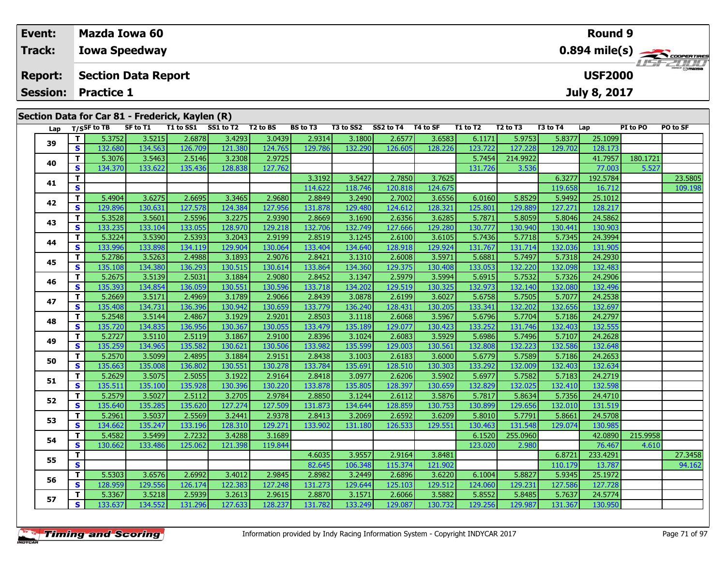| Track:<br><b>Iowa Speedway</b><br><b>Report:</b><br><b>USF2000</b><br><b>Section Data Report</b>                                                                                                                        |                  |  |  |  |  |  |  |
|-------------------------------------------------------------------------------------------------------------------------------------------------------------------------------------------------------------------------|------------------|--|--|--|--|--|--|
|                                                                                                                                                                                                                         |                  |  |  |  |  |  |  |
|                                                                                                                                                                                                                         | <b>LISF 2000</b> |  |  |  |  |  |  |
| <b>Session:</b><br><b>Practice 1</b><br>July 8, 2017                                                                                                                                                                    |                  |  |  |  |  |  |  |
| Section Data for Car 81 - Frederick, Kaylen (R)<br>T3 to SS2 SS2 to T4 T4 to SF<br>$\frac{1}{2}$ Tigs Find TR set of T1 T1 to SS1 SS1 to T2 T2 to RS<br>RS to T3<br>T1 to T2<br>57 to T3<br><b>DT to DO</b><br>T3 to T4 |                  |  |  |  |  |  |  |

|    | Lap |              | T/SSF to TB | SF to T1 |         | T1 to SS1 SS1 to T2 T2 to BS |         | BS to T3 |         | T3 to SS2 SS2 to T4 T4 to SF |         | T1 to T2 | T <sub>2</sub> to T <sub>3</sub> | T3 to T4 | Lap      | PI to PO | PO to SF |
|----|-----|--------------|-------------|----------|---------|------------------------------|---------|----------|---------|------------------------------|---------|----------|----------------------------------|----------|----------|----------|----------|
|    | 39  | T            | 5.3752      | 3.5215   | 2.6878  | 3.4293                       | 3.0439  | 2.9314   | 3.1800  | 2.6577                       | 3.6583  | 6.1171   | 5.9753                           | 5.8377   | 25.1099  |          |          |
|    |     | $\mathbf{s}$ | 132.680     | 134.563  | 126.709 | 121.380                      | 124.765 | 129.786  | 132.290 | 126.605                      | 128.226 | 123.722  | 127.228                          | 129.702  | 128.173  |          |          |
|    |     | T            | 5.3076      | 3.5463   | 2.5146  | 3.2308                       | 2.9725  |          |         |                              |         | 5.7454   | 214.9922                         |          | 41.7957  | 180.1721 |          |
|    | 40  | S            | 134.370     | 133.622  | 135.436 | 128.838                      | 127.762 |          |         |                              |         | 131.726  | 3.536                            |          | 77.003   | 5.527    |          |
|    | 41  | T            |             |          |         |                              |         | 3.3192   | 3.5427  | 2.7850                       | 3.7625  |          |                                  | 6.3277   | 192.5784 |          | 23.5805  |
|    |     | S            |             |          |         |                              |         | 114.622  | 118.746 | 120.818                      | 124.675 |          |                                  | 119.658  | 16.712   |          | 109.198  |
|    | 42  | T.           | 5.4904      | 3.6275   | 2.6695  | 3.3465                       | 2.9680  | 2.8849   | 3.2490  | 2.7002                       | 3.6556  | 6.0160   | 5.8529                           | 5.9492   | 25.1012  |          |          |
|    |     | S            | 129.896     | 130.631  | 127.578 | 124.384                      | 127.956 | 131.878  | 129.480 | 124.612                      | 128.321 | 125.801  | 129.889                          | 127.271  | 128.217  |          |          |
|    | 43  | T.           | 5.3528      | 3.5601   | 2.5596  | 3.2275                       | 2.9390  | 2.8669   | 3.1690  | 2.6356                       | 3.6285  | 5.7871   | 5.8059                           | 5.8046   | 24.5862  |          |          |
|    |     | S            | 133.235     | 133.104  | 133.055 | 128.970                      | 129.218 | 132.706  | 132.749 | 127.666                      | 129.280 | 130.777  | 130.940                          | 130.441  | 130.903  |          |          |
|    | 44  | T            | 5.3224      | 3.5390   | 2.5393  | 3.2043                       | 2.9199  | 2.8519   | 3.1245  | 2.6100                       | 3.6105  | 5.7436   | 5.7718                           | 5.7345   | 24.3994  |          |          |
|    |     | S            | 133.996     | 133.898  | 134.119 | 129.904                      | 130.064 | 133.404  | 134.640 | 128.918                      | 129.924 | 131.767  | 131.714                          | 132.036  | 131.905  |          |          |
|    | 45  | T.           | 5.2786      | 3.5263   | 2.4988  | 3.1893                       | 2.9076  | 2.8421   | 3.1310  | 2.6008                       | 3.5971  | 5.6881   | 5.7497                           | 5.7318   | 24.2930  |          |          |
|    |     | S            | 135.108     | 134.380  | 136.293 | 130.515                      | 130.614 | 133.864  | 134.360 | 129.375                      | 130.408 | 133.053  | 132.220                          | 132.098  | 132.483  |          |          |
|    | 46  | T.           | 5.2675      | 3.5139   | 2.5031  | 3.1884                       | 2.9080  | 2.8452   | 3.1347  | 2.5979                       | 3.5994  | 5.6915   | 5.7532                           | 5.7326   | 24.2906  |          |          |
|    |     | S            | 135.393     | 134.854  | 136.059 | 130.551                      | 130.596 | 133.718  | 134.202 | 129.519                      | 130.325 | 132.973  | 132.140                          | 132.080  | 132.496  |          |          |
| 47 |     | T            | 5.2669      | 3.5171   | 2.4969  | 3.1789                       | 2.9066  | 2.8439   | 3.0878  | 2.6199                       | 3.6027  | 5.6758   | 5.7505                           | 5.7077   | 24.2538  |          |          |
|    |     | S            | 135.408     | 134.731  | 136.396 | 130.942                      | 130.659 | 133.779  | 136.240 | 128.431                      | 130.205 | 133.341  | 132.202                          | 132.656  | 132.697  |          |          |
|    | 48  | Т            | 5.2548      | 3.5144   | 2.4867  | 3.1929                       | 2.9201  | 2.8503   | 3.1118  | 2.6068                       | 3.5967  | 5.6796   | 5.7704                           | 5.7186   | 24.2797  |          |          |
|    |     | S            | 135.720     | 134.835  | 136.956 | 130.367                      | 130.055 | 133.479  | 135.189 | 129.077                      | 130.423 | 133.252  | 131.746                          | 132.403  | 132.555  |          |          |
| 49 |     | T.           | 5.2727      | 3.5110   | 2.5119  | 3.1867                       | 2.9100  | 2.8396   | 3.1024  | 2.6083                       | 3.5929  | 5.6986   | 5.7496                           | 5.7107   | 24.2628  |          |          |
|    |     | S            | 135.259     | 134.965  | 135.582 | 130.621                      | 130.506 | 133.982  | 135.599 | 129.003                      | 130.561 | 132.808  | 132.223                          | 132.586  | 132.648  |          |          |
|    | 50  | T.           | 5.2570      | 3.5099   | 2.4895  | 3.1884                       | 2.9151  | 2.8438   | 3.1003  | 2.6183                       | 3.6000  | 5.6779   | 5.7589                           | 5.7186   | 24.2653  |          |          |
|    |     | S            | 135.663     | 135.008  | 136.802 | 130.551                      | 130.278 | 133.784  | 135.691 | 128.510                      | 130.303 | 133.292  | 132.009                          | 132.403  | 132.634  |          |          |
|    | 51  | T.           | 5.2629      | 3.5075   | 2.5055  | 3.1922                       | 2.9164  | 2.8418   | 3.0977  | 2.6206                       | 3.5902  | 5.6977   | 5.7582                           | 5.7183   | 24.2719  |          |          |
|    |     | S            | 135.511     | 135.100  | 135.928 | 130.396                      | 130.220 | 133.878  | 135.805 | 128.397                      | 130.659 | 132.829  | 132.025                          | 132.410  | 132.598  |          |          |
|    | 52  | T.           | 5.2579      | 3.5027   | 2.5112  | 3.2705                       | 2.9784  | 2.8850   | 3.1244  | 2.6112                       | 3.5876  | 5.7817   | 5.8634                           | 5.7356   | 24.4710  |          |          |
|    |     | S            | 135.640     | 135.285  | 135.620 | 127.274                      | 127.509 | 131.873  | 134.644 | 128.859                      | 130.753 | 130.899  | 129.656                          | 132.010  | 131.519  |          |          |
|    | 53  | T            | 5.2961      | 3.5037   | 2.5569  | 3.2441                       | 2.9378  | 2.8413   | 3.2069  | 2.6592                       | 3.6209  | 5.8010   | 5.7791                           | 5.8661   | 24.5708  |          |          |
|    |     | S            | 134.662     | 135.247  | 133.196 | 128.310                      | 129.271 | 133.902  | 131.180 | 126.533                      | 129.551 | 130.463  | 131.548                          | 129.074  | 130.985  |          |          |
|    | 54  | T.           | 5.4582      | 3.5499   | 2.7232  | 3.4288                       | 3.1689  |          |         |                              |         | 6.1520   | 255.0960                         |          | 42.0890  | 215.9958 |          |
|    |     | S            | 130.662     | 133.486  | 125.062 | 121.398                      | 119.844 |          |         |                              |         | 123.020  | 2.980                            |          | 76.467   | 4.610    |          |
|    | 55  | T            |             |          |         |                              |         | 4.6035   | 3.9557  | 2.9164                       | 3.8481  |          |                                  | 6.8721   | 233.4291 |          | 27.3458  |
|    |     | S            |             |          |         |                              |         | 82.645   | 106.348 | 115.374                      | 121.902 |          |                                  | 110.179  | 13.787   |          | 94.162   |
|    | 56  | T.           | 5.5303      | 3.6576   | 2.6992  | 3.4012                       | 2.9845  | 2.8982   | 3.2449  | 2.6896                       | 3.6220  | 6.1004   | 5.8827                           | 5.9345   | 25.1972  |          |          |
|    |     | S            | 128.959     | 129.556  | 126.174 | 122.383                      | 127.248 | 131.273  | 129.644 | 125.103                      | 129.512 | 124.060  | 129.231                          | 127.586  | 127.728  |          |          |
|    | 57  | T.           | 5.3367      | 3.5218   | 2.5939  | 3.2613                       | 2.9615  | 2.8870   | 3.1571  | 2.6066                       | 3.5882  | 5.8552   | 5.8485                           | 5.7637   | 24.5774  |          |          |
|    |     | S            | 133.637     | 134.552  | 131.296 | 127.633                      | 128.237 | 131.782  | 133.249 | 129.087                      | 130.732 | 129.256  | 129.987                          | 131.367  | 130.950  |          |          |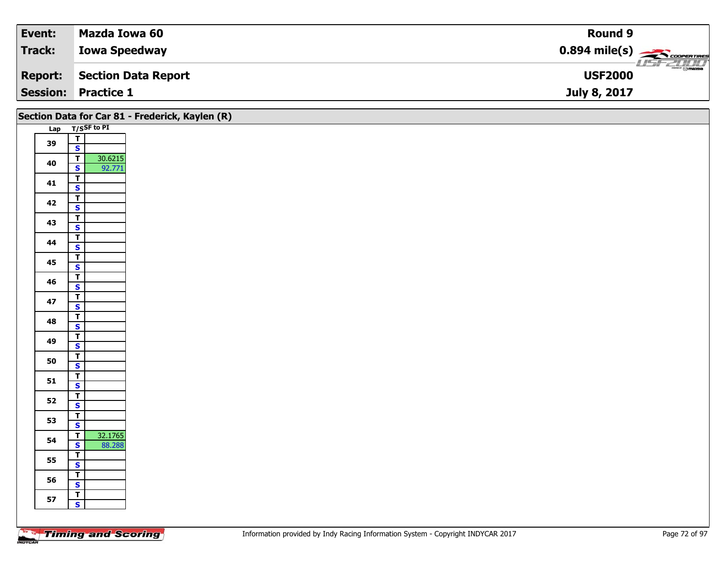| Event:          | Mazda Iowa 60        | <b>Round 9</b>                             |
|-----------------|----------------------|--------------------------------------------|
| <b>Track:</b>   | <b>Iowa Speedway</b> | $0.894$ mile(s) $\frac{1}{2}$ COOPERTIRES  |
| <b>Report:</b>  | Section Data Report  | $\frac{1}{\Theta}$ mazoa<br><b>USF2000</b> |
| <b>Session:</b> | <b>Practice 1</b>    | July 8, 2017                               |

|    |                                                    | Section Data for Car 81 - Frederick, Kaylen (R) |
|----|----------------------------------------------------|-------------------------------------------------|
|    | Lap T/SSF to PI                                    |                                                 |
| 39 | $\frac{1}{s}$                                      |                                                 |
|    |                                                    |                                                 |
| 40 | 30.6215<br>$\overline{\mathbf{r}}$                 |                                                 |
|    | 92.771<br>S                                        |                                                 |
| 41 | $\overline{I}$<br>$\mathbf{s}$                     |                                                 |
|    | $\overline{\mathbf{r}}$                            |                                                 |
| 42 | $\mathbf{s}$                                       |                                                 |
|    | $\overline{I}$                                     |                                                 |
| 43 | $\overline{\mathbf{s}}$                            |                                                 |
| 44 | $\overline{I}$                                     |                                                 |
|    | $\mathbf{s}$                                       |                                                 |
| 45 | $\overline{\mathbf{r}}$                            |                                                 |
|    | $\overline{\mathbf{s}}$<br>$\overline{\mathsf{r}}$ |                                                 |
| 46 | $\mathbf{s}$                                       |                                                 |
|    | $\overline{\mathbf{r}}$                            |                                                 |
| 47 | $\mathbf{s}$                                       |                                                 |
| 48 | $\overline{I}$                                     |                                                 |
|    | $\overline{\mathbf{s}}$                            |                                                 |
| 49 | $\overline{T}$                                     |                                                 |
|    | $\mathbf{s}$                                       |                                                 |
| 50 | $\overline{\mathbf{r}}$<br>$\overline{\mathbf{s}}$ |                                                 |
|    | $\overline{\mathsf{r}}$                            |                                                 |
| 51 | $\mathbf{s}$                                       |                                                 |
|    | $\overline{\mathsf{r}}$                            |                                                 |
| 52 | $\mathbf{s}$                                       |                                                 |
| 53 | $\overline{I}$                                     |                                                 |
|    | $\overline{\mathbf{s}}$                            |                                                 |
| 54 | 32.1765<br>$\mathbf{T}$<br>$\mathbf{s}$<br>88.288  |                                                 |
|    | $\overline{I}$                                     |                                                 |
| 55 | $\mathbf{s}$                                       |                                                 |
|    | $\overline{I}$                                     |                                                 |
| 56 | $\mathbf{s}$                                       |                                                 |
| 57 | $\overline{\mathbf{r}}$                            |                                                 |
|    | $\overline{\mathbf{s}}$                            |                                                 |
|    |                                                    |                                                 |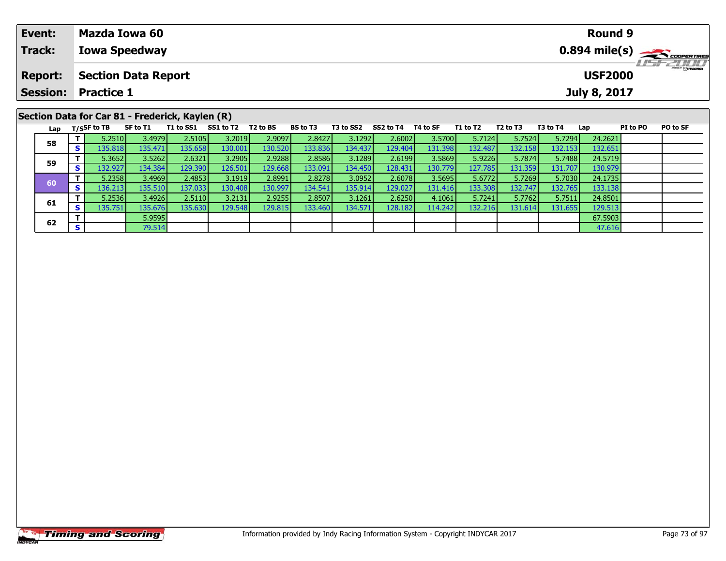| Event:         | Mazda Iowa 60                                   |           |           |                      |                 |           |           |          |          |                                  |          | <b>Round 9</b>      |          |                  |  |  |
|----------------|-------------------------------------------------|-----------|-----------|----------------------|-----------------|-----------|-----------|----------|----------|----------------------------------|----------|---------------------|----------|------------------|--|--|
| <b>Track:</b>  | <b>Iowa Speedway</b>                            |           |           |                      |                 |           |           |          |          |                                  |          |                     |          |                  |  |  |
| <b>Report:</b> | <b>Section Data Report</b>                      |           |           |                      |                 |           |           |          |          |                                  |          | <b>USF2000</b>      |          | <b>LISTED IN</b> |  |  |
|                | <b>Session: Practice 1</b>                      |           |           |                      |                 |           |           |          |          |                                  |          | <b>July 8, 2017</b> |          |                  |  |  |
|                | Section Data for Car 81 - Frederick, Kaylen (R) |           |           |                      |                 |           |           |          |          |                                  |          |                     |          |                  |  |  |
| Lap            | T/SSF to TB<br>SF to T1                         | T1 to SS1 | SS1 to T2 | T <sub>2</sub> to BS | <b>BS to T3</b> | T3 to SS2 | SS2 to T4 | T4 to SF | T1 to T2 | T <sub>2</sub> to T <sub>3</sub> | T3 to T4 | Lap                 | PI to PO | PO to SF         |  |  |

**<sup>T</sup>** 5.2510 3.4979 2.5105 3.2019 2.9097 2.8427 3.1292 2.6002 3.5700 5.7124 5.7524 5.7294 24.2621 **<sup>S</sup>** 135.818 135.471 135.658 130.001 130.520 133.836 134.437 129.404 131.398 132.487 132.158 132.153 132.651

**<sup>T</sup>** 5.3652 3.5262 2.6321 3.2905 2.9288 2.8586 3.1289 2.6199 3.5869 5.9226 5.7874 5.7488 24.5719 **<sup>S</sup>** 132.927 134.384 129.390 126.501 129.668 133.091 134.450 128.431 130.779 127.785 131.359 131.707 130.979

**<sup>T</sup>** 5.2358 3.4969 2.4853 3.1919 2.8991 2.8278 3.0952 2.6078 3.5695 5.6772 5.7269 5.7030 24.1735 **<sup>S</sup>** 136.213 135.510 137.033 130.408 130.997 134.541 135.914 129.027 131.416 133.308 132.747 132.765 133.138

**<sup>T</sup>** 5.2536 3.4926 2.5110 3.2131 2.9255 2.8507 3.1261 2.6250 4.1061 5.7241 5.7762 5.7511 24.8501 **<sup>S</sup>** 135.751 135.676 135.630 129.548 129.815 133.460 134.571 128.182 114.242 132.216 131.614 131.655 129.513

**T** 5.9595 67.5903<br> **S** 79.514 79.514

| <b>Timing and Scoring</b> |  |
|---------------------------|--|

**58**

**59**

**60**

**61**

**62**

130.979

133.138<br>24.8501

129.513

47.616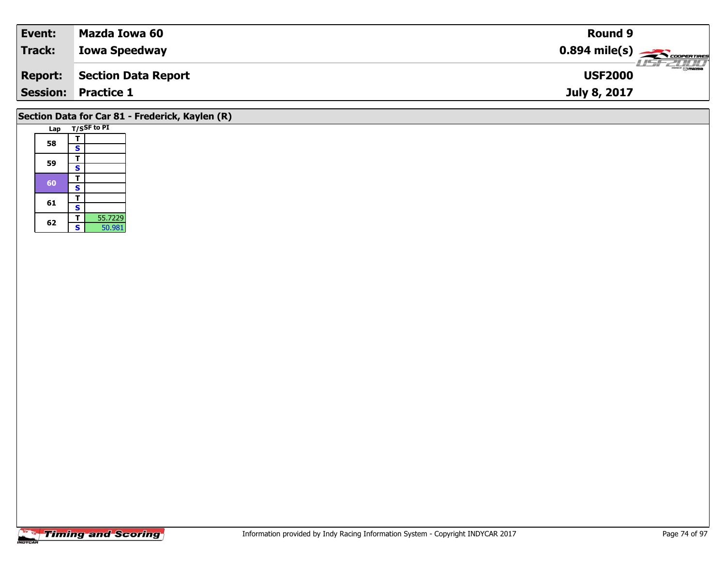|                                       | <b>Round 9</b>                                           |
|---------------------------------------|----------------------------------------------------------|
| Track:<br><b>Iowa Speedway</b>        |                                                          |
| Section Data Report<br><b>Report:</b> | $\overline{\phantom{a}}$ $\odot$ mazoa<br><b>USF2000</b> |
| <b>Session: Practice 1</b>            | July 8, 2017                                             |

## **Section Data for Car 81 - Frederick, Kaylen (R)**

|  | Lap |                         | T/SSF to PI |
|--|-----|-------------------------|-------------|
|  | 58  | т                       |             |
|  |     | S                       |             |
|  |     | т                       |             |
|  | 59  | $\overline{\mathbf{s}}$ |             |
|  | 60  | т                       |             |
|  |     | S                       |             |
|  |     | т                       |             |
|  | 61  | S                       |             |
|  | 62  | т                       | 55.7229     |
|  |     | S                       | 50.981      |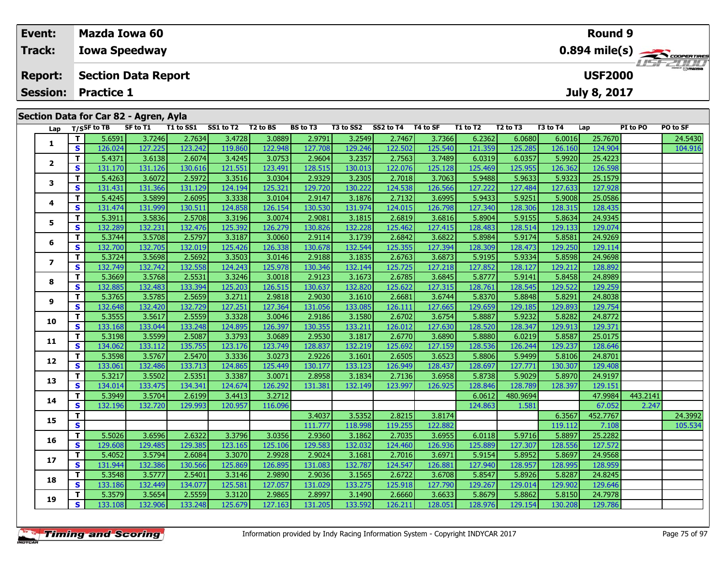| Event:          | Mazda Iowa 60<br><b>Round 9</b>                                                                                                                                                                                                                                                                       |                      |  |  |  |  |  |  |  |  |  |
|-----------------|-------------------------------------------------------------------------------------------------------------------------------------------------------------------------------------------------------------------------------------------------------------------------------------------------------|----------------------|--|--|--|--|--|--|--|--|--|
| Track:          | $0.894$ mile(s) $\frac{1}{\sqrt{1.566} \cdot 10^{10}}$<br><b>Iowa Speedway</b>                                                                                                                                                                                                                        | <b>LISF 2000</b>     |  |  |  |  |  |  |  |  |  |
| <b>Report:</b>  | <b>USF2000</b><br><b>Section Data Report</b>                                                                                                                                                                                                                                                          |                      |  |  |  |  |  |  |  |  |  |
| <b>Session:</b> | <b>Practice 1</b><br><b>July 8, 2017</b>                                                                                                                                                                                                                                                              |                      |  |  |  |  |  |  |  |  |  |
|                 | Section Data for Car 82 - Agren, Ayla                                                                                                                                                                                                                                                                 |                      |  |  |  |  |  |  |  |  |  |
| Lap             | SS1 to T2<br>T2 to BS<br><b>BS to T3</b><br>SS2 to T4<br>T/SSF to TB<br>SF to T1<br>T1 to SS1<br>T3 to T4<br>PI to PO<br>T3 to SS2<br>T4 to SF<br>T1 to T2<br>T2 to T3<br>Lap<br><u> - a secol e caral e caral e caral e caral e caral e caral e caral e caral e caral e caral e caral e caracter</u> | <b>PO to SF</b><br>. |  |  |  |  |  |  |  |  |  |

| Lap            |              | 1/55 F to TD | <b>SL TO IT</b> | 1 1 10 33 1 | <b>331 to 12</b> | 1 Z LO D 3 | נו טו כם | 13 W 332 | <b>334 to 14</b> | 14 W SF | 1 1 1 1 1 1 2 | 12 LO 13 | 15 LO 14 | ∟ap      | PI 10 PU | ru lu ər |
|----------------|--------------|--------------|-----------------|-------------|------------------|------------|----------|----------|------------------|---------|---------------|----------|----------|----------|----------|----------|
|                | T.           | 5.6591       | 3.7246          | 2.7634      | 3.4728           | 3.0889     | 2.9791   | 3.2549   | 2.7467           | 3.7366  | 6.2362        | 6.0680   | 6.0016   | 25.7670  |          | 24.5430  |
| 1              | S            | 126.024      | 127.225         | 123.242     | 119.860          | 122.948    | 127.708  | 129.246  | 122.502          | 125.540 | 121.359       | 125.285  | 126.160  | 124.904  |          | 104.916  |
|                | т            | 5.4371       | 3.6138          | 2.6074      | 3.4245           | 3.0753     | 2.9604   | 3.2357   | 2.7563           | 3.7489  | 6.0319        | 6.0357   | 5.9920   | 25.4223  |          |          |
| $\overline{2}$ | S            | 131.170      | 131.126         | 130.616     | 121.551          | 123.491    | 128.515  | 130.013  | 122.076          | 125.128 | 125.469       | 125.955  | 126.362  | 126.598  |          |          |
| 3              | T            | 5.4263       | 3.6072          | 2.5972      | 3.3516           | 3.0304     | 2.9329   | 3.2305   | 2.7018           | 3.7063  | 5.9488        | 5.9633   | 5.9323   | 25.1579  |          |          |
|                | S            | 131.431      | 131.366         | 131.129     | 124.194          | 125.321    | 129.720  | 130.222  | 124.538          | 126.566 | 127.222       | 127.484  | 127.633  | 127.928  |          |          |
|                | T            | 5.4245       | 3.5899          | 2.6095      | 3.3338           | 3.0104     | 2.9147   | 3.1876   | 2.7132           | 3.6995  | 5.9433        | 5.9251   | 5.9008   | 25.0586  |          |          |
| 4              | S            | 131.474      | 131.999         | 130.511     | 124.858          | 126.154    | 130.530  | 131.974  | 124.015          | 126.798 | 127.340       | 128.306  | 128.315  | 128.435  |          |          |
| 5              | т            | 5.3911       | 3.5836          | 2.5708      | 3.3196           | 3.0074     | 2.9081   | 3.1815   | 2.6819           | 3.6816  | 5.8904        | 5.9155   | 5.8634   | 24.9345  |          |          |
|                | $\mathbf{s}$ | 132.289      | 132.231         | 132.476     | 125.392          | 126.279    | 130.826  | 132.228  | 125.462          | 127.415 | 128.483       | 128.514  | 129.133  | 129.074  |          |          |
| 6              | т            | 5.3744       | 3.5708          | 2.5797      | 3.3187           | 3.0060     | 2.9114   | 3.1739   | 2.6842           | 3.6822  | 5.8984        | 5.9174   | 5.8581   | 24.9269  |          |          |
|                | S            | 132.700      | 132.705         | 132.019     | 125.426          | 126.338    | 130.678  | 132.544  | 125.355          | 127.394 | 128.309       | 128.473  | 129.250  | 129.114  |          |          |
| $\overline{ }$ | т            | 5.3724       | 3.5698          | 2.5692      | 3.3503           | 3.0146     | 2.9188   | 3.1835   | 2.6763           | 3.6873  | 5.9195        | 5.9334   | 5.8598   | 24.9698  |          |          |
|                | S            | 132.749      | 132.742         | 132.558     | 124.243          | 125.978    | 130.346  | 132.144  | 125.725          | 127.218 | 127.852       | 128.127  | 129.212  | 128.892  |          |          |
| 8              | т            | 5.3669       | 3.5768          | 2.5531      | 3.3246           | 3.0018     | 2.9123   | 3.1673   | 2.6785           | 3.6845  | 5.8777        | 5.9141   | 5.8458   | 24.8989  |          |          |
|                | S            | 132.885      | 132.483         | 133.394     | 125.203          | 126.515    | 130.637  | 132.820  | 125.622          | 127.315 | 128.761       | 128.545  | 129.522  | 129.259  |          |          |
| 9              | т            | 5.3765       | 3.5785          | 2.5659      | 3.2711           | 2.9818     | 2.9030   | 3.1610   | 2.6681           | 3.6744  | 5.8370        | 5.8848   | 5.8291   | 24.8038  |          |          |
|                | S            | 132.648      | 132.420         | 132.729     | 127.251          | 127.364    | 131.056  | 133.085  | 126.111          | 127.665 | 129.659       | 129.185  | 129.893  | 129.754  |          |          |
| 10             | т            | 5.3555       | 3.5617          | 2.5559      | 3.3328           | 3.0046     | 2.9186   | 3.1580   | 2.6702           | 3.6754  | 5.8887        | 5.9232   | 5.8282   | 24.8772  |          |          |
|                | S            | 133.168      | 133.044         | 133.248     | 124.895          | 126.397    | 130.355  | 133.211  | 126.012          | 127.630 | 128.520       | 128.347  | 129.913  | 129.371  |          |          |
| 11             | т            | 5.3198       | 3.5599          | 2.5087      | 3.3793           | 3.0689     | 2.9530   | 3.1817   | 2.6770           | 3.6890  | 5.8880        | 6.0219   | 5.8587   | 25.0175  |          |          |
|                | S            | 134.062      | 133.112         | 135.755     | 123.176          | 123.749    | 128.837  | 132.219  | 125.692          | 127.159 | 128.536       | 126.244  | 129.237  | 128.646  |          |          |
| 12             | т            | 5.3598       | 3.5767          | 2.5470      | 3.3336           | 3.0273     | 2.9226   | 3.1601   | 2.6505           | 3.6523  | 5.8806        | 5.9499   | 5.8106   | 24.8701  |          |          |
|                | $\mathbf{s}$ | 133.061      | 132.486         | 133.713     | 124.865          | 125.449    | 130.177  | 133.123  | 126.949          | 128.437 | 128.697       | 127.771  | 130.307  | 129.408  |          |          |
| 13             | т            | 5.3217       | 3.5502          | 2.5351      | 3.3387           | 3.0071     | 2.8958   | 3.1834   | 2.7136           | 3.6958  | 5.8738        | 5.9029   | 5.8970   | 24.9197  |          |          |
|                | S            | 134.014      | 133.475         | 134.341     | 124.674          | 126.292    | 131.381  | 132.149  | 123.997          | 126.925 | 128.846       | 128.789  | 128.397  | 129.151  |          |          |
| 14             | т            | 5.3949       | 3.5704          | 2.6199      | 3.4413           | 3.2712     |          |          |                  |         | 6.0612        | 480.9694 |          | 47.9984  | 443.2141 |          |
|                | S            | 132.196      | 132.720         | 129.993     | 120.957          | 116.096    |          |          |                  |         | 124.863       | 1.581    |          | 67.052   | 2.247    |          |
| 15             | T.           |              |                 |             |                  |            | 3.4037   | 3.5352   | 2.8215           | 3.8174  |               |          | 6.3567   | 452.7767 |          | 24.3992  |
|                | S            |              |                 |             |                  |            | 111.777  | 118.998  | 119.255          | 122.882 |               |          | 119.112  | 7.108    |          | 105.534  |
| 16             | т            | 5.5026       | 3.6596          | 2.6322      | 3.3796           | 3.0356     | 2.9360   | 3.1862   | 2.7035           | 3.6955  | 6.0118        | 5.9716   | 5.8897   | 25.2282  |          |          |
|                | S            | 129.608      | 129.485         | 129.385     | 123.165          | 125.106    | 129.583  | 132.032  | 124.460          | 126.936 | 125.889       | 127.307  | 128.556  | 127.572  |          |          |
| 17             | T.           | 5.4052       | 3.5794          | 2.6084      | 3.3070           | 2.9928     | 2.9024   | 3.1681   | 2.7016           | 3.6971  | 5.9154        | 5.8952   | 5.8697   | 24.9568  |          |          |
|                | S            | 131.944      | 132.386         | 130.566     | 125.869          | 126.895    | 131.083  | 132.787  | 124.547          | 126.881 | 127.940       | 128.957  | 128.995  | 128.959  |          |          |
| 18             | т            | 5.3548       | 3.5777          | 2.5401      | 3.3146           | 2.9890     | 2.9036   | 3.1565   | 2.6722           | 3.6708  | 5.8547        | 5.8926   | 5.8287   | 24.8245  |          |          |
|                | S            | 133.186      | 132.449         | 134.077     | 125.581          | 127.057    | 131.029  | 133.275  | 125.918          | 127.790 | 129.267       | 129.014  | 129.902  | 129.646  |          |          |
| 19             | т            | 5.3579       | 3.5654          | 2.5559      | 3.3120           | 2.9865     | 2.8997   | 3.1490   | 2.6660           | 3.6633  | 5.8679        | 5.8862   | 5.8150   | 24.7978  |          |          |
|                | S.           | 133.108      | 132.906         | 133.248     | 125.679          | 127.163    | 131.205  | 133.592  | 126.211          | 128.051 | 128.976       | 129.154  | 130.208  | 129.786  |          |          |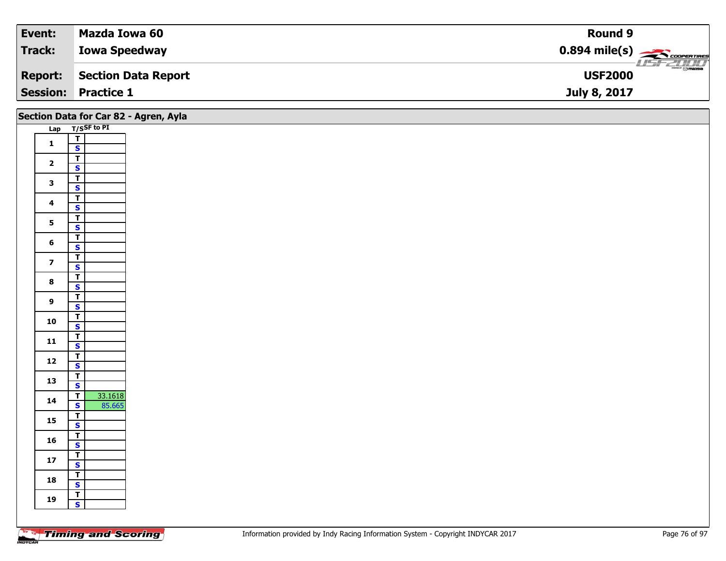| Event:  | Mazda Iowa 60              | Round 9                                             |
|---------|----------------------------|-----------------------------------------------------|
| Track:  | <b>Iowa Speedway</b>       | $0.894$ mile(s) $\overbrace{\hspace{2cm}}$ covening |
| Report: | Section Data Report        | $\frac{1}{\odot}$ mazoa<br><b>USF2000</b>           |
|         | <b>Session: Practice 1</b> | July 8, 2017                                        |

|                         | Section Data for Car 82 - Agren, Ayla     |  |  |  |
|-------------------------|-------------------------------------------|--|--|--|
|                         | Lap T/SSF to PI                           |  |  |  |
|                         | $\overline{1}$                            |  |  |  |
| $\mathbf{1}$            | $\mathbf{s}$                              |  |  |  |
| $\overline{\mathbf{2}}$ | $\overline{1}$                            |  |  |  |
|                         | $\overline{\mathbf{s}}$                   |  |  |  |
| $\mathbf{3}$            | $\overline{\mathbf{r}}$                   |  |  |  |
|                         | $\overline{\mathbf{s}}$                   |  |  |  |
| $\overline{\mathbf{4}}$ | $\overline{\mathbf{r}}$                   |  |  |  |
|                         | $\mathbf{s}$                              |  |  |  |
| 5 <sup>5</sup>          | $\overline{1}$                            |  |  |  |
|                         | $\overline{\mathbf{s}}$                   |  |  |  |
| $6\phantom{a}$          | $\overline{r}$                            |  |  |  |
|                         | $\mathbf{s}$<br>$\vert$                   |  |  |  |
| $\overline{\mathbf{z}}$ | $\overline{\mathbf{s}}$                   |  |  |  |
|                         | $\overline{\mathsf{r}}$                   |  |  |  |
| $\bf{8}$                | $\overline{\mathbf{s}}$                   |  |  |  |
|                         | $\overline{\mathbf{r}}$                   |  |  |  |
| $\overline{9}$          | $\mathbf{s}$                              |  |  |  |
| 10                      | $\overline{\mathbf{r}}$                   |  |  |  |
|                         | $\overline{\mathbf{s}}$                   |  |  |  |
| 11                      | $\overline{r}$                            |  |  |  |
|                         | $\mathbf{s}$                              |  |  |  |
| $12$                    | $\overline{1}$                            |  |  |  |
|                         | $\mathbf{s}$                              |  |  |  |
| 13                      | $\overline{r}$<br>$\mathbf{s}$            |  |  |  |
|                         | 33.1618<br>$\overline{\mathsf{T}}$        |  |  |  |
| 14                      | 85.665<br>$\mathbf{s}$                    |  |  |  |
|                         | $\overline{\mathsf{T}}$                   |  |  |  |
| 15                      | $\overline{\mathbf{s}}$                   |  |  |  |
| 16                      | $\overline{I}$                            |  |  |  |
|                         | $\mathbf{s}$                              |  |  |  |
| 17                      | $\overline{1}$                            |  |  |  |
|                         | $\mathbf{s}$                              |  |  |  |
| 18                      | $\overline{T}$                            |  |  |  |
|                         | $\mathbf{s}$                              |  |  |  |
| 19                      | $\overline{I}$<br>$\overline{\mathbf{s}}$ |  |  |  |
|                         |                                           |  |  |  |
|                         |                                           |  |  |  |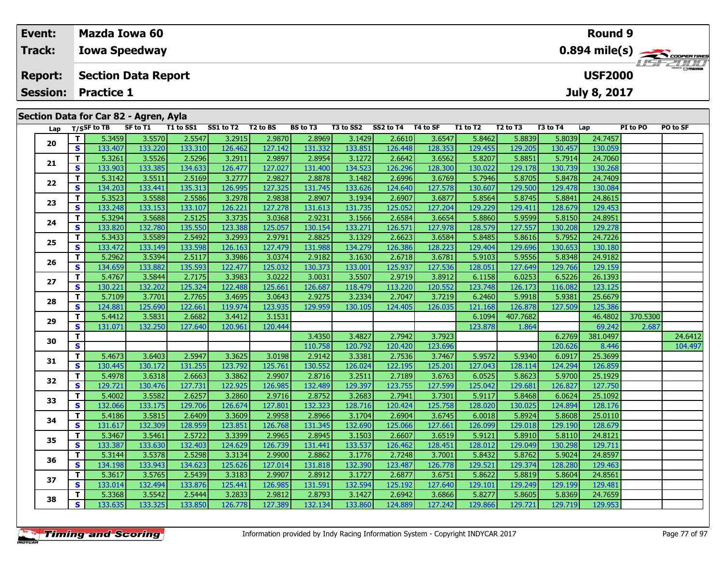| Event:         | <b>Mazda Iowa 60</b>                                                                                                                                                                             | Round 9                 |
|----------------|--------------------------------------------------------------------------------------------------------------------------------------------------------------------------------------------------|-------------------------|
| Track:         | <b>Iowa Speedway</b>                                                                                                                                                                             | $0.894 \text{ mile(s)}$ |
| <b>Report:</b> | <b>Section Data Report</b>                                                                                                                                                                       | <b>USF2000</b>          |
|                | <b>Session: Practice 1</b>                                                                                                                                                                       | <b>July 8, 2017</b>     |
|                | Section Data for Car 82 - Agren, Ayla<br>SS1 to T2<br><b>BS</b> to T3<br>T3 to SS2<br>SS2 to T4<br>T1 to SS1<br>T2 to BS<br>T4 to SF<br>T1 to T2<br>T <sub>2</sub> to T <sub>3</sub><br>T3 to T4 | PI to PO<br>PO to SF    |
|                | Lap $T/S$ SF to TB<br>SF to T1<br>Lap<br>المهيمة التزعم والمدموم الموريم المحموم التربوم التزعة والمتحقم المعيمة<br>- 1<br>$=$ $\sim$ $\sim$ $\sim$ $\sim$ $\sim$ $\sim$ $\sim$                  |                         |

| Lap |              | 1/55 F to TD | <b>SL TO 1T</b> | 1 T to 22 T | 331012  | 1 Z LU D. | <b>BS LOTS</b> | 13 LO 332 | 332 10 14 14 10 3F |         | 1 1 1 1 1 1 2 1 | 12 LO 13 | 15 LO 14 | ∟ap      | PI 10 PU | ru lu ər |
|-----|--------------|--------------|-----------------|-------------|---------|-----------|----------------|-----------|--------------------|---------|-----------------|----------|----------|----------|----------|----------|
| 20  | т            | 5.3459       | 3.5570          | 2.5547      | 3.2915  | 2.9870    | 2.8969         | 3.1429    | 2.6610             | 3.6547  | 5.8462          | 5.8839   | 5.8039   | 24.7457  |          |          |
|     | $\mathbf{s}$ | 133.407      | 133.220         | 133.310     | 126.462 | 127.142   | 131.332        | 133.851   | 126.448            | 128.353 | 129.455         | 129.205  | 130.457  | 130.059  |          |          |
|     | Т            | 5.3261       | 3.5526          | 2.5296      | 3.2911  | 2.9897    | 2.8954         | 3.1272    | 2.6642             | 3.6562  | 5.8207          | 5.8851   | 5.7914   | 24.7060  |          |          |
| 21  | S            | 133.903      | 133.385         | 134.633     | 126.477 | 127.027   | 131.400        | 134.523   | 126.296            | 128.300 | 130.022         | 129.178  | 130.739  | 130.268  |          |          |
| 22  | Т            | 5.3142       | 3.5511          | 2.5169      | 3.2777  | 2.9827    | 2.8878         | 3.1482    | 2.6996             | 3.6769  | 5.7946          | 5.8705   | 5.8478   | 24.7409  |          |          |
|     | S            | 134.203      | 133.441         | 135.313     | 126.995 | 127.325   | 131.745        | 133.626   | 124.640            | 127.578 | 130.607         | 129.500  | 129.478  | 130.084  |          |          |
| 23  | $\mathbf{T}$ | 5.3523       | 3.5588          | 2.5586      | 3.2978  | 2.9838    | 2.8907         | 3.1934    | 2.6907             | 3.6877  | 5.8564          | 5.8745   | 5.8841   | 24.8615  |          |          |
|     | S            | 133.248      | 133.153         | 133.107     | 126.221 | 127.278   | 131.613        | 131.735   | 125.052            | 127.204 | 129.229         | 129.411  | 128.679  | 129.453  |          |          |
| 24  | т            | 5.3294       | 3.5688          | 2.5125      | 3.3735  | 3.0368    | 2.9231         | 3.1566    | 2.6584             | 3.6654  | 5.8860          | 5.9599   | 5.8150   | 24.8951  |          |          |
|     | S            | 133.820      | 132.780         | 135.550     | 123.388 | 125.057   | 130.154        | 133.271   | 126.571            | 127.978 | 128.579         | 127.557  | 130.208  | 129.278  |          |          |
| 25  | т            | 5.3433       | 3.5589          | 2.5492      | 3.2993  | 2.9791    | 2.8825         | 3.1329    | 2.6623             | 3.6584  | 5.8485          | 5.8616   | 5.7952   | 24.7226  |          |          |
|     | S            | 133.472      | 133.149         | 133.598     | 126.163 | 127.479   | 131.988        | 134.279   | 126.386            | 128.223 | 129.404         | 129.696  | 130.653  | 130.180  |          |          |
| 26  | т            | 5.2962       | 3.5394          | 2.5117      | 3.3986  | 3.0374    | 2.9182         | 3.1630    | 2.6718             | 3.6781  | 5.9103          | 5.9556   | 5.8348   | 24.9182  |          |          |
|     | S            | 134.659      | 133.882         | 135.593     | 122.477 | 125.032   | 130.373        | 133.001   | 125.937            | 127.536 | 128.051         | 127.649  | 129.766  | 129.159  |          |          |
| 27  | Т            | 5.4767       | 3.5844          | 2.7175      | 3.3983  | 3.0222    | 3.0031         | 3.5507    | 2.9719             | 3.8912  | 6.1158          | 6.0253   | 6.5226   | 26.1393  |          |          |
|     | $\mathbf{s}$ | 130.221      | 132.202         | 125.324     | 122.488 | 125.661   | 126.687        | 118.479   | 113.220            | 120.552 | 123.748         | 126.173  | 116.082  | 123.125  |          |          |
| 28  | T.           | 5.7109       | 3.7701          | 2.7765      | 3.4695  | 3.0643    | 2.9275         | 3.2334    | 2.7047             | 3.7219  | 6.2460          | 5.9918   | 5.9381   | 25.6679  |          |          |
|     | $\mathbf{s}$ | 124.881      | 125.690         | 122.661     | 119.974 | 123.935   | 129.959        | 130.105   | 124.405            | 126.035 | 121.168         | 126.878  | 127.509  | 125.386  |          |          |
| 29  | T.           | 5.4412       | 3.5831          | 2.6682      | 3.4412  | 3.1531    |                |           |                    |         | 6.1094          | 407.7682 |          | 46.4802  | 370.5300 |          |
|     | $\mathbf{s}$ | 131.071      | 132.250         | 127.640     | 120.961 | 120.444   |                |           |                    |         | 123.878         | 1.864    |          | 69.242   | 2.687    |          |
| 30  | T.           |              |                 |             |         |           | 3.4350         | 3.4827    | 2.7942             | 3.7923  |                 |          | 6.2769   | 381.0497 |          | 24.6412  |
|     | $\mathbf{s}$ |              |                 |             |         |           | 110.758        | 120.792   | 120.420            | 123.696 |                 |          | 120.626  | 8.446    |          | 104.497  |
| 31  | T.           | 5.4673       | 3.6403          | 2.5947      | 3.3625  | 3.0198    | 2.9142         | 3.3381    | 2.7536             | 3.7467  | 5.9572          | 5.9340   | 6.0917   | 25.3699  |          |          |
|     | S            | 130.445      | 130.172         | 131.255     | 123.792 | 125.761   | 130.552        | 126.024   | 122.195            | 125.201 | 127.043         | 128.114  | 124.294  | 126.859  |          |          |
| 32  | T.           | 5.4978       | 3.6318          | 2.6663      | 3.3862  | 2.9907    | 2.8716         | 3.2511    | 2.7189             | 3.6763  | 6.0525          | 5.8623   | 5.9700   | 25.1929  |          |          |
|     | S            | 129.721      | 130.476         | 127.731     | 122.925 | 126.985   | 132.489        | 129.397   | 123.755            | 127.599 | 125.042         | 129.681  | 126.827  | 127.750  |          |          |
| 33  | т            | 5.4002       | 3.5582          | 2.6257      | 3.2860  | 2.9716    | 2.8752         | 3.2683    | 2.7941             | 3.7301  | 5.9117          | 5.8468   | 6.0624   | 25.1092  |          |          |
|     | S            | 132.066      | 133.175         | 129.706     | 126.674 | 127.801   | 132.323        | 128.716   | 120.424            | 125.758 | 128.020         | 130.025  | 124.894  | 128.176  |          |          |
| 34  | т            | 5.4186       | 3.5815          | 2.6409      | 3.3609  | 2.9958    | 2.8966         | 3.1704    | 2.6904             | 3.6745  | 6.0018          | 5.8924   | 5.8608   | 25.0110  |          |          |
|     | S            | 131.617      | 132.309         | 128.959     | 123.851 | 126.768   | 131.345        | 132.690   | 125.066            | 127.661 | 126.099         | 129.018  | 129.190  | 128.679  |          |          |
| 35  | T.           | 5.3467       | 3.5461          | 2.5722      | 3.3399  | 2.9965    | 2.8945         | 3.1503    | 2.6607             | 3.6519  | 5.9121          | 5.8910   | 5.8110   | 24.8121  |          |          |
|     | <b>S</b>     | 133.387      | 133.630         | 132.403     | 124.629 | 126.739   | 131.441        | 133.537   | 126.462            | 128.451 | 128.012         | 129.049  | 130.298  | 129.711  |          |          |
| 36  | T.           | 5.3144       | 3.5378          | 2.5298      | 3.3134  | 2.9900    | 2.8862         | 3.1776    | 2.7248             | 3.7001  | 5.8432          | 5.8762   | 5.9024   | 24.8597  |          |          |
|     | S            | 134.198      | 133.943         | 134.623     | 125.626 | 127.014   | 131.818        | 132.390   | 123.487            | 126.778 | 129.521         | 129.374  | 128.280  | 129.463  |          |          |
| 37  | Т            | 5.3617       | 3.5765          | 2.5439      | 3.3183  | 2.9907    | 2.8912         | 3.1727    | 2.6877             | 3.6751  | 5.8622          | 5.8819   | 5.8604   | 24.8561  |          |          |
|     | S            | 133.014      | 132.494         | 133.876     | 125.441 | 126.985   | 131.591        | 132.594   | 125.192            | 127.640 | 129.101         | 129.249  | 129.199  | 129.481  |          |          |
| 38  | т            | 5.3368       | 3.5542          | 2.5444      | 3.2833  | 2.9812    | 2.8793         | 3.1427    | 2.6942             | 3.6866  | 5.8277          | 5.8605   | 5.8369   | 24.7659  |          |          |
|     | S            | 133.635      | 133.325         | 133.850     | 126.778 | 127.389   | 132.134        | 133.860   | 124.889            | 127.242 | 129.866         | 129.721  | 129.719  | 129.953  |          |          |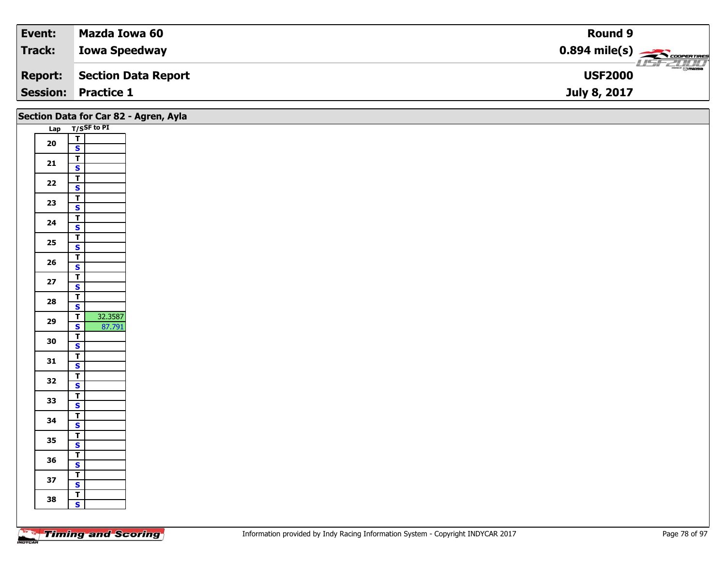| Event:         | Mazda Iowa 60              | Round 9                                                  |
|----------------|----------------------------|----------------------------------------------------------|
| Track:         | <b>Iowa Speedway</b>       | $0.894$ mile(s) $\overbrace{\hspace{2cm}}$ covening      |
| <b>Report:</b> | Section Data Report        | $\overline{\phantom{a}}$ $\odot$ mazoa<br><b>USF2000</b> |
|                | <b>Session: Practice 1</b> | July 8, 2017                                             |

|      |                                                     | Section Data for Car 82 - Agren, Ayla |
|------|-----------------------------------------------------|---------------------------------------|
|      | Lap T/SSF to PI                                     |                                       |
| 20   | $\frac{1}{s}$                                       |                                       |
|      |                                                     |                                       |
| 21   | $\overline{\mathsf{r}}$<br>$\overline{\mathbf{s}}$  |                                       |
|      | $\overline{\mathsf{r}}$                             |                                       |
| $22$ | $\overline{\mathbf{s}}$                             |                                       |
| 23   | $\overline{\mathbf{T}}$                             |                                       |
|      | $\mathbf{s}$                                        |                                       |
| 24   | $\overline{1}$<br>$\overline{\mathbf{s}}$           |                                       |
|      |                                                     |                                       |
| 25   | $\frac{1}{s}$                                       |                                       |
| 26   | $rac{T}{s}$                                         |                                       |
|      |                                                     |                                       |
| $27$ | $\overline{\mathbf{r}}$<br>$\mathbf{s}$             |                                       |
|      | $\overline{\mathsf{r}}$                             |                                       |
| 28   | $\mathsf{s}$                                        |                                       |
| 29   | 32.3587<br>$\mathbf{T}$                             |                                       |
|      | $\overline{\mathbf{s}}$<br>87.791<br>$\overline{I}$ |                                       |
| 30   | $\mathsf{s}$                                        |                                       |
| 31   | $\overline{\mathbf{r}}$                             |                                       |
|      | $\mathbf{s}$                                        |                                       |
| 32   | $\frac{T}{S}$                                       |                                       |
|      | $\overline{\mathsf{r}}$                             |                                       |
| 33   | $\mathbf{s}$                                        |                                       |
| 34   | $\mathbf{T}$                                        |                                       |
|      | $\overline{\mathbf{s}}$                             |                                       |
| 35   | $\frac{1}{s}$                                       |                                       |
|      | $\overline{\mathbf{r}}$                             |                                       |
| 36   | $\mathbf{s}$                                        |                                       |
| 37   | $\overline{\mathbf{r}}$                             |                                       |
|      | $\overline{\mathbf{s}}$<br>$\overline{1}$           |                                       |
| 38   | $\mathbf{s}$                                        |                                       |
|      |                                                     |                                       |
|      |                                                     |                                       |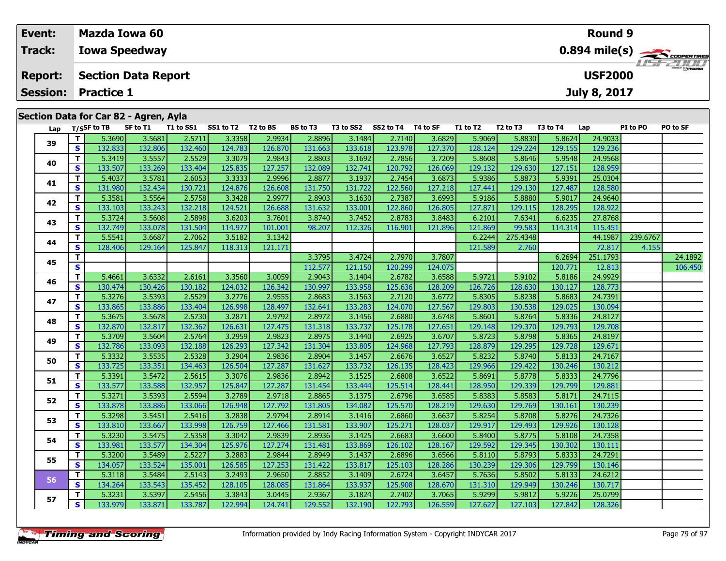| Event:          | <b>Mazda Iowa 60</b>                                                                                                                                                                                                                                                              | Round 9                                                                              |  |  |  |  |  |  |
|-----------------|-----------------------------------------------------------------------------------------------------------------------------------------------------------------------------------------------------------------------------------------------------------------------------------|--------------------------------------------------------------------------------------|--|--|--|--|--|--|
| <b>Track:</b>   | <b>Iowa Speedway</b>                                                                                                                                                                                                                                                              | $0.894$ mile(s) $\leftarrow$ coorgaines                                              |  |  |  |  |  |  |
| <b>Report:</b>  | <b>Section Data Report</b>                                                                                                                                                                                                                                                        | <b>LIST ZULLI</b><br><b>USF2000</b>                                                  |  |  |  |  |  |  |
| <b>Session:</b> | <b>Practice 1</b>                                                                                                                                                                                                                                                                 | <b>July 8, 2017</b>                                                                  |  |  |  |  |  |  |
|                 | Section Data for Car 82 - Agren, Ayla                                                                                                                                                                                                                                             |                                                                                      |  |  |  |  |  |  |
| Lap             | T1 to SS1<br>SS1 to T2<br>T/SSF to TB<br>T2 to BS<br><b>BS to T3</b><br>SS2 to T4<br>SF to T1<br>T3 to SS2<br>T4 to SF<br>T1 to T2<br>536901<br><b>3.33581</b><br>ן 44ס $\alpha$ ר $\alpha$<br>28896<br><b>SANGE</b><br>$35681$ $25711$<br>31484<br>2.7140 L<br>ן פכ $\alpha$ ה ד | PO to SF<br>T2 to T3<br>T3 to T4<br>PI to PO<br>Lap<br>5.8624<br>่ว⊿ ด∩วว l<br>58830 |  |  |  |  |  |  |

| Lap |    | $1/5$ <sup>31</sup> to 15 | 3.0011  | 1 1 1 1 1 3 3 1 1 | 331 W IZ | 12 W DJ | 53 W IJ | 19 W 334 | 334 W IT | 14 W JI | 1 1 LV 1 4 | 14 W 13  | 19 W 14 | ∟aμ      | 51 W F V | rv w 31 |
|-----|----|---------------------------|---------|-------------------|----------|---------|---------|----------|----------|---------|------------|----------|---------|----------|----------|---------|
| 39  | т  | 5.3690                    | 3.5681  | 2.5711            | 3.3358   | 2.9934  | 2.8896  | 3.1484   | 2.7140   | 3.6829  | 5.9069     | 5.8830   | 5.8624  | 24.9033  |          |         |
|     | S  | 132.833                   | 132.806 | 132.460           | 124.783  | 126.870 | 131.663 | 133.618  | 123.978  | 127.370 | 128.124    | 129.224  | 129.155 | 129.236  |          |         |
|     | T. | 5.3419                    | 3.5557  | 2.5529            | 3.3079   | 2.9843  | 2.8803  | 3.1692   | 2.7856   | 3.7209  | 5.8608     | 5.8646   | 5.9548  | 24.9568  |          |         |
| 40  | S  | 133.507                   | 133.269 | 133.404           | 125.835  | 127.257 | 132.089 | 132.741  | 120.792  | 126.069 | 129.132    | 129.630  | 127.151 | 128.959  |          |         |
| 41  | т  | 5.4037                    | 3.5781  | 2.6053            | 3.3333   | 2.9996  | 2.8877  | 3.1937   | 2.7454   | 3.6873  | 5.9386     | 5.8873   | 5.9391  | 25.0304  |          |         |
|     | S  | 131.980                   | 132.434 | 130.721           | 124.876  | 126.608 | 131.750 | 131.722  | 122.560  | 127.218 | 127.441    | 129.130  | 127.487 | 128.580  |          |         |
| 42  | т  | 5.3581                    | 3.5564  | 2.5758            | 3.3428   | 2.9977  | 2.8903  | 3.1630   | 2.7387   | 3.6993  | 5.9186     | 5.8880   | 5.9017  | 24.9640  |          |         |
|     | S  | 133.103                   | 133.243 | 132.218           | 124.521  | 126.688 | 131.632 | 133.001  | 122.860  | 126.805 | 127.871    | 129.115  | 128.295 | 128.922  |          |         |
| 43  | т  | 5.3724                    | 3.5608  | 2.5898            | 3.6203   | 3.7601  | 3.8740  | 3.7452   | 2.8783   | 3.8483  | 6.2101     | 7.6341   | 6.6235  | 27.8768  |          |         |
|     | S  | 132.749                   | 133.078 | 131.504           | 114.977  | 101.001 | 98.207  | 112.326  | 116.901  | 121.896 | 121.869    | 99.583   | 114.314 | 115.451  |          |         |
| 44  | т  | 5.5541                    | 3.6687  | 2.7062            | 3.5182   | 3.1342  |         |          |          |         | 6.2244     | 275.4348 |         | 44.1987  | 239.6767 |         |
|     | S  | 128.406                   | 129.164 | 125.847           | 118.313  | 121.171 |         |          |          |         | 121.589    | 2.760    |         | 72.817   | 4.155    |         |
| 45  | т  |                           |         |                   |          |         | 3.3795  | 3.4724   | 2.7970   | 3.7807  |            |          | 6.2694  | 251.1793 |          | 24.1892 |
|     | S  |                           |         |                   |          |         | 112.577 | 121.150  | 120.299  | 124.075 |            |          | 120.771 | 12.813   |          | 106.450 |
| 46  | T. | 5.4661                    | 3.6332  | 2.6161            | 3.3560   | 3.0059  | 2.9043  | 3.1404   | 2.6782   | 3.6588  | 5.9721     | 5.9102   | 5.8186  | 24.9929  |          |         |
|     | S  | 130.474                   | 130.426 | 130.182           | 124.032  | 126.342 | 130.997 | 133.958  | 125.636  | 128.209 | 126.726    | 128.630  | 130.127 | 128.773  |          |         |
| 47  | T. | 5.3276                    | 3.5393  | 2.5529            | 3.2776   | 2.9555  | 2.8683  | 3.1563   | 2.7120   | 3.6772  | 5.8305     | 5.8238   | 5.8683  | 24.7391  |          |         |
|     | S  | 133.865                   | 133.886 | 133.404           | 126.998  | 128.497 | 132.641 | 133.283  | 124.070  | 127.567 | 129.803    | 130.538  | 129.025 | 130.094  |          |         |
| 48  | т  | 5.3675                    | 3.5678  | 2.5730            | 3.2871   | 2.9792  | 2.8972  | 3.1456   | 2.6880   | 3.6748  | 5.8601     | 5.8764   | 5.8336  | 24.8127  |          |         |
|     | S  | 132.870                   | 132.817 | 132.362           | 126.631  | 127.475 | 131.318 | 133.737  | 125.178  | 127.651 | 129.148    | 129.370  | 129.793 | 129.708  |          |         |
| 49  | т  | 5.3709                    | 3.5604  | 2.5764            | 3.2959   | 2.9823  | 2.8975  | 3.1440   | 2.6925   | 3.6707  | 5.8723     | 5.8798   | 5.8365  | 24.8197  |          |         |
|     | S  | 132.786                   | 133.093 | 132.188           | 126.293  | 127.342 | 131.304 | 133.805  | 124.968  | 127.793 | 128.879    | 129.295  | 129.728 | 129.671  |          |         |
| 50  | т  | 5.3332                    | 3.5535  | 2.5328            | 3.2904   | 2.9836  | 2.8904  | 3.1457   | 2.6676   | 3.6527  | 5.8232     | 5.8740   | 5.8133  | 24.7167  |          |         |
|     | S  | 133.725                   | 133.351 | 134.463           | 126.504  | 127.287 | 131.627 | 133.732  | 126.135  | 128.423 | 129.966    | 129.422  | 130.246 | 130.212  |          |         |
| 51  | T. | 5.3391                    | 3.5472  | 2.5615            | 3.3076   | 2.9836  | 2.8942  | 3.1525   | 2.6808   | 3.6522  | 5.8691     | 5.8778   | 5.8333  | 24.7796  |          |         |
|     | S  | 133.577                   | 133.588 | 132.957           | 125.847  | 127.287 | 131.454 | 133.444  | 125.514  | 128.441 | 128.950    | 129.339  | 129.799 | 129.881  |          |         |
| 52  | T. | 5.3271                    | 3.5393  | 2.5594            | 3.2789   | 2.9718  | 2.8865  | 3.1375   | 2.6796   | 3.6585  | 5.8383     | 5.8583   | 5.8171  | 24.7115  |          |         |
|     | S  | 133.878                   | 133.886 | 133.066           | 126.948  | 127.792 | 131.805 | 134.082  | 125.570  | 128.219 | 129.630    | 129.769  | 130.161 | 130.239  |          |         |
| 53  | т  | 5.3298                    | 3.5451  | 2.5416            | 3.2838   | 2.9794  | 2.8914  | 3.1416   | 2.6860   | 3.6637  | 5.8254     | 5.8708   | 5.8276  | 24.7326  |          |         |
|     | S  | 133.810                   | 133.667 | 133.998           | 126.759  | 127.466 | 131.581 | 133.907  | 125.271  | 128.037 | 129.917    | 129.493  | 129.926 | 130.128  |          |         |
| 54  | т  | 5.3230                    | 3.5475  | 2.5358            | 3.3042   | 2.9839  | 2.8936  | 3.1425   | 2.6683   | 3.6600  | 5.8400     | 5.8775   | 5.8108  | 24.7358  |          |         |
|     | S  | 133.981                   | 133.577 | 134.304           | 125.976  | 127.274 | 131.481 | 133.869  | 126.102  | 128.167 | 129.592    | 129.345  | 130.302 | 130.111  |          |         |
| 55  | т  | 5.3200                    | 3.5489  | 2.5227            | 3.2883   | 2.9844  | 2.8949  | 3.1437   | 2.6896   | 3.6566  | 5.8110     | 5.8793   | 5.8333  | 24.7291  |          |         |
|     | S  | 134.057                   | 133.524 | 135.001           | 126.585  | 127.253 | 131.422 | 133.817  | 125.103  | 128.286 | 130.239    | 129.306  | 129.799 | 130.146  |          |         |
| 56  | T. | 5.3118                    | 3.5484  | 2.5143            | 3.2493   | 2.9650  | 2.8852  | 3.1409   | 2.6724   | 3.6457  | 5.7636     | 5.8502   | 5.8133  | 24.6212  |          |         |
|     | S  | 134.264                   | 133.543 | 135.452           | 128.105  | 128.085 | 131.864 | 133.937  | 125.908  | 128.670 | 131.310    | 129.949  | 130.246 | 130.717  |          |         |
| 57  | T. | 5.3231                    | 3.5397  | 2.5456            | 3.3843   | 3.0445  | 2.9367  | 3.1824   | 2.7402   | 3.7065  | 5.9299     | 5.9812   | 5.9226  | 25.0799  |          |         |
|     | S  | 133.979                   | 133.871 | 133.787           | 122.994  | 124.741 | 129.552 | 132.190  | 122.793  | 126.559 | 127.627    | 127.103  | 127.842 | 128.326  |          |         |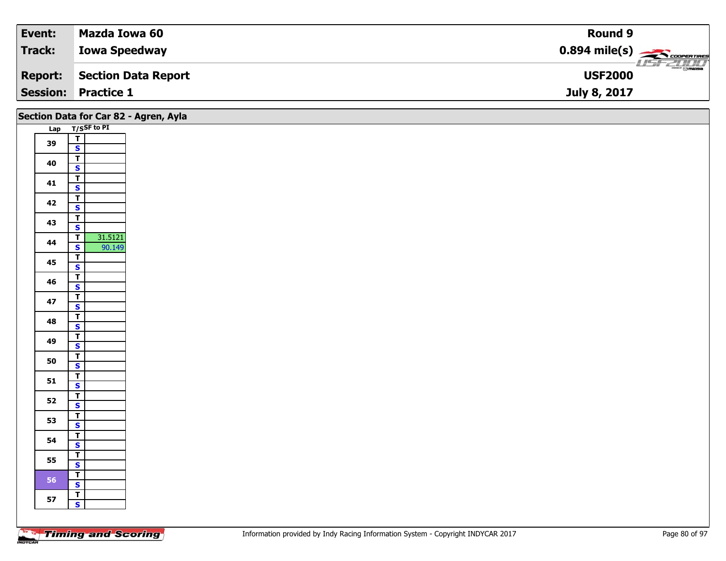| Event:          | Mazda Iowa 60        | <b>Round 9</b>                                          |
|-----------------|----------------------|---------------------------------------------------------|
| <b>Track:</b>   | <b>Iowa Speedway</b> | $0.894$ mile(s) $\overbrace{\hspace{2cm}}$ coorer Times |
| <b>Report:</b>  | Section Data Report  | $\frac{1}{\Theta}$ mazoa<br><b>USF2000</b>              |
| <b>Session:</b> | <b>Practice 1</b>    | July 8, 2017                                            |

|    | Section Data for Car 82 - Agren, Ayla     |  |
|----|-------------------------------------------|--|
|    | Lap T/SSF to PI                           |  |
| 39 | $\frac{T}{S}$                             |  |
|    |                                           |  |
| 40 | $\overline{\mathbf{r}}$                   |  |
|    | $\mathbf{s}$                              |  |
| 41 | $\overline{\mathbf{r}}$                   |  |
|    | $\mathbf{s}$<br>$\overline{\mathsf{T}}$   |  |
| 42 | $\mathbf{s}$                              |  |
|    | $\overline{\mathbf{r}}$                   |  |
| 43 | $\overline{\mathbf{s}}$                   |  |
|    | 31.5121<br>$\overline{\mathsf{r}}$        |  |
| 44 | $\mathsf{s}$<br>90.149                    |  |
|    | $\overline{\mathsf{r}}$                   |  |
| 45 | $\overline{\mathbf{s}}$                   |  |
| 46 | $\overline{1}$                            |  |
|    | $\mathbf{s}$                              |  |
| 47 | $\overline{1}$                            |  |
|    | $\mathbf{s}$<br>$\overline{\mathsf{T}}$   |  |
| 48 | $\overline{\mathbf{s}}$                   |  |
|    | $\overline{I}$                            |  |
| 49 | $\mathsf{s}$                              |  |
|    | $\overline{\mathbf{T}}$                   |  |
| 50 | $\mathbf{s}$                              |  |
| 51 | $\frac{T}{S}$                             |  |
|    |                                           |  |
| 52 | $\overline{r}$                            |  |
|    | $\mathbf{s}$                              |  |
| 53 | $\overline{1}$<br>$\overline{\mathbf{s}}$ |  |
|    |                                           |  |
| 54 | $\frac{1}{s}$                             |  |
|    | $\overline{\mathbf{r}}$                   |  |
| 55 | $\overline{\mathbf{s}}$                   |  |
| 56 | $\overline{I}$                            |  |
|    | $\mathbf{s}$                              |  |
| 57 | $\mathbf{T}$                              |  |
|    | $\mathbf{s}$                              |  |
|    |                                           |  |
|    |                                           |  |

┑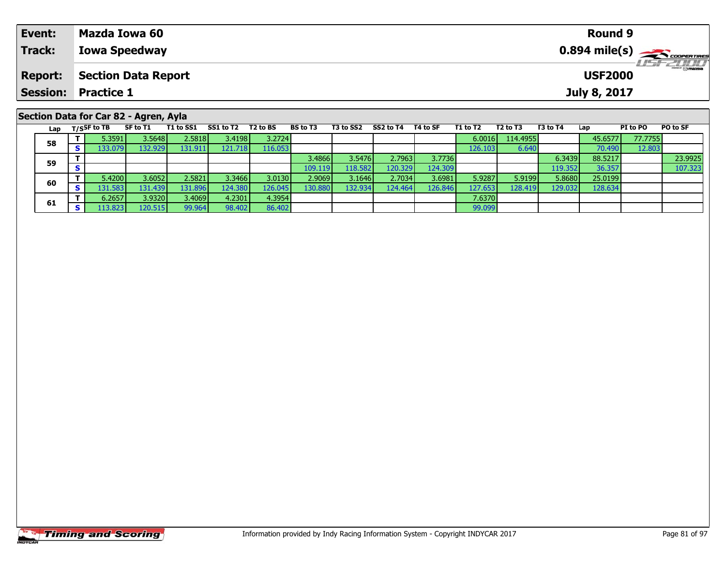| Event:                                | Mazda Iowa 60              | <b>Round 9</b>                          |  |  |  |  |  |
|---------------------------------------|----------------------------|-----------------------------------------|--|--|--|--|--|
| Track:                                | <b>Iowa Speedway</b>       | $0.894$ mile(s) $\leftarrow$ coorganges |  |  |  |  |  |
| <b>Report:</b>                        | Section Data Report        | <b>LISF 2000</b><br><b>USF2000</b>      |  |  |  |  |  |
|                                       | <b>Session: Practice 1</b> | July 8, 2017                            |  |  |  |  |  |
| Section Data for Car 82 - Agren, Ayla |                            |                                         |  |  |  |  |  |

| Lap | T/SSF to TB | SF to T1 | T1 to SS1 | SS1 to T2       | T2 to BS | <b>BS to T3</b> | T3 to SS2 | SS2 to T4 | T4 to SF | T1 to T2 | T2 to T3 | T3 to T4 | Lap     | PI to PO | <b>PO to SF</b> |
|-----|-------------|----------|-----------|-----------------|----------|-----------------|-----------|-----------|----------|----------|----------|----------|---------|----------|-----------------|
| 58  | 5.3591      | 3.5648   | 2.5818    | 3.4198 l        | 3.2724   |                 |           |           |          | 6.0016   | 114.4955 |          | 45.6577 | 77.7755  |                 |
|     | I33.079 I   | 132.929  | 131.911   | 121.718         | 116.053  |                 |           |           |          | 126.1031 | 6.640    |          | 70.490  | 12.803   |                 |
| 59  |             |          |           |                 |          | 3.4866          | 3.5476    | 2.7963    | 3.7736   |          |          | 6.3439   | 88.5217 |          | 23.9925         |
|     |             |          |           |                 |          | 109.119         | 118.582   | 120.329   | 124.309  |          |          | 119.352  | 36.357  |          | 107.323         |
| 60  | 5.4200      | 3.6052   | 2.5821    | 3.3466 <b>I</b> | 3.0130   | 2.9069          | 3.1646    | 2.7034    | 3.6981   | 5.9287   | 5.9199   | 5.8680   | 25.0199 |          |                 |
|     | 131.5831    | 131.4391 | 131.896   | 124.380         | 126.045  | 130.880         | 132.9341  | 124.464   | 126.846  | 127.653  | 128.4191 | 129.032  | 128.634 |          |                 |
| 61  | 6.2657      | 3.9320   | 3.4069    | 4.2301          | 4.3954   |                 |           |           |          | 7.6370   |          |          |         |          |                 |
|     | 13.823      | 120.515  | 99.964    | 98.402          | 86.402   |                 |           |           |          | 99.099   |          |          |         |          |                 |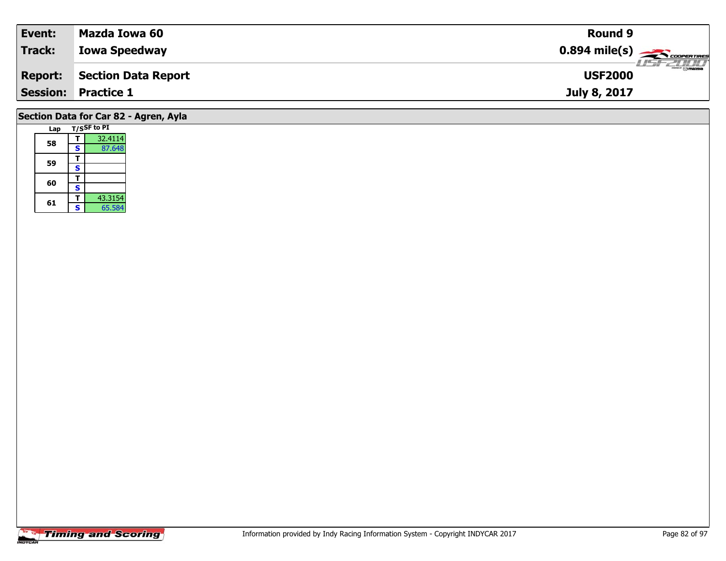| Event:         | Mazda Iowa 60              | Round 9                                                 |
|----------------|----------------------------|---------------------------------------------------------|
| Track:         | <b>Iowa Speedway</b>       | $0.894$ mile(s) $\overbrace{\hspace{2cm}}$ cooper Times |
| <b>Report:</b> | Section Data Report        | ZT/TT<br><b>USF2000</b>                                 |
|                | <b>Session: Practice 1</b> | July 8, 2017                                            |
|                |                            |                                                         |

## **Section Data for Car 82 - Agren, Ayla**

| Lap |   | T/SSF to PI |
|-----|---|-------------|
| 58  |   | 32.4114     |
|     | S | 87.648      |
|     |   |             |
| 59  | S |             |
| 60  |   |             |
|     | Ś |             |
|     |   | 43.3154     |
| 61  | Ś | 65.584      |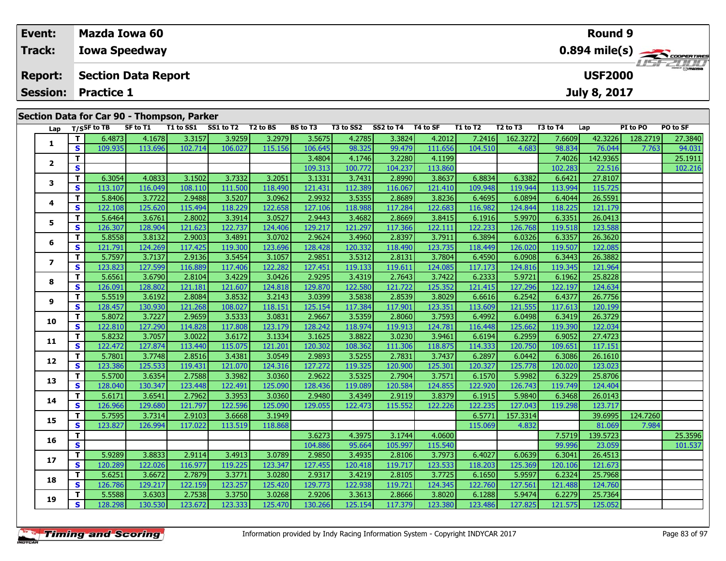| Event:                                     | <b>Mazda Iowa 60</b>       | <b>Round 9</b>                    |  |  |  |  |  |  |
|--------------------------------------------|----------------------------|-----------------------------------|--|--|--|--|--|--|
| <b>Track:</b>                              | <b>Iowa Speedway</b>       |                                   |  |  |  |  |  |  |
| <b>Report:</b>                             | Section Data Report        | <b>LISFZOON</b><br><b>USF2000</b> |  |  |  |  |  |  |
|                                            | <b>Session: Practice 1</b> | July 8, 2017                      |  |  |  |  |  |  |
| Section Data for Car 90 - Thompson, Parker |                            |                                   |  |  |  |  |  |  |

| Lap               |              | T/SSF to TB | SF to T1 | ---- <i>-</i> -- | T1 to SS1 SS1 to T2 T2 to BS |         | <b>BS to T3</b> | T3 to SS2 | SS2 to T4 | T4 to SF | T1 to T2 | T <sub>2</sub> to T <sub>3</sub> | T3 to T4 | Lap      | PI to PO | PO to SF |
|-------------------|--------------|-------------|----------|------------------|------------------------------|---------|-----------------|-----------|-----------|----------|----------|----------------------------------|----------|----------|----------|----------|
|                   | T.           | 6.4873      | 4.1678   | 3.3157           | 3.9259                       | 3.2979  | 3.5675          | 4.2785    | 3.3824    | 4.2012   | 7.2416   | 162.3272                         | 7.6609   | 42.3226  | 128.2719 | 27.3840  |
| 1                 | $\mathbf{s}$ | 109.935     | 113.696  | 102.714          | 106.027                      | 115.156 | 106.645         | 98.325    | 99.479    | 111.656  | 104.510  | 4.683                            | 98.834   | 76.044   | 7.763    | 94.031   |
|                   | T.           |             |          |                  |                              |         | 3.4804          | 4.1746    | 3.2280    | 4.1199   |          |                                  | 7.4026   | 142.9365 |          | 25.1911  |
| $\mathbf{2}$      | S.           |             |          |                  |                              |         | 109.313         | 100.772   | 104.237   | 113.860  |          |                                  | 102.283  | 22.516   |          | 102.216  |
|                   | T.           | 6.3054      | 4.0833   | 3.1502           | 3.7332                       | 3.2051  | 3.1331          | 3.7431    | 2.8990    | 3.8637   | 6.8834   | 6.3382                           | 6.6421   | 27.8107  |          |          |
| 3                 | $\mathbf{s}$ | 113.107     | 116.049  | 108.110          | 111.500                      | 118.490 | 121.431         | 112.389   | 116.067   | 121.410  | 109.948  | 119.944                          | 113.994  | 115.725  |          |          |
|                   | T.           | 5.8406      | 3.7722   | 2.9488           | 3.5207                       | 3.0962  | 2.9932          | 3.5355    | 2.8689    | 3.8236   | 6.4695   | 6.0894                           | 6.4044   | 26.5591  |          |          |
| 4                 | S            | 122.108     | 125.620  | 115.494          | 118.229                      | 122.658 | 127.106         | 118.988   | 117.284   | 122.683  | 116.982  | 124.844                          | 118.225  | 121.179  |          |          |
|                   | T.           | 5.6464      | 3.6761   | 2.8002           | 3.3914                       | 3.0527  | 2.9443          | 3.4682    | 2.8669    | 3.8415   | 6.1916   | 5.9970                           | 6.3351   | 26.0413  |          |          |
| 5                 | $\mathbf{s}$ | 126.307     | 128.904  | 121.623          | 122.737                      | 124.406 | 129.217         | 121.297   | 117.366   | 122.111  | 122.233  | 126.768                          | 119.518  | 123.588  |          |          |
|                   | T.           | 5.8558      | 3.8132   | 2.9003           | 3.4891                       | 3.0702  | 2.9624          | 3.4960    | 2.8397    | 3.7911   | 6.3894   | 6.0326                           | 6.3357   | 26.3620  |          |          |
| 6                 | S            | 121.791     | 124.269  | 117.425          | 119.300                      | 123.696 | 128.428         | 120.332   | 118.490   | 123.735  | 118.449  | 126.020                          | 119.507  | 122.085  |          |          |
|                   | T.           | 5.7597      | 3.7137   | 2.9136           | 3.5454                       | 3.1057  | 2.9851          | 3.5312    | 2.8131    | 3.7804   | 6.4590   | 6.0908                           | 6.3443   | 26.3882  |          |          |
| $\overline{ }$    | $\mathbf{s}$ | 123.823     | 127.599  | 116.889          | 117.406                      | 122.282 | 127.451         | 119.133   | 119.611   | 124.085  | 117.173  | 124.816                          | 119.345  | 121.964  |          |          |
|                   | T.           | 5.6561      | 3.6790   | 2.8104           | 3.4229                       | 3.0426  | 2.9295          | 3.4319    | 2.7643    | 3.7422   | 6.2333   | 5.9721                           | 6.1962   | 25.8228  |          |          |
| 8                 | S            | 126.091     | 128.802  | 121.181          | 121.607                      | 124.818 | 129.870         | 122.580   | 121.722   | 125.352  | 121.415  | 127.296                          | 122.197  | 124.634  |          |          |
|                   | T.           | 5.5519      | 3.6192   | 2.8084           | 3.8532                       | 3.2143  | 3.0399          | 3.5838    | 2.8539    | 3.8029   | 6.6616   | 6.2542                           | 6.4377   | 26.7756  |          |          |
| 9                 | $\mathbf{s}$ | 128.457     | 130.930  | 121.268          | 108.027                      | 118.151 | 125.154         | 117.384   | 117.901   | 123.351  | 113.609  | 121.555                          | 117.613  | 120.199  |          |          |
|                   | T.           | 5.8072      | 3.7227   | 2.9659           | 3.5333                       | 3.0831  | 2.9667          | 3.5359    | 2.8060    | 3.7593   | 6.4992   | 6.0498                           | 6.3419   | 26.3729  |          |          |
| 10                | S            | 122.810     | 127.290  | 114.828          | 117.808                      | 123.179 | 128.242         | 118.974   | 119.913   | 124.781  | 116.448  | 125.662                          | 119.390  | 122.034  |          |          |
|                   | T.           | 5.8232      | 3.7057   | 3.0022           | 3.6172                       | 3.1334  | 3.1625          | 3.8822    | 3.0230    | 3.9461   | 6.6194   | 6.2959                           | 6.9052   | 27.4723  |          |          |
| 11                | $\mathbf{s}$ | 122.472     | 127.874  | 113.440          | 115.075                      | 121.201 | 120.302         | 108.362   | 111.306   | 118.875  | 114.333  | 120.750                          | 109.651  | 117.151  |          |          |
| $12 \overline{ }$ | T.           | 5.7801      | 3.7748   | 2.8516           | 3.4381                       | 3.0549  | 2.9893          | 3.5255    | 2.7831    | 3.7437   | 6.2897   | 6.0442                           | 6.3086   | 26.1610  |          |          |
|                   | S            | 123.386     | 125.533  | 119.431          | 121.070                      | 124.316 | 127.272         | 119.325   | 120.900   | 125.301  | 120.327  | 125.778                          | 120.020  | 123.023  |          |          |
| 13                | T.           | 5.5700      | 3.6354   | 2.7588           | 3.3982                       | 3.0360  | 2.9622          | 3.5325    | 2.7904    | 3.7571   | 6.1570   | 5.9982                           | 6.3229   | 25.8706  |          |          |
|                   | <b>S</b>     | 128.040     | 130.347  | 123.448          | 122.491                      | 125.090 | 128.436         | 119.089   | 120.584   | 124.855  | 122.920  | 126.743                          | 119.749  | 124.404  |          |          |
| 14                | T.           | 5.6171      | 3.6541   | 2.7962           | 3.3953                       | 3.0360  | 2.9480          | 3.4349    | 2.9119    | 3.8379   | 6.1915   | 5.9840                           | 6.3468   | 26.0143  |          |          |
|                   | S            | 126.966     | 129.680  | 121.797          | 122.596                      | 125.090 | 129.055         | 122.473   | 115.552   | 122.226  | 122.235  | 127.043                          | 119.298  | 123.717  |          |          |
| 15                | T.           | 5.7595      | 3.7314   | 2.9103           | 3.6668                       | 3.1949  |                 |           |           |          | 6.5771   | 157.3314                         |          | 39.6995  | 124.7260 |          |
|                   | $\mathbf{s}$ | 123.827     | 126.994  | 117.022          | 113.519                      | 118.868 |                 |           |           |          | 115.069  | 4.832                            |          | 81.069   | 7.984    |          |
| 16                | T.           |             |          |                  |                              |         | 3.6273          | 4.3975    | 3.1744    | 4.0600   |          |                                  | 7.5719   | 139.5723 |          | 25.3596  |
|                   | $\mathbf{s}$ |             |          |                  |                              |         | 104.886         | 95.664    | 105.997   | 115.540  |          |                                  | 99.996   | 23.059   |          | 101.537  |
| 17                | T.           | 5.9289      | 3.8833   | 2.9114           | 3.4913                       | 3.0789  | 2.9850          | 3.4935    | 2.8106    | 3.7973   | 6.4027   | 6.0639                           | 6.3041   | 26.4513  |          |          |
|                   | $\mathbf{s}$ | 120.289     | 122.026  | 116.977          | 119.225                      | 123.347 | 127.455         | 120.418   | 119.717   | 123.533  | 118.203  | 125.369                          | 120.106  | 121.673  |          |          |
| 18                | T.           | 5.6251      | 3.6672   | 2.7879           | 3.3771                       | 3.0280  | 2.9317          | 3.4219    | 2.8105    | 3.7725   | 6.1650   | 5.9597                           | 6.2324   | 25.7968  |          |          |
|                   | S            | 126.786     | 129.217  | 122.159          | 123.257                      | 125.420 | 129.773         | 122.938   | 119.721   | 124.345  | 122.760  | 127.561                          | 121.488  | 124.760  |          |          |
| 19                | T.           | 5.5588      | 3.6303   | 2.7538           | 3.3750                       | 3.0268  | 2.9206          | 3.3613    | 2.8666    | 3.8020   | 6.1288   | 5.9474                           | 6.2279   | 25.7364  |          |          |
|                   | S.           | 128.298     | 130.530  | 123.672          | 123.333                      | 125.470 | 130.266         | 125.154   | 117.379   | 123.380  | 123.486  | 127.825                          | 121.575  | 125.052  |          |          |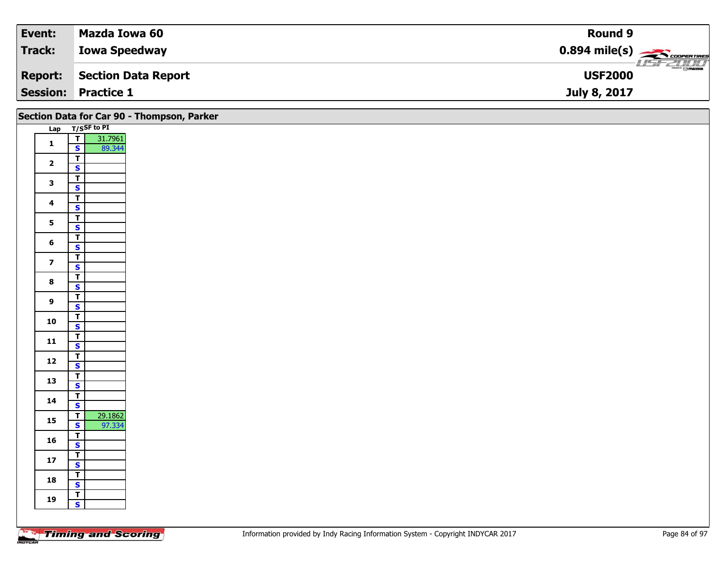| Event:         | Mazda Iowa 60              | Round 9                                                |
|----------------|----------------------------|--------------------------------------------------------|
| Track:         | <b>Iowa Speedway</b>       | $0.894$ mile(s) $\overbrace{\hspace{2cm}}$ coorentines |
| <b>Report:</b> | Section Data Report        | $\frac{2\pi}{\omega}$<br><b>USF2000</b>                |
|                | <b>Session: Practice 1</b> | July 8, 2017                                           |

|                         |                                                    | Section Data for Car 90 - Thompson, Parker |
|-------------------------|----------------------------------------------------|--------------------------------------------|
|                         | Lap T/SSF to PI                                    |                                            |
| $\mathbf 1$             | $\frac{1}{\sqrt{2}}$<br>31.7961<br>89.344          |                                            |
|                         |                                                    |                                            |
| $\overline{2}$          | $rac{1}{s}$                                        |                                            |
|                         |                                                    |                                            |
| $\mathbf{3}$            | $\overline{\mathbf{r}}$                            |                                            |
|                         | $\mathbf{s}$                                       |                                            |
| $\overline{\mathbf{4}}$ | $\overline{1}$<br>$\mathsf{s}$                     |                                            |
|                         |                                                    |                                            |
| 5 <sup>1</sup>          | $rac{T}{s}$                                        |                                            |
|                         | $\overline{\mathbf{r}}$                            |                                            |
| $\bf 6$                 | $\mathbf{s}$                                       |                                            |
|                         | $\frac{T}{S}$                                      |                                            |
| $\overline{\mathbf{z}}$ |                                                    |                                            |
| $\bf8$                  | $rac{1}{s}$                                        |                                            |
|                         |                                                    |                                            |
| $\boldsymbol{9}$        | $\overline{\mathsf{r}}$                            |                                            |
|                         | $\mathbf{s}$                                       |                                            |
| 10                      | $\mathbf{T}$<br>$\overline{\mathbf{s}}$            |                                            |
|                         | $\overline{\mathsf{r}}$                            |                                            |
| 11                      | $\mathbf{s}$                                       |                                            |
| 12                      | $\overline{\mathbf{T}}$                            |                                            |
|                         | $\overline{\mathbf{s}}$                            |                                            |
| 13                      | $rac{1}{s}$                                        |                                            |
|                         |                                                    |                                            |
| 14                      | $\overline{\mathbf{T}}$<br>$\overline{\mathbf{s}}$ |                                            |
|                         | 29.1862<br>$\overline{1}$                          |                                            |
| $15\phantom{.0}$        | $\overline{\mathbf{s}}$<br>97.334                  |                                            |
|                         |                                                    |                                            |
| 16                      | $rac{1}{s}$                                        |                                            |
| 17                      | $\overline{\mathbf{T}}$                            |                                            |
|                         | $\overline{\mathbf{s}}$                            |                                            |
| 18                      | $\overline{\mathbf{r}}$                            |                                            |
|                         | $\mathbf{s}$                                       |                                            |
| 19                      | $rac{1}{s}$                                        |                                            |
|                         |                                                    |                                            |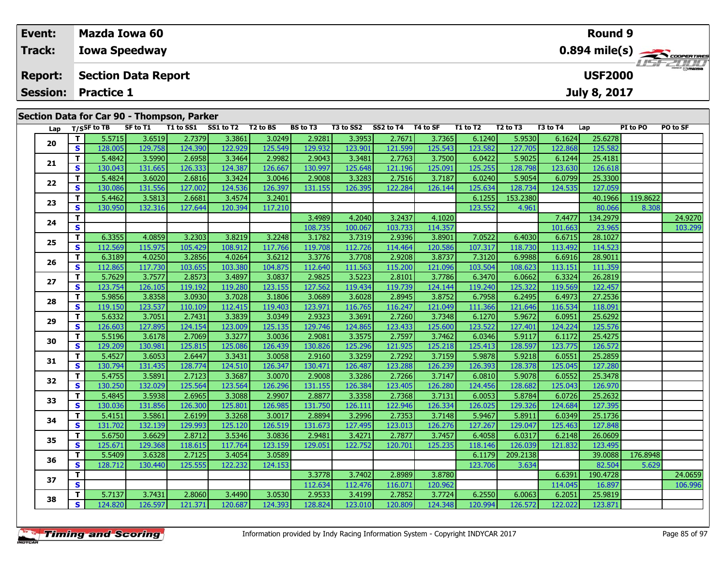| Event:          | Mazda Iowa 60                                                                                                                                                                                                                                                       | <b>Round 9</b>                                                                        |
|-----------------|---------------------------------------------------------------------------------------------------------------------------------------------------------------------------------------------------------------------------------------------------------------------|---------------------------------------------------------------------------------------|
| <b>Track:</b>   | <b>Iowa Speedway</b>                                                                                                                                                                                                                                                | $0.894 \text{ mile(s)}$                                                               |
| <b>Report:</b>  | <b>Section Data Report</b>                                                                                                                                                                                                                                          | <b>USF 2000</b><br><b>USF2000</b>                                                     |
| <b>Session:</b> | <b>Practice 1</b>                                                                                                                                                                                                                                                   | July 8, 2017                                                                          |
|                 | Section Data for Car 90 - Thompson, Parker                                                                                                                                                                                                                          |                                                                                       |
|                 | SF to T1<br>T1 to SS1<br>SS1 to T2 T2 to BS<br><b>BS to T3</b><br>T3 to SS2<br>SS2 to T4<br>T4 to SF<br>T2 to T3<br>Lap $T/S$ SF to TB<br><b>T1 to T2</b><br>55715<br>ו סדרכי כ<br>26510<br>22961<br>ാ റാ⊿ലി<br>ാ റാവി<br>27571<br>27265<br>61240<br>ן דאס <i>ב</i> | T3 to T4<br>PO to SF<br><b>PI</b> to PO<br>Lap<br><b>E OEZOL</b><br>61624<br>ופדר⊾ בר |

| 5.5715<br>3.6519<br>2.7379<br>3.3861<br>3.0249<br>2.9281<br>3.3953<br>2.7671<br>6.1240<br>5.9530<br>25.6278<br>T.<br>3.7365<br>6.1624<br>20<br>S<br>128.005<br>129.758<br>124.390<br>122.929<br>125.549<br>129.932<br>123.901<br>121.599<br>125.543<br>123.582<br>127.705<br>122.868<br>125.582<br>T.<br>3.3464<br>2.9982<br>3.3481<br>2.7763<br>3.7500<br>5.9025<br>5.4842<br>3.5990<br>2.6958<br>2.9043<br>6.0422<br>6.1244<br>25.4181<br>21<br>S<br>130.043<br>131.665<br>126.333<br>124.387<br>126.667<br>130.997<br>125.648<br>121.196<br>125.091<br>125.255<br>128.798<br>123.630<br>126.618<br>T.<br>5.4824<br>3.6020<br>2.6816<br>3.3424<br>3.0046<br>2.9008<br>2.7516<br>3.7187<br>6.0240<br>5.9054<br>6.0799<br>25.3300<br>3.3283<br>22<br>124.536<br>126.397<br>128.734<br>S<br>130.086<br>131.556<br>127.002<br>126.395<br>122.284<br>125.634<br>124.535<br>127.059<br>131.155<br>126.144<br>T.<br>119.8622<br>5.4462<br>3.4574<br>3.2401<br>153.2380<br>40.1966<br>3.5813<br>2.6681<br>6.1255<br>23<br>S<br>130.950<br>132.316<br>127.644<br>120.394<br>117.210<br>123.552<br>4.961<br>80.066<br>8.308<br>4.2040<br>3.2437<br>7.4477<br>T.<br>3.4989<br>4.1020<br>134.2979<br>24<br>S.<br>23.965<br>100.067<br>103.733<br>114.357<br>101.663<br>108.735<br>3.2248<br>2.9396<br>6.6715<br>T.<br>6.3355<br>4.0859<br>3.2303<br>3.8219<br>3.1782<br>3.7319<br>3.8901<br>7.0522<br>6.4030<br>28.1027<br>25<br>112.726<br>114.464<br>113.492<br>S.<br>112.569<br>115.975<br>105.429<br>108.912<br>117.766<br>119.708<br>120.586<br>107.317<br>118.730<br>114.523<br>T.<br>6.3189<br>4.0264<br>3.6212<br>3.3776<br>2.9208<br>7.3120<br>6.9988<br>4.0250<br>3.2856<br>3.7708<br>3.8737<br>6.6916<br>28.9011<br>26<br>S<br>112.865<br>117.730<br>103.380<br>104.875<br>112.640<br>111.563<br>115.200<br>121.096<br>103.504<br>108.623<br>113.151<br>111.359<br>103.655<br>5.7629<br>3.7577<br>3.4897<br>3.0837<br>2.9825<br>3.5223<br>2.8101<br>3.7786<br>6.0662<br>6.3324<br>26.2819<br>T.<br>2.8573<br>6.3470<br>27<br>123.155<br>119.739<br>S<br>123.754<br>126.105<br>119.192<br>119.280<br>127.562<br>119.434<br>124.144<br>125.322<br>119.569<br>122.457<br>119.240<br>5.9856<br>3.7028<br>3.1806<br>3.6028<br>2.8945<br>6.2495<br>T.<br>3.8358<br>3.0930<br>3.0689<br>3.8752<br>6.7958<br>6.4973<br>27.2536<br>28<br>S<br>119.150<br>123.537<br>112.415<br>119.403<br>123.971<br>116.247<br>121.646<br>110.109<br>116.765<br>121.049<br>111.366<br>116.534<br>118.091<br>5.9672<br>T.<br>5.6332<br>3.7051<br>2.7431<br>3.3839<br>3.0349<br>2.9323<br>3.3691<br>2.7260<br>6.1270<br>6.0951<br>25.6292<br>3.7348<br>29<br>S<br>125.135<br>126.603<br>127.895<br>124.154<br>123.009<br>129.746<br>124.865<br>123.433<br>125.600<br>123.522<br>127.401<br>124.224<br>125.576<br>5.5196<br>2.7069<br>3.3277<br>3.0036<br>3.3575<br>2.7597<br>3.7462<br>5.9117<br>6.1172<br>25.4275<br>T.<br>3.6178<br>2.9081<br>6.0346<br>30<br>129.209<br>125.296<br>121.925<br>128.597<br>123.775<br>S<br>130.981<br>125.815<br>125.086<br>126.439<br>130.826<br>125.218<br>125.413<br>126.572<br>5.4527<br>3.6053<br>2.6447<br>3.3431<br>3.0058<br>2.9160<br>3.3259<br>2.7292<br>3.7159<br>5.9878<br>5.9218<br>6.0551<br>25.2859<br>T.<br>31<br>126.487<br>128.378<br>S<br>130.794<br>131.435<br>128.774<br>124.510<br>126.347<br>130.471<br>123.288<br>126.239<br>126.393<br>125.045<br>127.280<br>5.4755<br>3.3687<br>2.7266<br>T.<br>3.5891<br>2.7123<br>3.0070<br>2.9008<br>3.3286<br>3.7147<br>6.0810<br>5.9078<br>6.0552<br>25.3478<br>32<br>$\mathbf{s}$<br>123.564<br>128.682<br>130.250<br>132.029<br>125.564<br>126.296<br>126.384<br>123.405<br>126.280<br>131.155<br>124.456<br>125.043<br>126.970<br>5.4845<br>3.5938<br>2.6965<br>3.3088<br>2.9907<br>2.8877<br>3.3358<br>2.7368<br>3.7131<br>6.0053<br>5.8784<br>6.0726<br>25.2632<br>T.<br>33<br>S<br>130.036<br>125.801<br>131.750<br>122.946<br>129.326<br>127.395<br>131.856<br>126.300<br>126.985<br>126.111<br>126.334<br>126.025<br>124.684<br>5.4151<br>3.3268<br>3.0017<br>2.7353<br>5.8911<br>25.1736<br>T.<br>3.5861<br>2.6199<br>2.8894<br>3.2996<br>3.7148<br>5.9467<br>6.0349<br>34<br>131.702<br>129.993<br>125.120<br>126.519<br>123.013<br>129.047<br>125.463<br>S.<br>132.139<br>131.673<br>127.495<br>126.276<br>127.267<br>127.848<br>T.<br>5.6750<br>3.5346<br>3.0836<br>3.6629<br>2.8712<br>2.9481<br>3.4271<br>2.7877<br>3.7457<br>6.4058<br>6.0317<br>6.2148<br>26.0609<br>35<br>S<br>129.368<br>117.764<br>123.159<br>126.039<br>121.832<br>125.671<br>129.051<br>122.752<br>120.701<br>125.235<br>118.146<br>123.495<br>118.615<br>3.0589<br>209.2138<br>176.8948<br>T.<br>5.5409<br>3.6328<br>2.7125<br>3.4054<br>6.1179<br>39.0088<br>36<br>S<br>128.712<br>125.555<br>122.232<br>82.504<br>5.629<br>130.440<br>124.153<br>123.706<br>3.634<br>3.7402<br>2.8989<br>6.6391<br>T.<br>3.3778<br>3.8780<br>190.4728<br>37<br>S<br>112.634<br>112.476<br>120.962<br>114.045<br>16.897<br>116.071<br>T.<br>5.7137<br>3.7431<br>3.4490<br>3.0530<br>2.7852<br>6.0063<br>2.8060<br>2.9533<br>3.4199<br>3.7724<br>6.2550<br>6.2051<br>25.9819<br>38<br>S<br>120.809<br>120.994<br>124.820<br>126.597<br>121.371<br>120.687<br>124.393<br>128.824<br>123.010<br>124.348<br>126.572<br>122.022<br>123.871 | Lap | $1/5$ <sup>31</sup> to 15 | 30 W LL | 1 T LO 33 T | 331012 | 1 Z W DJ | 53 W IJ | 19 W 394 | <b>334 W IT</b> | 14 W JI | 1 1 LV 1 4 | 14 W 15 | 19 W I T | ∟aµ | <b>FIWFU</b> | וכ שט |
|-------------------------------------------------------------------------------------------------------------------------------------------------------------------------------------------------------------------------------------------------------------------------------------------------------------------------------------------------------------------------------------------------------------------------------------------------------------------------------------------------------------------------------------------------------------------------------------------------------------------------------------------------------------------------------------------------------------------------------------------------------------------------------------------------------------------------------------------------------------------------------------------------------------------------------------------------------------------------------------------------------------------------------------------------------------------------------------------------------------------------------------------------------------------------------------------------------------------------------------------------------------------------------------------------------------------------------------------------------------------------------------------------------------------------------------------------------------------------------------------------------------------------------------------------------------------------------------------------------------------------------------------------------------------------------------------------------------------------------------------------------------------------------------------------------------------------------------------------------------------------------------------------------------------------------------------------------------------------------------------------------------------------------------------------------------------------------------------------------------------------------------------------------------------------------------------------------------------------------------------------------------------------------------------------------------------------------------------------------------------------------------------------------------------------------------------------------------------------------------------------------------------------------------------------------------------------------------------------------------------------------------------------------------------------------------------------------------------------------------------------------------------------------------------------------------------------------------------------------------------------------------------------------------------------------------------------------------------------------------------------------------------------------------------------------------------------------------------------------------------------------------------------------------------------------------------------------------------------------------------------------------------------------------------------------------------------------------------------------------------------------------------------------------------------------------------------------------------------------------------------------------------------------------------------------------------------------------------------------------------------------------------------------------------------------------------------------------------------------------------------------------------------------------------------------------------------------------------------------------------------------------------------------------------------------------------------------------------------------------------------------------------------------------------------------------------------------------------------------------------------------------------------------------------------------------------------------------------------------------------------------------------------------------------------------------------------------------------------------------------------------------------------------------------------------------------------------------------------------------------------------------------------------------------------------------------------------------------------------------------------------------------------------------------------------------------------------------------------------------------------------------------------------------------------------------------------------------------------------------------------------------------------------------------------------------------------------------------------------------------------------------------------------------------------------------------------------------------------------------------------------------------------------------------------------------------------------------------------------------------------------------------------------------|-----|---------------------------|---------|-------------|--------|----------|---------|----------|-----------------|---------|------------|---------|----------|-----|--------------|-------|
| 24.9270<br>103.299<br>24.0659<br>106.996                                                                                                                                                                                                                                                                                                                                                                                                                                                                                                                                                                                                                                                                                                                                                                                                                                                                                                                                                                                                                                                                                                                                                                                                                                                                                                                                                                                                                                                                                                                                                                                                                                                                                                                                                                                                                                                                                                                                                                                                                                                                                                                                                                                                                                                                                                                                                                                                                                                                                                                                                                                                                                                                                                                                                                                                                                                                                                                                                                                                                                                                                                                                                                                                                                                                                                                                                                                                                                                                                                                                                                                                                                                                                                                                                                                                                                                                                                                                                                                                                                                                                                                                                                                                                                                                                                                                                                                                                                                                                                                                                                                                                                                                                                                                                                                                                                                                                                                                                                                                                                                                                                                                                                                                                                            |     |                           |         |             |        |          |         |          |                 |         |            |         |          |     |              |       |
|                                                                                                                                                                                                                                                                                                                                                                                                                                                                                                                                                                                                                                                                                                                                                                                                                                                                                                                                                                                                                                                                                                                                                                                                                                                                                                                                                                                                                                                                                                                                                                                                                                                                                                                                                                                                                                                                                                                                                                                                                                                                                                                                                                                                                                                                                                                                                                                                                                                                                                                                                                                                                                                                                                                                                                                                                                                                                                                                                                                                                                                                                                                                                                                                                                                                                                                                                                                                                                                                                                                                                                                                                                                                                                                                                                                                                                                                                                                                                                                                                                                                                                                                                                                                                                                                                                                                                                                                                                                                                                                                                                                                                                                                                                                                                                                                                                                                                                                                                                                                                                                                                                                                                                                                                                                                                     |     |                           |         |             |        |          |         |          |                 |         |            |         |          |     |              |       |
|                                                                                                                                                                                                                                                                                                                                                                                                                                                                                                                                                                                                                                                                                                                                                                                                                                                                                                                                                                                                                                                                                                                                                                                                                                                                                                                                                                                                                                                                                                                                                                                                                                                                                                                                                                                                                                                                                                                                                                                                                                                                                                                                                                                                                                                                                                                                                                                                                                                                                                                                                                                                                                                                                                                                                                                                                                                                                                                                                                                                                                                                                                                                                                                                                                                                                                                                                                                                                                                                                                                                                                                                                                                                                                                                                                                                                                                                                                                                                                                                                                                                                                                                                                                                                                                                                                                                                                                                                                                                                                                                                                                                                                                                                                                                                                                                                                                                                                                                                                                                                                                                                                                                                                                                                                                                                     |     |                           |         |             |        |          |         |          |                 |         |            |         |          |     |              |       |
|                                                                                                                                                                                                                                                                                                                                                                                                                                                                                                                                                                                                                                                                                                                                                                                                                                                                                                                                                                                                                                                                                                                                                                                                                                                                                                                                                                                                                                                                                                                                                                                                                                                                                                                                                                                                                                                                                                                                                                                                                                                                                                                                                                                                                                                                                                                                                                                                                                                                                                                                                                                                                                                                                                                                                                                                                                                                                                                                                                                                                                                                                                                                                                                                                                                                                                                                                                                                                                                                                                                                                                                                                                                                                                                                                                                                                                                                                                                                                                                                                                                                                                                                                                                                                                                                                                                                                                                                                                                                                                                                                                                                                                                                                                                                                                                                                                                                                                                                                                                                                                                                                                                                                                                                                                                                                     |     |                           |         |             |        |          |         |          |                 |         |            |         |          |     |              |       |
|                                                                                                                                                                                                                                                                                                                                                                                                                                                                                                                                                                                                                                                                                                                                                                                                                                                                                                                                                                                                                                                                                                                                                                                                                                                                                                                                                                                                                                                                                                                                                                                                                                                                                                                                                                                                                                                                                                                                                                                                                                                                                                                                                                                                                                                                                                                                                                                                                                                                                                                                                                                                                                                                                                                                                                                                                                                                                                                                                                                                                                                                                                                                                                                                                                                                                                                                                                                                                                                                                                                                                                                                                                                                                                                                                                                                                                                                                                                                                                                                                                                                                                                                                                                                                                                                                                                                                                                                                                                                                                                                                                                                                                                                                                                                                                                                                                                                                                                                                                                                                                                                                                                                                                                                                                                                                     |     |                           |         |             |        |          |         |          |                 |         |            |         |          |     |              |       |
|                                                                                                                                                                                                                                                                                                                                                                                                                                                                                                                                                                                                                                                                                                                                                                                                                                                                                                                                                                                                                                                                                                                                                                                                                                                                                                                                                                                                                                                                                                                                                                                                                                                                                                                                                                                                                                                                                                                                                                                                                                                                                                                                                                                                                                                                                                                                                                                                                                                                                                                                                                                                                                                                                                                                                                                                                                                                                                                                                                                                                                                                                                                                                                                                                                                                                                                                                                                                                                                                                                                                                                                                                                                                                                                                                                                                                                                                                                                                                                                                                                                                                                                                                                                                                                                                                                                                                                                                                                                                                                                                                                                                                                                                                                                                                                                                                                                                                                                                                                                                                                                                                                                                                                                                                                                                                     |     |                           |         |             |        |          |         |          |                 |         |            |         |          |     |              |       |
|                                                                                                                                                                                                                                                                                                                                                                                                                                                                                                                                                                                                                                                                                                                                                                                                                                                                                                                                                                                                                                                                                                                                                                                                                                                                                                                                                                                                                                                                                                                                                                                                                                                                                                                                                                                                                                                                                                                                                                                                                                                                                                                                                                                                                                                                                                                                                                                                                                                                                                                                                                                                                                                                                                                                                                                                                                                                                                                                                                                                                                                                                                                                                                                                                                                                                                                                                                                                                                                                                                                                                                                                                                                                                                                                                                                                                                                                                                                                                                                                                                                                                                                                                                                                                                                                                                                                                                                                                                                                                                                                                                                                                                                                                                                                                                                                                                                                                                                                                                                                                                                                                                                                                                                                                                                                                     |     |                           |         |             |        |          |         |          |                 |         |            |         |          |     |              |       |
|                                                                                                                                                                                                                                                                                                                                                                                                                                                                                                                                                                                                                                                                                                                                                                                                                                                                                                                                                                                                                                                                                                                                                                                                                                                                                                                                                                                                                                                                                                                                                                                                                                                                                                                                                                                                                                                                                                                                                                                                                                                                                                                                                                                                                                                                                                                                                                                                                                                                                                                                                                                                                                                                                                                                                                                                                                                                                                                                                                                                                                                                                                                                                                                                                                                                                                                                                                                                                                                                                                                                                                                                                                                                                                                                                                                                                                                                                                                                                                                                                                                                                                                                                                                                                                                                                                                                                                                                                                                                                                                                                                                                                                                                                                                                                                                                                                                                                                                                                                                                                                                                                                                                                                                                                                                                                     |     |                           |         |             |        |          |         |          |                 |         |            |         |          |     |              |       |
|                                                                                                                                                                                                                                                                                                                                                                                                                                                                                                                                                                                                                                                                                                                                                                                                                                                                                                                                                                                                                                                                                                                                                                                                                                                                                                                                                                                                                                                                                                                                                                                                                                                                                                                                                                                                                                                                                                                                                                                                                                                                                                                                                                                                                                                                                                                                                                                                                                                                                                                                                                                                                                                                                                                                                                                                                                                                                                                                                                                                                                                                                                                                                                                                                                                                                                                                                                                                                                                                                                                                                                                                                                                                                                                                                                                                                                                                                                                                                                                                                                                                                                                                                                                                                                                                                                                                                                                                                                                                                                                                                                                                                                                                                                                                                                                                                                                                                                                                                                                                                                                                                                                                                                                                                                                                                     |     |                           |         |             |        |          |         |          |                 |         |            |         |          |     |              |       |
|                                                                                                                                                                                                                                                                                                                                                                                                                                                                                                                                                                                                                                                                                                                                                                                                                                                                                                                                                                                                                                                                                                                                                                                                                                                                                                                                                                                                                                                                                                                                                                                                                                                                                                                                                                                                                                                                                                                                                                                                                                                                                                                                                                                                                                                                                                                                                                                                                                                                                                                                                                                                                                                                                                                                                                                                                                                                                                                                                                                                                                                                                                                                                                                                                                                                                                                                                                                                                                                                                                                                                                                                                                                                                                                                                                                                                                                                                                                                                                                                                                                                                                                                                                                                                                                                                                                                                                                                                                                                                                                                                                                                                                                                                                                                                                                                                                                                                                                                                                                                                                                                                                                                                                                                                                                                                     |     |                           |         |             |        |          |         |          |                 |         |            |         |          |     |              |       |
|                                                                                                                                                                                                                                                                                                                                                                                                                                                                                                                                                                                                                                                                                                                                                                                                                                                                                                                                                                                                                                                                                                                                                                                                                                                                                                                                                                                                                                                                                                                                                                                                                                                                                                                                                                                                                                                                                                                                                                                                                                                                                                                                                                                                                                                                                                                                                                                                                                                                                                                                                                                                                                                                                                                                                                                                                                                                                                                                                                                                                                                                                                                                                                                                                                                                                                                                                                                                                                                                                                                                                                                                                                                                                                                                                                                                                                                                                                                                                                                                                                                                                                                                                                                                                                                                                                                                                                                                                                                                                                                                                                                                                                                                                                                                                                                                                                                                                                                                                                                                                                                                                                                                                                                                                                                                                     |     |                           |         |             |        |          |         |          |                 |         |            |         |          |     |              |       |
|                                                                                                                                                                                                                                                                                                                                                                                                                                                                                                                                                                                                                                                                                                                                                                                                                                                                                                                                                                                                                                                                                                                                                                                                                                                                                                                                                                                                                                                                                                                                                                                                                                                                                                                                                                                                                                                                                                                                                                                                                                                                                                                                                                                                                                                                                                                                                                                                                                                                                                                                                                                                                                                                                                                                                                                                                                                                                                                                                                                                                                                                                                                                                                                                                                                                                                                                                                                                                                                                                                                                                                                                                                                                                                                                                                                                                                                                                                                                                                                                                                                                                                                                                                                                                                                                                                                                                                                                                                                                                                                                                                                                                                                                                                                                                                                                                                                                                                                                                                                                                                                                                                                                                                                                                                                                                     |     |                           |         |             |        |          |         |          |                 |         |            |         |          |     |              |       |
|                                                                                                                                                                                                                                                                                                                                                                                                                                                                                                                                                                                                                                                                                                                                                                                                                                                                                                                                                                                                                                                                                                                                                                                                                                                                                                                                                                                                                                                                                                                                                                                                                                                                                                                                                                                                                                                                                                                                                                                                                                                                                                                                                                                                                                                                                                                                                                                                                                                                                                                                                                                                                                                                                                                                                                                                                                                                                                                                                                                                                                                                                                                                                                                                                                                                                                                                                                                                                                                                                                                                                                                                                                                                                                                                                                                                                                                                                                                                                                                                                                                                                                                                                                                                                                                                                                                                                                                                                                                                                                                                                                                                                                                                                                                                                                                                                                                                                                                                                                                                                                                                                                                                                                                                                                                                                     |     |                           |         |             |        |          |         |          |                 |         |            |         |          |     |              |       |
|                                                                                                                                                                                                                                                                                                                                                                                                                                                                                                                                                                                                                                                                                                                                                                                                                                                                                                                                                                                                                                                                                                                                                                                                                                                                                                                                                                                                                                                                                                                                                                                                                                                                                                                                                                                                                                                                                                                                                                                                                                                                                                                                                                                                                                                                                                                                                                                                                                                                                                                                                                                                                                                                                                                                                                                                                                                                                                                                                                                                                                                                                                                                                                                                                                                                                                                                                                                                                                                                                                                                                                                                                                                                                                                                                                                                                                                                                                                                                                                                                                                                                                                                                                                                                                                                                                                                                                                                                                                                                                                                                                                                                                                                                                                                                                                                                                                                                                                                                                                                                                                                                                                                                                                                                                                                                     |     |                           |         |             |        |          |         |          |                 |         |            |         |          |     |              |       |
|                                                                                                                                                                                                                                                                                                                                                                                                                                                                                                                                                                                                                                                                                                                                                                                                                                                                                                                                                                                                                                                                                                                                                                                                                                                                                                                                                                                                                                                                                                                                                                                                                                                                                                                                                                                                                                                                                                                                                                                                                                                                                                                                                                                                                                                                                                                                                                                                                                                                                                                                                                                                                                                                                                                                                                                                                                                                                                                                                                                                                                                                                                                                                                                                                                                                                                                                                                                                                                                                                                                                                                                                                                                                                                                                                                                                                                                                                                                                                                                                                                                                                                                                                                                                                                                                                                                                                                                                                                                                                                                                                                                                                                                                                                                                                                                                                                                                                                                                                                                                                                                                                                                                                                                                                                                                                     |     |                           |         |             |        |          |         |          |                 |         |            |         |          |     |              |       |
|                                                                                                                                                                                                                                                                                                                                                                                                                                                                                                                                                                                                                                                                                                                                                                                                                                                                                                                                                                                                                                                                                                                                                                                                                                                                                                                                                                                                                                                                                                                                                                                                                                                                                                                                                                                                                                                                                                                                                                                                                                                                                                                                                                                                                                                                                                                                                                                                                                                                                                                                                                                                                                                                                                                                                                                                                                                                                                                                                                                                                                                                                                                                                                                                                                                                                                                                                                                                                                                                                                                                                                                                                                                                                                                                                                                                                                                                                                                                                                                                                                                                                                                                                                                                                                                                                                                                                                                                                                                                                                                                                                                                                                                                                                                                                                                                                                                                                                                                                                                                                                                                                                                                                                                                                                                                                     |     |                           |         |             |        |          |         |          |                 |         |            |         |          |     |              |       |
|                                                                                                                                                                                                                                                                                                                                                                                                                                                                                                                                                                                                                                                                                                                                                                                                                                                                                                                                                                                                                                                                                                                                                                                                                                                                                                                                                                                                                                                                                                                                                                                                                                                                                                                                                                                                                                                                                                                                                                                                                                                                                                                                                                                                                                                                                                                                                                                                                                                                                                                                                                                                                                                                                                                                                                                                                                                                                                                                                                                                                                                                                                                                                                                                                                                                                                                                                                                                                                                                                                                                                                                                                                                                                                                                                                                                                                                                                                                                                                                                                                                                                                                                                                                                                                                                                                                                                                                                                                                                                                                                                                                                                                                                                                                                                                                                                                                                                                                                                                                                                                                                                                                                                                                                                                                                                     |     |                           |         |             |        |          |         |          |                 |         |            |         |          |     |              |       |
|                                                                                                                                                                                                                                                                                                                                                                                                                                                                                                                                                                                                                                                                                                                                                                                                                                                                                                                                                                                                                                                                                                                                                                                                                                                                                                                                                                                                                                                                                                                                                                                                                                                                                                                                                                                                                                                                                                                                                                                                                                                                                                                                                                                                                                                                                                                                                                                                                                                                                                                                                                                                                                                                                                                                                                                                                                                                                                                                                                                                                                                                                                                                                                                                                                                                                                                                                                                                                                                                                                                                                                                                                                                                                                                                                                                                                                                                                                                                                                                                                                                                                                                                                                                                                                                                                                                                                                                                                                                                                                                                                                                                                                                                                                                                                                                                                                                                                                                                                                                                                                                                                                                                                                                                                                                                                     |     |                           |         |             |        |          |         |          |                 |         |            |         |          |     |              |       |
|                                                                                                                                                                                                                                                                                                                                                                                                                                                                                                                                                                                                                                                                                                                                                                                                                                                                                                                                                                                                                                                                                                                                                                                                                                                                                                                                                                                                                                                                                                                                                                                                                                                                                                                                                                                                                                                                                                                                                                                                                                                                                                                                                                                                                                                                                                                                                                                                                                                                                                                                                                                                                                                                                                                                                                                                                                                                                                                                                                                                                                                                                                                                                                                                                                                                                                                                                                                                                                                                                                                                                                                                                                                                                                                                                                                                                                                                                                                                                                                                                                                                                                                                                                                                                                                                                                                                                                                                                                                                                                                                                                                                                                                                                                                                                                                                                                                                                                                                                                                                                                                                                                                                                                                                                                                                                     |     |                           |         |             |        |          |         |          |                 |         |            |         |          |     |              |       |
|                                                                                                                                                                                                                                                                                                                                                                                                                                                                                                                                                                                                                                                                                                                                                                                                                                                                                                                                                                                                                                                                                                                                                                                                                                                                                                                                                                                                                                                                                                                                                                                                                                                                                                                                                                                                                                                                                                                                                                                                                                                                                                                                                                                                                                                                                                                                                                                                                                                                                                                                                                                                                                                                                                                                                                                                                                                                                                                                                                                                                                                                                                                                                                                                                                                                                                                                                                                                                                                                                                                                                                                                                                                                                                                                                                                                                                                                                                                                                                                                                                                                                                                                                                                                                                                                                                                                                                                                                                                                                                                                                                                                                                                                                                                                                                                                                                                                                                                                                                                                                                                                                                                                                                                                                                                                                     |     |                           |         |             |        |          |         |          |                 |         |            |         |          |     |              |       |
|                                                                                                                                                                                                                                                                                                                                                                                                                                                                                                                                                                                                                                                                                                                                                                                                                                                                                                                                                                                                                                                                                                                                                                                                                                                                                                                                                                                                                                                                                                                                                                                                                                                                                                                                                                                                                                                                                                                                                                                                                                                                                                                                                                                                                                                                                                                                                                                                                                                                                                                                                                                                                                                                                                                                                                                                                                                                                                                                                                                                                                                                                                                                                                                                                                                                                                                                                                                                                                                                                                                                                                                                                                                                                                                                                                                                                                                                                                                                                                                                                                                                                                                                                                                                                                                                                                                                                                                                                                                                                                                                                                                                                                                                                                                                                                                                                                                                                                                                                                                                                                                                                                                                                                                                                                                                                     |     |                           |         |             |        |          |         |          |                 |         |            |         |          |     |              |       |
|                                                                                                                                                                                                                                                                                                                                                                                                                                                                                                                                                                                                                                                                                                                                                                                                                                                                                                                                                                                                                                                                                                                                                                                                                                                                                                                                                                                                                                                                                                                                                                                                                                                                                                                                                                                                                                                                                                                                                                                                                                                                                                                                                                                                                                                                                                                                                                                                                                                                                                                                                                                                                                                                                                                                                                                                                                                                                                                                                                                                                                                                                                                                                                                                                                                                                                                                                                                                                                                                                                                                                                                                                                                                                                                                                                                                                                                                                                                                                                                                                                                                                                                                                                                                                                                                                                                                                                                                                                                                                                                                                                                                                                                                                                                                                                                                                                                                                                                                                                                                                                                                                                                                                                                                                                                                                     |     |                           |         |             |        |          |         |          |                 |         |            |         |          |     |              |       |
|                                                                                                                                                                                                                                                                                                                                                                                                                                                                                                                                                                                                                                                                                                                                                                                                                                                                                                                                                                                                                                                                                                                                                                                                                                                                                                                                                                                                                                                                                                                                                                                                                                                                                                                                                                                                                                                                                                                                                                                                                                                                                                                                                                                                                                                                                                                                                                                                                                                                                                                                                                                                                                                                                                                                                                                                                                                                                                                                                                                                                                                                                                                                                                                                                                                                                                                                                                                                                                                                                                                                                                                                                                                                                                                                                                                                                                                                                                                                                                                                                                                                                                                                                                                                                                                                                                                                                                                                                                                                                                                                                                                                                                                                                                                                                                                                                                                                                                                                                                                                                                                                                                                                                                                                                                                                                     |     |                           |         |             |        |          |         |          |                 |         |            |         |          |     |              |       |
|                                                                                                                                                                                                                                                                                                                                                                                                                                                                                                                                                                                                                                                                                                                                                                                                                                                                                                                                                                                                                                                                                                                                                                                                                                                                                                                                                                                                                                                                                                                                                                                                                                                                                                                                                                                                                                                                                                                                                                                                                                                                                                                                                                                                                                                                                                                                                                                                                                                                                                                                                                                                                                                                                                                                                                                                                                                                                                                                                                                                                                                                                                                                                                                                                                                                                                                                                                                                                                                                                                                                                                                                                                                                                                                                                                                                                                                                                                                                                                                                                                                                                                                                                                                                                                                                                                                                                                                                                                                                                                                                                                                                                                                                                                                                                                                                                                                                                                                                                                                                                                                                                                                                                                                                                                                                                     |     |                           |         |             |        |          |         |          |                 |         |            |         |          |     |              |       |
|                                                                                                                                                                                                                                                                                                                                                                                                                                                                                                                                                                                                                                                                                                                                                                                                                                                                                                                                                                                                                                                                                                                                                                                                                                                                                                                                                                                                                                                                                                                                                                                                                                                                                                                                                                                                                                                                                                                                                                                                                                                                                                                                                                                                                                                                                                                                                                                                                                                                                                                                                                                                                                                                                                                                                                                                                                                                                                                                                                                                                                                                                                                                                                                                                                                                                                                                                                                                                                                                                                                                                                                                                                                                                                                                                                                                                                                                                                                                                                                                                                                                                                                                                                                                                                                                                                                                                                                                                                                                                                                                                                                                                                                                                                                                                                                                                                                                                                                                                                                                                                                                                                                                                                                                                                                                                     |     |                           |         |             |        |          |         |          |                 |         |            |         |          |     |              |       |
|                                                                                                                                                                                                                                                                                                                                                                                                                                                                                                                                                                                                                                                                                                                                                                                                                                                                                                                                                                                                                                                                                                                                                                                                                                                                                                                                                                                                                                                                                                                                                                                                                                                                                                                                                                                                                                                                                                                                                                                                                                                                                                                                                                                                                                                                                                                                                                                                                                                                                                                                                                                                                                                                                                                                                                                                                                                                                                                                                                                                                                                                                                                                                                                                                                                                                                                                                                                                                                                                                                                                                                                                                                                                                                                                                                                                                                                                                                                                                                                                                                                                                                                                                                                                                                                                                                                                                                                                                                                                                                                                                                                                                                                                                                                                                                                                                                                                                                                                                                                                                                                                                                                                                                                                                                                                                     |     |                           |         |             |        |          |         |          |                 |         |            |         |          |     |              |       |
|                                                                                                                                                                                                                                                                                                                                                                                                                                                                                                                                                                                                                                                                                                                                                                                                                                                                                                                                                                                                                                                                                                                                                                                                                                                                                                                                                                                                                                                                                                                                                                                                                                                                                                                                                                                                                                                                                                                                                                                                                                                                                                                                                                                                                                                                                                                                                                                                                                                                                                                                                                                                                                                                                                                                                                                                                                                                                                                                                                                                                                                                                                                                                                                                                                                                                                                                                                                                                                                                                                                                                                                                                                                                                                                                                                                                                                                                                                                                                                                                                                                                                                                                                                                                                                                                                                                                                                                                                                                                                                                                                                                                                                                                                                                                                                                                                                                                                                                                                                                                                                                                                                                                                                                                                                                                                     |     |                           |         |             |        |          |         |          |                 |         |            |         |          |     |              |       |
|                                                                                                                                                                                                                                                                                                                                                                                                                                                                                                                                                                                                                                                                                                                                                                                                                                                                                                                                                                                                                                                                                                                                                                                                                                                                                                                                                                                                                                                                                                                                                                                                                                                                                                                                                                                                                                                                                                                                                                                                                                                                                                                                                                                                                                                                                                                                                                                                                                                                                                                                                                                                                                                                                                                                                                                                                                                                                                                                                                                                                                                                                                                                                                                                                                                                                                                                                                                                                                                                                                                                                                                                                                                                                                                                                                                                                                                                                                                                                                                                                                                                                                                                                                                                                                                                                                                                                                                                                                                                                                                                                                                                                                                                                                                                                                                                                                                                                                                                                                                                                                                                                                                                                                                                                                                                                     |     |                           |         |             |        |          |         |          |                 |         |            |         |          |     |              |       |
|                                                                                                                                                                                                                                                                                                                                                                                                                                                                                                                                                                                                                                                                                                                                                                                                                                                                                                                                                                                                                                                                                                                                                                                                                                                                                                                                                                                                                                                                                                                                                                                                                                                                                                                                                                                                                                                                                                                                                                                                                                                                                                                                                                                                                                                                                                                                                                                                                                                                                                                                                                                                                                                                                                                                                                                                                                                                                                                                                                                                                                                                                                                                                                                                                                                                                                                                                                                                                                                                                                                                                                                                                                                                                                                                                                                                                                                                                                                                                                                                                                                                                                                                                                                                                                                                                                                                                                                                                                                                                                                                                                                                                                                                                                                                                                                                                                                                                                                                                                                                                                                                                                                                                                                                                                                                                     |     |                           |         |             |        |          |         |          |                 |         |            |         |          |     |              |       |
|                                                                                                                                                                                                                                                                                                                                                                                                                                                                                                                                                                                                                                                                                                                                                                                                                                                                                                                                                                                                                                                                                                                                                                                                                                                                                                                                                                                                                                                                                                                                                                                                                                                                                                                                                                                                                                                                                                                                                                                                                                                                                                                                                                                                                                                                                                                                                                                                                                                                                                                                                                                                                                                                                                                                                                                                                                                                                                                                                                                                                                                                                                                                                                                                                                                                                                                                                                                                                                                                                                                                                                                                                                                                                                                                                                                                                                                                                                                                                                                                                                                                                                                                                                                                                                                                                                                                                                                                                                                                                                                                                                                                                                                                                                                                                                                                                                                                                                                                                                                                                                                                                                                                                                                                                                                                                     |     |                           |         |             |        |          |         |          |                 |         |            |         |          |     |              |       |
|                                                                                                                                                                                                                                                                                                                                                                                                                                                                                                                                                                                                                                                                                                                                                                                                                                                                                                                                                                                                                                                                                                                                                                                                                                                                                                                                                                                                                                                                                                                                                                                                                                                                                                                                                                                                                                                                                                                                                                                                                                                                                                                                                                                                                                                                                                                                                                                                                                                                                                                                                                                                                                                                                                                                                                                                                                                                                                                                                                                                                                                                                                                                                                                                                                                                                                                                                                                                                                                                                                                                                                                                                                                                                                                                                                                                                                                                                                                                                                                                                                                                                                                                                                                                                                                                                                                                                                                                                                                                                                                                                                                                                                                                                                                                                                                                                                                                                                                                                                                                                                                                                                                                                                                                                                                                                     |     |                           |         |             |        |          |         |          |                 |         |            |         |          |     |              |       |
|                                                                                                                                                                                                                                                                                                                                                                                                                                                                                                                                                                                                                                                                                                                                                                                                                                                                                                                                                                                                                                                                                                                                                                                                                                                                                                                                                                                                                                                                                                                                                                                                                                                                                                                                                                                                                                                                                                                                                                                                                                                                                                                                                                                                                                                                                                                                                                                                                                                                                                                                                                                                                                                                                                                                                                                                                                                                                                                                                                                                                                                                                                                                                                                                                                                                                                                                                                                                                                                                                                                                                                                                                                                                                                                                                                                                                                                                                                                                                                                                                                                                                                                                                                                                                                                                                                                                                                                                                                                                                                                                                                                                                                                                                                                                                                                                                                                                                                                                                                                                                                                                                                                                                                                                                                                                                     |     |                           |         |             |        |          |         |          |                 |         |            |         |          |     |              |       |
|                                                                                                                                                                                                                                                                                                                                                                                                                                                                                                                                                                                                                                                                                                                                                                                                                                                                                                                                                                                                                                                                                                                                                                                                                                                                                                                                                                                                                                                                                                                                                                                                                                                                                                                                                                                                                                                                                                                                                                                                                                                                                                                                                                                                                                                                                                                                                                                                                                                                                                                                                                                                                                                                                                                                                                                                                                                                                                                                                                                                                                                                                                                                                                                                                                                                                                                                                                                                                                                                                                                                                                                                                                                                                                                                                                                                                                                                                                                                                                                                                                                                                                                                                                                                                                                                                                                                                                                                                                                                                                                                                                                                                                                                                                                                                                                                                                                                                                                                                                                                                                                                                                                                                                                                                                                                                     |     |                           |         |             |        |          |         |          |                 |         |            |         |          |     |              |       |
|                                                                                                                                                                                                                                                                                                                                                                                                                                                                                                                                                                                                                                                                                                                                                                                                                                                                                                                                                                                                                                                                                                                                                                                                                                                                                                                                                                                                                                                                                                                                                                                                                                                                                                                                                                                                                                                                                                                                                                                                                                                                                                                                                                                                                                                                                                                                                                                                                                                                                                                                                                                                                                                                                                                                                                                                                                                                                                                                                                                                                                                                                                                                                                                                                                                                                                                                                                                                                                                                                                                                                                                                                                                                                                                                                                                                                                                                                                                                                                                                                                                                                                                                                                                                                                                                                                                                                                                                                                                                                                                                                                                                                                                                                                                                                                                                                                                                                                                                                                                                                                                                                                                                                                                                                                                                                     |     |                           |         |             |        |          |         |          |                 |         |            |         |          |     |              |       |
|                                                                                                                                                                                                                                                                                                                                                                                                                                                                                                                                                                                                                                                                                                                                                                                                                                                                                                                                                                                                                                                                                                                                                                                                                                                                                                                                                                                                                                                                                                                                                                                                                                                                                                                                                                                                                                                                                                                                                                                                                                                                                                                                                                                                                                                                                                                                                                                                                                                                                                                                                                                                                                                                                                                                                                                                                                                                                                                                                                                                                                                                                                                                                                                                                                                                                                                                                                                                                                                                                                                                                                                                                                                                                                                                                                                                                                                                                                                                                                                                                                                                                                                                                                                                                                                                                                                                                                                                                                                                                                                                                                                                                                                                                                                                                                                                                                                                                                                                                                                                                                                                                                                                                                                                                                                                                     |     |                           |         |             |        |          |         |          |                 |         |            |         |          |     |              |       |
|                                                                                                                                                                                                                                                                                                                                                                                                                                                                                                                                                                                                                                                                                                                                                                                                                                                                                                                                                                                                                                                                                                                                                                                                                                                                                                                                                                                                                                                                                                                                                                                                                                                                                                                                                                                                                                                                                                                                                                                                                                                                                                                                                                                                                                                                                                                                                                                                                                                                                                                                                                                                                                                                                                                                                                                                                                                                                                                                                                                                                                                                                                                                                                                                                                                                                                                                                                                                                                                                                                                                                                                                                                                                                                                                                                                                                                                                                                                                                                                                                                                                                                                                                                                                                                                                                                                                                                                                                                                                                                                                                                                                                                                                                                                                                                                                                                                                                                                                                                                                                                                                                                                                                                                                                                                                                     |     |                           |         |             |        |          |         |          |                 |         |            |         |          |     |              |       |
|                                                                                                                                                                                                                                                                                                                                                                                                                                                                                                                                                                                                                                                                                                                                                                                                                                                                                                                                                                                                                                                                                                                                                                                                                                                                                                                                                                                                                                                                                                                                                                                                                                                                                                                                                                                                                                                                                                                                                                                                                                                                                                                                                                                                                                                                                                                                                                                                                                                                                                                                                                                                                                                                                                                                                                                                                                                                                                                                                                                                                                                                                                                                                                                                                                                                                                                                                                                                                                                                                                                                                                                                                                                                                                                                                                                                                                                                                                                                                                                                                                                                                                                                                                                                                                                                                                                                                                                                                                                                                                                                                                                                                                                                                                                                                                                                                                                                                                                                                                                                                                                                                                                                                                                                                                                                                     |     |                           |         |             |        |          |         |          |                 |         |            |         |          |     |              |       |
|                                                                                                                                                                                                                                                                                                                                                                                                                                                                                                                                                                                                                                                                                                                                                                                                                                                                                                                                                                                                                                                                                                                                                                                                                                                                                                                                                                                                                                                                                                                                                                                                                                                                                                                                                                                                                                                                                                                                                                                                                                                                                                                                                                                                                                                                                                                                                                                                                                                                                                                                                                                                                                                                                                                                                                                                                                                                                                                                                                                                                                                                                                                                                                                                                                                                                                                                                                                                                                                                                                                                                                                                                                                                                                                                                                                                                                                                                                                                                                                                                                                                                                                                                                                                                                                                                                                                                                                                                                                                                                                                                                                                                                                                                                                                                                                                                                                                                                                                                                                                                                                                                                                                                                                                                                                                                     |     |                           |         |             |        |          |         |          |                 |         |            |         |          |     |              |       |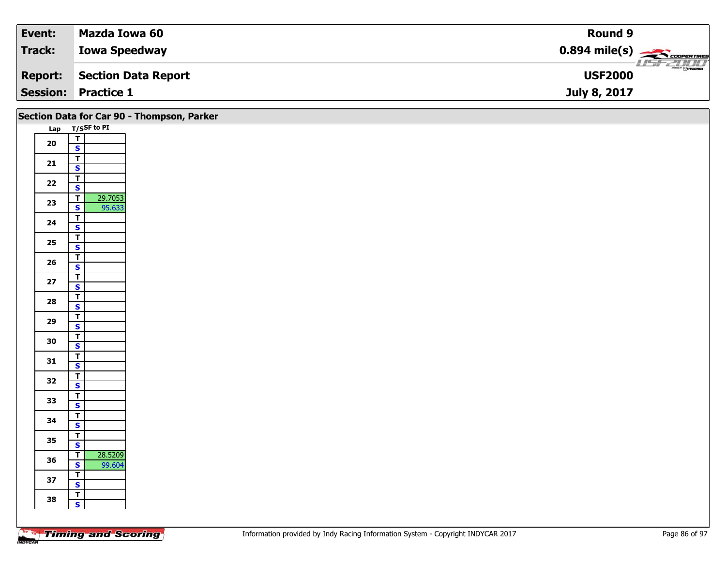| Event:         | Mazda Iowa 60              | Round 9                                                |
|----------------|----------------------------|--------------------------------------------------------|
| Track:         | <b>Iowa Speedway</b>       | $0.894$ mile(s) $\overbrace{\hspace{2cm}}$ coorentines |
| <b>Report:</b> | Section Data Report        | $\frac{2\pi}{\omega}$<br><b>USF2000</b>                |
|                | <b>Session: Practice 1</b> | July 8, 2017                                           |

|            |                                                    | Section Data for Car 90 - Thompson, Parker |
|------------|----------------------------------------------------|--------------------------------------------|
|            |                                                    | Lap T/SSF to PI                            |
| ${\bf 20}$ | $\frac{1}{s}$                                      |                                            |
|            |                                                    |                                            |
| $21$       | $rac{T}{s}$                                        |                                            |
|            | $\overline{\mathsf{r}}$                            |                                            |
| $22$       | $\overline{\mathbf{s}}$                            |                                            |
| 23         | $\overline{\mathsf{r}}$                            | 29.7053                                    |
|            | $\mathbf{s}$                                       | 95.633                                     |
| 24         | $\frac{1}{s}$                                      |                                            |
|            | $\overline{1}$                                     |                                            |
| 25         | $\overline{\mathbf{s}}$                            |                                            |
| 26         | $\overline{\mathbf{T}}$                            |                                            |
|            | $\overline{\mathbf{s}}$                            |                                            |
| 27         | $\frac{1}{s}$                                      |                                            |
|            | $\overline{1}$                                     |                                            |
| 28         | $\mathbf{s}$                                       |                                            |
|            |                                                    |                                            |
| 29         | $rac{1}{s}$                                        |                                            |
| 30         | $\overline{\mathbf{r}}$                            |                                            |
|            | $\overline{\mathbf{s}}$                            |                                            |
| 31         | $\overline{\mathbf{T}}$<br>$\mathbf{s}$            |                                            |
|            |                                                    |                                            |
| 32         | $\frac{1}{s}$                                      |                                            |
| 33         | $\frac{1}{s}$                                      |                                            |
|            |                                                    |                                            |
| 34         | $\mathbf{T}$                                       |                                            |
|            | $\overline{\mathbf{s}}$<br>$\overline{\mathbf{r}}$ |                                            |
| 35         | $\mathbf{s}$                                       |                                            |
|            | $\overline{t}$                                     | 28.5209                                    |
| 36         | $\mathbf{s}$                                       | 99.604                                     |
| 37         | $\overline{\mathbf{r}}$                            |                                            |
|            | $\overline{\mathbf{s}}$                            |                                            |
| 38         | $rac{1}{s}$                                        |                                            |
|            |                                                    |                                            |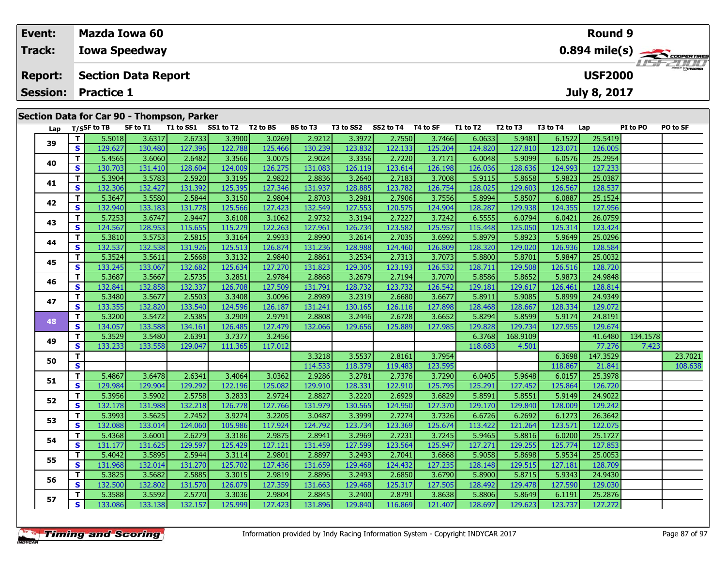| Event:         |                 |                                                 | Mazda Iowa 60                                |           |                    |  |                 |           |           |          |          |                                  |          | <b>Round 9</b> |                 |          |
|----------------|-----------------|-------------------------------------------------|----------------------------------------------|-----------|--------------------|--|-----------------|-----------|-----------|----------|----------|----------------------------------|----------|----------------|-----------------|----------|
| <b>Track:</b>  |                 | $0.894 \text{ mile(s)}$<br><b>Iowa Speedway</b> |                                              |           |                    |  |                 |           |           |          |          |                                  |          |                |                 |          |
| <b>Report:</b> |                 |                                                 | <b>USF2000</b><br><b>Section Data Report</b> |           |                    |  |                 |           |           |          |          |                                  |          |                |                 |          |
|                | <b>Session:</b> | <b>Practice 1</b><br><b>July 8, 2017</b>        |                                              |           |                    |  |                 |           |           |          |          |                                  |          |                |                 |          |
|                |                 |                                                 |                                              |           |                    |  |                 |           |           |          |          |                                  |          |                |                 |          |
|                |                 | Section Data for Car 90 - Thompson, Parker      |                                              |           |                    |  |                 |           |           |          |          |                                  |          |                |                 |          |
|                |                 | Lap T/SSF to TB                                 | SF to T1                                     | T1 to SS1 | SS1 to T2 T2 to BS |  | <b>BS</b> to T3 | T3 to SS2 | SS2 to T4 | T4 to SF | T1 to T2 | T <sub>2</sub> to T <sub>3</sub> | T3 to T4 | Lap            | <b>PI</b> to PO | PO to SF |

| Lap |          | T/SSF to IB | <b>SF to 11</b> | <b>11 to SS1</b> | $551 \text{ to } 12$ $12 \text{ to } 15$ |         | <b>BS to 13</b> | 13 to SS2 | SS2 to 14 14 to SF |         | 11 to 12 | 12 to 13 | 13 to 14 | Lap      | PI to PO | PO to SF |
|-----|----------|-------------|-----------------|------------------|------------------------------------------|---------|-----------------|-----------|--------------------|---------|----------|----------|----------|----------|----------|----------|
| 39  | T.       | 5.5018      | 3.6317          | 2.6733           | 3.3900                                   | 3.0269  | 2.9212          | 3.3972    | 2.7550             | 3.7466  | 6.0633   | 5.9481   | 6.1522   | 25.5419  |          |          |
|     | <b>S</b> | 129.627     | 130.480         | 127.396          | 122.788                                  | 125.466 | 130.239         | 123.832   | 122.133            | 125.204 | 124.820  | 127.810  | 123.071  | 126.005  |          |          |
| 40  | T.       | 5.4565      | 3.6060          | 2.6482           | 3.3566                                   | 3.0075  | 2.9024          | 3.3356    | 2.7220             | 3.7171  | 6.0048   | 5.9099   | 6.0576   | 25.2954  |          |          |
|     | <b>S</b> | 130.703     | 131.410         | 128.604          | 124.009                                  | 126.275 | 131.083         | 126.119   | 123.614            | 126.198 | 126.036  | 128.636  | 124.993  | 127.233  |          |          |
| 41  | T.       | 5.3904      | 3.5783          | 2.5920           | 3.3195                                   | 2.9822  | 2.8836          | 3.2640    | 2.7183             | 3.7008  | 5.9115   | 5.8658   | 5.9823   | 25.0387  |          |          |
|     | S        | 132.306     | 132.427         | 131.392          | 125.395                                  | 127.346 | 131.937         | 128.885   | 123.782            | 126.754 | 128.025  | 129.603  | 126.567  | 128.537  |          |          |
| 42  | T.       | 5.3647      | 3.5580          | 2.5844           | 3.3150                                   | 2.9804  | 2.8703          | 3.2981    | 2.7906             | 3.7556  | 5.8994   | 5.8507   | 6.0887   | 25.1524  |          |          |
|     | S        | 132.940     | 133.183         | 131.778          | 125.566                                  | 127.423 | 132.549         | 127.553   | 120.575            | 124.904 | 128.287  | 129.938  | 124.355  | 127.956  |          |          |
| 43  | T.       | 5.7253      | 3.6747          | 2.9447           | 3.6108                                   | 3.1062  | 2.9732          | 3.3194    | 2.7227             | 3.7242  | 6.5555   | 6.0794   | 6.0421   | 26.0759  |          |          |
|     | S.       | 124.567     | 128.953         | 115.655          | 115.279                                  | 122.263 | 127.961         | 126.734   | 123.582            | 125.957 | 115.448  | 125.050  | 125.314  | 123.424  |          |          |
| 44  | T.       | 5.3810      | 3.5753          | 2.5815           | 3.3164                                   | 2.9933  | 2.8990          | 3.2614    | 2.7035             | 3.6992  | 5.8979   | 5.8923   | 5.9649   | 25.0296  |          |          |
|     | S        | 132.537     | 132.538         | 131.926          | 125.513                                  | 126.874 | 131.236         | 128.988   | 124.460            | 126.809 | 128.320  | 129.020  | 126.936  | 128.584  |          |          |
| 45  | T.       | 5.3524      | 3.5611          | 2.5668           | 3.3132                                   | 2.9840  | 2.8861          | 3.2534    | 2.7313             | 3.7073  | 5.8800   | 5.8701   | 5.9847   | 25.0032  |          |          |
|     | <b>S</b> | 133.245     | 133.067         | 132.682          | 125.634                                  | 127.270 | 131.823         | 129.305   | 123.193            | 126.532 | 128.711  | 129.508  | 126.516  | 128.720  |          |          |
| 46  | T.       | 5.3687      | 3.5667          | 2.5735           | 3.2851                                   | 2.9784  | 2.8868          | 3.2679    | 2.7194             | 3.7070  | 5.8586   | 5.8652   | 5.9873   | 24.9848  |          |          |
|     | S.       | 132.841     | 132.858         | 132.337          | 126.708                                  | 127.509 | 131.791         | 128.732   | 123.732            | 126.542 | 129.181  | 129.617  | 126.461  | 128.814  |          |          |
| 47  | T.       | 5.3480      | 3.5677          | 2.5503           | 3.3408                                   | 3.0096  | 2.8989          | 3.2319    | 2.6680             | 3.6677  | 5.8911   | 5.9085   | 5.8999   | 24.9349  |          |          |
|     | <b>S</b> | 133.355     | 132.820         | 133.540          | 124.596                                  | 126.187 | 131.241         | 130.165   | 126.116            | 127.898 | 128.468  | 128.667  | 128.334  | 129.072  |          |          |
| 48  | T.       | 5.3200      | 3.5472          | 2.5385           | 3.2909                                   | 2.9791  | 2.8808          | 3.2446    | 2.6728             | 3.6652  | 5.8294   | 5.8599   | 5.9174   | 24.8191  |          |          |
|     | <b>S</b> | 134.057     | 133.588         | 134.161          | 126.485                                  | 127.479 | 132.066         | 129.656   | 125.889            | 127.985 | 129.828  | 129.734  | 127.955  | 129.674  |          |          |
| 49  | T.       | 5.3529      | 3.5480          | 2.6391           | 3.7377                                   | 3.2456  |                 |           |                    |         | 6.3768   | 168.9109 |          | 41.6480  | 134.1578 |          |
|     | <b>S</b> | 133.233     | 133.558         | 129.047          | 111.365                                  | 117.012 |                 |           |                    |         | 118.683  | 4.501    |          | 77.276   | 7.423    |          |
| 50  | T.       |             |                 |                  |                                          |         | 3.3218          | 3.5537    | 2.8161             | 3.7954  |          |          | 6.3698   | 147.3529 |          | 23.7021  |
|     | S        |             |                 |                  |                                          |         | 114.533         | 118.379   | 119.483            | 123.595 |          |          | 118.867  | 21.841   |          | 108.638  |
| 51  | T.       | 5.4867      | 3.6478          | 2.6341           | 3.4064                                   | 3.0362  | 2.9286          | 3.2781    | 2.7376             | 3.7290  | 6.0405   | 5.9648   | 6.0157   | 25.3978  |          |          |
|     | S        | 129.984     | 129.904         | 129.292          | 122.196                                  | 125.082 | 129.910         | 128.331   | 122.910            | 125.795 | 125.291  | 127.452  | 125.864  | 126.720  |          |          |
| 52  | T.       | 5.3956      | 3.5902          | 2.5758           | 3.2833                                   | 2.9724  | 2.8827          | 3.2220    | 2.6929             | 3.6829  | 5.8591   | 5.8551   | 5.9149   | 24.9022  |          |          |
|     | <b>S</b> | 132.178     | 131.988         | 132.218          | 126.778                                  | 127.766 | 131.979         | 130.565   | 124.950            | 127.370 | 129.170  | 129.840  | 128.009  | 129.242  |          |          |
| 53  | T.       | 5.3993      | 3.5625          | 2.7452           | 3.9274                                   | 3.2205  | 3.0487          | 3.3999    | 2.7274             | 3.7326  | 6.6726   | 6.2692   | 6.1273   | 26.3642  |          |          |
|     | <b>S</b> | 132.088     | 133.014         | 124.060          | 105.986                                  | 117.924 | 124.792         | 123.734   | 123.369            | 125.674 | 113.422  | 121.264  | 123.571  | 122.075  |          |          |
| 54  | T.       | 5.4368      | 3.6001          | 2.6279           | 3.3186                                   | 2.9875  | 2.8941          | 3.2969    | 2.7231             | 3.7245  | 5.9465   | 5.8816   | 6.0200   | 25.1727  |          |          |
|     | S        | 131.177     | 131.625         | 129.597          | 125.429                                  | 127.121 | 131.459         | 127.599   | 123.564            | 125.947 | 127.271  | 129.255  | 125.774  | 127.853  |          |          |
| 55  | T.       | 5.4042      | 3.5895          | 2.5944           | 3.3114                                   | 2.9801  | 2.8897          | 3.2493    | 2.7041             | 3.6868  | 5.9058   | 5.8698   | 5.9534   | 25.0053  |          |          |
|     | S        | 131.968     | 132.014         | 131.270          | 125.702                                  | 127.436 | 131.659         | 129.468   | 124.432            | 127.235 | 128.148  | 129.515  | 127.181  | 128.709  |          |          |
| 56  | T.       | 5.3825      | 3.5682          | 2.5885           | 3.3015                                   | 2.9819  | 2.8896          | 3.2493    | 2.6850             | 3.6790  | 5.8900   | 5.8715   | 5.9343   | 24.9430  |          |          |
|     | <b>S</b> | 132.500     | 132.802         | 131.570          | 126.079                                  | 127.359 | 131.663         | 129.468   | 125.317            | 127.505 | 128.492  | 129.478  | 127.590  | 129.030  |          |          |
| 57  | T.       | 5.3588      | 3.5592          | 2.5770           | 3.3036                                   | 2.9804  | 2.8845          | 3.2400    | 2.8791             | 3.8638  | 5.8806   | 5.8649   | 6.1191   | 25.2876  |          |          |
|     | S.       | 133.086     | 133.138         | 132.157          | 125.999                                  | 127.423 | 131.896         | 129.840   | 116.869            | 121.407 | 128.697  | 129.623  | 123.737  | 127.272  |          |          |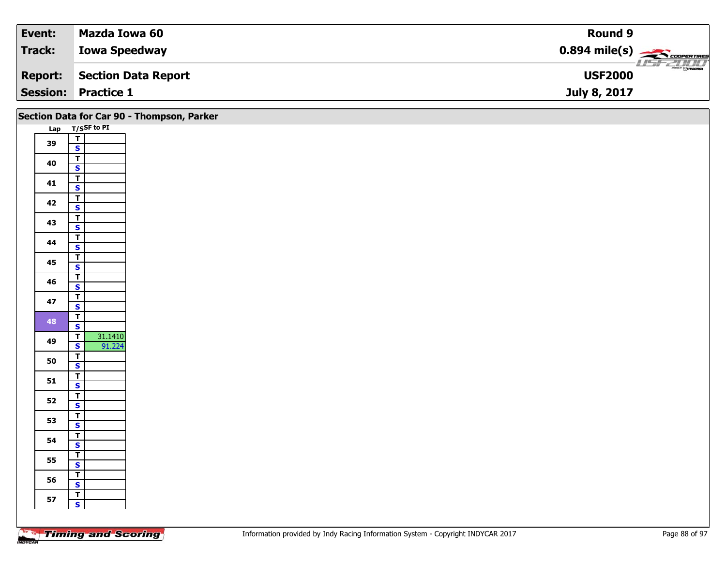| Event:         | Mazda Iowa 60              | Round 9                                                |
|----------------|----------------------------|--------------------------------------------------------|
| Track:         | <b>Iowa Speedway</b>       | $0.894$ mile(s) $\overbrace{\hspace{2cm}}$ coorentines |
| <b>Report:</b> | Section Data Report        | $\frac{2\pi}{\omega}$<br><b>USF2000</b>                |
|                | <b>Session: Practice 1</b> | July 8, 2017                                           |

|    |                                              | Section Data for Car 90 - Thompson, Parker |
|----|----------------------------------------------|--------------------------------------------|
|    | Lap T/SSF to PI                              |                                            |
| 39 | $rac{1}{s}$                                  |                                            |
|    |                                              |                                            |
| 40 | $\overline{\mathbf{r}}$                      |                                            |
|    | $\overline{\mathbf{s}}$                      |                                            |
| 41 | $\overline{1}$                               |                                            |
|    | $\overline{\mathbf{s}}$                      |                                            |
| 42 | $\overline{\mathbf{T}}$                      |                                            |
|    | $\mathbf{s}$                                 |                                            |
| 43 | $\overline{\mathsf{r}}$                      |                                            |
|    | $\overline{\mathbf{s}}$                      |                                            |
| 44 | $\overline{\mathbf{r}}$                      |                                            |
|    | $\mathbf{s}$                                 |                                            |
| 45 | $\overline{\mathsf{T}}$<br>$\mathbf{s}$      |                                            |
|    | $\overline{\mathbf{r}}$                      |                                            |
| 46 | $\mathbf{s}$                                 |                                            |
|    | $\overline{\mathsf{r}}$                      |                                            |
| 47 | $\mathsf{s}$                                 |                                            |
|    | $\mathbf{T}$                                 |                                            |
| 48 | $\overline{\mathbf{s}}$                      |                                            |
|    | $\overline{\mathbf{T}}$                      |                                            |
| 49 | 31.1410<br>91.224<br>$\overline{\mathbf{s}}$ |                                            |
| 50 | $\overline{1}$                               |                                            |
|    | $\overline{\mathbf{s}}$                      |                                            |
| 51 | $\overline{\mathbf{r}}$                      |                                            |
|    | $\mathbf{s}$                                 |                                            |
| 52 | $\overline{\mathbf{T}}$                      |                                            |
|    | $\overline{\mathbf{s}}$                      |                                            |
| 53 | $rac{1}{s}$                                  |                                            |
|    | $\overline{\mathbf{r}}$                      |                                            |
| 54 | $\mathbf{s}$                                 |                                            |
|    | $\overline{1}$                               |                                            |
| 55 | $\mathbf{s}$                                 |                                            |
|    | $\overline{\mathsf{r}}$                      |                                            |
| 56 | $\mathbf{s}$                                 |                                            |
| 57 | $\overline{\mathsf{T}}$                      |                                            |
|    | $\mathbf{s}$                                 |                                            |
|    |                                              |                                            |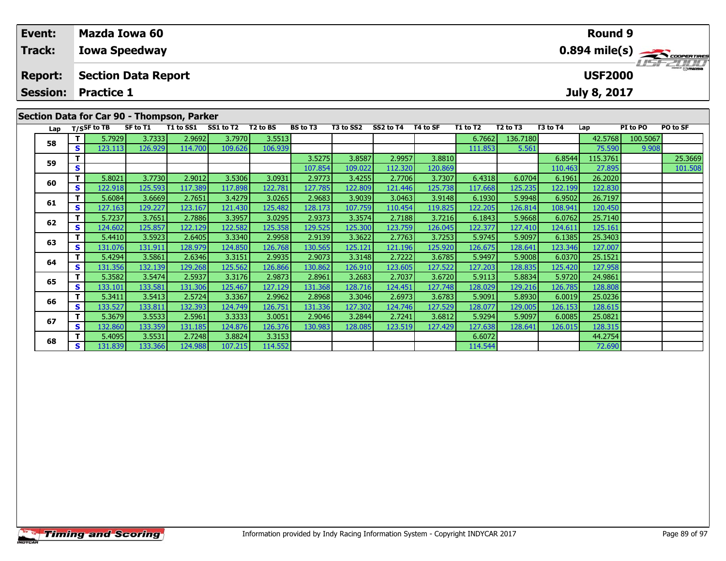| Event:         | Mazda Iowa 60                              | <b>Round 9</b>                     |
|----------------|--------------------------------------------|------------------------------------|
| <b>Track:</b>  | <b>Iowa Speedway</b>                       |                                    |
| <b>Report:</b> | <b>Section Data Report</b>                 | <b>LISF 2000</b><br><b>USF2000</b> |
|                | <b>Session: Practice 1</b>                 | <b>July 8, 2017</b>                |
|                | Section Data for Car 90 - Thompson, Parker |                                    |

| Lap |              | T/SSF to TB | SF to T1 | T1 to SS1 | SS1 to T2 | T2 to BS | <b>BS</b> to T3 | T3 to SS2 | SS2 to T4 | T4 to SF | T1 to T2 | T <sub>2</sub> to T <sub>3</sub> | T3 to T4 | Lap      | PI to PO | PO to SF |
|-----|--------------|-------------|----------|-----------|-----------|----------|-----------------|-----------|-----------|----------|----------|----------------------------------|----------|----------|----------|----------|
| 58  | τI           | 5.7929      | 3.7333   | 2.9692    | 3.7970    | 3.5513   |                 |           |           |          | 6.7662   | 136.7180                         |          | 42.5768  | 100.5067 |          |
|     | s l          | 123.113     | 126.929  | 114.700   | 109.626   | 106.939  |                 |           |           |          | 111.853  | 5.561                            |          | 75.590   | 9.908    |          |
| 59  |              |             |          |           |           |          | 3.5275          | 3.8587    | 2.9957    | 3.8810   |          |                                  | 6.8544   | 115.3761 |          | 25.3669  |
|     | S.           |             |          |           |           |          | 107.854         | 109.022   | 112.320   | 120.869  |          |                                  | 110.463  | 27.895   |          | 101.508  |
| 60  | Τ.           | 5.8021      | 3.7730   | 2.9012    | 3.5306    | 3.0931   | 2.9773          | 3.4255    | 2.7706    | 3.7307   | 6.4318   | 6.0704                           | 6.1961   | 26.2020  |          |          |
|     | S.           | 122.918     | 125.593  | 117.389   | 117.898   | 122.781  | 127.785         | 122.809   | 121.446   | 125.738  | 117.668  | 125.235                          | 122.199  | 122.830  |          |          |
|     | Τ.           | 5.6084      | 3.6669   | 2.7651    | 3.4279    | 3.0265   | 2.9683          | 3.9039    | 3.0463    | 3.9148   | 6.1930   | 5.9948                           | 6.9502   | 26.7197  |          |          |
| 61  | S.           | 127.163     | 129.227  | 123.167   | 121.430   | 125.482  | 128.173         | 107.759   | 110.454   | 119.825  | 122.205  | 126.814                          | 108.941  | 120.450  |          |          |
| 62  |              | 5.7237      | 3.7651   | 2.7886    | 3.3957    | 3.0295   | 2.9373          | 3.3574    | 2.7188    | 3.7216   | 6.1843   | 5.9668                           | 6.0762   | 25.7140  |          |          |
|     | s l          | 124.602     | 125.857  | 122.129   | 122.582   | 125.358  | 129.525         | 125.300   | 123.759   | 126.045  | 122.377  | 127.410                          | 124.611  | 125.161  |          |          |
| 63  | Τ.           | 5.4410      | 3.5923   | 2.6405    | 3.3340    | 2.9958   | 2.9139          | 3.3622    | 2.7763    | 3.7253   | 5.9745   | 5.9097                           | 6.1385   | 25.3403  |          |          |
|     | S.           | 131.076     | 131.911  | 128.979   | 124.850   | 126.768  | 130.565         | 125.121   | 121.196   | 125.920  | 126.675  | 128.641                          | 123.346  | 127.007  |          |          |
| 64  |              | 5.4294      | 3.5861   | 2.6346    | 3.3151    | 2.9935   | 2.9073          | 3.3148    | 2.7222    | 3.6785   | 5.9497   | 5.9008                           | 6.0370   | 25.1521  |          |          |
|     | S I          | 131.356     | 132.139  | 129.268   | 125.562   | 126.866  | 130.862         | 126.910   | 123.605   | 127.522  | 127.203  | 128.835                          | 125.420  | 127.958  |          |          |
| 65  | Τ.           | 5.3582      | 3.5474   | 2.5937    | 3.3176    | 2.9873   | 2.8961          | 3.2683    | 2.7037    | 3.6720   | 5.9113   | 5.8834                           | 5.9720   | 24.9861  |          |          |
|     | S I          | 133.101     | 133.581  | 131.306   | 125.467   | 127.129  | 131.368         | 128.716   | 124.451   | 127.748  | 128.029  | 129.216                          | 126.785  | 128.808  |          |          |
| 66  |              | 5.3411      | 3.5413   | 2.5724    | 3.3367    | 2.9962   | 2.8968          | 3.3046    | 2.6973    | 3.6783   | 5.9091   | 5.8930                           | 6.0019   | 25.0236  |          |          |
|     | S.           | 133.527     | 133.811  | 132.393   | 124.749   | 126.751  | 131.336         | 127.302   | 124.746   | 127.529  | 128.077  | 129.005                          | 126.153  | 128.615  |          |          |
| 67  |              | 5.3679      | 3.5533   | 2.5961    | 3.3333    | 3.0051   | 2.9046          | 3.2844    | 2.7241    | 3.6812   | 5.9294   | 5.9097                           | 6.0085   | 25.0821  |          |          |
|     | S I          | 132.860     | 133.359  | 131.185   | 124.876   | 126.376  | 130.983         | 128.085   | 123.519   | 127.429  | 127.638  | 128.641                          | 126.015  | 128.315  |          |          |
| 68  |              | 5.4095      | 3.5531   | 2.7248    | 3.8824    | 3.3153   |                 |           |           |          | 6.6072   |                                  |          | 44.2754  |          |          |
|     | $\mathbf{s}$ | 131.839     | 133.366  | 124.988   | 107.215   | 114.552  |                 |           |           |          | 114.544  |                                  |          | 72.690   |          |          |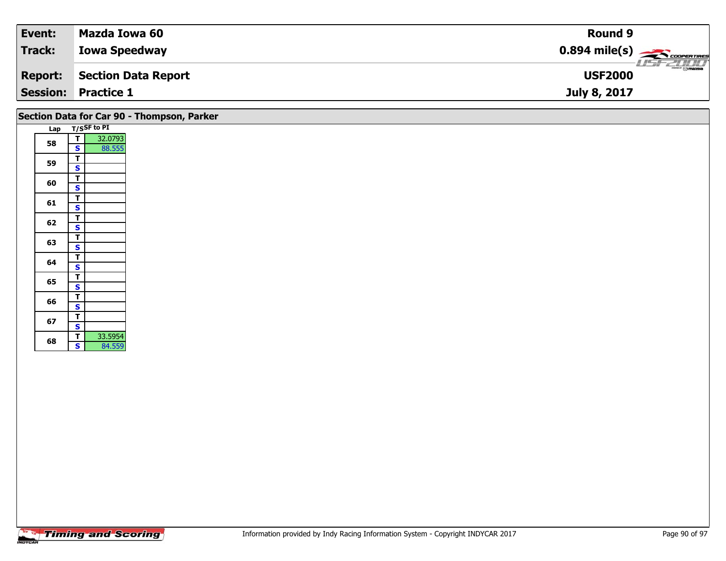| Event:          | Mazda Iowa 60              | <b>Round 9</b>                                        |
|-----------------|----------------------------|-------------------------------------------------------|
| <b>Track:</b>   | <b>Iowa Speedway</b>       | $0.894$ mile(s) $\overbrace{\hspace{2cm}}$ coorganges |
| <b>Report:</b>  | <b>Section Data Report</b> | $\frac{2}{\odot}$ mazoa<br><b>USF2000</b>             |
| <b>Session:</b> | <b>Practice 1</b>          | July 8, 2017                                          |

|  |  |  |  | Section Data for Car 90 - Thompson, Parker |  |
|--|--|--|--|--------------------------------------------|--|
|--|--|--|--|--------------------------------------------|--|

| Lap |                         | T/SSF to PI |
|-----|-------------------------|-------------|
| 58  | т                       | 32.0793     |
|     | S                       | 88.555      |
| 59  | Т                       |             |
|     | S                       |             |
| 60  | Т                       |             |
|     | s                       |             |
| 61  | т                       |             |
|     | S                       |             |
| 62  | I                       |             |
|     | $\overline{\mathbf{s}}$ |             |
| 63  | T                       |             |
|     | S                       |             |
| 64  | Т                       |             |
|     | S                       |             |
| 65  |                         |             |
|     | $rac{T}{S}$             |             |
| 66  |                         |             |
|     | S                       |             |
| 67  | T                       |             |
|     | S                       |             |
| 68  | T                       | 33.5954     |
|     | S                       | 84.559      |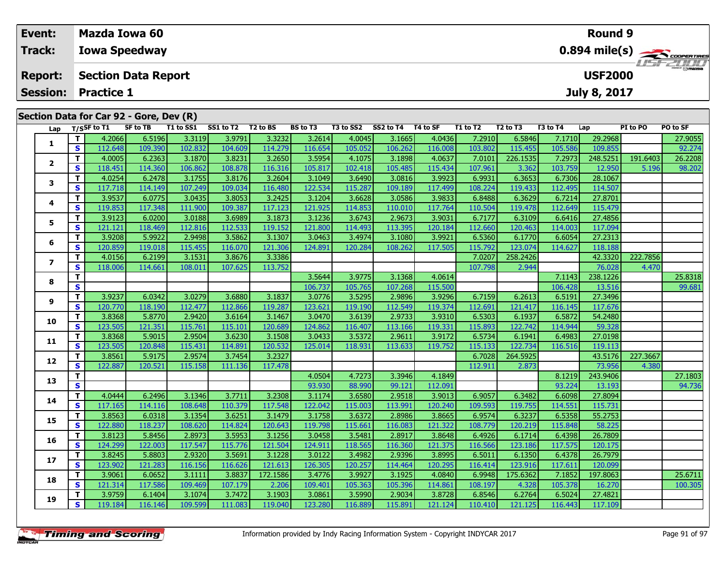| Event:                   |          | <b>Mazda Iowa 60</b>                         |                 |           |           |          |                 |           |           |          |          |                                  |          | Round 9      |          |                                           |
|--------------------------|----------|----------------------------------------------|-----------------|-----------|-----------|----------|-----------------|-----------|-----------|----------|----------|----------------------------------|----------|--------------|----------|-------------------------------------------|
| Track:                   |          | <b>Iowa Speedway</b>                         |                 |           |           |          |                 |           |           |          |          |                                  |          |              |          | $0.894$ mile(s) $\rightarrow$ correntment |
| <b>Report:</b>           |          | <b>Section Data Report</b><br><b>USF2000</b> |                 |           |           |          |                 |           |           |          |          |                                  |          |              |          |                                           |
| <b>Session:</b>          |          | <b>Practice 1</b>                            |                 |           |           |          |                 |           |           |          |          |                                  |          | July 8, 2017 |          |                                           |
|                          |          | Section Data for Car 92 - Gore, Dev (R)      |                 |           |           |          |                 |           |           |          |          |                                  |          |              |          |                                           |
| Lap                      |          | $T/S$ SF to T1                               | <b>SF to TB</b> | T1 to SS1 | SS1 to T2 | T2 to BS | <b>BS</b> to T3 | T3 to SS2 | SS2 to T4 | T4 to SF | T1 to T2 | T <sub>2</sub> to T <sub>3</sub> | T3 to T4 | Lap          | PI to PO | PO to SF                                  |
|                          | Τ.       | 4.2066                                       | 6.5196          | 3.3119    | 3.9791    | 3.3232   | 3.2614          | 4.0045    | 3.1665    | 4.0436   | 7.2910   | 6.5846                           | 7.1710   | 29.2968      |          | 27.9055                                   |
| 1                        | S.       | 112.648                                      | 109.390         | 102.832   | 104.609   | 114.279  | 116.654         | 105.052   | 106.262   | 116.008  | 103.802  | 115.455                          | 105.586  | 109.855      |          | 92.274                                    |
| 2                        |          | 4.0005                                       | 6.2363          | 3.1870    | 3.8231    | 3.2650   | 3.5954          | 4.1075    | 3.1898    | 4.0637   | 7.0101   | 226.1535                         | 7.2973   | 248.5251     | 191.6403 | 26.2208                                   |
|                          | <b>S</b> | 118.451                                      | 114.360         | 106.862   | 108.878   | 116.316  | 105.817         | 102.418   | 105.485   | 115.434  | 107.961  | 3.362                            | 103.759  | 12.950       | 5.196    | 98.202                                    |
| 3                        | Τ.       | 4.0254                                       | 6.2478          | 3.1755    | 3.8176    | 3.2604   | 3.1049          | 3.6490    | 3.0816    | 3.9923   | 6.9931   | 6.3653                           | 6.7306   | 28.1067      |          |                                           |
|                          | S.       | 117.718                                      | 114.149         | 107.249   | 109.034   | 116.480  | 122.534         | 115.287   | 109.189   | 117.499  | 108.224  | 119.433                          | 112.495  | 114.507      |          |                                           |
| 4                        | т        | 3.9537                                       | 6.0775          | 3.0435    | 3.8053    | 3.2425   | 3.1204          | 3.6628    | 3.0586    | 3.9833   | 6.8488   | 6.3629                           | 6.7214   | 27.8701      |          |                                           |
|                          | S.       | 119.853                                      | 117.348         | 111.900   | 109.387   | 117.123  | 121.925         | 114.853   | 110.010   | 117.764  | 110.504  | 119.478                          | 112.649  | 115.479      |          |                                           |
| 5                        | т        | 3.9123                                       | 6.0200          | 3.0188    | 3.6989    | 3.1873   | 3.1236          | 3.6743    | 2.9673    | 3.9031   | 6.7177   | 6.3109                           | 6.6416   | 27.4856      |          |                                           |
|                          | S.       | 121.121                                      | 118.469         | 112.816   | 112.533   | 119.152  | 121.800         | 114.493   | 113.395   | 120.184  | 112.660  | 120.463                          | 114.003  | 117.094      |          |                                           |
| 6                        | т        | 3.9208                                       | 5.9922          | 2.9498    | 3.5862    | 3.1307   | 3.0463          | 3.4974    | 3.1080    | 3.9921   | 6.5360   | 6.1770                           | 6.6054   | 27.2313      |          |                                           |
|                          | S        | 120.859                                      | 119.018         | 115.455   | 116.070   | 121.306  | 124.891         | 120.284   | 108.262   | 117.505  | 115.792  | 123.074                          | 114.627  | 118.188      |          |                                           |
| $\overline{\phantom{a}}$ | Τ.       | 4.0156                                       | 6.2199          | 3.1531    | 3.8676    | 3.3386   |                 |           |           |          | 7.0207   | 258.2426                         |          | 42.3320      | 222.7856 |                                           |
|                          | <b>S</b> | 118,006                                      | 114.661         | 108.011   | 107.625   | 113.752  |                 |           |           |          | 107.798  | 2.944                            |          | 76.028       | 4.470    |                                           |
| 8                        | т        |                                              |                 |           |           |          | 3.5644          | 3.9775    | 3.1368    | 4.0614   |          |                                  | 7.1143   | 238.1226     |          | 25.8318                                   |
|                          | S        |                                              |                 |           |           |          | 106.737         | 105.765   | 107.268   | 115.500  |          |                                  | 106.428  | 13.516       |          | 99.681                                    |
|                          | т.       | 3.9237                                       | 6.0342          | 3.0279    | 3.6880    | 3.1837   | 3.0776          | 3.5295    | 2.9896    | 3.9296   | 6.7159   | 6.2613                           | 6.5191   | 27.3496      |          |                                           |

| S<br>112.866<br>112.549<br>117.676<br>120.770<br>118.190<br>119.287<br>123.621<br>119.374<br>121.417<br>116.145<br>112.477<br>119.190<br>112.691<br>т<br>3.8368<br>5.8770<br>3.6164<br>3.6139<br>2.9733<br>6.1937<br>6.5872<br>54.2480<br>2.9420<br>3.1467<br>3.0470<br>3.9310<br>6.5303<br>10<br>S<br>123.505<br>121.351<br>115.101<br>120.689<br>122.742<br>59.328<br>116.407<br>113.166<br>119.331<br>115.893<br>114.944<br>115.761<br>124.862<br>т<br>3.8368<br>3.5372<br>5.9015<br>3.6230<br>2.9611<br>3.9172<br>6.5734<br>6.4983<br>27.0198<br>2.9504<br>3.1508<br>3.0433<br>6.1941<br>11<br>S<br>123.505<br>120.848<br>120.532<br>122.734<br>114.891<br>118.931<br>113.633<br>119.113<br>119.752<br>115.133<br>116.516<br>115.431<br>125.014<br>т<br>3.8561<br>3.7454<br>3.2327<br>227.3667<br>5.9175<br>2.9574<br>6.7028<br>264.5925<br>43.5176<br>12<br>S<br>122.887<br>120.521<br>4.380<br>117.478<br>2.873<br>73.956<br>115.158<br>111.136<br>112.911<br>т<br>4.7273<br>27.1803<br>4.0504<br>3.3946<br>4.1849<br>243.9406<br>8.1219<br>13<br>S<br>88.990<br>99.121<br>93.930<br>112.091<br>93.224<br>13.193<br>94.736<br>т<br>4.0444<br>6.2496<br>3.7711<br>3.2308<br>2.9518<br>6.9057<br>6.3482<br>27.8094<br>3.1346<br>3.1174<br>3.6580<br>3.9013<br>6.6098<br>14<br>S<br>110.379<br>119.755<br>117.165<br>114.116<br>117.548<br>122.042<br>115.003<br>113.991<br>114.551<br>115.731<br>108.648<br>120.240 <br>109.593<br>3.8563<br>т<br>3.6251<br>3.6372<br>2.8986<br>6.3237<br>6.5358<br>55.2753<br>6.0318<br>3.1354<br>3.1479<br>3.1758<br>3.8665<br>6.9574<br>15<br>120.643<br>S<br>122.880<br>118.237<br>114.824<br>115.661<br>116.083<br>58.225<br>108.620<br>119.798<br>121.322<br>108.779<br>120.219<br>115.848<br>т<br>3.8123<br>3.5953<br>3.1256<br>3.5481<br>2.8917<br>26.7809<br>5.8456<br>2.8973<br>3.0458<br>6.4926<br>6.1714<br>6.4398<br>3.8648<br>16<br>S<br>124.299<br>122.003<br>117.547<br>115.776<br>121.504<br>118.565<br>116.360<br>123.186<br>117.575<br>120.175<br>124.911<br>121.375<br>116.566<br>т<br>3.8245<br>5.8803<br>2.9320<br>3.5691<br>3.1228<br>3.0122<br>3.4982<br>2.9396<br>6.5011<br>6.1350<br>6.4378<br>26.7979<br>3.8995<br>17<br>S<br>121.283<br>121.613<br>123.902<br>120.257<br>114.464<br>123.916<br>117.611<br>120.099<br>116.156<br>116.626<br>126.305<br>120.295<br>116.414<br>3.9061<br>3.8837<br>3.9927<br>175.6362<br>197.8063<br>т<br>6.0652<br>172.1586<br>3.4776<br>3.1925<br>4.0840<br>6.9948<br>7.1852<br>25.6711<br>3.1111<br>18<br>S<br>117.586<br>121.314<br>107.179<br>105.363<br>105.396<br>4.328<br>105.378<br>109.469<br>2.206<br>109.401<br>114.861<br>108.197<br>16.270<br>100.305<br>3.9759<br>3.7472<br>3.1903<br>2.9034<br>6.2764<br>27.4821<br>т<br>6.1404<br>3.0861<br>3.5990<br>3.8728<br>6.8546<br>6.5024<br>3.1074<br>19<br>S<br>119.184<br>116.146<br>109.599<br>111.083<br>119.040<br>123.280<br>115.891<br>121.125<br>117.109<br>116.889<br>121.124<br>110.410<br>116.443 | 9 | л. | 3.9237 | 6.0342 | 3.02791 | 3.68801 | 3.1837 | 3.07761 | 3.52951 | 2.9896 I | 3.9296 | 6.71591 | 6.26131 | 6.5191 | 27.34961 |  |
|--------------------------------------------------------------------------------------------------------------------------------------------------------------------------------------------------------------------------------------------------------------------------------------------------------------------------------------------------------------------------------------------------------------------------------------------------------------------------------------------------------------------------------------------------------------------------------------------------------------------------------------------------------------------------------------------------------------------------------------------------------------------------------------------------------------------------------------------------------------------------------------------------------------------------------------------------------------------------------------------------------------------------------------------------------------------------------------------------------------------------------------------------------------------------------------------------------------------------------------------------------------------------------------------------------------------------------------------------------------------------------------------------------------------------------------------------------------------------------------------------------------------------------------------------------------------------------------------------------------------------------------------------------------------------------------------------------------------------------------------------------------------------------------------------------------------------------------------------------------------------------------------------------------------------------------------------------------------------------------------------------------------------------------------------------------------------------------------------------------------------------------------------------------------------------------------------------------------------------------------------------------------------------------------------------------------------------------------------------------------------------------------------------------------------------------------------------------------------------------------------------------------------------------------------------------------------------------------------------------------------------------------------------------------------------------------------------------------------------------------------------------------------------------------------------------------------------------------------------------------------------------------------------------------------------------------------------------------|---|----|--------|--------|---------|---------|--------|---------|---------|----------|--------|---------|---------|--------|----------|--|
|                                                                                                                                                                                                                                                                                                                                                                                                                                                                                                                                                                                                                                                                                                                                                                                                                                                                                                                                                                                                                                                                                                                                                                                                                                                                                                                                                                                                                                                                                                                                                                                                                                                                                                                                                                                                                                                                                                                                                                                                                                                                                                                                                                                                                                                                                                                                                                                                                                                                                                                                                                                                                                                                                                                                                                                                                                                                                                                                                                    |   |    |        |        |         |         |        |         |         |          |        |         |         |        |          |  |
|                                                                                                                                                                                                                                                                                                                                                                                                                                                                                                                                                                                                                                                                                                                                                                                                                                                                                                                                                                                                                                                                                                                                                                                                                                                                                                                                                                                                                                                                                                                                                                                                                                                                                                                                                                                                                                                                                                                                                                                                                                                                                                                                                                                                                                                                                                                                                                                                                                                                                                                                                                                                                                                                                                                                                                                                                                                                                                                                                                    |   |    |        |        |         |         |        |         |         |          |        |         |         |        |          |  |
|                                                                                                                                                                                                                                                                                                                                                                                                                                                                                                                                                                                                                                                                                                                                                                                                                                                                                                                                                                                                                                                                                                                                                                                                                                                                                                                                                                                                                                                                                                                                                                                                                                                                                                                                                                                                                                                                                                                                                                                                                                                                                                                                                                                                                                                                                                                                                                                                                                                                                                                                                                                                                                                                                                                                                                                                                                                                                                                                                                    |   |    |        |        |         |         |        |         |         |          |        |         |         |        |          |  |
|                                                                                                                                                                                                                                                                                                                                                                                                                                                                                                                                                                                                                                                                                                                                                                                                                                                                                                                                                                                                                                                                                                                                                                                                                                                                                                                                                                                                                                                                                                                                                                                                                                                                                                                                                                                                                                                                                                                                                                                                                                                                                                                                                                                                                                                                                                                                                                                                                                                                                                                                                                                                                                                                                                                                                                                                                                                                                                                                                                    |   |    |        |        |         |         |        |         |         |          |        |         |         |        |          |  |
|                                                                                                                                                                                                                                                                                                                                                                                                                                                                                                                                                                                                                                                                                                                                                                                                                                                                                                                                                                                                                                                                                                                                                                                                                                                                                                                                                                                                                                                                                                                                                                                                                                                                                                                                                                                                                                                                                                                                                                                                                                                                                                                                                                                                                                                                                                                                                                                                                                                                                                                                                                                                                                                                                                                                                                                                                                                                                                                                                                    |   |    |        |        |         |         |        |         |         |          |        |         |         |        |          |  |
|                                                                                                                                                                                                                                                                                                                                                                                                                                                                                                                                                                                                                                                                                                                                                                                                                                                                                                                                                                                                                                                                                                                                                                                                                                                                                                                                                                                                                                                                                                                                                                                                                                                                                                                                                                                                                                                                                                                                                                                                                                                                                                                                                                                                                                                                                                                                                                                                                                                                                                                                                                                                                                                                                                                                                                                                                                                                                                                                                                    |   |    |        |        |         |         |        |         |         |          |        |         |         |        |          |  |
|                                                                                                                                                                                                                                                                                                                                                                                                                                                                                                                                                                                                                                                                                                                                                                                                                                                                                                                                                                                                                                                                                                                                                                                                                                                                                                                                                                                                                                                                                                                                                                                                                                                                                                                                                                                                                                                                                                                                                                                                                                                                                                                                                                                                                                                                                                                                                                                                                                                                                                                                                                                                                                                                                                                                                                                                                                                                                                                                                                    |   |    |        |        |         |         |        |         |         |          |        |         |         |        |          |  |
|                                                                                                                                                                                                                                                                                                                                                                                                                                                                                                                                                                                                                                                                                                                                                                                                                                                                                                                                                                                                                                                                                                                                                                                                                                                                                                                                                                                                                                                                                                                                                                                                                                                                                                                                                                                                                                                                                                                                                                                                                                                                                                                                                                                                                                                                                                                                                                                                                                                                                                                                                                                                                                                                                                                                                                                                                                                                                                                                                                    |   |    |        |        |         |         |        |         |         |          |        |         |         |        |          |  |
|                                                                                                                                                                                                                                                                                                                                                                                                                                                                                                                                                                                                                                                                                                                                                                                                                                                                                                                                                                                                                                                                                                                                                                                                                                                                                                                                                                                                                                                                                                                                                                                                                                                                                                                                                                                                                                                                                                                                                                                                                                                                                                                                                                                                                                                                                                                                                                                                                                                                                                                                                                                                                                                                                                                                                                                                                                                                                                                                                                    |   |    |        |        |         |         |        |         |         |          |        |         |         |        |          |  |
|                                                                                                                                                                                                                                                                                                                                                                                                                                                                                                                                                                                                                                                                                                                                                                                                                                                                                                                                                                                                                                                                                                                                                                                                                                                                                                                                                                                                                                                                                                                                                                                                                                                                                                                                                                                                                                                                                                                                                                                                                                                                                                                                                                                                                                                                                                                                                                                                                                                                                                                                                                                                                                                                                                                                                                                                                                                                                                                                                                    |   |    |        |        |         |         |        |         |         |          |        |         |         |        |          |  |
|                                                                                                                                                                                                                                                                                                                                                                                                                                                                                                                                                                                                                                                                                                                                                                                                                                                                                                                                                                                                                                                                                                                                                                                                                                                                                                                                                                                                                                                                                                                                                                                                                                                                                                                                                                                                                                                                                                                                                                                                                                                                                                                                                                                                                                                                                                                                                                                                                                                                                                                                                                                                                                                                                                                                                                                                                                                                                                                                                                    |   |    |        |        |         |         |        |         |         |          |        |         |         |        |          |  |
|                                                                                                                                                                                                                                                                                                                                                                                                                                                                                                                                                                                                                                                                                                                                                                                                                                                                                                                                                                                                                                                                                                                                                                                                                                                                                                                                                                                                                                                                                                                                                                                                                                                                                                                                                                                                                                                                                                                                                                                                                                                                                                                                                                                                                                                                                                                                                                                                                                                                                                                                                                                                                                                                                                                                                                                                                                                                                                                                                                    |   |    |        |        |         |         |        |         |         |          |        |         |         |        |          |  |
|                                                                                                                                                                                                                                                                                                                                                                                                                                                                                                                                                                                                                                                                                                                                                                                                                                                                                                                                                                                                                                                                                                                                                                                                                                                                                                                                                                                                                                                                                                                                                                                                                                                                                                                                                                                                                                                                                                                                                                                                                                                                                                                                                                                                                                                                                                                                                                                                                                                                                                                                                                                                                                                                                                                                                                                                                                                                                                                                                                    |   |    |        |        |         |         |        |         |         |          |        |         |         |        |          |  |
|                                                                                                                                                                                                                                                                                                                                                                                                                                                                                                                                                                                                                                                                                                                                                                                                                                                                                                                                                                                                                                                                                                                                                                                                                                                                                                                                                                                                                                                                                                                                                                                                                                                                                                                                                                                                                                                                                                                                                                                                                                                                                                                                                                                                                                                                                                                                                                                                                                                                                                                                                                                                                                                                                                                                                                                                                                                                                                                                                                    |   |    |        |        |         |         |        |         |         |          |        |         |         |        |          |  |
|                                                                                                                                                                                                                                                                                                                                                                                                                                                                                                                                                                                                                                                                                                                                                                                                                                                                                                                                                                                                                                                                                                                                                                                                                                                                                                                                                                                                                                                                                                                                                                                                                                                                                                                                                                                                                                                                                                                                                                                                                                                                                                                                                                                                                                                                                                                                                                                                                                                                                                                                                                                                                                                                                                                                                                                                                                                                                                                                                                    |   |    |        |        |         |         |        |         |         |          |        |         |         |        |          |  |
|                                                                                                                                                                                                                                                                                                                                                                                                                                                                                                                                                                                                                                                                                                                                                                                                                                                                                                                                                                                                                                                                                                                                                                                                                                                                                                                                                                                                                                                                                                                                                                                                                                                                                                                                                                                                                                                                                                                                                                                                                                                                                                                                                                                                                                                                                                                                                                                                                                                                                                                                                                                                                                                                                                                                                                                                                                                                                                                                                                    |   |    |        |        |         |         |        |         |         |          |        |         |         |        |          |  |
|                                                                                                                                                                                                                                                                                                                                                                                                                                                                                                                                                                                                                                                                                                                                                                                                                                                                                                                                                                                                                                                                                                                                                                                                                                                                                                                                                                                                                                                                                                                                                                                                                                                                                                                                                                                                                                                                                                                                                                                                                                                                                                                                                                                                                                                                                                                                                                                                                                                                                                                                                                                                                                                                                                                                                                                                                                                                                                                                                                    |   |    |        |        |         |         |        |         |         |          |        |         |         |        |          |  |
|                                                                                                                                                                                                                                                                                                                                                                                                                                                                                                                                                                                                                                                                                                                                                                                                                                                                                                                                                                                                                                                                                                                                                                                                                                                                                                                                                                                                                                                                                                                                                                                                                                                                                                                                                                                                                                                                                                                                                                                                                                                                                                                                                                                                                                                                                                                                                                                                                                                                                                                                                                                                                                                                                                                                                                                                                                                                                                                                                                    |   |    |        |        |         |         |        |         |         |          |        |         |         |        |          |  |
|                                                                                                                                                                                                                                                                                                                                                                                                                                                                                                                                                                                                                                                                                                                                                                                                                                                                                                                                                                                                                                                                                                                                                                                                                                                                                                                                                                                                                                                                                                                                                                                                                                                                                                                                                                                                                                                                                                                                                                                                                                                                                                                                                                                                                                                                                                                                                                                                                                                                                                                                                                                                                                                                                                                                                                                                                                                                                                                                                                    |   |    |        |        |         |         |        |         |         |          |        |         |         |        |          |  |
|                                                                                                                                                                                                                                                                                                                                                                                                                                                                                                                                                                                                                                                                                                                                                                                                                                                                                                                                                                                                                                                                                                                                                                                                                                                                                                                                                                                                                                                                                                                                                                                                                                                                                                                                                                                                                                                                                                                                                                                                                                                                                                                                                                                                                                                                                                                                                                                                                                                                                                                                                                                                                                                                                                                                                                                                                                                                                                                                                                    |   |    |        |        |         |         |        |         |         |          |        |         |         |        |          |  |
|                                                                                                                                                                                                                                                                                                                                                                                                                                                                                                                                                                                                                                                                                                                                                                                                                                                                                                                                                                                                                                                                                                                                                                                                                                                                                                                                                                                                                                                                                                                                                                                                                                                                                                                                                                                                                                                                                                                                                                                                                                                                                                                                                                                                                                                                                                                                                                                                                                                                                                                                                                                                                                                                                                                                                                                                                                                                                                                                                                    |   |    |        |        |         |         |        |         |         |          |        |         |         |        |          |  |
|                                                                                                                                                                                                                                                                                                                                                                                                                                                                                                                                                                                                                                                                                                                                                                                                                                                                                                                                                                                                                                                                                                                                                                                                                                                                                                                                                                                                                                                                                                                                                                                                                                                                                                                                                                                                                                                                                                                                                                                                                                                                                                                                                                                                                                                                                                                                                                                                                                                                                                                                                                                                                                                                                                                                                                                                                                                                                                                                                                    |   |    |        |        |         |         |        |         |         |          |        |         |         |        |          |  |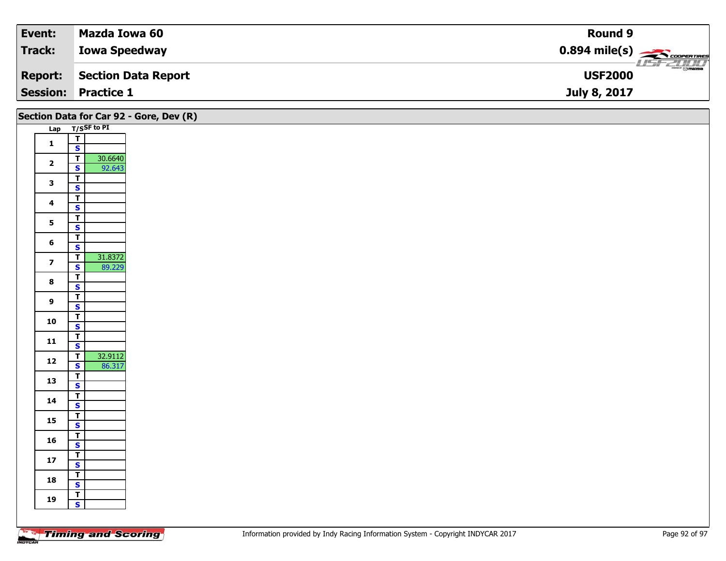| Event:          | Mazda Iowa 60        | Round 9                                             |
|-----------------|----------------------|-----------------------------------------------------|
| Track:          | <b>Iowa Speedway</b> | $0.894$ mile(s) $\overbrace{\hspace{2cm}}$ covening |
| <b>Report:</b>  | Section Data Report  | $\overline{\odot}$ mazpa<br><b>USF2000</b>          |
| <b>Session:</b> | <b>Practice 1</b>    | July 8, 2017                                        |

|                         |                                                                         | Section Data for Car 92 - Gore, Dev (R) |
|-------------------------|-------------------------------------------------------------------------|-----------------------------------------|
|                         | Lap T/SSF to PI                                                         |                                         |
| $\mathbf{1}$            | $\frac{1}{s}$                                                           |                                         |
|                         |                                                                         |                                         |
| $\overline{\mathbf{2}}$ | 30.6640<br>$\overline{1}$<br>92.643<br>$\overline{\mathbf{s}}$          |                                         |
| $\mathbf{3}$            | $\overline{\mathsf{T}}$<br>$\overline{\mathbf{s}}$                      |                                         |
|                         | $\overline{\mathsf{r}}$                                                 |                                         |
| $\overline{\mathbf{4}}$ | $\mathsf{s}$                                                            |                                         |
| $5\phantom{a}$          | $\overline{\mathsf{T}}$<br>$\overline{\mathbf{s}}$                      |                                         |
| $6\phantom{1}$          | $\overline{\mathbf{T}}$                                                 |                                         |
|                         | $\mathbf{s}$<br>31.8372<br>$\overline{\mathsf{T}}$                      |                                         |
| $\overline{\mathbf{z}}$ | $\overline{\mathbf{s}}$<br>89.229                                       |                                         |
| $\bf{8}$                | $\overline{\mathbf{r}}$<br>$\mathbf{s}$                                 |                                         |
|                         | $\overline{\mathsf{T}}$                                                 |                                         |
| $\overline{9}$          | $\mathbf{s}$                                                            |                                         |
| 10                      | $\overline{\mathsf{r}}$<br>$\overline{\mathbf{s}}$                      |                                         |
|                         | $\overline{\mathbf{r}}$                                                 |                                         |
| 11                      | $\mathbf{s}$                                                            |                                         |
| 12                      | 32.9112<br>$\overline{\mathsf{T}}$<br>$\overline{\mathbf{s}}$<br>86.317 |                                         |
|                         | $\overline{I}$                                                          |                                         |
| 13                      | $\mathbf{s}$                                                            |                                         |
| 14                      | $\overline{\mathsf{T}}$<br>$\mathbf{s}$                                 |                                         |
| 15                      | $\overline{\mathsf{T}}$                                                 |                                         |
|                         | $\overline{\mathbf{s}}$<br>$\overline{\mathbf{r}}$                      |                                         |
| 16                      | $\mathbf{s}$                                                            |                                         |
| 17                      | $rac{1}{s}$                                                             |                                         |
| 18                      | $\overline{\mathsf{T}}$                                                 |                                         |
|                         | $\overline{\mathbf{s}}$<br>$\overline{1}$                               |                                         |
| 19                      | $\mathsf{s}$                                                            |                                         |
|                         |                                                                         |                                         |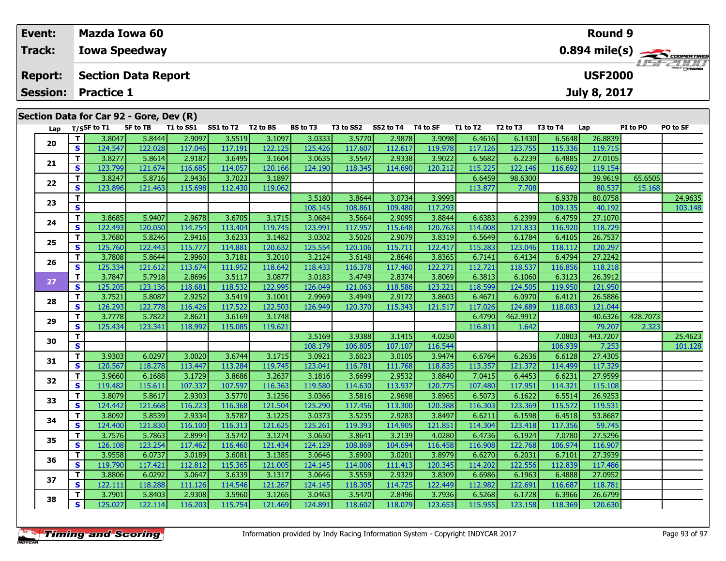| Event:          |                                              | <b>Mazda Iowa 60</b>                    |                 |           |           |                      |                 |           |           |          |          |                                  |          | <b>Round 9</b> |          |                                           |
|-----------------|----------------------------------------------|-----------------------------------------|-----------------|-----------|-----------|----------------------|-----------------|-----------|-----------|----------|----------|----------------------------------|----------|----------------|----------|-------------------------------------------|
| <b>Track:</b>   |                                              | <b>Iowa Speedway</b>                    |                 |           |           |                      |                 |           |           |          |          |                                  |          |                |          | $0.894$ mile(s) $\rightarrow$ COOPERTIRES |
| <b>Report:</b>  | <b>Section Data Report</b><br><b>USF2000</b> |                                         |                 |           |           |                      |                 |           |           |          |          |                                  |          |                |          |                                           |
| <b>Session:</b> |                                              | <b>Practice 1</b>                       |                 |           |           |                      |                 |           |           |          |          |                                  |          | July 8, 2017   |          |                                           |
|                 |                                              | Section Data for Car 92 - Gore, Dev (R) |                 |           |           |                      |                 |           |           |          |          |                                  |          |                |          |                                           |
| Lap             |                                              | T/SSF to T1                             | <b>SF to TB</b> | T1 to SS1 | SS1 to T2 | T <sub>2</sub> to BS | <b>BS</b> to T3 | T3 to SS2 | SS2 to T4 | T4 to SF | T1 to T2 | T <sub>2</sub> to T <sub>3</sub> | T3 to T4 | Lap            | PI to PO | PO to SF                                  |
|                 | Τ.                                           | 3.8047                                  | 5.8444          | 2.9097    | 3.5519    | 3.1097               | 3.0333          | 3.5770    | 2.9878    | 3.9098   | 6.4616   | 6.1430                           | 6.5648   | 26.8839        |          |                                           |
| 20              | S.                                           | 124.547                                 | 122.028         | 117.046   | 117.191   | 122.125              | 125.426         | 117.607   | 112.617   | 119.978  | 117.126  | 123.755                          | 115.336  | 119.715        |          |                                           |
|                 | т.                                           | 3.8277                                  | 5.8614          | 2.9187    | 3.6495    | 3.1604               | 3.0635          | 3.5547    | 2.9338    | 3.9022   | 6.5682   | 6.2239                           | 6.4885   | 27.0105        |          |                                           |
| 21              | S.                                           | 123.799                                 | 121.674         | 116.685   | 114.057   | 120.166              | 124.190         | 118.345   | 114.690   | 120.212  | 115.225  | 122.146                          | 116.692  | 119.154        |          |                                           |
| 22              | т                                            | 3.8247                                  | 5.8716          | 2.9436    | 3.7023    | 3.1897               |                 |           |           |          | 6.6459   | 98.6300                          |          | 39.9619        | 65.6505  |                                           |
|                 | S                                            | 123.896                                 | 121.463         | 115.698   | 112.430   | 119.062              |                 |           |           |          | 113.877  | 7.708                            |          | 80.537         | 15.168   |                                           |
| 23              | т                                            |                                         |                 |           |           |                      | 3.5180          | 3.8644    | 3.0734    | 3.9993   |          |                                  | 6.9378   | 80.0758        |          | 24.9635                                   |
|                 | S                                            |                                         |                 |           |           |                      | 108.145         | 108.861   | 109.480   | 117.293  |          |                                  | 109.135  | 40.192         |          | 103.148                                   |
| 24              | т.                                           | 3.8685                                  | 5.9407          | 2.9678    | 3.6705    | 3.1715               | 3.0684          | 3.5664    | 2.9095    | 3.8844   | 6.6383   | 6.2399                           | 6.4759   | 27.1070        |          |                                           |
|                 | S.                                           | 122.493                                 | 120.050         | 114.754   | 113.404   | 119.745              | 123.991         | 117.957   | 115.648   | 120.763  | 114.008  | 121.833                          | 116.920  | 118.729        |          |                                           |
| 25              | Τ.                                           | 3.7680                                  | 5.8246          | 2.9416    | 3.6233    | 3.1482               | 3.0302          | 3.5026    | 2.9079    | 3.8319   | 6.5649   | 6.1784                           | 6.4105   | 26.7537        |          |                                           |
|                 | S.                                           | 125.760                                 | 122.443         | 115.777   | 114.881   | 120.632              | 125.554         | 120.106   | 115.711   | 122.417  | 115.283  | 123.046                          | 118.112  | 120.297        |          |                                           |
| 26              | т.                                           | 3.7808                                  | 5.8644          | 2.9960    | 3.7181    | 3.2010               | 3.2124          | 3.6148    | 2.8646    | 3.8365   | 6.7141   | 6.4134                           | 6.4794   | 27.2242        |          |                                           |
|                 | S.                                           | 125.334                                 | 121.612         | 113.674   | 111.952   | 118.642              | 118.433         | 116.378   | 117.460   | 122.271  | 112.721  | 118.537                          | 116.856  | 118.218        |          |                                           |
| 27              | Τ.                                           | 3.7847                                  | 5.7918          | 2.8696    | 3.5117    | 3.0877               | 3.0183          | 3.4749    | 2.8374    | 3.8069   | 6.3813   | 6.1060                           | 6.3123   | 26.3912        |          |                                           |
|                 | S.                                           | 125.205                                 | 123.136         | 118.681   | 118.532   | 122.995              | 126.049         | 121.063   | 118.586   | 123.221  | 118.599  | 124.505                          | 119.950  | 121.950        |          |                                           |
| 28              | т.                                           | 3.7521                                  | 5.8087          | 2.9252    | 3.5419    | 3.1001               | 2.9969          | 3.4949    | 2.9172    | 3.8603   | 6.4671   | 6.0970                           | 6.4121   | 26.5886        |          |                                           |
|                 | S.                                           | 126.293                                 | 122.778         | 116,426   | 117.522   | 122.503              | 126.949         | 120.370   | 115.343   | 121.517  | 117.026  | 124.689                          | 118.083  | 121.044        |          |                                           |

**<sup>T</sup>** 3.7778 5.7822 2.8621 3.6169 3.1748 6.4790 462.9912 40.6326 428.7073 **<sup>S</sup>** 125.434 123.341 118.992 115.085 119.621 116.811 1.642 79.207 2.323

**<sup>T</sup>** 3.9303 6.0297 3.0020 3.6744 3.1715 3.0921 3.6023 3.0105 3.9474 6.6764 6.2636 6.6128 27.4305 **<sup>S</sup>** 120.567 118.278 113.447 113.284 119.745 123.041 116.781 111.768 118.835 113.357 121.372 114.499 117.329

**<sup>T</sup>** 3.9660 6.1688 3.1729 3.8686 3.2637 3.1816 3.6699 2.9532 3.8840 7.0415 6.4453 6.6231 27.9599 **<sup>S</sup>** 119.482 115.611 107.337 107.597 116.363 119.580 114.630 113.937 120.775 107.480 117.951 114.321 115.108

**<sup>T</sup>** 3.8079 5.8617 2.9303 3.5770 3.1256 3.0366 3.5816 2.9698 3.8965 6.5073 6.1622 6.5514 26.9253 **<sup>S</sup>** 124.442 121.668 116.223 116.368 121.504 125.290 117.456 113.300 120.388 116.303 123.369 115.572 119.531

**<sup>T</sup>** 3.8092 5.8539 2.9334 3.5787 3.1225 3.0373 3.5235 2.9283 3.8497 6.6211 6.1598 6.4518 53.8687 **<sup>S</sup>** 124.400 121.830 116.100 116.313 121.625 125.261 119.393 114.905 121.851 114.304 123.418 117.356 59.745

**<sup>T</sup>** 3.7576 5.7863 2.8994 3.5742 3.1274 3.0650 3.8641 3.2139 4.0280 6.4736 6.1924 7.0780 27.5296 **<sup>S</sup>** 126.108 123.254 117.462 116.460 121.434 124.129 108.869 104.694 116.458 116.908 122.768 106.974 116.907

**<sup>T</sup>** 3.9558 6.0737 3.0189 3.6081 3.1385 3.0646 3.6900 3.0201 3.8979 6.6270 6.2031 6.7101 27.3939 **<sup>S</sup>** 119.790 117.421 112.812 115.365 121.005 124.145 114.006 111.413 120.345 114.202 122.556 112.839 117.486

**<sup>T</sup>** 3.8806 6.0292 3.0647 3.6339 3.1317 3.0646 3.5559 2.9329 3.8309 6.6986 6.1963 6.4888 27.0952 **<sup>S</sup>** 122.111 118.288 111.126 114.546 121.267 124.145 118.305 114.725 122.449 112.982 122.691 116.687 118.781

**<sup>T</sup>** 3.7901 5.8403 2.9308 3.5960 3.1265 3.0463 3.5470 2.8496 3.7936 6.5268 6.1728 6.3966 26.6799 **<sup>S</sup>** 125.027 122.114 116.203 115.754 121.469 124.891 118.602 118.079 123.653 115.955 123.158 118.369 120.630

**T 3.5169 3.9388 3.1415 4.0250 106.205 107.0803 443.7207 25.4623 101.128**<br>T S 106.939 7.253 101.128

**29**

**30**

**31**

**32**

**33**

**34**

**35**

**36**

**37**

**38**

121.044

117.329

115.108

119.531

117.486

118.781

120.630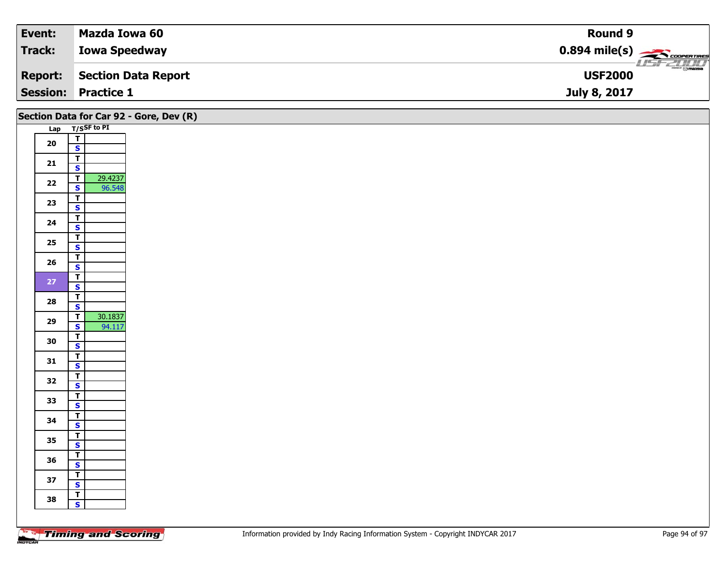| Event:          | Mazda Iowa 60        | Round 9                                             |
|-----------------|----------------------|-----------------------------------------------------|
| Track:          | <b>Iowa Speedway</b> | $0.894$ mile(s) $\overbrace{\hspace{2cm}}$ covening |
| <b>Report:</b>  | Section Data Report  | $\overline{\odot}$ mazpa<br><b>USF2000</b>          |
| <b>Session:</b> | <b>Practice 1</b>    | July 8, 2017                                        |

|        |                                           | Section Data for Car 92 - Gore, Dev (R) |
|--------|-------------------------------------------|-----------------------------------------|
|        | Lap T/SSF to PI                           |                                         |
| $20\,$ | $\frac{1}{s}$                             |                                         |
|        |                                           |                                         |
| 21     | $\overline{1}$<br>$\overline{\mathbf{s}}$ |                                         |
|        | 29.4237<br>$\overline{\mathsf{T}}$        |                                         |
| $22$   | 96.548<br>$\overline{\mathbf{s}}$         |                                         |
|        | $\overline{\mathsf{r}}$                   |                                         |
| 23     | $\mathbf{s}$                              |                                         |
|        | $\mathbf{T}$                              |                                         |
| 24     | $\overline{\mathbf{s}}$                   |                                         |
| $25\,$ | $\overline{\mathsf{T}}$                   |                                         |
|        | $\mathsf{s}$                              |                                         |
| 26     | $\overline{\mathsf{T}}$                   |                                         |
|        | $\mathbf{s}$<br>$\overline{\mathsf{T}}$   |                                         |
| 27     | $\overline{\mathbf{s}}$                   |                                         |
|        | $\overline{\mathbf{T}}$                   |                                         |
| 28     | $\mathsf{s}$                              |                                         |
| 29     | 30.1837<br>$\overline{\mathsf{r}}$        |                                         |
|        | 94.117<br>$\overline{\mathbf{s}}$         |                                         |
| 30     | $\overline{\mathsf{r}}$                   |                                         |
|        | $\mathsf{s}$                              |                                         |
| 31     | $rac{1}{s}$                               |                                         |
|        | $\overline{\mathbf{r}}$                   |                                         |
| 32     | $\mathbf{s}$                              |                                         |
|        | $\overline{\mathsf{r}}$                   |                                         |
| 33     | $\mathsf{s}$                              |                                         |
| 34     | ┳                                         |                                         |
|        | $\overline{\mathbf{s}}$                   |                                         |
| 35     | $\overline{\mathbf{r}}$                   |                                         |
|        | $\mathsf{s}$<br>$\overline{\mathbf{T}}$   |                                         |
| 36     | $\mathbf{s}$                              |                                         |
|        | $\overline{\mathbf{r}}$                   |                                         |
| 37     | $\overline{\mathbf{s}}$                   |                                         |
|        | $\overline{\mathbf{T}}$                   |                                         |
| 38     | $\mathbf{s}$                              |                                         |
|        |                                           |                                         |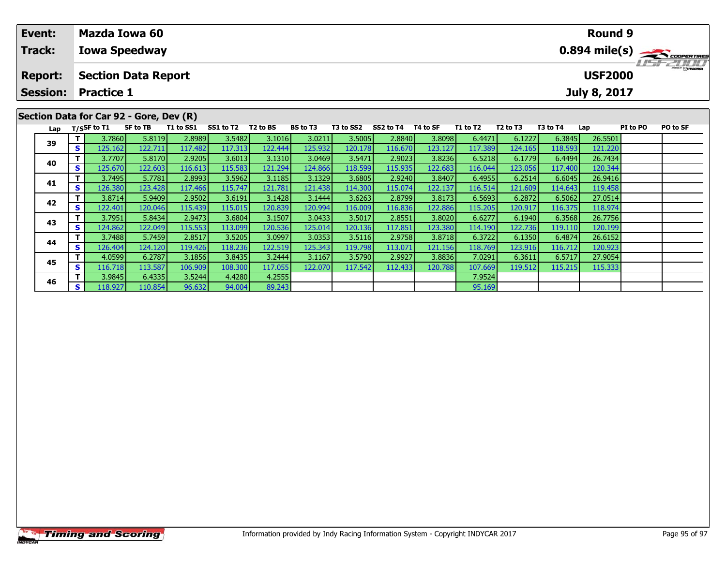| Event:<br><b>Track:</b>           |     | Mazda Iowa 60<br><b>Iowa Speedway</b>           |                 |           |           |          |          |           |           |          |                 |                                  |          | <b>Round 9</b>                        |          | $0.894$ mile(s) $\sum$ coorgarings |
|-----------------------------------|-----|-------------------------------------------------|-----------------|-----------|-----------|----------|----------|-----------|-----------|----------|-----------------|----------------------------------|----------|---------------------------------------|----------|------------------------------------|
| <b>Report:</b><br><b>Session:</b> |     | <b>Section Data Report</b><br><b>Practice 1</b> |                 |           |           |          |          |           |           |          |                 |                                  |          | <b>USF2000</b><br><b>July 8, 2017</b> |          | <b>LISF 2000</b>                   |
|                                   |     | Section Data for Car 92 - Gore, Dev (R)         |                 |           |           |          |          |           |           |          |                 |                                  |          |                                       |          |                                    |
|                                   |     | Lap T/SSF to T1                                 | <b>SF to TB</b> | T1 to SS1 | SS1 to T2 | T2 to BS | BS to T3 | T3 to SS2 | SS2 to T4 | T4 to SF | <b>T1 to T2</b> | T <sub>2</sub> to T <sub>3</sub> | T3 to T4 | Lap                                   | PI to PO | PO to SF                           |
|                                   |     | 3.7860                                          | 5.8119          | 2.8989    | 3.5482    | 3.1016   | 3.0211   | 3.5005    | 2.8840    | 3.8098   | 6.4471          | 6.1227                           | 6.3845   | 26.5501                               |          |                                    |
| 39                                | s l | 125.162                                         | 122.711         | 117.482   | 117.313   | 122.444  | 125.932  | 120.178   | 116.670   | 123.127  | 117.389         | 124.165                          | 118.593  | 121.220                               |          |                                    |
|                                   |     | 3.7707                                          | 5.8170          | 2.9205    | 3.6013    | 3.1310   | 3.0469   | 3.5471    | 2.9023    | 3.8236   | 6.5218          | 6.1779                           | 6.4494   | 26.7434                               |          |                                    |
| 40                                | S.  | 125.670                                         | 122.603         | 116.613   | 115.583   | 121.294  | 124.866  | 118.599   | 115.935   | 122.683  | 116.044         | 123.056                          | 117.400  | 120.344                               |          |                                    |

**<sup>T</sup>** 3.7495 5.7781 2.8993 3.5962 3.1185 3.1329 3.6805 2.9240 3.8407 6.4955 6.2514 6.6045 26.9416 **<sup>S</sup>** 126.380 123.428 117.466 115.747 121.781 121.438 114.300 115.074 122.137 116.514 121.609 114.643 119.458

**<sup>T</sup>** 3.8714 5.9409 2.9502 3.6191 3.1428 3.1444 3.6263 2.8799 3.8173 6.5693 6.2872 6.5062 27.0514 **<sup>S</sup>** 122.401 120.046 115.439 115.015 120.839 120.994 116.009 116.836 122.886 115.205 120.917 116.375 118.974

**<sup>T</sup>** 3.7951 5.8434 2.9473 3.6804 3.1507 3.0433 3.5017 2.8551 3.8020 6.6277 6.1940 6.3568 26.7756 **<sup>S</sup>** 124.862 122.049 115.553 113.099 120.536 125.014 120.136 117.851 123.380 114.190 122.736 119.110 120.199

**<sup>T</sup>** 3.7488 5.7459 2.8517 3.5205 3.0997 3.0353 3.5116 2.9758 3.8718 6.3722 6.1350 6.4874 26.6152 **<sup>S</sup>** 126.404 124.120 119.426 118.236 122.519 125.343 119.798 113.071 121.156 118.769 123.916 116.712 120.923

**<sup>T</sup>** 4.0599 6.2787 3.1856 3.8435 3.2444 3.1167 3.5790 2.9927 3.8836 7.0291 6.3611 6.5717 27.9054 **<sup>S</sup>** 116.718 113.587 106.909 108.300 117.055 122.070 117.542 112.433 120.788 107.669 119.512 115.215 115.333

**<sup>T</sup>** 3.9845 6.4335 3.5244 4.4280 4.2555 7.9524 **<sup>S</sup>** 118.927 110.854 96.632 94.004 89.243 95.169

**41**

**42**

**43**

**44**

**45**

**46**

119.458

118.974

115.333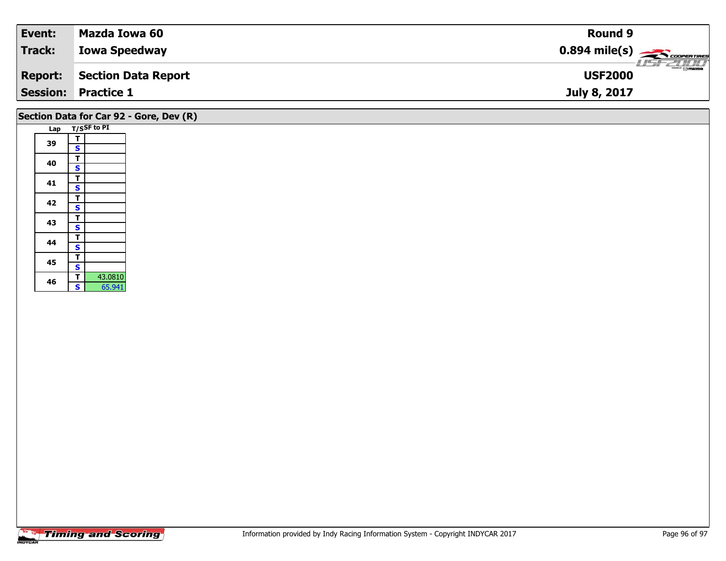| Event:         | Mazda Iowa 60              | <b>Round 9</b>                                         |
|----------------|----------------------------|--------------------------------------------------------|
| Track:         | <b>Iowa Speedway</b>       | $0.894$ mile(s) $\overbrace{\hspace{2cm}}$ coorentines |
| <b>Report:</b> | Section Data Report        | $\Theta$ mazpa<br><b>USF2000</b>                       |
|                | <b>Session: Practice 1</b> | July 8, 2017                                           |
|                |                            |                                                        |

## **Section Data for Car 92 - Gore, Dev (R)**

|     |   | T/SSF to PI |
|-----|---|-------------|
| Lap |   |             |
|     | т |             |
| 39  | S |             |
|     | т |             |
| 40  | S |             |
|     | т |             |
| 41  | S |             |
|     | T |             |
| 42  | S |             |
| 43  | Т |             |
|     | S |             |
| 44  | т |             |
|     | S |             |
| 45  | т |             |
|     | S |             |
| 46  | т | 43.0810     |
|     | Ś | 65.941      |